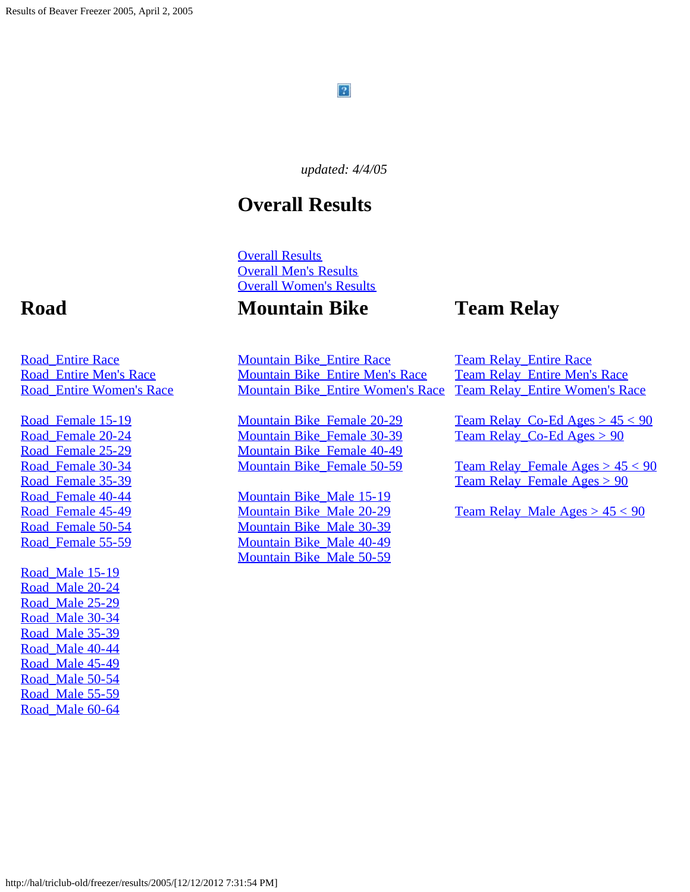#### $\mathbf{P}$

*updated: 4/4/05*

### **Overall Results**

[Overall Results](#page-1-0) [Overall Men's Results](#page-16-0) [Overall Women's Results](#page-24-0)

#### **Mountain Bike**

### **Team Relay**

[Mountain Bike\\_Entire Race](#page-83-0) [Mountain Bike\\_Entire Men's Race](#page-86-0) [Mountain Bike\\_Entire Women's Race](#page-88-0)

[Mountain Bike\\_Female 20-29](#page-90-0) [Mountain Bike\\_Female 30-39](#page-91-0) [Mountain Bike\\_Female 40-49](#page-92-0) [Mountain Bike\\_Female 50-59](#page-93-0)

[Mountain Bike\\_Male 15-19](#page-94-0) [Mountain Bike\\_Male 20-29](#page-95-0) [Mountain Bike\\_Male 30-39](#page-96-0) [Mountain Bike\\_Male 40-49](#page-97-0) [Mountain Bike\\_Male 50-59](#page-98-0)

[Team Relay\\_Entire Race](#page-99-0) [Team Relay\\_Entire Men's Race](#page-100-0) [Team Relay\\_Entire Women's Race](#page-101-0)

Team Relay\_Co-Ed Ages  $> 45 < 90$ [Team Relay\\_Co-Ed Ages > 90](#page-103-0)

Team Relay Female Ages  $> 45 < 90$ [Team Relay\\_Female Ages > 90](#page-105-0)

Team Relay\_Male  $Ages > 45 < 90$ 

### **Road**

[Road\\_Entire Race](#page-31-0) [Road\\_Entire Men's Race](#page-43-0) [Road\\_Entire Women's Race](#page-50-0)

Road Female 15-19 [Road\\_Female 20-24](#page-57-0) Road Female 25-29 [Road\\_Female 30-34](#page-61-0) Road Female 35-39 [Road\\_Female 40-44](#page-65-0) Road Female 45-49 Road Female 50-54 Road Female 55-59

Road Male 15-19 [Road\\_Male 20-24](#page-70-0) Road Male 25-29 [Road\\_Male 30-34](#page-74-0) [Road\\_Male 35-39](#page-75-0) [Road\\_Male 40-44](#page-77-0) Road Male 45-49 [Road\\_Male 50-54](#page-80-0) Road Male 55-59 [Road\\_Male 60-64](#page-82-0)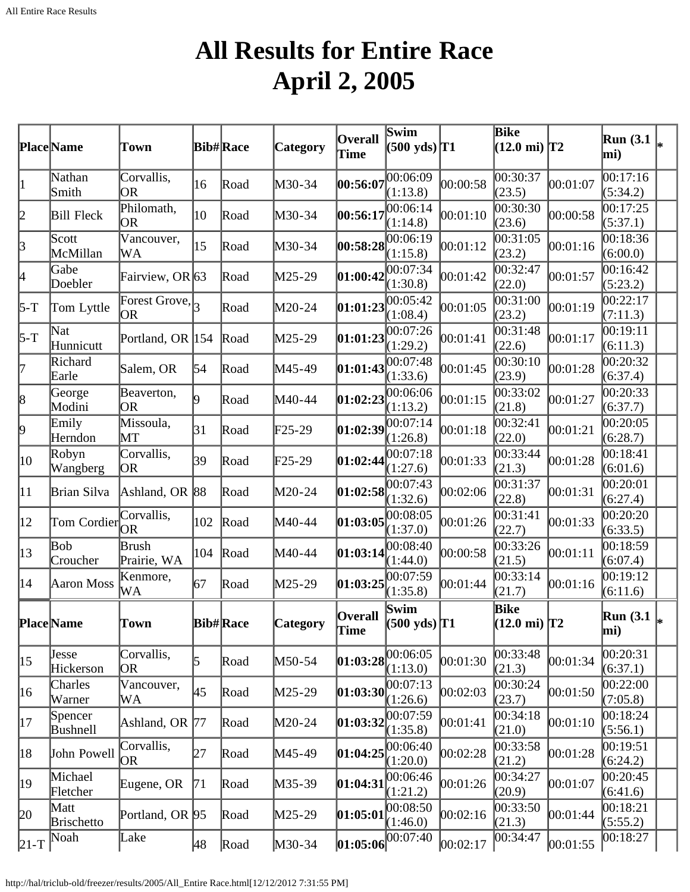### **All Results for Entire Race April 2, 2005**

<span id="page-1-0"></span>

|              | Place Name                          | Town                                      |           | <b>Bib#Race</b> | Category        | <b>Overall</b><br>Time | Swim<br>$(500 \text{ yds})$ T1 |          | <b>Bike</b><br>$(12.0 \text{ mi})$ T2 |          | <b>Run</b> (3.1<br>mi)  |  |
|--------------|-------------------------------------|-------------------------------------------|-----------|-----------------|-----------------|------------------------|--------------------------------|----------|---------------------------------------|----------|-------------------------|--|
| $\vert$ 1    | Nathan<br>Smith                     | Corvallis,<br>OR                          | 16        | Road            | M30-34          | 00:56:07               | 00:06:09<br>(1:13.8)           | 00:00:58 | 00:30:37<br>(23.5)                    | 00:01:07 | 00:17:16<br>(5:34.2)    |  |
| 2            | <b>Bill Fleck</b>                   | Philomath,<br><b>OR</b>                   | 10        | Road            | M30-34          | 00:56:17               | 00:06:14<br>(1:14.8)           | 00:01:10 | 00:30:30<br>(23.6)                    | 00:00:58 | 00:17:25<br>(5:37.1)    |  |
| 3            | Scott<br>McMillan                   | Vancouver,<br>WA                          | 15        | Road            | M30-34          | 00:58:28               | 00:06:19<br>(1:15.8)           | 00:01:12 | 00:31:05<br>(23.2)                    | 00:01:16 | 00:18:36<br>(6:00.0)    |  |
| 4            | Gabe<br>Doebler                     | Fairview, OR 63                           |           | Road            | $M25-29$        | 01:00:42               | 00:07:34<br>(1:30.8)           | 00:01:42 | 00:32:47<br>(22.0)                    | 00:01:57 | 00:16:42<br>(5:23.2)    |  |
| $5-T$        | Tom Lyttle                          | Forest Grove, $\vert$ <sub>3</sub><br> OR |           | Road            | M20-24          | 01:01:23               | 00:05:42<br>(1:08.4)           | 00:01:05 | 00:31:00<br>(23.2)                    | 00:01:19 | 00:22:17<br>(7:11.3)    |  |
| $5-T$        | Nat<br>Hunnicutt                    | Portland, OR 154                          |           | Road            | $M25-29$        | [01:01:23]             | 00:07:26<br>(1:29.2)           | 00:01:41 | 00:31:48<br>(22.6)                    | 00:01:17 | 00:19:11<br>(6:11.3)    |  |
| 17           | Richard<br>Earle                    | Salem, OR                                 | 54        | Road            | M45-49          | 01:01:43               | 00:07:48<br>(1:33.6)           | 00:01:45 | 00:30:10<br>(23.9)                    | 00:01:28 | 00:20:32<br>(6:37.4)    |  |
| $\vert 8$    | George<br>Modini                    | Beaverton,<br> OR                         | 19        | Road            | M40-44          | 01:02:23               | 00:06:06<br>(1:13.2)           | 00:01:15 | 00:33:02<br>(21.8)                    | 00:01:27 | 00:20:33<br>(6:37.7)    |  |
| þ.           | Emily<br>Herndon                    | Missoula,<br>$\operatorname{MT}$          | $\beta$ 1 | Road            | $F25-29$        | 01:02:39               | 00:07:14<br>(1:26.8)           | 00:01:18 | 00:32:41<br>(22.0)                    | 00:01:21 | 0.20:05<br>(6:28.7)     |  |
| 10           | Robyn<br>Wangberg                   | Corvallis,<br>OR                          | 39        | Road            | $\text{F25-29}$ | 01:02:44               | 0.07:18<br>(1:27.6)            | 00:01:33 | 00:33:44<br>(21.3)                    | 00:01:28 | 00:18:41<br>(6:01.6)    |  |
| 11           | Brian Silva                         | Ashland, OR 88                            |           | Road            | M20-24          | 01:02:58               | 00:07:43<br>(1:32.6)           | 00:02:06 | $\overline{00:31:37}$<br>(22.8)       | 00:01:31 | 00:20:01<br>(6:27.4)    |  |
| $ 12\rangle$ | Tom Cordier $\overline{\bigcirc_R}$ | Corvallis,                                | 102       | Road            | M40-44          | 01:03:05               | 00:08:05<br>(1:37.0)           | 00:01:26 | 00:31:41<br>(22.7)                    | 00:01:33 | 00:20:20<br>(6:33.5)    |  |
| $ 13\rangle$ | Bob<br>Croucher                     | <b>Brush</b><br>Prairie, WA               | 104       | Road            | M40-44          | 01:03:14               | 00:08:40<br>(1:44.0)           | 00:00:58 | 00:33:26<br>(21.5)                    | 00:01:11 | 00:18:59<br>(6:07.4)    |  |
| 14           | Aaron Moss                          | Kenmore,<br>WA                            | 167       | Road            | $M25-29$        | 01:03:25               | 00:07:59<br>(1:35.8)           | 00:01:44 | 00:33:14<br>(21.7)                    | 00:01:16 | 00:19:12<br>(6:11.6)    |  |
|              | <b>Place</b> Name                   | Town                                      |           | <b>Bib#Race</b> | Category        | <b>Overall</b><br>Time | Swim<br>$(500 \text{ yds})$ T1 |          | Bike<br>$(12.0 \text{ mi})$ T2        |          | <b>Run</b> (3.1)<br>mi) |  |
| 15           | Jesse<br>Hickerson                  | Corvallis,<br>OR                          | 5         | Road            | M50-54          | [01:03:28]             | 00:06:05<br>(1:13.0)           | 00:01:30 | 00:33:48<br>(21.3)                    | 00:01:34 | 00:20:31<br>(6:37.1)    |  |
| 16           | Charles<br>Warner                   | Vancouver,<br>WA                          | 45        | Road            | M25-29          | [01:03:30]             | 00:07:13<br>(1:26.6)           | 00:02:03 | 00:30:24<br>(23.7)                    | 00:01:50 | 00:22:00<br>(7:05.8)    |  |
| 17           | Spencer<br>Bushnell                 | Ashland, OR 77                            |           | Road            | $M20-24$        | 01:03:32               | 00:07:59<br>(1:35.8)           | 00:01:41 | 00:34:18<br>(21.0)                    | 00:01:10 | 00:18:24<br>(5:56.1)    |  |
| 18           | John Powell                         | Corvallis,<br><b>OR</b>                   | 27        | Road            | M45-49          | 01:04:25               | 00:06:40<br>(1:20.0)           | 00:02:28 | 00:33:58<br>(21.2)                    | 00:01:28 | 00:19:51<br>(6:24.2)    |  |
| 19           | Michael<br>Fletcher                 | Eugene, OR                                | 71        | Road            | $M35-39$        | [01:04:31]             | 00:06:46<br>(1:21.2)           | 00:01:26 | 00:34:27<br>(20.9)                    | 00:01:07 | 00:20:45<br>(6:41.6)    |  |
| 20           | Matt<br><b>Brischetto</b>           | Portland, OR 95                           |           | Road            | M25-29          | [01:05:01              | 00:08:50<br>(1:46.0)           | 00:02:16 | 00:33:50<br>(21.3)                    | 00:01:44 | 00:18:21<br>(5:55.2)    |  |
| $ 21-T$      | Noah                                | Lake                                      | 48        | Road            | M30-34          | [01:05:06]             | 00:07:40                       | 00:02:17 | 00:34:47                              | 00:01:55 | 00:18:27                |  |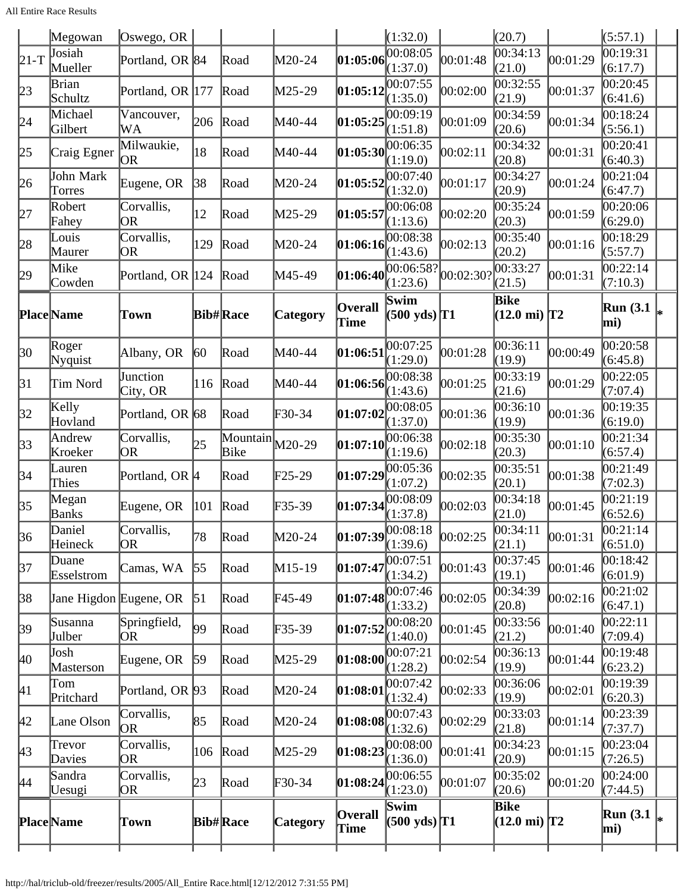All Entire Race Results

|              | Megowan                | Oswego, OR              |                  |                                                           |                 |                                 | (1:32.0)                       |           | (20.7)                                |          | (5:57.1)                |  |
|--------------|------------------------|-------------------------|------------------|-----------------------------------------------------------|-----------------|---------------------------------|--------------------------------|-----------|---------------------------------------|----------|-------------------------|--|
| $21-T$       | Josiah<br>Mueller      | Portland, OR 84         |                  | Road                                                      | M20-24          | 01:05:06                        | 00:08:05<br>(1:37.0)           | 00:01:48  | 00:34:13<br>(21.0)                    | 00:01:29 | 00:19:31<br>(6:17.7)    |  |
|              | Brian                  |                         |                  |                                                           |                 |                                 | 00:07:55                       |           | 00:32:55                              |          | 00:20:45                |  |
| 23           | Schultz                | Portland, OR 177        |                  | Road                                                      | M25-29          | 01:05:12                        | (1:35.0)                       | 00:02:00  | (21.9)                                | 00:01:37 | (6:41.6)                |  |
| 24           | Michael<br>Gilbert     | Vancouver,<br>WA        | 206              | Road                                                      | M40-44          | 01:05:25                        | 00:09:19<br>(1:51.8)           | 00:01:09  | 00:34:59<br>(20.6)                    | 00:01:34 | 00:18:24<br>(5:56.1)    |  |
| $ 25\rangle$ | Craig Egner            | Milwaukie,<br> OR       | 18               | Road                                                      | M40-44          | 01:05:30                        | 00:06:35<br>(1:19.0)           | 00:02:11  | 00:34:32<br>(20.8)                    | 00:01:31 | 00:20:41<br>(6:40.3)    |  |
| 26           | John Mark<br>Torres    | Eugene, OR              | 38               | Road                                                      | M20-24          | 01:05:52                        | 00:07:40<br>(1:32.0)           | 00:01:17  | 00:34:27<br>(20.9)                    | 00:01:24 | 00:21:04<br>(6:47.7)    |  |
| 27           | Robert<br>Fahey        | Corvallis,<br><b>OR</b> | $ 12\rangle$     | Road                                                      | M25-29          | 01:05:57                        | 00:06:08<br>(1:13.6)           | 00:02:20  | 00:35:24<br>(20.3)                    | 00:01:59 | 00:20:06<br>(6:29.0)    |  |
| 28           | Louis<br>Maurer        | Corvallis,<br>OR        | 129              | Road                                                      | M20-24          | 01:06:16                        | 00:08:38<br>(1:43.6)           | 00:02:13  | $\overline{0}0:35:40$<br>(20.2)       | 00:01:16 | 00:18:29<br>(5:57.7)    |  |
| 29           | Mike<br>Cowden         | Portland, OR 124        |                  | Road                                                      | M45-49          | 01:06:40                        | 00:06:58?<br>(1:23.6)          | 00:02:30? | 00:33:27<br>(21.5)                    | 00:01:31 | 00:22:14<br>(7:10.3)    |  |
|              | <b>Place</b> Name      | Town                    |                  | <b>Bib#Race</b>                                           | <b>Category</b> | <b>Overall</b><br>Time          | Swim<br>$(500 \text{ yds})$ T1 |           | <b>Bike</b><br>$(12.0 \text{ mi})$ T2 |          | <b>Run</b> (3.1<br>mi)  |  |
| 30           | Roger<br>Nyquist       | Albany, OR              | $ 60\rangle$     | Road                                                      | M40-44          | 01:06:51                        | 00:07:25<br>(1:29.0)           | 00:01:28  | 00:36:11<br>(19.9)                    | 00:00:49 | 00:20:58<br>(6:45.8)    |  |
| $\beta$ 1    | Tim Nord               | Junction<br>City, OR    | 116              | Road                                                      | M40-44          | 01:06:56                        | 00:08:38<br>(1:43.6)           | 00:01:25  | 00:33:19<br>(21.6)                    | 00:01:29 | 00:22:05<br>(7:07.4)    |  |
| 32           | Kelly<br>Hovland       | Portland, OR 68         |                  | Road                                                      | F30-34          | 01:07:02                        | 00:08:05<br>(1:37.0)           | 00:01:36  | 00:36:10<br>(19.9)                    | 00:01:36 | 00:19:35<br>(6:19.0)    |  |
| $ 33\rangle$ | Andrew<br>Kroeker      | Corvallis,<br>OR        | 25               | $\boxed{\text{Mountain}}$ $\boxed{\text{M20-29}}$<br>Bike |                 | 01:07:10                        | 00:06:38<br>(1:19.6)           | 00:02:18  | 00:35:30<br>(20.3)                    | 00:01:10 | 00:21:34<br>(6:57.4)    |  |
| 34           | Lauren<br>Thies        | Portland, OR  4         |                  | Road                                                      | F25-29          | 01:07:29                        | 00:05:36<br>(1:07.2)           | 00:02:35  | 00:35:51<br>(20.1)                    | 00:01:38 | 00:21:49<br>(7:02.3)    |  |
| 35           | Megan<br>Banks         | Eugene, OR              | 101              | Road                                                      | F35-39          | 01:07:34                        | 00:08:09<br>(1:37.8)           | 00:02:03  | 00:34:18<br>(21.0)                    | 00:01:45 | 00:21:19<br>(6:52.6)    |  |
| 36           | Daniel<br>Heineck      | Corvallis,<br>OR        | 78               | Road                                                      | M20-24          | $\left 01:07:39\right 00:08:18$ | (1:39.6)                       | 00:02:25  | 00:34:11<br>(21.1)                    | 00:01:31 | 00:21:14<br>(6:51.0)    |  |
| 37           | Duane<br>Esselstrom    | Camas, WA               | $\vert 55 \vert$ | Road                                                      | M15-19          | 01:07:47                        | 00:07:51<br>(1:34.2)           | 00:01:43  | 00:37:45<br>(19.1)                    | 00:01:46 | 00:18:42<br>(6:01.9)    |  |
| 38           | Jane Higdon Eugene, OR |                         | $\vert 51 \vert$ | Road                                                      | F45-49          | 01:07:48                        | 00:07:46<br>(1:33.2)           | 00:02:05  | 00:34:39<br>(20.8)                    | 00:02:16 | 00:21:02<br>(6:47.1)    |  |
| 39           | Susanna<br>Julber      | Springfield,<br>OR      | $ 99\rangle$     | Road                                                      | F35-39          | 01:07:52                        | 00:08:20<br>(1:40.0)           | 00:01:45  | 00:33:56<br>(21.2)                    | 00:01:40 | 00:22:11<br>(7:09.4)    |  |
| 40           | Josh<br>Masterson      | Eugene, OR              | $\vert$ 59       | Road                                                      | M25-29          | [01:08:00]                      | 00:07:21<br>(1:28.2)           | 00:02:54  | 00:36:13<br>(19.9)                    | 00:01:44 | 00:19:48<br>(6:23.2)    |  |
| 41           | Tom<br>Pritchard       | Portland, OR 93         |                  | Road                                                      | M20-24          | [01:08:01                       | 00:07:42<br>(1:32.4)           | 00:02:33  | 00:36:06<br>(19.9)                    | 00:02:01 | 00:19:39<br>(6:20.3)    |  |
| 42           | Lane Olson             | Corvallis,<br>OR        | 85               | Road                                                      | M20-24          | [01:08:08]                      | 00:07:43<br>(1:32.6)           | 00:02:29  | 00:33:03<br>(21.8)                    | 00:01:14 | 00:23:39<br>(7:37.7)    |  |
| 43           | Trevor<br>Davies       | Corvallis,<br>OR        | 106              | Road                                                      | M25-29          | [01:08:23]                      | 00:08:00<br>(1:36.0)           | 00:01:41  | 00:34:23<br>(20.9)                    | 00:01:15 | 00:23:04<br>(7:26.5)    |  |
| 44           | Sandra<br>Uesugi       | Corvallis,<br>OR        | 23               | Road                                                      | F30-34          | 01:08:24                        | 00:06:55<br>(1:23.0)           | 00:01:07  | 00:35:02<br>(20.6)                    | 00:01:20 | 00:24:00<br>(7:44.5)    |  |
|              | <b>Place</b> Name      | Town                    |                  | <b>Bib#Race</b>                                           | <b>Category</b> | Overall<br>Time                 | Swim<br>$(500 \text{ yds})$ T1 |           | Bike<br>$(12.0 \text{ mi})$ T2        |          | <b>Run</b> (3.1)<br>mi) |  |
|              |                        |                         |                  |                                                           |                 |                                 |                                |           |                                       |          |                         |  |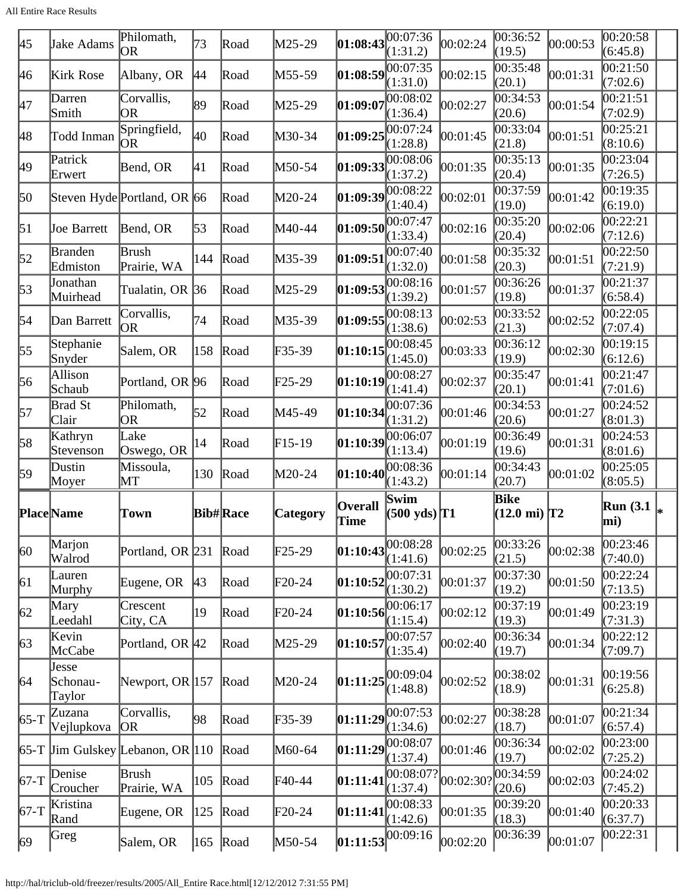| 45                 | Jake Adams                  | Philomath,<br>OR                               | 73           | Road            | M25-29   | $\left 01:08:43\right \overline{00:07:36}$ | (1:31.2)                                  | 00:02:24  | 00:36:52<br>(19.5)             | 00:00:53 | 00:20:58<br>(6:45.8)    |  |
|--------------------|-----------------------------|------------------------------------------------|--------------|-----------------|----------|--------------------------------------------|-------------------------------------------|-----------|--------------------------------|----------|-------------------------|--|
| 46                 | Kirk Rose                   | Albany, OR                                     | 44           | Road            | M55-59   | $\left 01:08:59\right ^{00:07:35}$         | (1:31.0)                                  | 00:02:15  | 00:35:48<br>(20.1)             | 00:01:31 | 00:21:50<br>(7:02.6)    |  |
| 47                 | Darren<br>Smith             | Corvallis,<br><b>OR</b>                        | 89           | Road            | M25-29   | $\ket{01:09:07}$                           | 00:08:02<br>(1:36.4)                      | 00:02:27  | 00:34:53<br>(20.6)             | 00:01:54 | 00:21:51<br>(7:02.9)    |  |
| 48                 | Todd Inman                  | Springfield,<br> OR                            | 40           | Road            | M30-34   | $\left 01:09:25\right $                    | (1:28.8)                                  | 00:01:45  | 00:33:04<br>(21.8)             | 00:01:51 | 00:25:21<br>(8:10.6)    |  |
| 49                 | Patrick<br>Erwert           | Bend, OR                                       | 41           | Road            | M50-54   | $\left 01:09:33\right 00:08:06$            | (1:37.2)                                  | 00:01:35  | 00:35:13<br>(20.4)             | 00:01:35 | 00:23:04<br>(7:26.5)    |  |
| 50                 |                             | Steven Hyde Portland, OR 66                    |              | Road            | M20-24   | $\left 01:09:39\right \overline{00:08:22}$ | (1:40.4)                                  | 00:02:01  | 00:37:59<br>(19.0)             | 00:01:42 | 00:19:35<br>(6:19.0)    |  |
| $\vert 51 \vert$   | <b>Joe Barrett</b>          | Bend, OR                                       | $\sqrt{53}$  | Road            | M40-44   | 01:09:50                                   | 00:07:47<br>(1:33.4)                      | 00:02:16  | 00:35:20<br>(20.4)             | 00:02:06 | 00:22:21<br>(7:12.6)    |  |
| $\sqrt{52}$        | <b>Branden</b><br>Edmiston  | Brush<br>Prairie, WA                           | 144          | Road            | M35-39   | 01:09:51                                   | 00:07:40<br>(1:32.0)                      | 00:01:58  | 00:35:32<br>(20.3)             | 00:01:51 | 00:22:50<br>(7:21.9)    |  |
| 53                 | Jonathan<br>Muirhead        | Tualatin, OR 36                                |              | Road            | M25-29   | $\left 01:09:53\right 00:08:16$            | (1:39.2)                                  | 00:01:57  | 00:36:26<br>(19.8)             | 00:01:37 | 00:21:37<br>(6:58.4)    |  |
| 54                 | Dan Barrett                 | Corvallis,<br>OR.                              | 74           | Road            | M35-39   | $\left 01:09:55\right 00:08:13$            | (1:38.6)                                  | 00:02:53  | 00:33:52<br>(21.3)             | 00:02:52 | 00:22:05<br>(7:07.4)    |  |
| 55                 | Stephanie<br>Snyder         | Salem, OR                                      | 158          | Road            | $F35-39$ | 01:10:15                                   | 00:08:45<br>(1:45.0)                      | 00:03:33  | 00:36:12<br>(19.9)             | 00:02:30 | 00:19:15<br>(6:12.6)    |  |
| 56                 | Allison<br>Schaub           | Portland, OR 96                                |              | Road            | F25-29   | 01:10:19                                   | (1:41.4)                                  | 00:02:37  | 00:35:47<br>(20.1)             | 00:01:41 | 00:21:47<br>(7:01.6)    |  |
| 57                 | Brad St<br>Clair            | Philomath,<br>OR                               | 52           | Road            | M45-49   | 01:10:34                                   | 00:07:36<br>(1:31.2)                      | 00:01:46  | 00:34:53<br>(20.6)             | 00:01:27 | 00:24:52<br>(8:01.3)    |  |
| 58                 | Kathryn<br>Stevenson        | Lake<br>Oswego, OR                             | 14           | Road            | $F15-19$ | 01:10:39                                   | (1:13.4)                                  | 00:01:19  | 00:36:49<br>(19.6)             | 00:01:31 | 00:24:53<br>(8:01.6)    |  |
| 59                 | Dustin<br>Moyer             | Missoula,<br>MТ                                | 130          | Road            | M20-24   | 01:10:40                                   | 00:08:36<br>(1:43.2)                      | 00:01:14  | 00:34:43<br>(20.7)             | 00:01:02 | 00:25:05<br>(8:05.5)    |  |
|                    | <b>Place</b> Name           | Town                                           |              | <b>Bib#Race</b> | Category | <b>Overall</b><br>Time                     | Swim<br>$(500 \text{ yds})$ <sup>T1</sup> |           | Bike<br>$(12.0 \text{ mi})$ T2 |          | <b>Run</b> (3.1)<br>mi) |  |
| $ 60\rangle$       | Marjon<br>Walrod            | Portland, OR 231                               |              | Road            | $F25-29$ | 01:10:43                                   | 00:08:28<br>(1:41.6)                      | 00:02:25  | 00:33:26<br>(21.5)             | 00:02:38 | 00:23:46<br>(7:40.0)    |  |
| 61                 | Lauren<br>Murphy            | Eugene, OR                                     | $ 43\rangle$ | Road            | F20-24   | $\left 01:10:52\right 00:07:31$            |                                           | 00:01:37  | 00:37:30<br>(19.2)             | 00:01:50 | 00:22:24<br>(7:13.5)    |  |
| 62                 | Mary                        |                                                |              |                 |          |                                            | (1:30.2)                                  |           |                                |          |                         |  |
|                    | Leedahl                     | Crescent<br>City, CA                           | 19           | Road            | F20-24   | 01:10:56                                   | 00:06:17<br>(1:15.4)                      | 00:02:12  | 00:37:19<br>(19.3)             | 00:01:49 | 00:23:19<br>(7:31.3)    |  |
|                    | Kevin<br>McCabe             | Portland, OR 42                                |              | Road            | M25-29   | 01:10:57                                   | 00:07:57<br>(1:35.4)                      | 00:02:40  | 00:36:34<br>(19.7)             | 00:01:34 | 00:22:12<br>(7:09.7)    |  |
| $\sqrt{63}$<br> 64 | Jesse<br>Schonau-<br>Taylor | Newport, OR $ 157 $                            |              | Road            | M20-24   | 01:11:25                                   | 00:09:04<br>(1:48.8)                      | 00:02:52  | 00:38:02<br>(18.9)             | 00:01:31 | 00:19:56<br>(6:25.8)    |  |
| $65-T$             | Zuzana<br>Vejlupkova        | Corvallis,<br> OR                              | 98           | Road            | F35-39   | $\left 01:11:29\right ^{00:07:53}$         | (1:34.6)                                  | 00:02:27  | 00:38:28<br>(18.7)             | 00:01:07 | 00:21:34<br>(6:57.4)    |  |
|                    |                             | $\overline{65}$ -T Jim Gulskey Lebanon, OR 110 |              | Road            | M60-64   | 01:11:29                                   | 00:08:07<br>(1:37.4)                      | 00:01:46  | 00:36:34<br>(19.7)             | 00:02:02 | 00:23:00<br>(7:25.2)    |  |
| $67-T$             | Denise<br>Croucher          | <b>Brush</b><br>Prairie, WA                    | 105          | Road            | F40-44   | 01:11:41                                   | 00:08:07?<br>(1:37.4)                     | 00:02:301 | 00:34:59<br>(20.6)             | 00:02:03 | 00:24:02<br>(7:45.2)    |  |
| $ 67-T$            | Kristina<br>Rand            | Eugene, OR                                     | 125          | Road            | F20-24   | [01:11:41]<br> 01:11:53 00:09:16           | 00:08:33<br>(1:42.6)                      | 00:01:35  | 00:39:20<br>(18.3)             | 00:01:40 | 00:20:33<br>(6:37.7)    |  |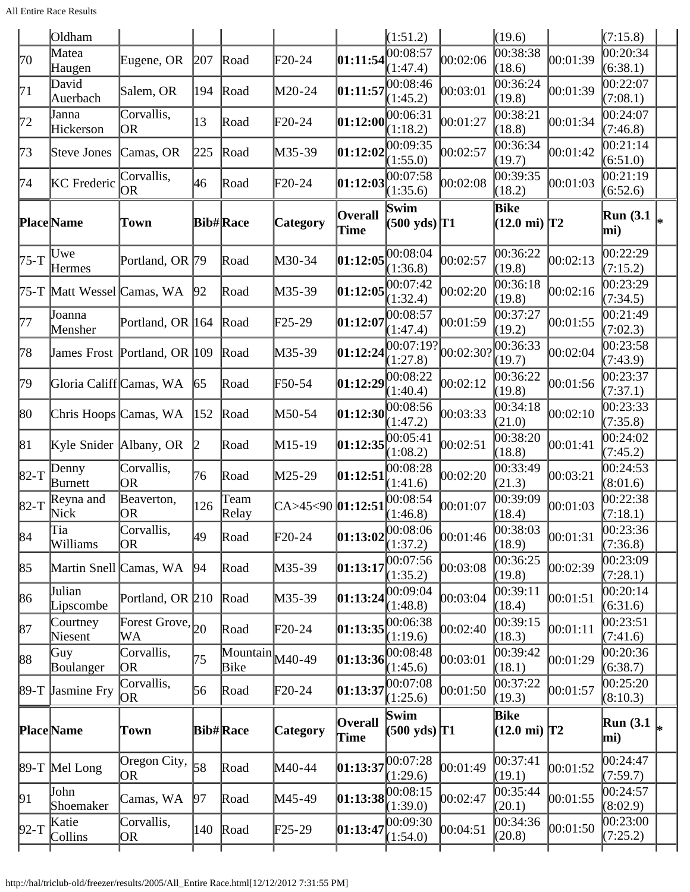|              | Oldham                  |                                 |              |                                               |                          |                                        | (1:51.2)                                                           |           | (19.6)                                |          | (7:15.8)               |  |
|--------------|-------------------------|---------------------------------|--------------|-----------------------------------------------|--------------------------|----------------------------------------|--------------------------------------------------------------------|-----------|---------------------------------------|----------|------------------------|--|
| 70           | Matea<br>Haugen         | Eugene, OR                      | 207          | Road                                          | F20-24                   | $ 01:11:54 $ $\overline{00:08:57}$     | (1:47.4)                                                           | 00:02:06  | 00:38:38<br>(18.6)                    | 00:01:39 | 00:20:34<br>(6:38.1)   |  |
| 71           | David<br>Auerbach       | Salem, OR                       | 194          | Road                                          | M20-24                   | 01:11:57                               | 00:08:46<br>(1:45.2)                                               | 00:03:01  | 00:36:24<br>(19.8)                    | 00:01:39 | 00:22:07<br>(7:08.1)   |  |
| 72           | Janna<br>Hickerson      | Corvallis,<br>OR                | 13           | Road                                          | $F20-24$                 | 01:12:00                               | 00:06:31<br>(1:18.2)                                               | 00:01:27  | 00:38:21<br>(18.8)                    | 00:01:34 | 00:24:07<br>(7:46.8)   |  |
| 73           | Steve Jones             | Camas, OR                       | 225          | Road                                          | M35-39                   | 01:12:02                               | (1:55.0)                                                           | 00:02:57  | 00:36:34<br>(19.7)                    | 00:01:42 | 00:21:14<br>(6:51.0)   |  |
| 74           | KC Frederic             | Corvallis,<br> OR               | 46           | Road                                          | F20-24                   | 01:12:03                               | 00:07:58<br>(1:35.6)                                               | 00:02:08  | 00:39:35<br>(18.2)                    | 00:01:03 | 00:21:19<br>(6:52.6)   |  |
|              | <b>Place</b> Name       | Town                            |              | <b>Bib#Race</b>                               | Category                 | <b>Overall</b><br>Time                 | Swim<br>$(500 \text{ yds})$ T1                                     |           | <b>Bike</b><br>$(12.0 \text{ mi})$ T2 |          | <b>Run</b> (3.1<br>mi) |  |
| $75-T$       | Uwe<br>Hermes           | Portland, OR 79                 |              | Road                                          | M30-34                   | 01:12:05                               | 00:08:04<br>(1:36.8)                                               | 00:02:57  | 00:36:22<br>(19.8)                    | 00:02:13 | 00:22:29<br>(7:15.2)   |  |
| 75-T         | Matt Wessel Camas, WA   |                                 | 92           | Road                                          | M35-39                   | $\left 01:12:05\right ^{00:07:42}_{0}$ | (1:32.4)                                                           | 00:02:20  | 00:36:18<br>(19.8)                    | 00:02:16 | 00:23:29<br>(7:34.5)   |  |
| 77           | Joanna<br>Mensher       | Portland, OR 164                |              | Road                                          | F25-29                   | 01:12:07                               | 00:08:57<br>(1:47.4)                                               | 00:01:59  | 00:37:27<br>(19.2)                    | 00:01:55 | 00:21:49<br>(7:02.3)   |  |
| 78           |                         | James Frost Portland, OR 109    |              | Road                                          | M35-39                   |                                        | 01:12:24 <br>(1:27.8)                                              | 00:02:30? | 00:36:33<br>(19.7)                    | 00:02:04 | 00:23:58<br>(7:43.9)   |  |
| 79           | Gloria Califf Camas, WA |                                 | 65           | Road                                          | F50-54                   | 01:12:29 00:08:22                      | (1:40.4)                                                           | 00:02:12  | 00:36:22<br>(19.8)                    | 00:01:56 | 00:23:37<br>(7:37.1)   |  |
| $ 80\rangle$ | Chris Hoops Camas, WA   |                                 | 152          | Road                                          | M50-54                   | 01:12:30                               | (1:47.2)                                                           | 00:03:33  | 00:34:18<br>(21.0)                    | 00:02:10 | 00:23:33<br>(7:35.8)   |  |
| 81           | Kyle Snider Albany, OR  |                                 | $\mathbb{D}$ | Road                                          | M15-19                   | $ 01:12:35 ^{00:05:41}_{0}$            | (1:08.2)                                                           | 00:02:51  | 00:38:20<br>(18.8)                    | 00:01:41 | 00:24:02<br>(7:45.2)   |  |
| $ 82-T$      | Denny<br>Burnett        | Corvallis,<br>OR.               | 76           | Road                                          | M25-29                   | 01:12:51                               | 00:08:28<br>(1:41.6)                                               | 00:02:20  | 00:33:49<br>(21.3)                    | 00:03:21 | 00:24:53<br>(8:01.6)   |  |
| $82-T$       | Reyna and<br>Nick       | Beaverton,<br>OR                | 126          | Team<br>Relay                                 | CA>45<90 <b>01:12:51</b> |                                        | 00:08:54<br>(1:46.8)                                               | 00:01:07  | 00:39:09<br>(18.4)                    | 00:01:03 | 00:22:38<br>(7:18.1)   |  |
| 84           | Tia<br>Williams         | Corvallis,<br>OR.               | 49           | Road                                          | $\text{F}20-24$          |                                        | $\boxed{01:13:02\begin{bmatrix} 00:08:06\\(1:37.2) \end{bmatrix}}$ | 00:01:46  | 00:38:03<br>(18.9)                    | 00:01:31 | 00:23:36<br>(7:36.8)   |  |
| 85           | Martin Snell Camas, WA  |                                 | 94           | Road                                          | M35-39                   | 01:13:17                               | 00:07:56<br>(1:35.2)                                               | 00:03:08  | 00:36:25<br>(19.8)                    | 00:02:39 | 00:23:09<br>(7:28.1)   |  |
| 86           | Julian<br>Lipscombe     | Portland, OR 210                |              | Road                                          | M35-39                   | 01:13:24                               | 00:09:04<br>(1:48.8)                                               | 00:03:04  | 00:39:11<br>(18.4)                    | 00:01:51 | 00:20:14<br>(6:31.6)   |  |
| 87           | Courtney<br>Niesent     | Forest Grove, $_{20}$<br>WА     |              | Road                                          | $\text{F20-24}$          | 01:13:35                               | (1:19.6)                                                           | 00:02:40  | 00:39:15<br>(18.3)                    | 00:01:11 | 00:23:51<br>(7:41.6)   |  |
| 88           | Guy<br>Boulanger        | Corvallis,<br>OR.               | 75           | $\overline{\text{Mountain}}$ $M40-49$<br>Bike |                          | [01:13:36]                             | 00:08:48<br>(1:45.6)                                               | 00:03:01  | 00:39:42<br>(18.1)                    | 00:01:29 | 00:20:36<br>(6:38.7)   |  |
| $89-T$       | <b>Jasmine Fry</b>      | Corvallis,<br> OR               | 56           | Road                                          | F20-24                   | 01:13:37                               | 00:07:08<br>(1:25.6)                                               | 00:01:50  | 00:37:22<br>(19.3)                    | 00:01:57 | 00:25:20<br>(8:10.3)   |  |
|              | <b>Place</b> Name       | Town                            |              | <b>Bib#Race</b>                               | <b>Category</b>          | <b>Overall</b><br>Time                 | Swim<br>$(500 \text{ yds})$ T1                                     |           | Bike<br>$(12.0 \text{ mi})$ T2        |          | <b>Run</b> (3.1<br>mi) |  |
|              | 89-T Mel Long           | Oregon City, $\vert_{58}$<br>OR |              | Road                                          | M40-44                   | 01:13:37                               | 00:07:28<br>(1:29.6)                                               | 00:01:49  | 00:37:41<br>(19.1)                    | 00:01:52 | 00:24:47<br>(7:59.7)   |  |
| 91           | John<br>Shoemaker       | Camas, WA                       | 97           | Road                                          | M45-49                   |                                        | 01:13:38 <br>(1:39.0)                                              | 00:02:47  | 00:35:44<br>(20.1)                    | 00:01:55 | 00:24:57<br>(8:02.9)   |  |
| $92-T$       | Katie<br>Collins        | Corvallis,<br>OR                | 140          | Road                                          | $\mathbb{F}25-29$        | 01:13:47                               | 00:09:30<br>(1:54.0)                                               | 00:04:51  | 00:34:36<br>(20.8)                    | 00:01:50 | 00:23:00 <br>(7:25.2)  |  |
|              |                         |                                 |              |                                               |                          |                                        |                                                                    |           |                                       |          |                        |  |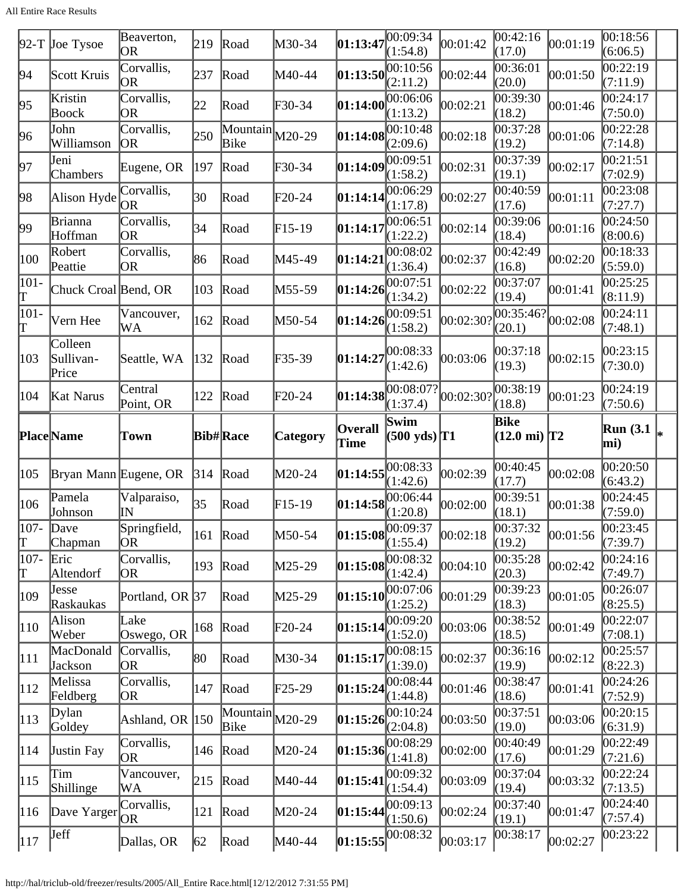All Entire Race Results

|               | $92-T$ Joe Tysoe              | Beaverton,<br>OR         | 219           | Road                                          | M30-34          | 01:13:47                                                                               | 00:09:34<br>(1:54.8)             | 00:01:42  | 00:42:16<br>(17.0)              | 00:01:19 | 00:18:56<br>(6:06.5)             |  |
|---------------|-------------------------------|--------------------------|---------------|-----------------------------------------------|-----------------|----------------------------------------------------------------------------------------|----------------------------------|-----------|---------------------------------|----------|----------------------------------|--|
| 94            | Scott Kruis                   | Corvallis,<br> OR        | 237           | Road                                          | M40-44          | 01:13:50                                                                               | [00:10:56]<br>(2:11.2)           | 00:02:44  | 00:36:01<br>(20.0)              | 00:01:50 | 00:22:19<br>(7:11.9)             |  |
| 95            | Kristin<br>Boock              | Corvallis,<br><b>OR</b>  | 22            | Road                                          | $F30-34$        | 01:14:00                                                                               | 00:06:06<br>(1:13.2)             | 00:02:21  | 00:39:30<br>(18.2)              | 00:01:46 | 00:24:17<br>(7:50.0)             |  |
| 96            | John<br>Williamson            | Corvallis,<br> OR        | 250           | $\overline{\text{Mountain}}$ $M20-29$<br>Bike |                 | $\bm{01:14:08}$                                                                        | 00:10:48<br>(2:09.6)             | 00:02:18  | 0.37:28<br>(19.2)               | 00:01:06 | 00:22:28<br>(7:14.8)             |  |
| 97            | Jeni<br>Chambers              | Eugene, OR               | 197           | Road                                          | $F30-34$        | 01:14:09                                                                               | 00:09:51<br>(1:58.2)             | 00:02:31  | $\overline{00:}37:39$<br>(19.1) | 00:02:17 | 00:21:51<br>(7:02.9)             |  |
| 98            | Alison Hyde                   | Corvallis,<br>OR         | 30            | Road                                          | $F20-24$        | 01:14:14                                                                               | 00:06:29<br>(1:17.8)             | 00:02:27  | 00:40:59<br>(17.6)              | 00:01:11 | 00:23:08<br>(7:27.7)             |  |
| 99            | Brianna<br>Hoffman            | Corvallis,<br>OR         | 34            | Road                                          | $F15-19$        | 01:14:17                                                                               | 00:06:51<br>(1:22.2)             | 00:02:14  | 00:39:06<br>(18.4)              | 00:01:16 | 00:24:50<br>(8:00.6)             |  |
| 100           | Robert<br>Peattie             | Corvallis,<br>OR         | 86            | Road                                          | M45-49          | 01:14:21                                                                               | 00:08:02<br>(1:36.4)             | 00:02:37  | 00:42:49<br>(16.8)              | 00:02:20 | 00:18:33<br>(5:59.0)             |  |
| 101-<br>T     | Chuck Croal Bend, OR          |                          | 103           | Road                                          | M55-59          | 01:14:26                                                                               | 00:07:51<br>(1:34.2)             | 00:02:22  | 00:37:07<br>(19.4)              | 00:01:41 | 00:25:25<br>(8:11.9)             |  |
| 101-<br>Γ     | Vern Hee                      | Vancouver,<br>WA         | 162           | Road                                          | M50-54          | 01:14:26                                                                               | 00:09:51<br>(1:58.2)             | 00:02:30  | 00:35:46?<br>(20.1)             | 00:02:08 | 00:24:11<br>(7:48.1)             |  |
| 103           | Colleen<br>Sullivan-<br>Price | Seattle, WA              | 132           | Road                                          | $F35-39$        | 01:14:27                                                                               | 00:08:33<br>(1:42.6)             | 00:03:06  | 00:37:18<br>(19.3)              | 00:02:15 | 00:23:15<br>(7:30.0)             |  |
| 104           | Kat Narus                     | Central<br>Point, OR     | 122           | Road                                          | $F20-24$        | 01:14:38                                                                               | 00:08:07?<br>(1:37.4)            | 00:02:30? | 00:38:19<br>(18.8)              | 00:01:23 | 00:24:19<br>(7:50.6)             |  |
| Place Name    |                               | Town                     |               |                                               |                 | <b>Overall</b>                                                                         | Swim                             |           | Bike                            |          | <b>Run</b> (3.1)                 |  |
|               |                               |                          |               | <b>Bib#Race</b>                               | <b>Category</b> | Time                                                                                   | $(500 \text{ yds})$ T1           |           | $(12.0 \text{ mi})$ T2          |          | mi)                              |  |
| 105           | Bryan Mann Eugene, OR         |                          | 314           | Road                                          | $M20-24$        | 01:14:55                                                                               |                                  | 00:02:39  | 00:40:45                        | 00:02:08 | 00:20:50                         |  |
| 106           | Pamela                        | Valparaiso,<br>ΙN        | 35            | Road                                          | F15-19          | 01:14:58                                                                               | (1:42.6)<br>00:06:44<br>(1:20.8) | 00:02:00  | (17.7)<br>00:39:51<br>(18.1)    | 00:01:38 | (6:43.2)<br>00:24:45             |  |
| $ 107 -$      | Johnson<br>Dave               | Springfield,<br>OR       | $ 161\rangle$ | Road                                          | M50-54          |                                                                                        |                                  | 00:02:18  | 00:37:32                        | 00:01:56 | (7:59.0)<br> 00:23:45            |  |
| T<br>$ 107 -$ | Chapman<br>Eric               | Corvallis,               | 193           | Road                                          | M25-29          | $\left  \begin{matrix} 01:15:08 \ 00:09:37 \ 1:55.4 \end{matrix} \right $<br> 01:15:08 |                                  | 00:04:10  | (19.2)<br>00:35:28              | 00:02:42 | (7:39.7)<br>00:24:16             |  |
| Τ<br>109      | Altendorf<br>Jesse            | OR<br>Portland, OR 37    |               | Road                                          | M25-29          | 01:15:10                                                                               | (1:42.4)<br>00:07:06             | 00:01:29  | (20.3)<br> 00:39:23             | 00:01:05 | (7:49.7)<br> 00:26:07            |  |
| $ 110\rangle$ | Raskaukas<br>Alison<br>Weber  | Lake                     | 168           | Road                                          | $\text{F20-24}$ | 01:15:14                                                                               | (1:25.2)                         | 00:03:06  | (18.3)<br>00:38:52              | 00:01:49 | (8:25.5)<br>00:22:07             |  |
| 111           | MacDonald                     | Oswego, OR<br>Corvallis, | 80            | Road                                          | M30-34          | 01:15:17                                                                               | (1:52.0)<br> 00:08:15            | 00:02:37  | (18.5)<br>00:36:16              | 00:02:12 | (7:08.1)<br>00:25:57             |  |
| $ 112\rangle$ | Jackson<br>Melissa            | OR<br>Corvallis,<br> OR  | 147           | Road                                          | F25-29          | 01:15:24                                                                               | (1:39.0)                         | 00:01:46  | (19.9)<br>00:38:47              | 00:01:41 | (8:22.3)<br>00:24:26             |  |
| $ 113\rangle$ | Feldberg<br>Dylan<br>Goldey   | Ashland, OR 150          |               | $\overline{\text{Mountain}}$ $M20-29$<br>Bike |                 | 01:15:26                                                                               | (1:44.8)<br>00:10:24             | 00:03:50  | (18.6)<br>00:37:51<br>(19.0)    | 00:03:06 | (7:52.9)<br>00:20:15<br>(6:31.9) |  |
| 114           | <b>Justin Fay</b>             | Corvallis,<br>OR         | 146           | Road                                          | M20-24          | $\left 01:15:36\right ^{00:08:29}$                                                     | (2:04.8)<br>(1:41.8)             | 00:02:00  | 00:40:49<br>(17.6)              | 00:01:29 | 00:22:49<br>(7:21.6)             |  |
| 115           | Tim<br>Shillinge              | Vancouver,<br>WA         | 215           | Road                                          | M40-44          | [01:15:41]                                                                             | 00:09:32<br>(1:54.4)             | 00:03:09  | 00:37:04<br>(19.4)              | 00:03:32 | 00:22:24<br>(7:13.5)             |  |
| 116           | Dave Yarger                   | Corvallis,<br>OR.        | 121           | Road                                          | M20-24          | 01:15:44 <br>$ 01:15:55 $ <sup>00:08:32</sup>                                          | (1:50.6)                         | 00:02:24  | 00:37:40<br>(19.1)              | 00:01:47 | 00:24:40<br>(7:57.4)             |  |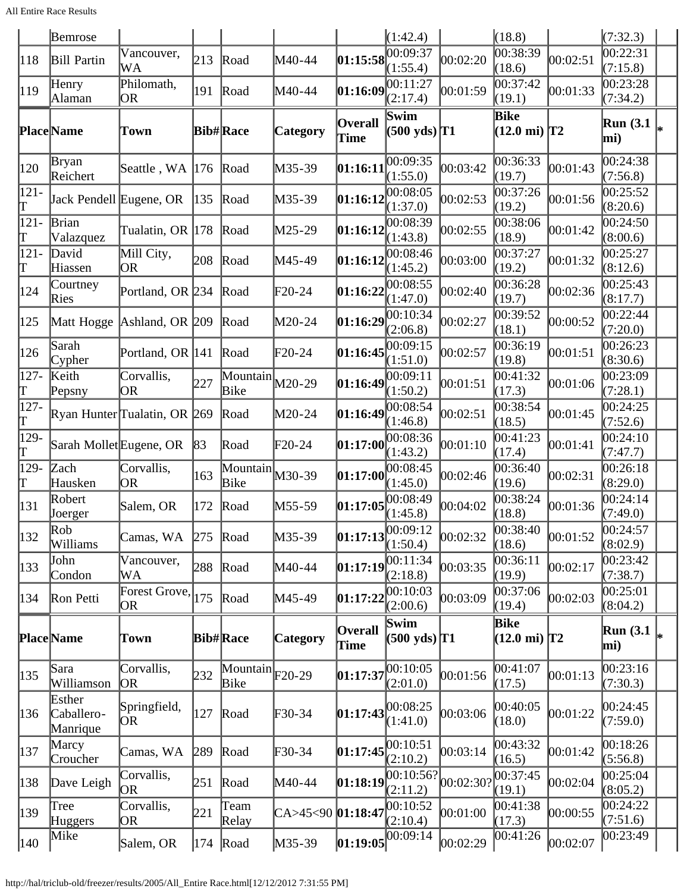|                   | Bemrose                          |                              |     |                                               |                            |                                           | (1:42.4)                                                             |          | (18.8)                                |          | (7:32.3)                |  |
|-------------------|----------------------------------|------------------------------|-----|-----------------------------------------------|----------------------------|-------------------------------------------|----------------------------------------------------------------------|----------|---------------------------------------|----------|-------------------------|--|
| 118               | Bill Partin                      | Vancouver,<br>WA             | 213 | Road                                          | M40-44                     | 01:15:58                                  | 00:09:37<br>(1:55.4)                                                 | 00:02:20 | 00:38:39<br>(18.6)                    | 00:02:51 | 00:22:31<br>(7:15.8)    |  |
| 119               | Henry<br>Alaman                  | Philomath,<br>OR             | 191 | Road                                          | M40-44                     | 01:16:09                                  | 00:11:27<br>(2:17.4)                                                 | 00:01:59 | 00:37:42<br>(19.1)                    | 00:01:33 | 00:23:28<br>(7:34.2)    |  |
|                   | <b>Place</b> Name                | Town                         |     | <b>Bib#Race</b>                               | <b>Category</b>            | Overall<br>Time                           | Swim<br>$(500 \text{ yds})$ T1                                       |          | <b>Bike</b><br>$(12.0 \text{ mi})$ T2 |          | <b>Run</b> (3.1<br>mi)  |  |
| 120               | Bryan<br>Reichert                | Seattle, WA                  | 176 | Road                                          | M35-39                     | 01:16:11                                  | 00:09:35<br>(1:55.0)                                                 | 00:03:42 | 00:36:33<br>(19.7)                    | 00:01:43 | 00:24:38<br>(7:56.8)    |  |
| $ 121 -$<br>Τ     | Jack Pendell Eugene, OR          |                              | 135 | Road                                          | M35-39                     | 01:16:12                                  | 00:08:05<br>(1:37.0)                                                 | 00:02:53 | 00:37:26<br>(19.2)                    | 00:01:56 | 00:25:52<br>(8:20.6)    |  |
| $121 -$<br>Τ      | Brian<br>Valazquez               | Tualatin, OR  178            |     | Road                                          | M25-29                     | 01:16:12                                  | 00:08:39<br>(1:43.8)                                                 | 00:02:55 | 00:38:06<br>(18.9)                    | 00:01:42 | 00:24:50<br>(8:00.6)    |  |
| $121 -$<br>Τ      | David<br>Hiassen                 | Mill City,<br>OR             | 208 | Road                                          | M45-49                     | 01:16:12                                  | 00:08:46<br>(1:45.2)                                                 | 00:03:00 | 00:37:27<br>(19.2)                    | 00:01:32 | 00:25:27<br>(8:12.6)    |  |
| 124               | Courtney<br>Ries                 | Portland, OR 234             |     | Road                                          | $\text{F}20-24$            | 01:16:22                                  | 00:08:55<br>(1:47.0)                                                 | 00:02:40 | 00:36:28<br>(19.7)                    | 00:02:36 | 00:25:43<br>(8:17.7)    |  |
| 125               | Matt Hogge                       | Ashland, OR 209              |     | Road                                          | $M20-24$                   | 01:16:29                                  | 00:10:34<br>(2:06.8)                                                 | 00:02:27 | 00:39:52<br>(18.1)                    | 00:00:52 | 00:22:44<br>(7:20.0)    |  |
| 126               | Sarah<br>Cypher                  | Portland, OR 141             |     | Road                                          | $\text{F}20-24$            | 01:16:45                                  | 00:09:15<br>(1:51.0)                                                 | 00:02:57 | 00:36:19<br>(19.8)                    | 00:01:51 | 00:26:23<br>(8:30.6)    |  |
| $127 -$<br>ſΓ     | Keith<br>Pepsny                  | Corvallis,<br>OR             | 227 | $\overline{\text{Mountain}}$ $M20-29$<br>Bike |                            | 01:16:49                                  | 00:09:11<br>(1:50.2)                                                 | 00:01:51 | 00:41:32<br>(17.3)                    | 00:01:06 | 00:23:09<br>(7:28.1)    |  |
| $127 -$<br>Τ      |                                  | Ryan Hunter Tualatin, OR 269 |     | Road                                          | $M20-24$                   | 01:16:49                                  | 00:08:54<br>(1:46.8)                                                 | 00:02:51 | 00:38:54<br>(18.5)                    | 00:01:45 | 00:24:25<br>(7:52.6)    |  |
| $129-$<br>Τ       | Sarah Mollet Eugene, OR          |                              | 83  | Road                                          | $\text{F}20-24$            | 01:17:00                                  | 00:08:36<br>(1:43.2)                                                 | 00:01:10 | 00:41:23<br>(17.4)                    | 00:01:41 | 00:24:10<br>(7:47.7)    |  |
| $129-$<br>Τ       | Zach<br>Hausken                  | Corvallis,<br><b>OR</b>      | 163 | $\overline{\text{Mountain}}$ $M30-39$<br>Bike |                            | $\bm{01:17:00}$                           | 00:08:45<br>(1:45.0)                                                 | 00:02:46 | 00:36:40<br>(19.6)                    | 00:02:31 | 00:26:18<br>(8:29.0)    |  |
| 131               | Robert<br>Joerger                | Salem, OR                    | 172 | Road                                          | M55-59                     | 01:17:05                                  | 00:08:49<br>(1:45.8)                                                 | 00:04:02 | 00:38:24<br>(18.8)                    | 00:01:36 | 00:24:14<br>(7:49.0)    |  |
| 132               | $\mathbb{R}^{ob}$<br>Williams    | Camas, WA                    |     | $275$ Road                                    | $M35-39$                   |                                           | <b>01:17:13</b> $\begin{bmatrix} 00:09:12 \\ (1:50.4) \end{bmatrix}$ | 00:02:32 | 00:38:40<br>(18.6)                    | 00:01:52 | 00:24:57<br>(8:02.9)    |  |
| $\vert$ 133       | John<br>Condon                   | Vancouver,<br>WA             | 288 | Road                                          | M40-44                     | 01:17:19                                  | 00:11:34<br>(2:18.8)                                                 | 00:03:35 | 00:36:11<br>(19.9)                    | 00:02:17 | 00:23:42<br>(7:38.7)    |  |
| 134               | Ron Petti                        | Forest Grove, $ 175 $<br>OR  |     | Road                                          | M45-49                     | 01:17:22                                  | 00:10:03<br>(2:00.6)                                                 | 00:03:09 | 00:37:06<br>(19.4)                    | 00:02:03 | 00:25:01<br>(8:04.2)    |  |
|                   | <b>Place</b> Name                | Town                         |     | <b>Bib#Race</b>                               | <b>Category</b>            | <b>Overall</b><br>Time                    | Swim<br>$(500 \text{ yds})$ <sup>T1</sup>                            |          | <b>Bike</b><br>$(12.0 \text{ mi})$ T2 |          | <b>Run</b> (3.1)<br>mi) |  |
| $\vert 135 \vert$ | Sara<br>Williamson               | Corvallis,<br>ЮR             | 232 | $\overline{\text{Mountain}}_{F20-29}$<br>Bike |                            | 01:17:37                                  | 00:10:05<br>(2:01.0)                                                 | 00:01:56 | 00:41:07<br>(17.5)                    | 00:01:13 | 00:23:16<br>(7:30.3)    |  |
| 136               | Esther<br>Caballero-<br>Manrique | Springfield,<br>OR.          | 127 | Road                                          | $\textcolor{blue}{F30-34}$ | $\left 01:17:43\right ^{00:08:25}$        | (1:41.0)                                                             | 00:03:06 | 00:40:05<br>(18.0)                    | 00:01:22 | 00:24:45<br>(7:59.0)    |  |
| 137               | Marcy<br>Croucher                | Camas, WA                    | 289 | Road                                          | $\textcolor{blue}{F30-34}$ | $\left 01:17:45\right ^{00:10:51}_{\sim}$ | (2:10.2)                                                             | 00:03:14 | 00:43:32<br>(16.5)                    | 00:01:42 | 00:18:26<br>(5:56.8)    |  |
| 138               | Dave Leigh                       | Corvallis,<br>OR             | 251 | Road                                          | M40-44                     | 01:18:19                                  | $\overline{[00:10:56?]} 00:02:30?$<br>(2:11.2)                       |          | 00:37:45<br>(19.1)                    | 00:02:04 | 00:25:04<br>(8:05.2)    |  |
| 139               | Tree<br>Huggers                  | Corvallis,<br>OR             | 221 | Team<br>Relay                                 | CA>45<90 <b>01:18:47</b>   |                                           | 00:10:52<br>(2:10.4)                                                 | 00:01:00 | 00:41:38<br>(17.3)                    | 00:00:55 | 00:24:22<br>(7:51.6)    |  |
| $ 140\rangle$     | Mike                             | Salem, OR                    |     | $ 174 $ Road                                  | $M35-39$                   |                                           | 01:19:05 00:09:14                                                    | 00:02:29 | 00:41:26                              | 00:02:07 | 00:23:49                |  |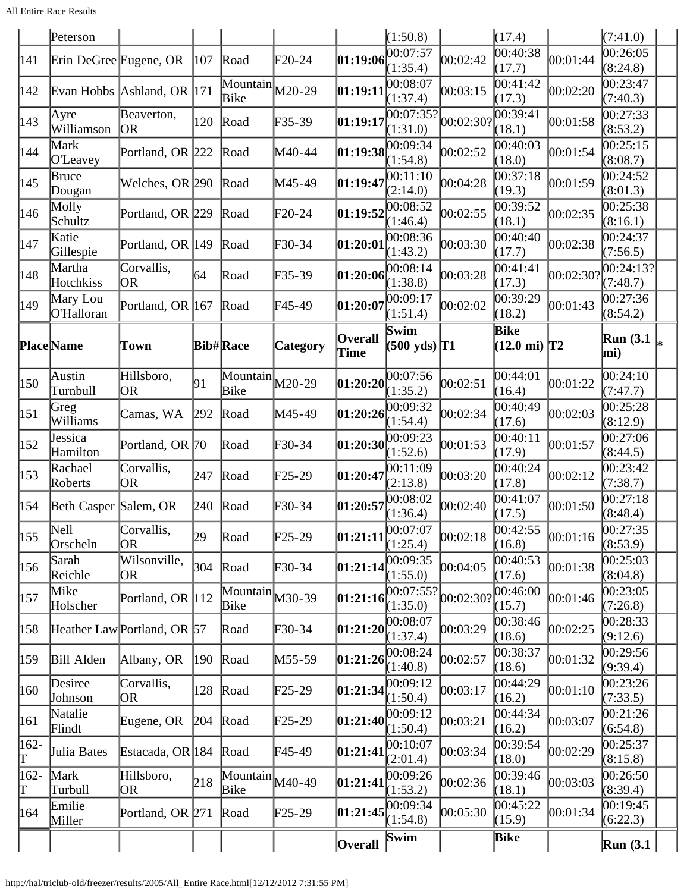All Entire Race Results

|              | Peterson               |                             |               |                                                            |                 |                                                                             | (1:50.8)                       |           | (17.4)                                |           | (7:41.0)               |  |
|--------------|------------------------|-----------------------------|---------------|------------------------------------------------------------|-----------------|-----------------------------------------------------------------------------|--------------------------------|-----------|---------------------------------------|-----------|------------------------|--|
| 141          | Erin DeGree Eugene, OR |                             | 107           | Road                                                       | $\text{F20-24}$ | [01:19:06]                                                                  | 00:07:57<br>(1:35.4)           | 00:02:42  | 00:40:38<br>(17.7)                    | 00:01:44  | 00:26:05<br>(8:24.8)   |  |
| 142          |                        | Evan Hobbs Ashland, OR 171  |               | $\overline{\text{Mountain}}$ $M20-29$<br>Bike              |                 | [01:19:11                                                                   | 00:08:07<br>(1:37.4)           | 00:03:15  | 00:41:42<br>(17.3)                    | 00:02:20  | 00:23:47<br>(7:40.3)   |  |
| 143          | Ayre<br>Williamson     | Beaverton,<br>OR.           | 120           | Road                                                       | F35-39          | 01:19:17                                                                    | 00:07:35?<br>(1:31.0)          | 00:02:30? | 00:39:41<br>(18.1)                    | 00:01:58  | 00:27:33<br>(8:53.2)   |  |
| 144          | Mark<br>O'Leavey       | Portland, OR 222            |               | Road                                                       | M40-44          | $\left 01:19:38\right \right \left \overline{00:09:34}\right $              | (1:54.8)                       | 00:02:52  | 00:40:03<br>(18.0)                    | 00:01:54  | 00:25:15<br>(8:08.7)   |  |
| 145          | Bruce<br>Dougan        | Welches, OR 290             |               | Road                                                       | M45-49          | 01:19:47                                                                    | 00:11:10<br>(2:14.0)           | 00:04:28  | 00:37:18<br>(19.3)                    | 00:01:59  | 00:24:52<br>(8:01.3)   |  |
| 146          | Molly<br>Schultz       | Portland, OR 229            |               | Road                                                       | $F20-24$        | 01:19:52                                                                    | 00:08:52<br>(1:46.4)           | 00:02:55  | 00:39:52<br>(18.1)                    | 00:02:35  | 00:25:38<br>(8:16.1)   |  |
| 147          | Katie<br>Gillespie     | Portland, OR 149            |               | Road                                                       | $F30-34$        | 01:20:01                                                                    | 00:08:36<br>(1:43.2)           | 00:03:30  | 00:40:40<br>(17.7)                    | 00:02:38  | 00:24:37<br>(7:56.5)   |  |
| 148          | Martha<br>Hotchkiss    | Corvallis,<br>OR            | 64            | Road                                                       | $F35-39$        | [01:20:06]                                                                  | 00:08:14<br>(1:38.8)           | 00:03:28  | 00:41:41<br>(17.3)                    | 00:02:30? | 00:24:13?<br>(7:48.7)  |  |
| 149          | Mary Lou<br>O'Halloran | Portland, OR 167            |               | Road                                                       | F45-49          | 01:20:07                                                                    | 00:09:17<br>(1:51.4)           | 00:02:02  | 00:39:29<br>(18.2)                    | 00:01:43  | 00:27:36<br>(8:54.2)   |  |
|              | <b>Place</b> Name      | Town                        |               | <b>Bib#Race</b>                                            | <b>Category</b> | <b>Overall</b><br>Time                                                      | Swim<br>$(500 \text{ yds})$ T1 |           | <b>Bike</b><br>$(12.0 \text{ mi})$ T2 |           | <b>Run</b> (3.1<br>mi) |  |
| 150          | Austin<br>Turnbull     | Hillsboro,<br>OR            | 91            | $\overline{\text{Mountain}}$ $M20-29$<br>Bike              |                 | 01:20:20                                                                    | 00:07:56<br>(1:35.2)           | 00:02:51  | 00:44:01<br>(16.4)                    | 00:01:22  | 00:24:10<br>(7:47.7)   |  |
| 151          | Greg<br>Williams       | Camas, WA                   | 292           | Road                                                       | M45-49          | 01:20:26                                                                    | 00:09:32<br>(1:54.4)           | 00:02:34  | 00:40:49<br>(17.6)                    | 00:02:03  | 00:25:28<br>(8:12.9)   |  |
| 152          | Jessica<br>Hamilton    | Portland, OR 70             |               | Road                                                       | $F30-34$        | 01:20:30                                                                    | 00:09:23<br>(1:52.6)           | 00:01:53  | 00:40:11<br>(17.9)                    | 00:01:57  | 00:27:06<br>(8:44.5)   |  |
| 153          | Rachael<br>Roberts     | Corvallis,<br><b>OR</b>     | 247           | Road                                                       | $\text{F25-29}$ | 01:20:47                                                                    | 00:11:09<br>(2:13.8)           | 00:03:20  | 00:40:24<br>(17.8)                    | 00:02:12  | 00:23:42<br>(7:38.7)   |  |
| 154          | Beth Casper Salem, OR  |                             | 240           | Road                                                       | F30-34          | 01:20:57                                                                    | 00:08:02<br>(1:36.4)           | 00:02:40  | 00:41:07<br>(17.5)                    | 00:01:50  | 00:27:18<br>(8:48.4)   |  |
| 155          | Nell<br>Orscheln       | Corvallis,<br>OR            | $ 29\rangle$  | Road                                                       | $\text{F25-29}$ | $\left  \begin{matrix} 01:21:11 \ 00:07:07 \end{matrix} \right _{(1:25.4)}$ |                                | 00:02:18  | $\overline{00:}42:55$<br>(16.8)       | 00:01:16  | 00:27:35<br>(8:53.9)   |  |
| 156          | Sarah<br>Reichle       | Wilsonville,<br>OR          | 304           | Road                                                       | $F30-34$        | [01:21:14]                                                                  | 00:09:35<br>(1:55.0)           | 00:04:05  | 00:40:53<br>(17.6)                    | 00:01:38  | 00:25:03<br>(8:04.8)   |  |
| 157          | Mike<br>Holscher       | Portland, OR 112            |               | $\overline{\text{Mountain}}$ $\big  \text{M30-39}$<br>Bike |                 | 01:21:16                                                                    | 00:07:55?<br>(1:35.0)          | 00:02:301 | 00:46:00<br>(15.7)                    | 00:01:46  | 00:23:05<br>(7:26.8)   |  |
| 158          |                        | Heather Law Portland, OR 57 |               | Road                                                       | $F30-34$        | 01:21:20 00:08:07                                                           | (1:37.4)                       | 00:03:29  | 00:38:46<br>(18.6)                    | 00:02:25  | 00:28:33<br>(9:12.6)   |  |
| 159          | Bill Alden             | Albany, OR                  | $ 190\rangle$ | Road                                                       | M55-59          | [01:21:26]                                                                  | 00:08:24<br>(1:40.8)           | 00:02:57  | 00:38:37<br>(18.6)                    | 00:01:32  | 00:29:56<br>(9:39.4)   |  |
| 160          | Desiree<br>Johnson     | Corvallis,<br>OR            | 128           | Road                                                       | $\text{F25-29}$ | $\left 01:21:34\right \right \left \left \overline{00:09:12}\right $        | (1:50.4)                       | 00:03:17  | 00:44:29<br>(16.2)                    | 00:01:10  | 00:23:26<br>(7:33.5)   |  |
| 161          | Natalie<br>Flindt      | Eugene, OR                  | 204           | Road                                                       | $\text{F25-29}$ | [01:21:40]                                                                  | 00:09:12<br>(1:50.4)           | 00:03:21  | 00:44:34<br>(16.2)                    | 00:03:07  | 00:21:26<br>(6:54.8)   |  |
| $162 -$<br>T | Julia Bates            | Estacada, OR 184            |               | Road                                                       | $\text{F}45-49$ | 01:21:41                                                                    | 00:10:07<br>(2:01.4)           | 00:03:34  | 00:39:54<br>(18.0)                    | 00:02:29  | 00:25:37<br>(8:15.8)   |  |
| 162-<br>Γ    | Mark<br>Turbull        | Hillsboro,<br>OR            | 218           | $\boxed{\text{Mountain}}$ $M40-49$<br>Bike                 |                 | [01:21:41]                                                                  | 00:09:26<br>(1:53.2)           | 00:02:36  | 00:39:46<br>(18.1)                    | 00:03:03  | 00:26:50<br>(8:39.4)   |  |
| 164          | Emilie<br>Miller       | Portland, OR 271            |               | Road                                                       | $\text{F25-29}$ | $\left 01:21:45\right 00:09:34$                                             | (1:54.8)                       | 00:05:30  | 00:45:22<br>(15.9)                    | 00:01:34  | 00:19:45<br>(6:22.3)   |  |
|              |                        |                             |               |                                                            |                 | <b>Overall</b>                                                              | Swim                           |           | Bike                                  |           | Run(3.1)               |  |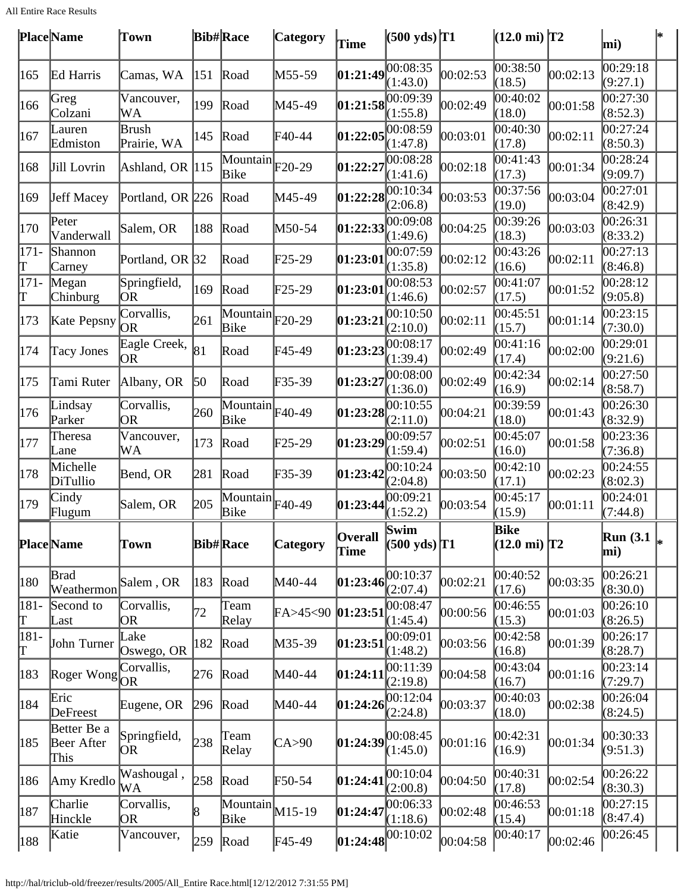All Entire Race Results

|               | <b>Place</b> Name                 | Town                    |     | <b>Bib#Race</b>                               | <b>Category</b> | Time            | $(500 \text{ yds})$ T1                    |          | $(12.0 \text{ mi})$ T2                |          | mi)                  |  |
|---------------|-----------------------------------|-------------------------|-----|-----------------------------------------------|-----------------|-----------------|-------------------------------------------|----------|---------------------------------------|----------|----------------------|--|
| 165           | Ed Harris                         | Camas, WA               | 151 | Road                                          | M55-59          | 01:21:49        | 00:08:35<br>(1:43.0)                      | 00:02:53 | 00:38:50<br>(18.5)                    | 00:02:13 | 00:29:18<br>(9:27.1) |  |
| 166           | Greg<br>Colzani                   | Vancouver,<br>WA        | 199 | Road                                          | M45-49          | 01:21:58        | 00:09:39<br>(1:55.8)                      | 00:02:49 | 00:40:02<br>(18.0)                    | 00:01:58 | 00:27:30<br>(8:52.3) |  |
| 167           | Lauren<br>Edmiston                | Brush<br>Prairie, WA    | 145 | Road                                          | $F40-44$        | 01:22:05        | 00:08:59<br>(1:47.8)                      | 00:03:01 | $\overline{00:}40:30$<br>(17.8)       | 00:02:11 | 00:27:24<br>(8:50.3) |  |
| 168           | Jill Lovrin                       | Ashland, OR 115         |     | $\overline{\text{Mountain}}$ F20-29<br>Bike   |                 | 01:22:27        | 00:08:28<br>(1:41.6)                      | 00:02:18 | 00:41:43<br>(17.3)                    | 00:01:34 | 00:28:24<br>(9:09.7) |  |
| 169           | Jeff Macey                        | Portland, OR 226        |     | Road                                          | M45-49          | 01:22:28        | 00:10:34<br>(2:06.8)                      | 00:03:53 | 00:37:56<br>(19.0)                    | 00:03:04 | 00:27:01<br>(8:42.9) |  |
| 170           | Peter<br>Vanderwall               | Salem, OR               | 188 | Road                                          | M50-54          | [01:22:33]      | 00:09:08<br>(1:49.6)                      | 00:04:25 | 0.39:26<br>(18.3)                     | 00:03:03 | 00:26:31<br>(8:33.2) |  |
| $171 -$<br>Т  | Shannon<br>Carney                 | Portland, OR 32         |     | Road                                          | $\text{F25-29}$ | [01:23:01       | 00:07:59<br>(1:35.8)                      | 00:02:12 | 00:43:26<br>(16.6)                    | 00:02:11 | 00:27:13<br>(8:46.8) |  |
| $171-$<br>Τ   | Megan<br>Chinburg                 | Springfield,<br> OR     | 169 | Road                                          | $F25-29$        | 01:23:01        | 00:08:53<br>(1:46.6)                      | 00:02:57 | 00:41:07<br>(17.5)                    | 00:01:52 | 00:28:12<br>(9:05.8) |  |
| 173           | Kate Pepsny                       | Corvallis,<br>OR        | 261 | $\overline{\text{Mountain}}$ F20-29<br>Bike   |                 | 01:23:21        | 00:10:50<br>(2:10.0)                      | 00:02:11 | 00:45:51<br>(15.7)                    | 00:01:14 | 00:23:15<br>(7:30.0) |  |
| 174           | <b>Tacy Jones</b>                 | Eagle Creek,<br>OR      | 81  | Road                                          | $F45-49$        | 01:23:23        | 00:08:17<br>(1:39.4)                      | 00:02:49 | 00:41:16<br>(17.4)                    | 00:02:00 | 00:29:01<br>(9:21.6) |  |
| 175           | Tami Ruter                        | Albany, OR              | 50  | Road                                          | $F35-39$        | 01:23:27        | 00:08:00<br>(1:36.0)                      | 00:02:49 | 00:42:34<br>(16.9)                    | 00:02:14 | 00:27:50<br>(8:58.7) |  |
| 176           | Lindsay<br>Parker                 | Corvallis,<br><b>OR</b> | 260 | Mountain F40-49<br>Bike                       |                 | 01:23:28        | 00:10:55<br>(2:11.0)                      | 00:04:21 | 00:39:59<br>(18.0)                    | 00:01:43 | 00:26:30<br>(8:32.9) |  |
| 177           | Theresa<br>Lane                   | Vancouver,<br>WA        | 173 | Road                                          | $\text{F25-29}$ | 01:23:29        | 00:09:57<br>(1:59.4)                      | 00:02:51 | 00:45:07<br>(16.0)                    | 00:01:58 | 00:23:36<br>(7:36.8) |  |
| 178           | Michelle<br>DiTullio              | Bend, OR                | 281 | Road                                          | $F35-39$        | 01:23:42        | 00:10:24<br>(2:04.8)                      | 00:03:50 | 00:42:10<br>(17.1)                    | 00:02:23 | 00:24:55<br>(8:02.3) |  |
| 179           | Cindy<br>Flugum                   | Salem, OR               | 205 | $\overline{\text{Mountain}}$ F40-49<br>Bike   |                 | 01:23:44        | 00:09:21<br>(1:52.2)                      | 00:03:54 | 00:45:17<br>(15.9)                    | 00:01:11 | 00:24:01<br>(7:44.8) |  |
|               | <b>Place</b> Name                 | Town                    |     | <b>Bib#Race</b>                               | <b>Category</b> | Overall<br>Time | Swim<br>$(500 \text{ yds})$ <sup>T1</sup> |          | <b>Bike</b><br>$(12.0 \text{ mi})$ T2 |          | Run $(3.1)$<br>mi)   |  |
| 180           | Brad<br>Weathermon                | Salem, OR               | 183 | Road                                          | M40-44          | [01:23:46]      | 00:10:37<br>(2:07.4)                      | 00:02:21 | 00:40:52<br>(17.6)                    | 00:03:35 | 00:26:21<br>(8:30.0) |  |
| 181-<br>Γ     | Second to<br>Last                 | Corvallis,<br>OR        | 72  | Team<br>Relay                                 | FA > 45 < 90    | 01:23:51        | 00:08:47<br>(1:45.4)                      | 00:00:56 | 00:46:55<br>(15.3)                    | 00:01:03 | 00:26:10<br>(8:26.5) |  |
| 181-<br>Τ     | John Turner                       | Lake<br>Oswego, OR      | 182 | Road                                          | $M35-39$        | [01:23:51]      | 00:09:01<br>(1:48.2)                      | 00:03:56 | 00:42:58<br>(16.8)                    | 00:01:39 | 00:26:17<br>(8:28.7) |  |
| 183           | Roger Wong $OR$                   | Corvallis,              | 276 | Road                                          | M40-44          | [01:24:11]      | 00:11:39<br>(2:19.8)                      | 00:04:58 | 00:43:04<br>(16.7)                    | 00:01:16 | 00:23:14<br>(7:29.7) |  |
| 184           | Eric<br>DeFreest                  | Eugene, OR              | 296 | Road                                          | $M40-44$        | [01:24:26]      | 00:12:04<br>(2:24.8)                      | 00:03:37 | 00:40:03<br>(18.0)                    | 00:02:38 | 00:26:04<br>(8:24.5) |  |
| $ 185\rangle$ | Better Be a<br>Beer After<br>This | Springfield,<br>OR.     | 238 | Team<br>Relay                                 | CA > 90         | 01:24:39        | 00:08:45<br>(1:45.0)                      | 00:01:16 | 00:42:31<br>(16.9)                    | 00:01:34 | 00:30:33<br>(9:51.3) |  |
| 186           | Amy Kredlo                        | Washougal,<br>WА        | 258 | Road                                          | $F50-54$        | 01:24:41        | 00:10:04<br>(2:00.8)                      | 00:04:50 | 00:40:31<br>(17.8)                    | 00:02:54 | 00:26:22<br>(8:30.3) |  |
| 187           | Charlie<br>Hinckle                | Corvallis,<br>OR        | 8   | $\overline{\text{Mountain}}$ $M15-19$<br>Bike |                 | 01:24:47        | 00:06:33<br>(1:18.6)                      | 00:02:48 | 00:46:53<br>(15.4)                    | 00:01:18 | 00:27:15<br>(8:47.4) |  |
| 188           | Katie                             | Vancouver,              | 259 | Road                                          | $FA5-49$        | 01:24:48        | 00:10:02                                  | 00:04:58 | 00:40:17                              | 00:02:46 | 00:26:45             |  |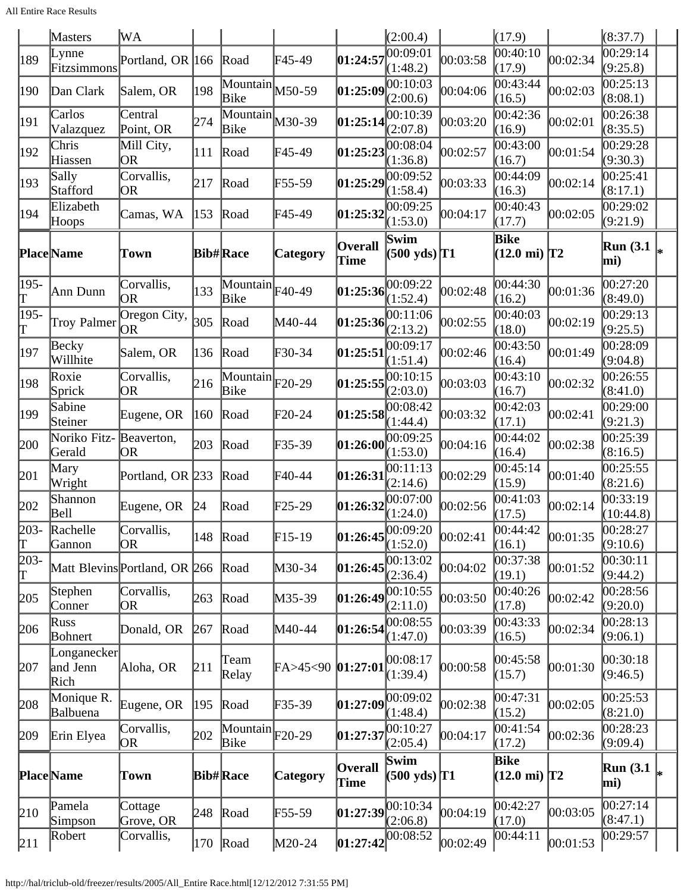All Entire Race Results

|                                     | <b>Masters</b>                  | WА                            |     |                                               |                 |                                    | (2:00.4)                                  |          | (17.9)                         |          | (8:37.7)                |  |
|-------------------------------------|---------------------------------|-------------------------------|-----|-----------------------------------------------|-----------------|------------------------------------|-------------------------------------------|----------|--------------------------------|----------|-------------------------|--|
| 189                                 | Lynne<br>Fitzsimmons            | Portland, OR 166              |     | Road                                          | F45-49          | 01:24:57                           | 00:09:01<br>(1:48.2)                      | 00:03:58 | 00:40:10<br>(17.9)             | 00:02:34 | 00:29:14<br>(9:25.8)    |  |
| 190                                 | Dan Clark                       | Salem, OR                     | 198 | $\overline{\text{Mountain}}$ M50-59<br>Bike   |                 | 01:25:09                           | 00:10:03<br>(2:00.6)                      | 00:04:06 | 00:43:44<br>(16.5)             | 00:02:03 | 00:25:13<br>(8:08.1)    |  |
| 191                                 | Carlos<br>Valazquez             | Central<br>Point, OR          | 274 | $\overline{\text{Mountain}}$ $M30-39$<br>Bike |                 | 01:25:14                           | 00:10:39<br>(2:07.8)                      | 00:03:20 | 00:42:36<br>(16.9)             | 00:02:01 | 00:26:38<br>(8:35.5)    |  |
| 192                                 | Chris<br>Hiassen                | Mill City,<br>OR              | 111 | Road                                          | F45-49          | 01:25:23                           | 00:08:04<br>(1:36.8)                      | 00:02:57 | 00:43:00<br>(16.7)             | 00:01:54 | 00:29:28<br>(9:30.3)    |  |
| 193                                 | Sally<br>Stafford               | Corvallis,<br>OR              | 217 | Road                                          | F55-59          | 01:25:29                           | 00:09:52<br>(1:58.4)                      | 00:03:33 | 00:44:09<br>(16.3)             | 00:02:14 | 00:25:41<br>(8:17.1)    |  |
| 194                                 | Elizabeth<br>Hoops              | Camas, WA                     | 153 | Road                                          | F45-49          | 01:25:32                           | 00:09:25<br>(1:53.0)                      | 00:04:17 | 00:40:43<br>(17.7)             | 00:02:05 | 00:29:02<br>(9:21.9)    |  |
|                                     | Place Name                      | Town                          |     | <b>Bib#Race</b>                               | <b>Category</b> | <b>Overall</b><br>Time             | Swim<br>$(500 \text{ yds})$ <sup>T1</sup> |          | Bike<br>$(12.0 \text{ mi})$ T2 |          | <b>Run</b> (3.1)<br>mi) |  |
| 195-<br>Τ                           | Ann Dunn                        | Corvallis,<br>OR              | 133 | $\overline{\text{Mountain}}$ F40-49<br>Bike   |                 | 01:25:36                           | 00:09:22<br>(1:52.4)                      | 00:02:48 | 00:44:30<br>(16.2)             | 00:01:36 | 00:27:20<br>(8:49.0)    |  |
| 195-<br>Τ                           | <b>Troy Palmer</b>              | Oregon City,<br> OR           | 305 | Road                                          | M40-44          | 01:25:36                           | 00:11:06<br>(2:13.2)                      | 00:02:55 | 00:40:03<br>(18.0)             | 00:02:19 | 00:29:13<br>(9:25.5)    |  |
| 197                                 | Becky<br>Willhite               | Salem, OR                     | 136 | Road                                          | F30-34          | [01:25:51                          | 00:09:17<br>(1:51.4)                      | 00:02:46 | 00:43:50<br>(16.4)             | 00:01:49 | 00:28:09<br>(9:04.8)    |  |
| 198                                 | Roxie<br>Sprick                 | Corvallis,<br>OR              | 216 | $\overline{\text{Mountain}}$ F20-29<br>Bike   |                 | 01:25:55                           | 00:10:15<br>(2:03.0)                      | 00:03:03 | 00:43:10<br>(16.7)             | 00:02:32 | 00:26:55<br>(8:41.0)    |  |
| 199                                 | Sabine<br>Steiner               | Eugene, OR                    | 160 | Road                                          | $F20-24$        | 01:25:58                           | 00:08:42<br>(1:44.4)                      | 00:03:32 | 00:42:03<br>(17.1)             | 00:02:41 | 00:29:00<br>(9:21.3)    |  |
| 200                                 | Noriko Fitz-<br>Gerald          | Beaverton,<br>OR.             | 203 | Road                                          | F35-39          | 01:26:00                           | 00:09:25<br>(1:53.0)                      | 00:04:16 | 00:44:02<br>(16.4)             | 00:02:38 | 00:25:39<br>(8:16.5)    |  |
| 201                                 | Mary<br>Wright                  | Portland, OR 233              |     | Road                                          | F40-44          | 01:26:31                           | 00:11:13<br>(2:14.6)                      | 00:02:29 | 00:45:14<br>(15.9)             | 00:01:40 | 00:25:55<br>(8:21.6)    |  |
| 202                                 | Shannon<br>Bell                 | Eugene, OR                    | 24  | Road                                          | F25-29          | 01:26:32                           | 00:07:00<br>(1:24.0)                      | 00:02:56 | 00:41:03<br>(17.5)             | 00:02:14 | 00:33:19<br>(10:44.8)   |  |
| $203 -$<br>$\mathord{\text{\rm T}}$ | Rachelle<br>Gannon              | Corvallis,<br><b>OR</b>       | 148 | Road                                          | $F15-19$        |                                    | $\left 01:26:45\right $<br>(1:52.0)       | 00:02:41 | 00:44:42<br>(16.1)             | 00:01:35 | 00:28:27<br>(9:10.6)    |  |
| 203-<br>Τ                           |                                 | Matt Blevins Portland, OR 266 |     | Road                                          | M30-34          | [01:26:45]                         | 00:13:02<br>(2:36.4)                      | 00:04:02 | 00:37:38<br>(19.1)             | 00:01:52 | 00:30:11<br>(9:44.2)    |  |
| 205                                 | Stephen<br>Conner               | Corvallis,<br>OR              | 263 | Road                                          | M35-39          | 01:26:49                           | 00:10:55<br>(2:11.0)                      | 00:03:50 | 00:40:26<br>(17.8)             | 00:02:42 | 00:28:56<br>(9:20.0)    |  |
| 206                                 | Russ<br>Bohnert                 | Donald, OR                    | 267 | Road                                          | M40-44          | $\left 01:26:54\right 00:08:55$    | (1:47.0)                                  | 00:03:39 | 00:43:33<br>(16.5)             | 00:02:34 | 00:28:13<br>(9:06.1)    |  |
| 207                                 | Longanecker<br>and Jenn<br>Rich | Aloha, OR                     | 211 | Team<br>Relay                                 | FA>45<90        | [01:27:01]                         | 00:08:17<br>(1:39.4)                      | 00:00:58 | 00:45:58<br>(15.7)             | 00:01:30 | 00:30:18<br>(9:46.5)    |  |
| 208                                 | Monique R.<br>Balbuena          | Eugene, OR                    | 195 | Road                                          | F35-39          | [01:27:09]                         | 00:09:02<br>(1:48.4)                      | 00:02:38 | 00:47:31<br>(15.2)             | 00:02:05 | 00:25:53<br>(8:21.0)    |  |
| 209                                 | Erin Elyea                      | Corvallis,<br>OR              | 202 | $\overline{\text{Mountain}}$ F20-29<br>Bike   |                 | 01:27:37                           | 00:10:27<br>(2:05.4)                      | 00:04:17 | 00:41:54<br>(17.2)             | 00:02:36 | 00:28:23<br>(9:09.4)    |  |
|                                     | <b>Place</b> Name               | Town                          |     | <b>Bib#Race</b>                               | <b>Category</b> | <b>Overall</b><br>Time             | Swim<br>$(500 \text{ yds})$ T1            |          | Bike<br>$(12.0 \text{ mi})$ T2 |          | Run $(3.1)$<br>mi)      |  |
| 210                                 | Pamela<br>Simpson               | Cottage<br>Grove, OR          | 248 | Road                                          | F55-59          | $\left 01:27:39\right 00:10:34$    | (2:06.8)                                  | 00:04:19 | 00:42:27<br>(17.0)             | 00:03:05 | 00:27:14<br>(8:47.1)    |  |
| 211                                 | Robert                          | Corvallis,                    |     | $ 170 $ Road                                  | M20-24          | $ 01:27:42 $ $\overline{00:08:52}$ |                                           | 00:02:49 | 00:44:11                       | 00:01:53 | 00:29:57                |  |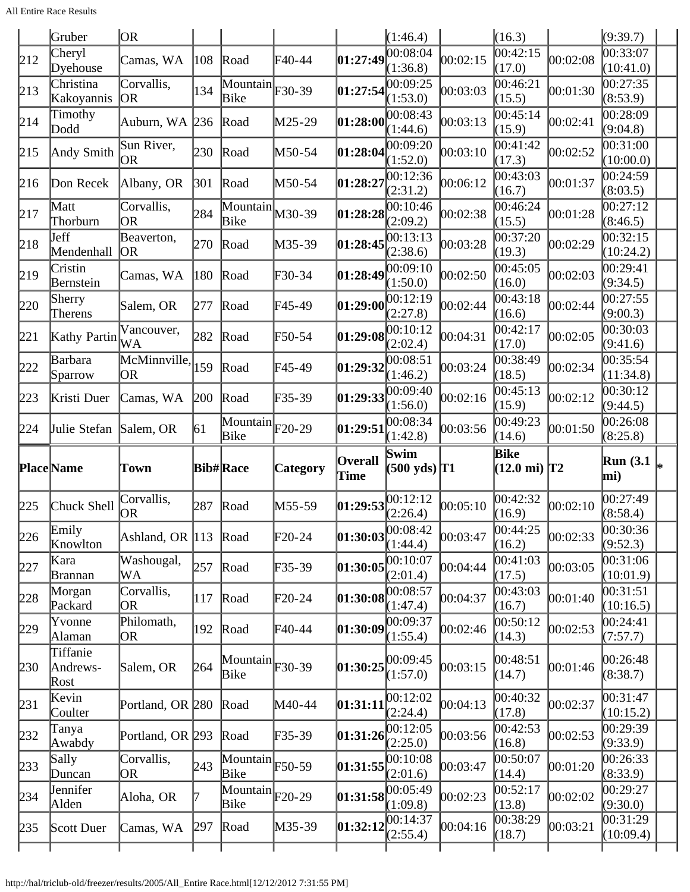|     | Gruber                       | OR)                     |      |                                               |                                                               |                                                                                                               | (1:46.4)                       |          | (16.3)                           |          | (9:39.7)                |  |
|-----|------------------------------|-------------------------|------|-----------------------------------------------|---------------------------------------------------------------|---------------------------------------------------------------------------------------------------------------|--------------------------------|----------|----------------------------------|----------|-------------------------|--|
| 212 | Cheryl<br>Dyehouse           | Camas, WA               | 108  | Road                                          | $\text{F}40-44$                                               | 01:27:49                                                                                                      | 00:08:04<br>(1:36.8)           | 00:02:15 | $\overline{00}$ :42:15<br>(17.0) | 00:02:08 | 00:33:07<br>(10:41.0)   |  |
| 213 | Christina<br>Kakoyannis      | Corvallis,<br> OR       | 134  | $\overline{\text{Mountain}}$ F30-39<br>Bike   |                                                               | 01:27:54                                                                                                      | 00:09:25<br>(1:53.0)           | 00:03:03 | 00:46:21<br>(15.5)               | 00:01:30 | 00:27:35<br>(8:53.9)    |  |
| 214 | Timothy<br>Dodd              | Auburn, WA 236          |      | Road                                          | $M25-29$                                                      | 01:28:00                                                                                                      | 00:08:43<br>(1:44.6)           | 00:03:13 | 00:45:14<br>(15.9)               | 00:02:41 | 00:28:09<br>(9:04.8)    |  |
| 215 | Andy Smith                   | Sun River,<br><b>OR</b> | 230  | Road                                          | $M50-54$                                                      | 01:28:04                                                                                                      | 00:09:20<br>(1:52.0)           | 00:03:10 | 00:41:42<br>(17.3)               | 00:02:52 | 00:31:00<br>(10:00.0)   |  |
| 216 | Don Recek                    | Albany, OR              | 301  | Road                                          | $M50-54$                                                      | 01:28:27                                                                                                      | 00:12:36<br>(2:31.2)           | 00:06:12 | 00:43:03<br>(16.7)               | 00:01:37 | 00:24:59<br>(8:03.5)    |  |
| 217 | Matt<br>Thorburn             | Corvallis,<br><b>OR</b> | 284  | $\overline{\text{Mountain}}$ $M30-39$<br>Bike |                                                               | $\vert 01\mathord{:}28\mathord{:}28$                                                                          | 00:10:46<br>(2:09.2)           | 00:02:38 | 00:46:24<br>(15.5)               | 00:01:28 | 00:27:12<br>(8:46.5)    |  |
| 218 | Jeff<br>Mendenhall           | Beaverton,<br> OR       | 270  | Road                                          | $M35-39$                                                      | 01:28:45                                                                                                      | 00:13:13<br>(2:38.6)           | 00:03:28 | 00:37:20<br>(19.3)               | 00:02:29 | 00:32:15<br>(10:24.2)   |  |
| 219 | Cristin<br>Bernstein         | Camas, WA               | 180  | Road                                          | $\textcolor{blue}{F30-34}$                                    | 01:28:49                                                                                                      | 00:09:10<br>(1:50.0)           | 00:02:50 | 00:45:05<br>(16.0)               | 00:02:03 | 00:29:41<br>(9:34.5)    |  |
| 220 | Sherry<br>Therens            | Salem, OR               | 1277 | Road                                          | F45-49                                                        | 01:29:00                                                                                                      | 00:12:19<br>(2:27.8)           | 00:02:44 | 00:43:18<br>(16.6)               | 00:02:44 | 00:27:55<br>(9:00.3)    |  |
| 221 | Kathy Partin                 | Vancouver,<br>WA        | 282  | Road                                          | $\textcolor{blue}{\mathbf{F}50\textcolor{red}{\textbf{-54}}}$ | $\pmb{01:}29:08$                                                                                              | 00:10:12<br>(2:02.4)           | 00:04:31 | 00:42:17<br>(17.0)               | 00:02:05 | 00:30:03<br>(9:41.6)    |  |
| 222 | Barbara<br>Sparrow           | McMinnville,<br>OR      | 159  | Road                                          | $\text{F}45-49$                                               | 01:29:32                                                                                                      | 00:08:51<br>(1:46.2)           | 00:03:24 | 00:38:49<br>(18.5)               | 00:02:34 | 00:35:54<br>(11:34.8)   |  |
| 223 | Kristi Duer                  | Camas, WA               | 200  | Road                                          | $F35-39$                                                      | 01:29:33                                                                                                      | 00:09:40<br>(1:56.0)           | 00:02:16 | 00:45:13<br>(15.9)               | 00:02:12 | 00:30:12<br>(9:44.5)    |  |
| 224 | Julie Stefan                 | Salem, OR               | 61   | $\overline{\text{Mountain}}_{F20-29}$<br>Bike |                                                               | 01:29:51                                                                                                      | 00:08:34<br>(1:42.8)           | 00:03:56 | 00:49:23<br>(14.6)               | 00:01:50 | 00:26:08<br>(8:25.8)    |  |
|     |                              |                         |      |                                               |                                                               |                                                                                                               |                                |          |                                  |          |                         |  |
|     | <b>Place</b> Name            | Town                    |      | <b>Bib#Race</b>                               | <b>Category</b>                                               | Overall<br>Time                                                                                               | Swim<br>$(500 \text{ yds})$ T1 |          | Bike<br>$(12.0 \text{ mi})$ T2   |          | <b>Run</b> (3.1)<br>mi) |  |
| 225 | Chuck Shell                  | Corvallis,<br>OR        | 287  | Road                                          | M55-59                                                        | 01:29:53                                                                                                      | 00:12:12<br>(2:26.4)           | 00:05:10 | 00:42:32<br>(16.9)               | 00:02:10 | 00:27:49<br>(8:58.4)    |  |
| 226 | Emily<br>Knowlton            | Ashland, OR 113 Road    |      |                                               | $\mathbb{F}20-24$                                             |                                                                                                               | 00:08:42                       | 00:03:47 | 00:44:25<br>(16.2)               | 00:02:33 | 00:30:36<br>(9:52.3)    |  |
| 227 | Kara<br>Brannan              | Washougal,<br>WA        | 257  | Road                                          | $F35-39$                                                      | $ 01:30:03^{\text{O}} \times 44.4 \text{O}} \times 10^{-10}$<br>$\left 01:30:05\right _{00:10:07}^{00:10:07}$ | (2:01.4)                       | 00:04:44 | 00:41:03<br>(17.5)               | 00:03:05 | 00:31:06<br>(10:01.9)   |  |
| 228 | Morgan<br>Packard            | Corvallis,<br>OR        | 117  | Road                                          | $\text{F}20-24$                                               | $\left 01:30:08\right 00:08:57$                                                                               | (1:47.4)                       | 00:04:37 | 00:43:03<br>(16.7)               | 00:01:40 | [00:31:51]<br>(10:16.5) |  |
| 229 | Yvonne<br>Alaman             | Philomath,<br>OR        | 192  | Road                                          | $\textsf{F}40-44$                                             | 01:30:09                                                                                                      | 00:09:37<br>(1:55.4)           | 00:02:46 | 00:50:12<br>(14.3)               | 00:02:53 | 00:24:41<br>(7:57.7)    |  |
| 230 | Tiffanie<br>Andrews-<br>Rost | Salem, OR               | 264  | Mountain $ F30-39\rangle$<br>Bike             |                                                               | $ 01:30:25 ^{00:09:45}$                                                                                       | (1:57.0)                       | 00:03:15 | 00:48:51<br>(14.7)               | 00:01:46 | 00:26:48<br>(8:38.7)    |  |
| 231 | Kevin<br>Coulter             | Portland, OR 280        |      | Road                                          | M40-44                                                        | 01:31:11                                                                                                      | 00:12:02<br>(2:24.4)           | 00:04:13 | 00:40:32<br>(17.8)               | 00:02:37 | 00:31:47<br>(10:15.2)   |  |
| 232 | Tanya<br>Awabdy              | Portland, OR 293        |      | Road                                          | $F35-39$                                                      | 01:31:26                                                                                                      | 00:12:05<br>(2:25.0)           | 00:03:56 | 00:42:53<br>(16.8)               | 00:02:53 | 00:29:39<br>(9:33.9)    |  |
| 233 | Sally<br>Duncan              | Corvallis,<br>OR        | 243  | $\overline{\text{Mountain}}$ F50-59<br>Bike   |                                                               | [01:31:55]                                                                                                    | 00:10:08<br>(2:01.6)           | 00:03:47 | 00:50:07<br>(14.4)               | 00:01:20 | 00:26:33<br>(8:33.9)    |  |
| 234 | Jennifer<br>Alden            | Aloha, OR               |      | $\boxed{\text{Mountain}}$ F20-29<br>Bike      |                                                               | $ 01:31:58 ^{00:\overline{05:49}}$                                                                            | (1:09.8)                       | 00:02:23 | 00:52:17<br>(13.8)               | 00:02:02 | 00:29:27<br>(9:30.0)    |  |
| 235 | Scott Duer                   | Camas, WA               | 297  | Road                                          | M35-39                                                        | 01:32:12                                                                                                      | 00:14:37<br>(2:55.4)           | 00:04:16 | 00:38:29<br>(18.7)               | 00:03:21 | 00:31:29<br>(10:09.4)   |  |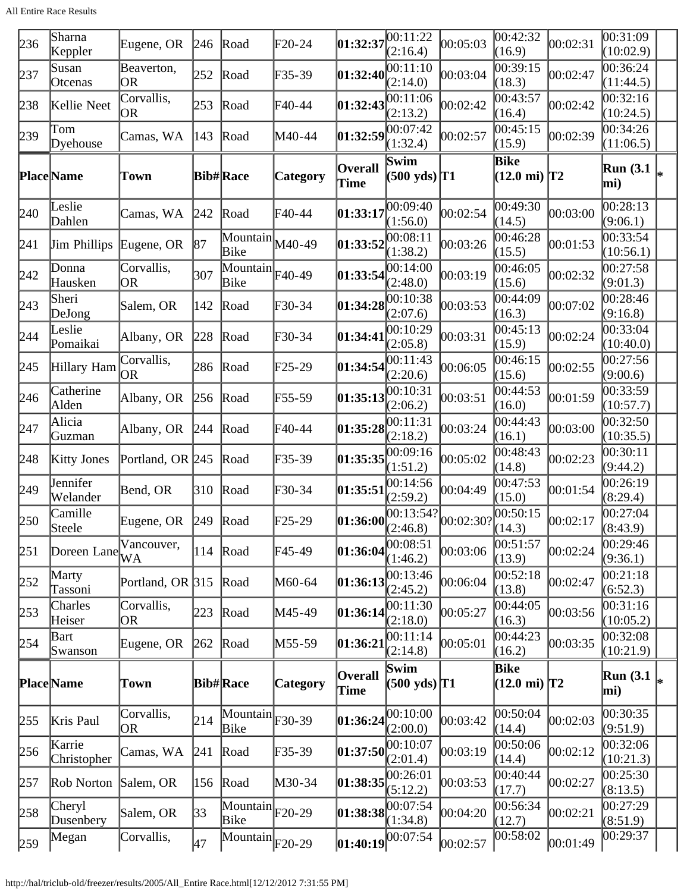All Entire Race Results

| 236 | Sharna<br>Keppler     | Eugene, OR        | 246           | Road                                            | $F20-24$        | 01:32:37                                                             | 00:11:22<br>(2:16.4)                                                                                         | 00:05:03 | 00:42:32<br>(16.9)                    | 00:02:31 | 00:31:09<br>(10:02.9)         |  |
|-----|-----------------------|-------------------|---------------|-------------------------------------------------|-----------------|----------------------------------------------------------------------|--------------------------------------------------------------------------------------------------------------|----------|---------------------------------------|----------|-------------------------------|--|
| 237 | Susan<br>Otcenas      | Beaverton,<br>OR  | 252           | Road                                            | F35-39          | 01:32:40                                                             | 00:11:10<br>(2:14.0)                                                                                         | 00:03:04 | 00:39:15<br>(18.3)                    | 00:02:47 | 00:36:24<br>(11:44.5)         |  |
| 238 | Kellie Neet           | Corvallis,<br> OR | 253           | Road                                            | F40-44          | 01:32:43                                                             | 00:11:06<br>(2:13.2)                                                                                         | 00:02:42 | 00:43:57<br>(16.4)                    | 00:02:42 | 00:32:16<br>(10:24.5)         |  |
| 239 | Tom<br>Dyehouse       | Camas, WA         | 143           | Road                                            | M40-44          | $\left 01:32:59\right \right \left \overline{00:07:42}\right $       | (1:32.4)                                                                                                     | 00:02:57 | $\overline{00:}45:15$<br>(15.9)       | 00:02:39 | 00:34:26<br>(11:06.5)         |  |
|     | <b>Place</b> Name     | Town              |               | <b>Bib#Race</b>                                 | Category        | Overall<br>Time                                                      | Swim<br>$(500 \text{ yds})$ <sup>T1</sup>                                                                    |          | <b>Bike</b><br>$(12.0 \text{ mi})$ T2 |          | Run (3.1 $\vert_{*}$ )<br>mi) |  |
| 240 | Leslie<br>Dahlen      | Camas, WA         | 242           | Road                                            | F40-44          | 01:33:17                                                             | 00:09:40<br>(1:56.0)                                                                                         | 00:02:54 | 00:49:30<br>(14.5)                    | 00:03:00 | 00:28:13<br>(9:06.1)          |  |
| 241 | <b>Jim Phillips</b>   | Eugene, OR        | 87            | $\overline{\text{Mountain}}$ $M40-49$<br>Bike   |                 | [01:33:52]                                                           | 00:08:11<br>(1:38.2)                                                                                         | 00:03:26 | 00:46:28<br>(15.5)                    | 00:01:53 | 00:33:54<br>(10:56.1)         |  |
| 242 | Donna<br>Hausken      | Corvallis,<br>OR  | 307           | $\overline{\text{Mountain}}$ F40-49<br>Bike     |                 | 01:33:54                                                             | 00:14:00<br>(2:48.0)                                                                                         | 00:03:19 | 00:46:05<br>(15.6)                    | 00:02:32 | 00:27:58<br>(9:01.3)          |  |
| 243 | Sheri<br>DeJong       | Salem, OR         | 142           | Road                                            | F30-34          | 01:34:28                                                             | 00:10:38<br>(2:07.6)                                                                                         | 00:03:53 | 00:44:09<br>(16.3)                    | 00:07:02 | 00:28:46<br>(9:16.8)          |  |
| 244 | Leslie<br>Pomaikai    | Albany, OR        | 228           | Road                                            | F30-34          | 01:34:41                                                             | 00:10:29<br>(2:05.8)                                                                                         | 00:03:31 | 00:45:13<br>(15.9)                    | 00:02:24 | 00:33:04<br>(10:40.0)         |  |
| 245 | Hillary Ham           | Corvallis,<br>OR  | 286           | Road                                            | $\text{F25-29}$ | 01:34:54                                                             | [00:11:43]<br>(2:20.6)                                                                                       | 00:06:05 | 00:46:15<br>(15.6)                    | 00:02:55 | 00:27:56<br>(9:00.6)          |  |
| 246 | Catherine<br>Alden    | Albany, OR        | 256           | Road                                            | F55-59          | 01:35:13                                                             | 00:10:31<br>(2:06.2)                                                                                         | 00:03:51 | 00:44:53<br>(16.0)                    | 00:01:59 | 00:33:59<br>(10:57.7)         |  |
| 247 | Alicia<br>Guzman      | Albany, OR        | 244           | Road                                            | F40-44          | $\left 01:35:28\right _{\odot}^{00:11:31}$                           | (2:18.2)                                                                                                     | 00:03:24 | 00:44:43<br>(16.1)                    | 00:03:00 | 00:32:50<br>(10:35.5)         |  |
| 248 | <b>Kitty Jones</b>    | Portland, OR 245  |               | Road                                            | F35-39          | $\left 01:35:35\right \right \left \left \overline{00:09:16}\right $ | (1:51.2)                                                                                                     | 00:05:02 | 00:48:43<br>(14.8)                    | 00:02:23 | 00:30:11<br>(9:44.2)          |  |
| 249 | Jennifer<br>Welander  | Bend, OR          | $ 310\rangle$ | Road                                            | F30-34          | 01:35:51                                                             | 00:14:56<br>(2:59.2)                                                                                         | 00:04:49 | 00:47:53<br>(15.0)                    | 00:01:54 | 00:26:19<br>(8:29.4)          |  |
| 250 | Camille<br>Steele     | Eugene, OR        | 249           | Road                                            | F25-29          |                                                                      | <b>01:36:00</b> $\begin{bmatrix} 00:13:54? & 00:02:30? & 00:50: \\ (2:46.8) & (14.3) & (14.3) \end{bmatrix}$ |          | 00:50:15                              | 00:02:17 | 00:27:04<br>(8:43.9)          |  |
| 251 | Doreen Lane           | Vancouver,<br>WA  | 114           | Road                                            | F45-49          | 01:36:04                                                             | (1:46.2)                                                                                                     | 00:03:06 | 00:51:57<br>(13.9)                    | 00:02:24 | 00:29:46<br>(9:36.1)          |  |
| 252 | Marty<br>Tassoni      | Portland, OR 315  |               | Road                                            | M60-64          | 01:36:13                                                             | 00:13:46<br>(2:45.2)                                                                                         | 00:06:04 | 00:52:18<br>(13.8)                    | 00:02:47 | 00:21:18<br>(6:52.3)          |  |
| 253 | Charles<br>Heiser     | Corvallis,<br>OR  | 223           | Road                                            | M45-49          | 01:36:14                                                             | 00:11:30<br>(2:18.0)                                                                                         | 00:05:27 | 00:44:05<br>(16.3)                    | 00:03:56 | 00:31:16<br>(10:05.2)         |  |
| 254 | Bart<br>Swanson       | Eugene, OR        | 262           | Road                                            | M55-59          | 01:36:21                                                             | 00:11:14<br>(2:14.8)                                                                                         | 00:05:01 | 00:44:23<br>(16.2)                    | 00:03:35 | 00:32:08<br>(10:21.9)         |  |
|     | <b>Place</b> Name     | Town              |               | <b>Bib#Race</b>                                 | <b>Category</b> | Overall<br>Time                                                      | Swim<br>$(500 \text{ yds})$ <sup>T1</sup>                                                                    |          | Bike<br>$(12.0 \text{ mi})$ T2        |          | <b>Run</b> (3.1)<br>mi)       |  |
| 255 | Kris Paul             | Corvallis,<br>OR  | 214           | $\overline{\text{Mountain}}$ F30-39<br>Bike     |                 | 01:36:24                                                             | 00:10:00<br>(2:00.0)                                                                                         | 00:03:42 | 00:50:04<br>(14.4)                    | 00:02:03 | 00:30:35<br>(9:51.9)          |  |
| 256 | Karrie<br>Christopher | Camas, WA         | 241           | Road                                            | F35-39          | 01:37:50                                                             | [00:10:07]<br>(2:01.4)                                                                                       | 00:03:19 | 00:50:06<br>(14.4)                    | 00:02:12 | 00:32:06<br>(10:21.3)         |  |
| 257 | Rob Norton            | Salem, OR         | 156           | Road                                            | M30-34          | [01:38:35]                                                           | 00:26:01<br>(5:12.2)                                                                                         | 00:03:53 | 00:40:44<br>(17.7)                    | 00:02:27 | 00:25:30<br>(8:13.5)          |  |
| 258 | Cheryl<br>Dusenbery   | Salem, OR         | 33            | $\overline{\text{Mountain}}$ $F20-29$<br>Bike   |                 | [01:38:38]                                                           | 00:07:54<br>(1:34.8)                                                                                         | 00:04:20 | 00:56:34<br>(12.7)                    | 00:02:21 | 00:27:29<br>(8:51.9)          |  |
| 259 | Megan                 | Corvallis,        | 47            | $\overline{\text{Mountain}}$ $_{\text{F20-29}}$ |                 | 01:40:19 00:07:54                                                    |                                                                                                              | 00:02:57 | 00:58:02                              | 00:01:49 | 00:29:37                      |  |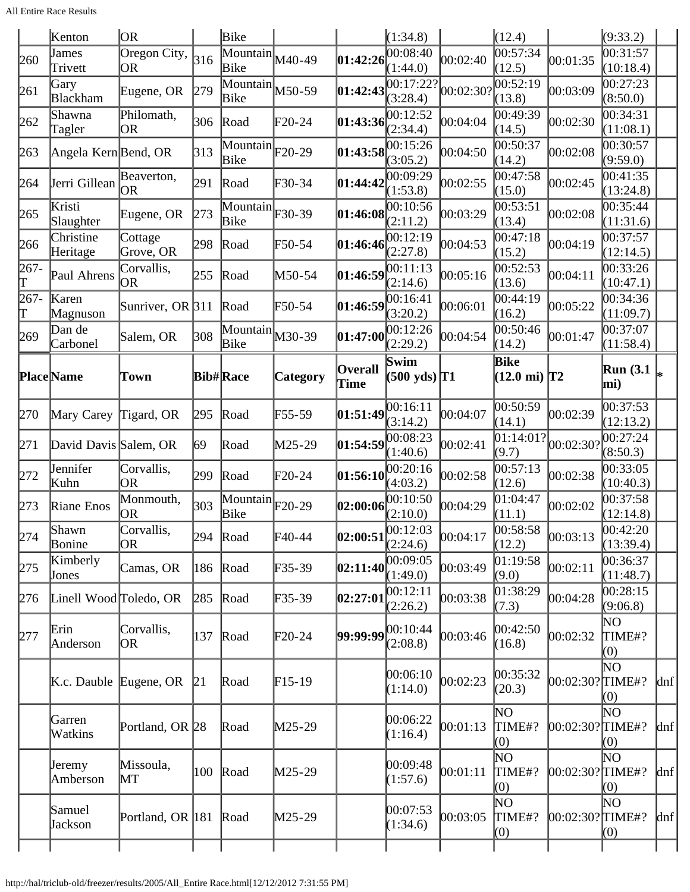|           | Kenton                 | OR.                              |                   | Bike                                                    |                 |                                                     | (1:34.8)                                  |           | (12.4)                         |                     | (9:33.2)                |         |
|-----------|------------------------|----------------------------------|-------------------|---------------------------------------------------------|-----------------|-----------------------------------------------------|-------------------------------------------|-----------|--------------------------------|---------------------|-------------------------|---------|
| 260       | James<br>Trivett       | Oregon City,<br><b>OR</b>        | 316               | Mountain<br>Bike                                        | M40-49          | 01:42:26                                            | 00:08:40<br>(1:44.0)                      | 00:02:40  | 00:57:34<br>(12.5)             | 00:01:35            | 00:31:57<br>(10:18.4)   |         |
| 261       | Gary<br>Blackham       | Eugene, OR                       | 279               | $\overline{\text{Mountain}}$ M50-59<br>Bike             |                 | 01:42:43                                            | 00:17:22?<br>(3:28.4)                     | 00:02:30? | 00:52:19<br>(13.8)             | 00:03:09            | 00:27:23<br>(8:50.0)    |         |
| 262       | Shawna<br>Tagler       | Philomath,<br>OR                 | 306               | Road                                                    | $\text{F}20-24$ | 01:43:36                                            | 00:12:52<br>(2:34.4)                      | 00:04:04  | 00:49:39<br>(14.5)             | 00:02:30            | 00:34:31<br>(11:08.1)   |         |
| 263       | Angela Kern Bend, OR   |                                  | $\vert 313 \vert$ | $\overline{\text{Mountain}}$ $_{\text{F20-29}}$<br>Bike |                 | 01:43:58                                            | 00:15:26<br>(3:05.2)                      | 00:04:50  | 00:50:37<br>(14.2)             | 00:02:08            | 00:30:57<br>(9:59.0)    |         |
| 264       | Jerri Gillean          | Beaverton,<br> OR                | 291               | Road                                                    | F30-34          | 01:44:42                                            | 00:09:29<br>(1:53.8)                      | 00:02:55  | 00:47:58<br>(15.0)             | 00:02:45            | 00:41:35<br>(13:24.8)   |         |
| 265       | Kristi<br>Slaughter    | Eugene, OR                       | 273               | $\overline{\text{Mountain}}$ F30-39<br>Bike             |                 | 01:46:08                                            | 00:10:56<br>(2:11.2)                      | 00:03:29  | 00:53:51<br>(13.4)             | 00:02:08            | 00:35:44<br>(11:31.6)   |         |
| 266       | Christine<br>Heritage  | Cottage<br>Grove, OR             | 298               | Road                                                    | F50-54          | 01:46:46                                            | 00:12:19<br>(2:27.8)                      | 00:04:53  | 00:47:18<br>(15.2)             | 00:04:19            | 00:37:57<br>(12:14.5)   |         |
| 267-<br>Τ | Paul Ahrens            | Corvallis,<br>OR                 | 255               | Road                                                    | M50-54          | 01:46:59                                            | 00:11:13<br>(2:14.6)                      | 00:05:16  | 00:52:53<br>(13.6)             | 00:04:11            | 00:33:26<br>(10:47.1)   |         |
| 267-<br>Τ | Karen<br>Magnuson      | Sunriver, OR $ 311$              |                   | Road                                                    | F50-54          | 01:46:59                                            | 00:16:41<br>(3:20.2)                      | 00:06:01  | 00:44:19<br>(16.2)             | 00:05:22            | 00:34:36<br>(11:09.7)   |         |
| 269       | Dan de<br>Carbonel     | Salem, OR                        | 308               | $\overline{\text{Mountain}}$ $M30-39$<br>Bike           |                 | 01:47:00                                            | 00:12:26<br>(2:29.2)                      | 00:04:54  | 00:50:46<br>(14.2)             | 00:01:47            | 00:37:07<br>(11:58.4)   |         |
|           | Place Name             | Town                             |                   | <b>Bib#Race</b>                                         | <b>Category</b> | <b>Overall</b><br>Time                              | Swim<br>$(500 \text{ yds})$ <sup>T1</sup> |           | Bike<br>$(12.0 \text{ mi})$ T2 |                     | <b>Run</b> (3.1)<br>mi) |         |
| 270       | Mary Carey             | Tigard, OR                       | 295               | Road                                                    | F55-59          | [01:51:49]                                          | 00:16:11<br>(3:14.2)                      | 00:04:07  | 00:50:59<br>(14.1)             | 00:02:39            | 00:37:53<br>(12:13.2)   |         |
| 271       | David Davis Salem, OR  |                                  | 69                | Road                                                    | M25-29          | 01:54:59                                            | 00:08:23<br>(1:40.6)                      | 00:02:41  | 01:14:01?<br>(9.7)             | 00:02:30?           | 00:27:24<br>(8:50.3)    |         |
| 272       | Jennifer<br>Kuhn       | Corvallis,<br>OR                 | 299               | Road                                                    | $\text{F20-24}$ | 01:56:10                                            | 00:20:16<br>(4:03.2)                      | 00:02:58  | 00:57:13<br>(12.6)             | 00:02:38            | 00:33:05<br>(10:40.3)   |         |
| 273       | Riane Enos             | Monmouth,<br> OR                 | 303               | $\overline{\text{Mountain}}$ $F20-29$<br>Bike           |                 | 02:00:06                                            | 00:10:50<br>(2:10.0)                      | 00:04:29  | 01:04:47<br>(11.1)             | 00:02:02            | 00:37:58<br>(12:14.8)   |         |
| 274       | Shawn<br>Bonine        | Corvallis,<br>OR                 |                   | $294$ Road                                              | $\text{F}40-44$ | $ 02:00:51^{\circ\circ\circ\circ\circ}_{(2:24.6)} $ | 00:12:03                                  | 00:04:17  | 00:58:58<br>(12.2)             | 00:03:13            | 00:42:20<br>(13:39.4)   |         |
| 275       | Kimberly<br>Jones      | Camas, OR                        | 186               | Road                                                    | F35-39          | 02:11:40                                            | 00:09:05<br>(1:49.0)                      | 00:03:49  | 01:19:58<br>(9.0)              | 00:02:11            | 00:36:37<br>(11:48.7)   |         |
| 276       | Linell Wood Toledo, OR |                                  | 285               | Road                                                    | F35-39          | 02:27:01                                            | 00:12:11<br>(2:26.2)                      | 00:03:38  | 01:38:29<br>(7.3)              | 00:04:28            | 00:28:15<br>(9:06.8)    |         |
| 277       | Erin<br>Anderson       | Corvallis,<br>OR.                | 137               | Road                                                    | $\text{F20-24}$ | $99:99:99^{[00:10:44]}$                             | (2:08.8)                                  | 00:03:46  | 00:42:50<br>(16.8)             | 00:02:32            | NO.<br>TIME#?<br>(0)    |         |
|           |                        | $K.c.$ Dauble Eugene, OR         | 21                | Road                                                    | $F15-19$        |                                                     | 00:06:10<br>(1:14.0)                      | 00:02:23  | 00:35:32<br>(20.3)             | 00:02:30? TIME#?    | ΝO<br>(0)               | $\ln f$ |
|           | Garren<br>Watkins      | Portland, OR 28                  |                   | Road                                                    | M25-29          |                                                     | 00:06:22<br>(1:16.4)                      | 00:01:13  | ΝO<br>TIME#?<br>(0)            | $[00:02:30?$ TIME#? | ΝO<br>(0)               | dnf     |
|           | Jeremy<br>Amberson     | Missoula,<br>$\operatorname{MT}$ | 100               | Road                                                    | M25-29          |                                                     | 00:09:48<br>(1:57.6)                      | 00:01:11  | ΝO<br>TIME#?<br>(0)            | 00:02:30?∏IME#?     | ΝO<br>(0)               | $\ln f$ |
|           | Samuel<br>Jackson      | Portland, OR 181                 |                   | Road                                                    | M25-29          |                                                     | 00:07:53<br>(1:34.6)                      | 00:03:05  | ΝO<br>TIME#?<br>(0)            | $[00:02:30?$ TIME#? | ΝO<br>(0)               | $\ln f$ |
|           |                        |                                  |                   |                                                         |                 |                                                     |                                           |           |                                |                     |                         |         |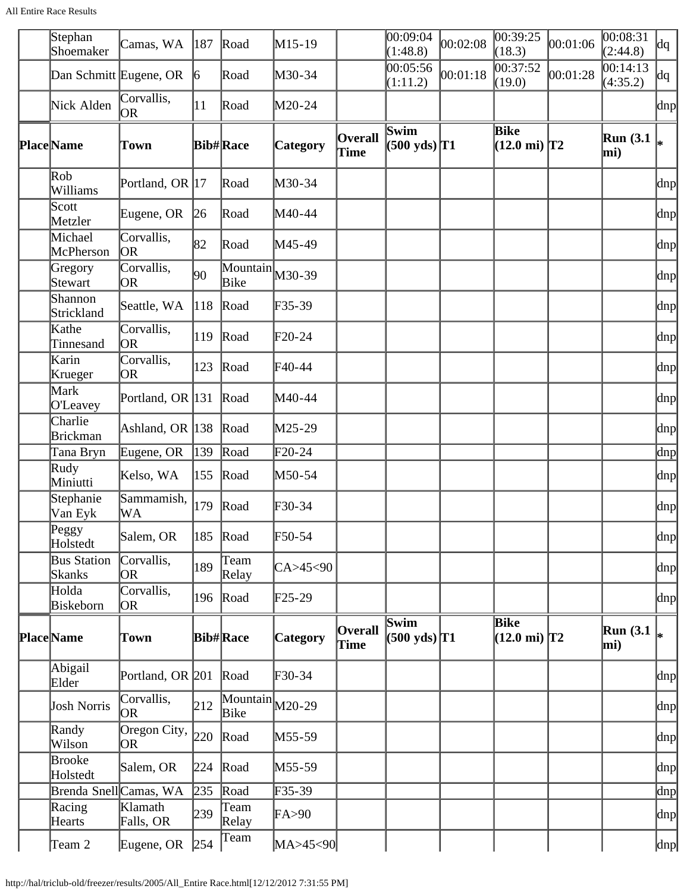All Entire Race Results

| Stephan<br>Shoemaker         | Camas, WA                         | $ 187\rangle$   | Road                                          | M15-19          |                        | 00:09:04<br>(1:48.8)                      | 00:02:08 | 00:39:25<br>(18.3)                    | 00:01:06 | 00:08:31<br>(2:44.8) | dq  |
|------------------------------|-----------------------------------|-----------------|-----------------------------------------------|-----------------|------------------------|-------------------------------------------|----------|---------------------------------------|----------|----------------------|-----|
| Dan Schmitt Eugene, OR       |                                   | $\vert 6 \vert$ | Road                                          | M30-34          |                        | 00:05:56<br>(1:11.2)                      | 00:01:18 | 00:37:52<br>(19.0)                    | 00:01:28 | 00:14:13<br>(4:35.2) | dq  |
| Nick Alden                   | Corvallis,<br>OR.                 | 11              | Road                                          | M20-24          |                        |                                           |          |                                       |          |                      | dnp |
| <b>Place</b> Name            | Town                              |                 | <b>Bib#Race</b>                               | <b>Category</b> | <b>Overall</b><br>Time | Swim<br>$(500 \text{ yds})$ <sup>T1</sup> |          | Bike<br>$(12.0 \text{ mi})$ T2        |          | Run(3.1)<br>mi)      |     |
| Rob<br>Williams              | Portland, OR 17                   |                 | Road                                          | M30-34          |                        |                                           |          |                                       |          |                      | dnp |
| Scott<br>Metzler             | Eugene, OR                        | 26              | Road                                          | M40-44          |                        |                                           |          |                                       |          |                      | dnp |
| Michael<br>McPherson         | Corvallis,<br>OR)                 | 82              | Road                                          | M45-49          |                        |                                           |          |                                       |          |                      | dnp |
| Gregory<br>Stewart           | Corvallis,<br>OR.                 | 90              | $\overline{\text{Mountain}}$ $M30-39$<br>Bike |                 |                        |                                           |          |                                       |          |                      | dnp |
| Shannon<br>Strickland        | Seattle, WA                       | 118             | Road                                          | $F35-39$        |                        |                                           |          |                                       |          |                      | dnp |
| Kathe<br>Tinnesand           | Corvallis,<br>OR.                 | 119             | Road                                          | $\text{F20-24}$ |                        |                                           |          |                                       |          |                      | dnp |
| Karin<br>Krueger             | Corvallis,<br> OR                 | 123             | Road                                          | $F40-44$        |                        |                                           |          |                                       |          |                      | dnp |
| Mark<br>O'Leavey             | Portland, OR 131                  |                 | Road                                          | M40-44          |                        |                                           |          |                                       |          |                      | dnp |
| Charlie<br><b>Brickman</b>   | Ashland, OR 138                   |                 | Road                                          | M25-29          |                        |                                           |          |                                       |          |                      | dnp |
| Tana Bryn                    | Eugene, OR                        | 139             | Road                                          | $F20-24$        |                        |                                           |          |                                       |          |                      | dnp |
| Rudy<br>Miniutti             | Kelso, WA                         | $ 155\rangle$   | Road                                          | M50-54          |                        |                                           |          |                                       |          |                      | dnp |
| Stephanie<br>Van Eyk         | Sammamish,<br>WA                  | 179             | Road                                          | F30-34          |                        |                                           |          |                                       |          |                      | dnp |
| Peggy<br>Holstedt            | Salem, OR                         |                 | 185 Road                                      | $F50-54$        |                        |                                           |          |                                       |          |                      | dnp |
| <b>Bus Station</b><br>Skanks | Corvallis,<br>OR)                 | 189             | Team<br>Relay                                 | CA > 45 < 90    |                        |                                           |          |                                       |          |                      | dnp |
| Holda<br>Biskeborn           | Corvallis,<br> OR                 |                 | 196 Road                                      | $F25-29$        |                        |                                           |          |                                       |          |                      | dnp |
| Place Name                   | Town                              |                 | <b>Bib#Race</b>                               | Category        | <b>Overall</b><br>Time | Swim<br>$(500 \text{ yds})$ <sup>T1</sup> |          | <b>Bike</b><br>$(12.0 \text{ mi})$ T2 |          | Run(3.1)<br>mi)      |     |
| Abigail<br>Elder             | Portland, OR 201                  |                 | Road                                          | $F30-34$        |                        |                                           |          |                                       |          |                      | dnp |
| Josh Norris                  | Corvallis,<br> OR                 | 212             | $\overline{\text{Mountain}}_{M20-29}$<br>Bike |                 |                        |                                           |          |                                       |          |                      | dnp |
| Randy<br>Wilson              | Oregon City, $\vert_{220}$<br> OR |                 | Road                                          | M55-59          |                        |                                           |          |                                       |          |                      | dnp |
| Brooke<br>Holstedt           | Salem, OR                         |                 | $224$ Road                                    | M55-59          |                        |                                           |          |                                       |          |                      | dnp |
| Brenda Snell Camas, WA       |                                   | 235             | Road                                          | F35-39          |                        |                                           |          |                                       |          |                      | dnp |
| Racing<br>Hearts             | Klamath<br>Falls, OR              | 239             | Team<br>Relay                                 | FA>90           |                        |                                           |          |                                       |          |                      | dnp |
| Team 2                       | Eugene, OR                        | 254             | Team                                          | MA>45<90        |                        |                                           |          |                                       |          |                      | dnp |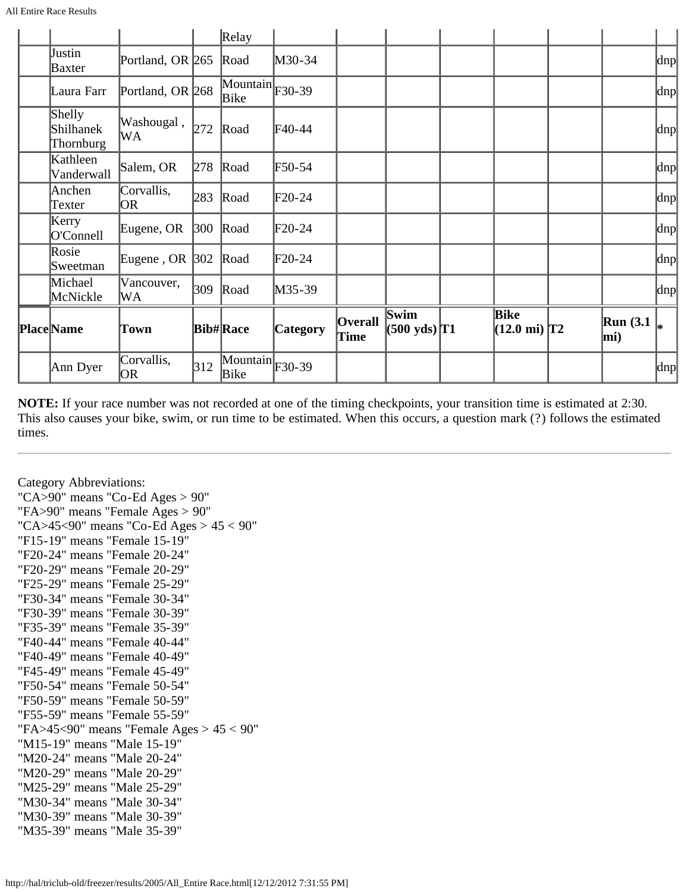| Ann Dyer                         | Corvallis,<br>OR.  | 312           | $\overline{\text{Mountain}}$ F30-39<br>Bike |                 |                        |                                |                                       |                 | dnp |
|----------------------------------|--------------------|---------------|---------------------------------------------|-----------------|------------------------|--------------------------------|---------------------------------------|-----------------|-----|
| <b>Place</b> Name                | Town               |               | <b>Bib#Race</b>                             | <b>Category</b> | <b>Overall</b><br>Time | Swim<br>$(500 \text{ yds})$ T1 | <b>Bike</b><br>$(12.0 \text{ mi})$ T2 | Run(3.1)<br>mi) |     |
| Michael<br>McNickle              | Vancouver,<br>WА   | 309           | Road                                        | M35-39          |                        |                                |                                       |                 | dnp |
| Rosie<br>Sweetman                | Eugene, OR $ 302 $ |               | Road                                        | $\text{F}20-24$ |                        |                                |                                       |                 | dnp |
| Kerry<br>O'Connell               | Eugene, OR         | $ 300\rangle$ | Road                                        | $\text{F}20-24$ |                        |                                |                                       |                 | dnp |
| Anchen<br>Texter                 | Corvallis,<br>OR.  | 283           | Road                                        | $\text{F}20-24$ |                        |                                |                                       |                 | dnp |
| Kathleen<br>Vanderwall           | Salem, OR          | 278           | Road                                        | F50-54          |                        |                                |                                       |                 | dnp |
| Shelly<br>Shilhanek<br>Thornburg | Washougal,<br>WА   | 272           | Road                                        | F40-44          |                        |                                |                                       |                 | dnp |
| Laura Farr                       | Portland, OR 268   |               | $\overline{\text{Mountain}}$ F30-39<br>Bike |                 |                        |                                |                                       |                 | dnp |
| Justin<br>Baxter                 | Portland, OR 265   |               | Road                                        | M30-34          |                        |                                |                                       |                 | dnp |
|                                  |                    |               | $\mathbb{R}$ elay                           |                 |                        |                                |                                       |                 |     |

**NOTE:** If your race number was not recorded at one of the timing checkpoints, your transition time is estimated at 2:30. This also causes your bike, swim, or run time to be estimated. When this occurs, a question mark (?) follows the estimated times.

Category Abbreviations: "CA>90" means "Co-Ed Ages > 90" "FA>90" means "Female Ages > 90" "CA>45<90" means "Co-Ed Ages > 45 < 90" "F15-19" means "Female 15-19" "F20-24" means "Female 20-24" "F20-29" means "Female 20-29" "F25-29" means "Female 25-29" "F30-34" means "Female 30-34" "F30-39" means "Female 30-39" "F35-39" means "Female 35-39" "F40-44" means "Female 40-44" "F40-49" means "Female 40-49" "F45-49" means "Female 45-49" "F50-54" means "Female 50-54" "F50-59" means "Female 50-59" "F55-59" means "Female 55-59" "FA>45<90" means "Female Ages > 45 < 90" "M15-19" means "Male 15-19" "M20-24" means "Male 20-24" "M20-29" means "Male 20-29" "M25-29" means "Male 25-29" "M30-34" means "Male 30-34" "M30-39" means "Male 30-39" "M35-39" means "Male 35-39"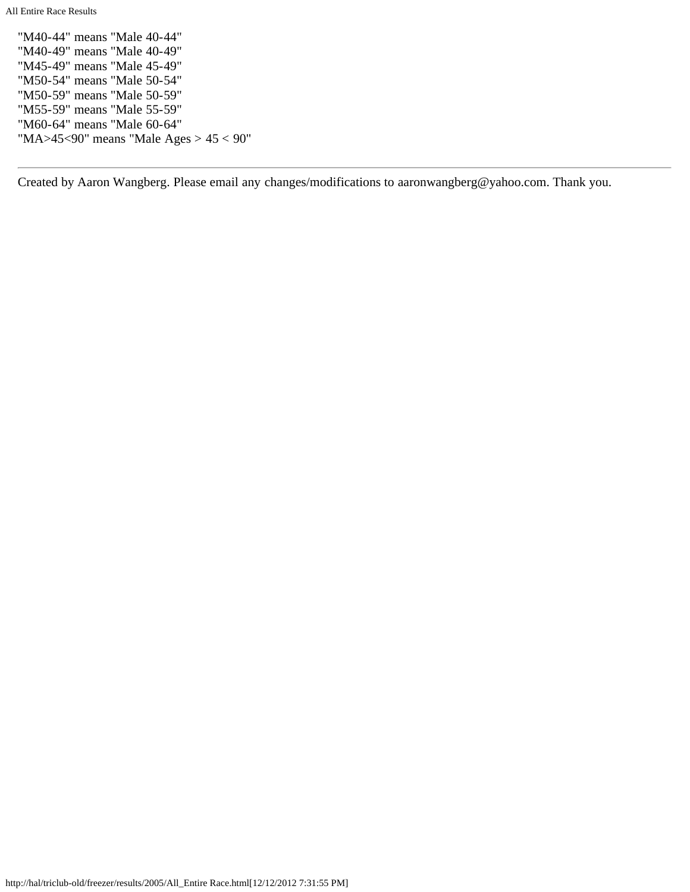All Entire Race Results

"M40-44" means "Male 40-44" "M40-49" means "Male 40-49" "M45-49" means "Male 45-49" "M50-54" means "Male 50-54" "M50-59" means "Male 50-59" "M55-59" means "Male 55-59" "M60-64" means "Male 60-64" "MA>45<90" means "Male Ages > 45 < 90"

Created by Aaron Wangberg. Please email any changes/modifications to aaronwangberg@yahoo.com. Thank you.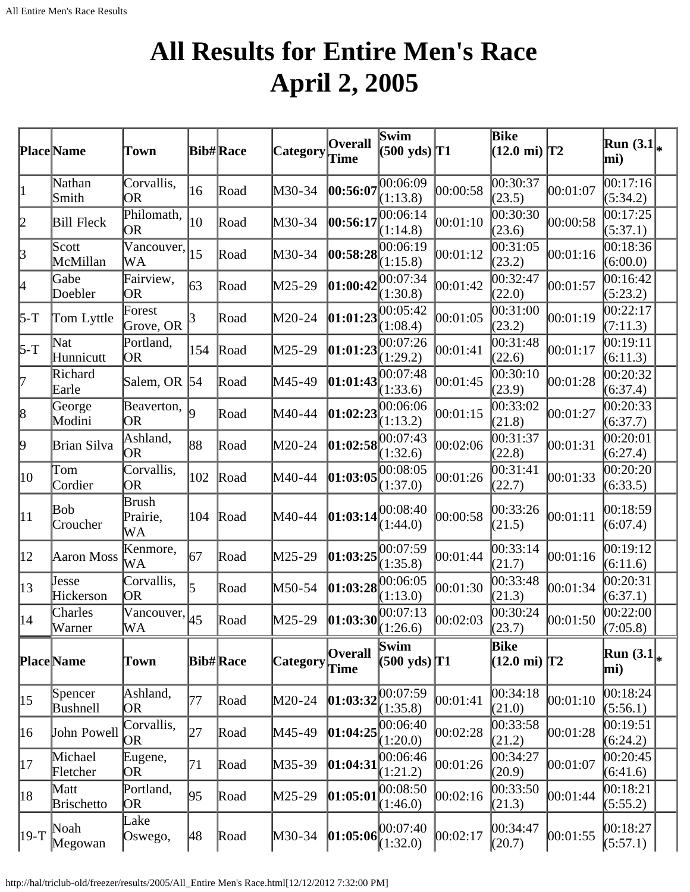## **All Results for Entire Men's Race April 2, 2005**

<span id="page-16-0"></span>

|                 | Place Name                | Town                    |            | <b>Bib#Race</b> | Category        | <b>Overall</b><br>Time | Swim<br>$(500 \text{ yds})$ T1            |          | <b>Bike</b><br>$(12.0 \text{ mi})$ T2 |          | Run $(3.1)$<br>mi)        |  |
|-----------------|---------------------------|-------------------------|------------|-----------------|-----------------|------------------------|-------------------------------------------|----------|---------------------------------------|----------|---------------------------|--|
| $\vert 1 \vert$ | Nathan<br>Smith           | Corvallis,<br> OR       | 16         | Road            | M30-34          | 00:56:07               | 00:06:09<br>(1:13.8)                      | 00:00:58 | 00:30:37<br>(23.5)                    | 00:01:07 | 00:17:16<br>(5:34.2)      |  |
| 2               | <b>Bill Fleck</b>         | Philomath,<br> OR       | 10         | Road            | M30-34          | 00:56:17               | 00:06:14<br>(1:14.8)                      | 00:01:10 | 00:30:30<br>(23.6)                    | 00:00:58 | 00:17:25<br>(5:37.1)      |  |
| $\beta$         | Scott<br>McMillan         | Vancouver,<br>WA        | 15         | Road            | M30-34          |                        | 00:58:28 <br>(1:15.8)                     | 00:01:12 | 00:31:05<br>(23.2)                    | 00:01:16 | 00:18:36<br>(6:00.0)      |  |
| 4               | Gabe<br>Doebler           | Fairview,<br> OR        | 63         | Road            | M25-29          | 01:00:42               | 00:07:34<br>(1:30.8)                      | 00:01:42 | 00:32:47<br>(22.0)                    | 00:01:57 | 00:16:42<br>(5:23.2)      |  |
| 5-T             | Tom Lyttle                | Forest<br>Grove, OR     | 3          | Road            | M20-24          | 01:01:23               | 00:05:42<br>(1:08.4)                      | 00:01:05 | 00:31:00<br>(23.2)                    | 00:01:19 | 00:22:17<br>(7:11.3)      |  |
| $5-T$           | Nat<br>Hunnicutt          | Portland,<br> OR        | 154        | Road            | M25-29          | 01:01:23               | 00:07:26<br>(1:29.2)                      | 00:01:41 | 00:31:48<br>(22.6)                    | 00:01:17 | 00:19:11<br>(6:11.3)      |  |
| 7               | Richard<br>Earle          | Salem, OR               | $\vert$ 54 | Road            | M45-49          | [01:01:43]             | 00:07:48<br>(1:33.6)                      | 00:01:45 | 00:30:10<br>(23.9)                    | 00:01:28 | 00:20:32<br>(6:37.4)      |  |
| $\vert 8 \vert$ | George<br>Modini          | Beaverton,<br> OR       |            | Road            | M40-44          | 01:02:23               | 00:06:06<br>(1:13.2)                      | 00:01:15 | 0.33:02<br>(21.8)                     | 00:01:27 | 00:20:33<br>(6:37.7)      |  |
| þ               | Brian Silva               | Ashland,<br> OR         | 88         | Road            | M20-24          |                        | 01:02:58 <br>(1:32.6)                     | 00:02:06 | 00:31:37<br>(22.8)                    | 00:01:31 | 00:20:01<br>(6:27.4)      |  |
| 10              | Tom<br>Cordier            | Corvallis,<br>OR        | 102        | Road            | M40-44          | 01:03:05               | 00:08:05<br>(1:37.0)                      | 00:01:26 | 00:31:41<br>(22.7)                    | 00:01:33 | 00:20:20<br>(6:33.5)      |  |
| $ 11\rangle$    | Bob<br>Croucher           | Brush<br>Prairie,<br>WА | 104        | Road            | M40-44          | [01:03:14]             | 00:08:40<br>(1:44.0)                      | 00:00:58 | 00:33:26<br>(21.5)                    | 00:01:11 | 00:18:59<br>(6:07.4)      |  |
| $ 12\rangle$    | <b>Aaron Moss</b>         | Kenmore,<br>WА          | 67         | Road            | M25-29          | 01:03:25               | 00:07:59<br>(1:35.8)                      | 00:01:44 | 00:33:14<br>(21.7)                    | 00:01:16 | 00:19:12<br>(6:11.6)      |  |
| 13              | Jesse<br>Hickerson        | Corvallis,<br>OR        | 5          | Road            | M50-54          | 01:03:28               | 00:06:05<br>(1:13.0)                      | 00:01:30 | 00:33:48<br>(21.3)                    | 00:01:34 | 00:20:31<br>(6:37.1)      |  |
| $ 14\rangle$    | Charles<br>Warner         | Vancouver,<br>WА        | 45         | Road            | M25-29          | [01:03:30]             | 00:07:13<br>(1:26.6)                      | 00:02:03 | 00:30:24<br>(23.7)                    | 00:01:50 | 00:22:00<br>(7:05.8)      |  |
|                 | <b>Place</b> Name         | Town                    |            | <b>Bib#Race</b> | <b>Category</b> | <b>Overall</b><br>Time | Swim<br>$(500 \text{ yds})$ <sup>T1</sup> |          | Bike<br>$(12.0 \text{ mi})$ T2        |          | Run $(3.1)_{\ast}$<br>mi) |  |
| $ 15\rangle$    | Spencer<br>Bushnell       | Ashland,<br>OR.         | 77         | Road            | M20-24          | 01:03:32               | 00:07:59<br>(1:35.8)                      | 00:01:41 | 00:34:18<br>(21.0)                    | 00:01:10 | 00:18:24<br>(5:56.1)      |  |
| 16              | John Powell               | Corvallis,<br>OR.       | 27         | Road            | M45-49          | 01:04:25               | 00:06:40<br>(1:20.0)                      | 00:02:28 | 00:33:58<br>(21.2)                    | 00:01:28 | 00:19:51<br>(6:24.2)      |  |
| 17              | Michael<br>Fletcher       | Eugene,<br>OR.          | 71         | Road            | M35-39          | 01:04:31               | 00:06:46<br>(1:21.2)                      | 00:01:26 | 00:34:27<br>(20.9)                    | 00:01:07 | 00:20:45<br>(6:41.6)      |  |
| 18              | Matt<br><b>Brischetto</b> | Portland,<br>OR.        | 95         | Road            | M25-29          | 01:05:01               | 00:08:50<br>(1:46.0)                      | 00:02:16 | 00:33:50<br>(21.3)                    | 00:01:44 | 00:18:21<br>(5:55.2)      |  |
| 19-T            | Noah<br>Megowan           | Lake<br>Oswego,         | 48         | Road            | $M30-34$        | 01:05:06               | 00:07:40<br>(1:32.0)                      | 00:02:17 | 00:34:47<br>(20.7)                    | 00:01:55 | 00:18:27<br>(5:57.1)      |  |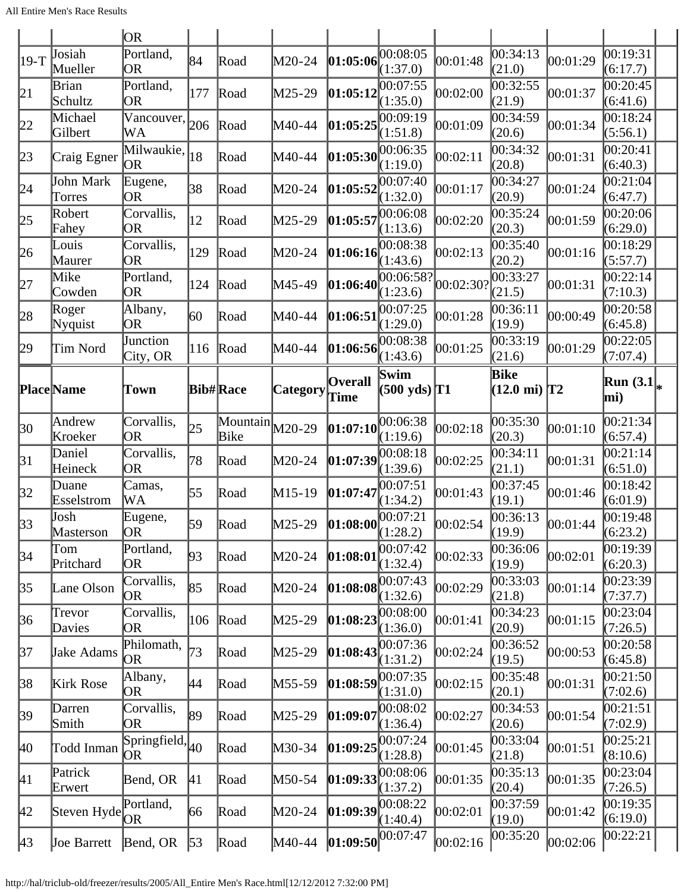|                  |                             | <b>OR</b>                                                  |     |                                               |          |                                                                                   |                                           |           |                                       |          |                      |
|------------------|-----------------------------|------------------------------------------------------------|-----|-----------------------------------------------|----------|-----------------------------------------------------------------------------------|-------------------------------------------|-----------|---------------------------------------|----------|----------------------|
| $ 19-T$          | Josiah<br>Mueller           | Portland,<br><b>OR</b>                                     | 84  | Road                                          | M20-24   | [01:05:06]                                                                        | 00:08:05<br>(1:37.0)                      | 00:01:48  | $\overline{00:34:13}$<br>(21.0)       | 00:01:29 | 00:19:31<br>(6:17.7) |
| 21               | Brian<br>Schultz            | Portland,<br>OR                                            | 177 | Road                                          | M25-29   | 01:05:12                                                                          | 00:07:55<br>(1:35.0)                      | 00:02:00  | 00:32:55<br>(21.9)                    | 00:01:37 | 00:20:45<br>(6:41.6) |
| 22               | Michael<br>Gilbert          | Vancouver,<br>WА                                           | 206 | Road                                          | M40-44   | 01:05:25                                                                          | 00:09:19<br>(1:51.8)                      | 00:01:09  | 00:34:59<br>(20.6)                    | 00:01:34 | 00:18:24<br>(5:56.1) |
| 23               | Craig Egner                 | Milwaukie,<br>OR.                                          | 18  | Road                                          | M40-44   | [01:05:30]                                                                        | 00:06:35<br>(1:19.0)                      | 00:02:11  | 00:34:32<br>(20.8)                    | 00:01:31 | 00:20:41<br>(6:40.3) |
| 24               | John Mark<br>Torres         | Eugene,<br>OR                                              | 38  | Road                                          | M20-24   | 01:05:52                                                                          | 00:07:40<br>(1:32.0)                      | 00:01:17  | 00:34:27<br>(20.9)                    | 00:01:24 | 00:21:04<br>(6:47.7) |
| 25               | Robert<br>Fahey             | Corvallis,<br><b>OR</b>                                    | 12  | Road                                          | M25-29   | 01:05:57                                                                          | 00:06:08<br>(1:13.6)                      | 00:02:20  | 00:35:24<br>(20.3)                    | 00:01:59 | 00:20:06<br>(6:29.0) |
| 26               | Louis<br>Maurer             | Corvallis,<br>OR                                           | 129 | Road                                          | M20-24   | [01:06:16]                                                                        | 00:08:38<br>(1:43.6)                      | 00:02:13  | 00:35:40<br>(20.2)                    | 00:01:16 | 00:18:29<br>(5:57.7) |
| 27               | Mike<br>Cowden              | Portland,<br><b>OR</b>                                     | 124 | Road                                          | M45-49   | 01:06:40                                                                          | 00:06:58?<br>(1:23.6)                     | 00:02:301 | 00:33:27<br>(21.5)                    | 00:01:31 | 00:22:14<br>(7:10.3) |
| 28               | Roger<br>Nyquist            | Albany,<br>OR                                              | 60  | Road                                          | M40-44   | 01:06:51                                                                          | 00:07:25<br>(1:29.0)                      | 00:01:28  | 00:36:11<br>(19.9)                    | 00:00:49 | 00:20:58<br>(6:45.8) |
| 29               | Tim Nord                    | Junction<br>City, OR                                       | 116 | Road                                          | M40-44   | 01:06:56                                                                          | 00:08:38<br>(1:43.6)                      | 00:01:25  | 00:33:19<br>(21.6)                    | 00:01:29 | 00:22:05<br>(7:07.4) |
|                  | <b>Place</b> Name           | Town                                                       |     | <b>Bib#Race</b>                               | Category | <b>Overall</b><br>Time                                                            | Swim<br>$(500 \text{ yds})$ <sup>T1</sup> |           | <b>Bike</b><br>$(12.0 \text{ mi})$ T2 |          | Run $(3.1)$<br>mi)   |
| $ 30\rangle$     | Andrew<br>Kroeker           | Corvallis,<br>OR                                           | 25  | $\overline{\text{Mountain}}$ $M20-29$<br>Bike |          | 01:07:10                                                                          | 00:06:38<br>(1:19.6)                      | 00:02:18  | 00:35:30<br>(20.3)                    | 00:01:10 | 00:21:34<br>(6:57.4) |
| $\beta$ 1        | Daniel<br>Heineck           | Corvallis,<br>OR                                           | 78  | Road                                          | M20-24   | 01:07:39                                                                          | 00:08:18<br>(1:39.6)                      | 00:02:25  | 00:34:11<br>(21.1)                    | 00:01:31 | 00:21:14<br>(6:51.0) |
| 32               | Duane<br>Esselstrom         | Camas,<br>WА                                               | 55  | Road                                          | M15-19   | 01:07:47                                                                          | 00:07:51<br>(1:34.2)                      | 00:01:43  | 00:37:45<br>(19.1)                    | 00:01:46 | 00:18:42<br>(6:01.9) |
| 33               | Josh                        |                                                            |     |                                               |          |                                                                                   |                                           |           |                                       |          |                      |
| $\vert 34 \vert$ | Masterson                   | Eugene,<br>OR <sub>1</sub>                                 | 59  | Road                                          | M25-29   |                                                                                   |                                           | 00:02:54  | 00:36:13<br>(19.9)                    | 00:01:44 | 00:19:48<br>(6:23.2) |
|                  | Tom<br>Pritchard            | Portland,<br>OR                                            | 93  | Road                                          | M20-24   | <b>01:08:00</b> $\begin{bmatrix} 00:07:21 \\ (1:28.2) \end{bmatrix}$<br>[01:08:01 | 00:07:42<br>(1:32.4)                      | 00:02:33  | 00:36:06<br>(19.9)                    | 00:02:01 | 00:19:39<br>(6:20.3) |
| 35               | Lane Olson                  | Corvallis,<br>OR                                           | 85  | Road                                          | M20-24   | [01:08:08]                                                                        | 00:07:43<br>(1:32.6)                      | 00:02:29  | 00:33:03<br>(21.8)                    | 00:01:14 | 00:23:39<br>(7:37.7) |
| 36               | Trevor<br>Davies            | Corvallis,<br>OR                                           | 106 | Road                                          | M25-29   | 01:08:23                                                                          | 00:08:00<br>(1:36.0)                      | 00:01:41  | 00:34:23<br>(20.9)                    | 00:01:15 | 00:23:04<br>(7:26.5) |
| 37               | Jake Adams                  | Philomath,<br><b>OR</b>                                    | 73  | Road                                          | M25-29   | [01:08:43]                                                                        | 00:07:36<br>(1:31.2)                      | 00:02:24  | 00:36:52<br>(19.5)                    | 00:00:53 | 00:20:58<br>(6:45.8) |
| 38               | Kirk Rose                   | Albany,<br>OR                                              | 44  | Road                                          | M55-59   | 01:08:59                                                                          | 00:07:35<br>(1:31.0)                      | 00:02:15  | 00:35:48<br>(20.1)                    | 00:01:31 | 00:21:50<br>(7:02.6) |
| 39               | Darren<br>Smith             | Corvallis,<br>OR                                           | 89  | Road                                          | M25-29   | 01:09:07                                                                          | 00:08:02<br>(1:36.4)                      | 00:02:27  | 00:34:53<br>(20.6)                    | 00:01:54 | 00:21:51<br>(7:02.9) |
| 40               | Todd Inman                  | $\overline{\text{Springfield}}$ <sub>40</sub><br><b>OR</b> |     | Road                                          | M30-34   | [01:09:25]                                                                        | 00:07:24<br>(1:28.8)                      | 00:01:45  | 00:33:04<br>(21.8)                    | 00:01:51 | 00:25:21<br>(8:10.6) |
| 41               | Patrick<br>Erwert           | Bend, OR                                                   | 41  | Road                                          | M50-54   | [01:09:33]                                                                        | 00:08:06<br>(1:37.2)                      | 00:01:35  | 00:35:13<br>(20.4)                    | 00:01:35 | 00:23:04<br>(7:26.5) |
| 42               | Steven Hyde <sup>1</sup> OR | Portland,                                                  | 66  | Road                                          | M20-24   | [01:09:39]<br>$\left 01:09:50\right $ <sup>OO:O7:47</sup>                         | 00:08:22<br>(1:40.4)                      | 00:02:01  | 00:37:59<br>(19.0)                    | 00:01:42 | 00:19:35<br>(6:19.0) |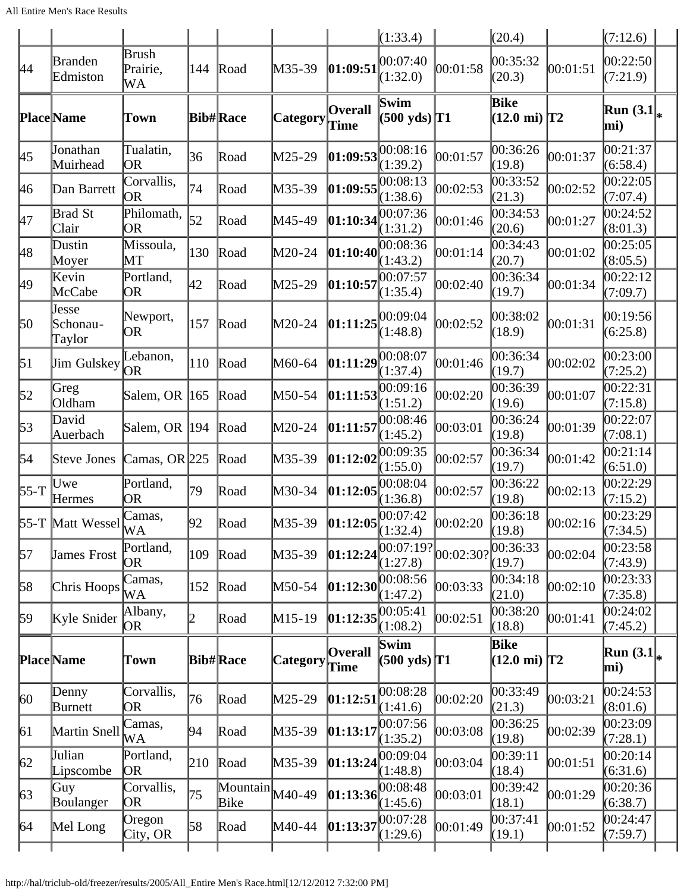|                  |                             |                         |     |                                               |                 |                        | (1:33.4)                            |           | (20.4)                         |          | (7:12.6)               |  |
|------------------|-----------------------------|-------------------------|-----|-----------------------------------------------|-----------------|------------------------|-------------------------------------|-----------|--------------------------------|----------|------------------------|--|
| 44               | <b>Branden</b><br>Edmiston  | Brush<br>Prairie,<br>WA | 144 | Road                                          | M35-39          | 01:09:51               | $ 00:07:40\rangle$<br>(1:32.0)      | 00:01:58  | 00:35:32<br>(20.3)             | 00:01:51 | 00:22:50<br>(7:21.9)   |  |
|                  | <b>Place</b> Name           | Town                    |     | <b>Bib#Race</b>                               | <b>Category</b> | <b>Overall</b><br>Time | Swim<br>$(500 \text{ yds})$ T1      |           | Bike<br>$(12.0 \text{ mi})$ T2 |          | Run $(3.1)_{*}$<br>mi) |  |
| 45               | Jonathan<br>Muirhead        | Tualatin,<br><b>OR</b>  | 36  | Road                                          | M25-29          |                        | 01:09:53 <br>(1:39.2)               | 00:01:57  | 00:36:26<br>(19.8)             | 00:01:37 | 00:21:37<br>(6:58.4)   |  |
| 46               | Dan Barrett                 | Corvallis,<br><b>OR</b> | 74  | Road                                          | M35-39          | 01:09:55               | 00:08:13<br>(1:38.6)                | 00:02:53  | 00:33:52<br>(21.3)             | 00:02:52 | 00:22:05<br>(7:07.4)   |  |
| 47               | <b>Brad St</b><br>Clair     | Philomath,<br>OR        | 52  | Road                                          | M45-49          | 01:10:34               | 00:07:36<br>(1:31.2)                | 00:01:46  | 00:34:53<br>(20.6)             | 00:01:27 | 00:24:52<br>(8:01.3)   |  |
| 48               | Dustin<br>Moyer             | Missoula,<br>MT         | 130 | Road                                          | M20-24          | [01:10:40]             | 00:08:36<br>(1:43.2)                | 00:01:14  | 00:34:43<br>(20.7)             | 00:01:02 | 00:25:05<br>(8:05.5)   |  |
| 49               | Kevin<br>McCabe             | Portland,<br><b>OR</b>  | 42  | Road                                          | M25-29          | 01:10:57               | 00:07:57<br>(1:35.4)                | 00:02:40  | 00:36:34<br>(19.7)             | 00:01:34 | 00:22:12<br>(7:09.7)   |  |
| 50               | Jesse<br>Schonau-<br>Taylor | Newport,<br>OR          | 157 | Road                                          | M20-24          |                        | $ 01:11:25 ^{00:09:04}$<br>(1:48.8) | 00:02:52  | 00:38:02<br>(18.9)             | 00:01:31 | 00:19:56<br>(6:25.8)   |  |
| $\vert 51 \vert$ | Jim Gulskey                 | Lebanon,<br>OR          | 110 | Road                                          | M60-64          | 01:11:29               | 00:08:07<br>(1:37.4)                | 00:01:46  | 00:36:34<br>(19.7)             | 00:02:02 | 00:23:00<br>(7:25.2)   |  |
| 52               | Greg<br>Oldham              | Salem, OR  165          |     | Road                                          | $M50-54$        | 01:11:53               | 00:09:16<br>(1:51.2)                | 00:02:20  | 00:36:39<br>(19.6)             | 00:01:07 | 00:22:31<br>(7:15.8)   |  |
| 53               | David<br>Auerbach           | Salem, OR  194          |     | Road                                          | M20-24          | 01:11:57               | 00:08:46<br>(1:45.2)                | 00:03:01  | 00:36:24<br>(19.8)             | 00:01:39 | 00:22:07<br>(7:08.1)   |  |
| 54               | Steve Jones                 | Camas, OR $225$         |     | Road                                          | M35-39          | [01:12:02]             | 00:09:35<br>(1:55.0)                | 00:02:57  | 00:36:34<br>(19.7)             | 00:01:42 | 00:21:14<br>(6:51.0)   |  |
| $55-T$           | Uwe<br>Hermes               | Portland,<br>OR         | 79  | Road                                          | M30-34          | 01:12:05               | 00:08:04<br>(1:36.8)                | 00:02:57  | 00:36:22<br>(19.8)             | 00:02:13 | 00:22:29<br>(7:15.2)   |  |
|                  | 55-T Matt Wessel            | Camas,<br><b>WA</b>     | 92  | Road                                          | M35-39          | [01:12:05]             | 00:07:42<br>(1:32.4)                | 00:02:20  | 00:36:18<br>(19.8)             | 00:02:16 | 00:23:29<br>(7:34.5)   |  |
| 57               | <b>James Frost</b>          | Portland,<br><b>OR</b>  | 109 | Road                                          | M35-39          | 01:12:24               | 00:07:19?<br>(1:27.8)               | 00:02:30? | 00:36:33<br>(19.7)             | 00:02:04 | 00:23:58<br>(7:43.9)   |  |
| 58               | Chris Hoops                 | Camas,<br>WA            | 152 | Road                                          | $M50-54$        | [01:12:30]             | 00:08:56<br>(1:47.2)                | 00:03:33  | 00:34:18<br>(21.0)             | 00:02:10 | 00:23:33<br>(7:35.8)   |  |
| 59               | Kyle Snider                 | Albany,<br>OR.          | 2   | Road                                          | $M15-19$        | [01:12:35]             | 00:05:41<br>(1:08.2)                | 00:02:51  | 00:38:20<br>(18.8)             | 00:01:41 | 00:24:02<br>(7:45.2)   |  |
|                  | <b>Place</b> Name           | Town                    |     | <b>Bib#Race</b>                               | <b>Category</b> | <b>Overall</b><br>Time | Swim<br>$(500 \text{ yds})$ T1      |           | Bike<br>$(12.0 \text{ mi})$ T2 |          | Run $(3.1)_{*}$<br>mi) |  |
| 60 <sup>°</sup>  | Denny<br>Burnett            | Corvallis,<br>OR        | 76  | Road                                          | M25-29          | 01:12:51               | 00:08:28<br>(1:41.6)                | 00:02:20  | 00:33:49<br>(21.3)             | 00:03:21 | 00:24:53<br>(8:01.6)   |  |
| 61               | Martin Snell                | Camas,<br>WA            | 94  | Road                                          | M35-39          | 01:13:17               | 00:07:56<br>(1:35.2)                | 00:03:08  | 00:36:25<br>(19.8)             | 00:02:39 | 00:23:09<br>(7:28.1)   |  |
| 62               | Julian<br>Lipscombe         | Portland,<br>OR.        | 210 | Road                                          | M35-39          | 01:13:24               | 00:09:04<br>(1:48.8)                | 00:03:04  | 00:39:11<br>(18.4)             | 00:01:51 | 00:20:14<br>(6:31.6)   |  |
| $\sqrt{63}$      | Guy<br>Boulanger            | Corvallis,<br>OR        | 75  | $\overline{\text{Mountain}}$ $M40-49$<br>Bike |                 | [01:13:36]             | 00:08:48<br>(1:45.6)                | 00:03:01  | 00:39:42<br>(18.1)             | 00:01:29 | 00:20:36<br>(6:38.7)   |  |
| 64               | Mel Long                    | Oregon<br>City, OR      | 58  | Road                                          | M40-44          | [01:13:37]             | 00:07:28<br>(1:29.6)                | 00:01:49  | 00:37:41<br>(19.1)             | 00:01:52 | 00:24:47<br>(7:59.7)   |  |
|                  |                             |                         |     |                                               |                 |                        |                                     |           |                                |          |                        |  |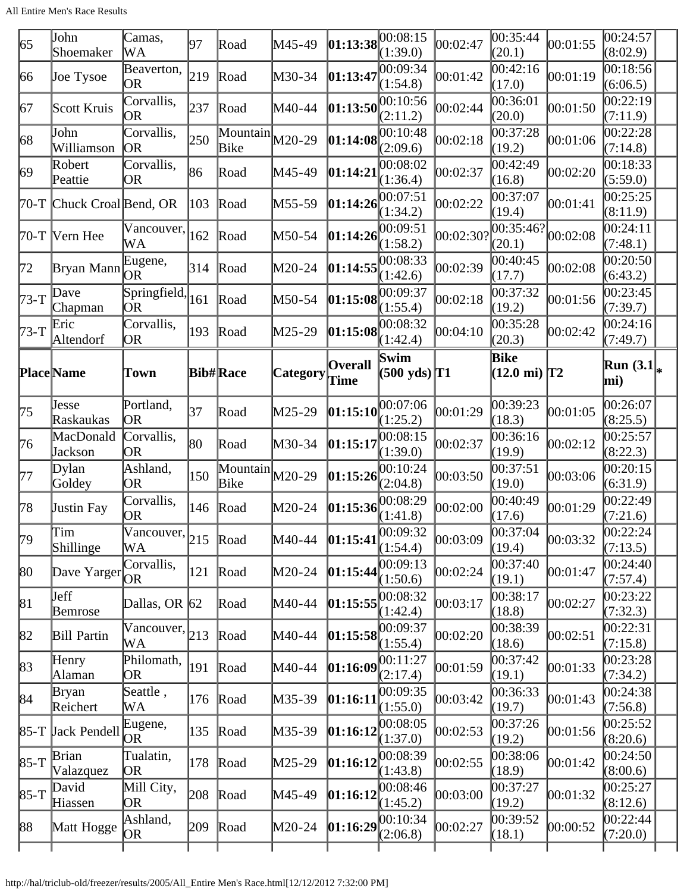| 65     | John<br>Shoemaker         | Camas,<br>WA                          | 97  | Road                                          | M45-49   | $\left 01:13:38\right ^{00:08:15}$ | (1:39.0)                       | 00:02:47  | 00:35:44<br>(20.1)                            | 00:01:55 | 00:24:57<br>(8:02.9)   |
|--------|---------------------------|---------------------------------------|-----|-----------------------------------------------|----------|------------------------------------|--------------------------------|-----------|-----------------------------------------------|----------|------------------------|
| 66     | Joe Tysoe                 | Beaverton,<br>OR                      | 219 | Road                                          | M30-34   | 01:13:47                           | 00:09:34<br>(1:54.8)           | 00:01:42  | 00:42:16<br>(17.0)                            | 00:01:19 | 00:18:56<br>(6:06.5)   |
| 67     | Scott Kruis               | Corvallis,<br>OR                      | 237 | Road                                          | M40-44   | 01:13:50                           | 00:10:56<br>(2:11.2)           | 00:02:44  | 00:36:01<br>(20.0)                            | 00:01:50 | 00:22:19<br>(7:11.9)   |
| 68     | John<br>Williamson        | Corvallis,<br> OR                     | 250 | $\overline{\text{Mountain}}$ $M20-29$<br>Bike |          | 01:14:08                           | 00:10:48<br>(2:09.6)           | 00:02:18  | 00:37:28<br>(19.2)                            | 00:01:06 | 00:22:28<br>(7:14.8)   |
| 69     | Robert<br>Peattie         | Corvallis,<br>OR                      | 86  | Road                                          | M45-49   | [01:14:2]                          | 00:08:02<br>(1:36.4)           | 00:02:37  | 00:42:49<br>(16.8)                            | 00:02:20 | 00:18:33<br>(5:59.0)   |
| $70-T$ | Chuck Croal Bend, OR      |                                       | 103 | Road                                          | M55-59   | 01:14:26                           | 00:07:51<br>(1:34.2)           | 00:02:22  | 00:37:07<br>(19.4)                            | 00:01:41 | 00:25:25<br>(8:11.9)   |
|        | 70-T  Vern Hee            | Vancouver,<br>WA                      | 162 | Road                                          | M50-54   | 01:14:26                           | 00:09:51<br>(1:58.2)           | 00:02:301 | $\overline{00:35:46?}\Big 00:02:08$<br>(20.1) |          | 00:24:11<br>(7:48.1)   |
| 172    | Bryan Mann                | Eugene,<br>OR                         | 314 | Road                                          | M20-24   | 01:14:55                           | 00:08:33<br>(1:42.6)           | 00:02:39  | 00:40:45<br>(17.7)                            | 00:02:08 | 00:20:50<br>(6:43.2)   |
| $73-T$ | Dave<br>Chapman           | Springfield,<br>OR                    | 161 | Road                                          | M50-54   | 01:15:08                           | 00:09:37<br>(1:55.4)           | 00:02:18  | 00:37:32<br>(19.2)                            | 00:01:56 | 00:23:45<br>(7:39.7)   |
| 73-T   | Eric<br>Altendorf         | Corvallis,<br>OR                      | 193 | Road                                          | M25-29   | 01:15:08                           | 00:08:32<br>(1:42.4)           | 00:04:10  | 00:35:28<br>(20.3)                            | 00:02:42 | 00:24:16<br>(7:49.7)   |
|        | <b>Place</b> Name         | Town                                  |     | <b>Bib#Race</b>                               | Category | Overall<br>Time                    | Swim<br>$(500 \text{ yds})$ T1 |           | Bike<br>$(12.0 \text{ mi})$ T2                |          | Run $(3.1)_{*}$<br>mi) |
| 75     | <b>Jesse</b><br>Raskaukas | Portland,<br><b>OR</b>                | 37  | Road                                          | M25-29   | [01:15:10]                         | 00:07:06<br>(1:25.2)           | 00:01:29  | 00:39:23<br>(18.3)                            | 00:01:05 | 00:26:07<br>(8:25.5)   |
| 76     | MacDonald<br>Jackson      | Corvallis,<br><b>OR</b>               | 80  | Road                                          | M30-34   | 01:15:17                           | 00:08:15<br>(1:39.0)           | 00:02:37  | 00:36:16<br>(19.9)                            | 00:02:12 | 00:25:57<br>(8:22.3)   |
| 177    | Dylan<br>Goldey           | Ashland,<br>0R                        | 150 | $\overline{\text{Mountain}}$ $M20-29$<br>Bike |          | 01:15:26                           | 00:10:24<br>(2:04.8)           | 00:03:50  | 00:37:51<br>(19.0)                            | 00:03:06 | 00:20:15<br>(6:31.9)   |
| 78     | <b>Justin Fay</b>         | Corvallis,<br><b>OR</b>               | 146 | Road                                          | M20-24   | 01:15:36                           | 00:08:29<br>(1:41.8)           | 00:02:00  | 00:40:49<br>(17.6)                            | 00:01:29 | 00:22:49<br>(7:21.6)   |
| 79     | Tim<br>Shillinge          | $\sqrt{\text{Vancouver}}$ , 215<br>WА |     | Road                                          | M40-44   | $\left  01:15:41 \right $          | (1:54.4)                       | 00:03:09  | 00:37:04<br>(19.4)                            | 00:03:32 | 00:22:24<br>(7:13.5)   |
| 80     | Dave Yarger               | Corvallis,<br>OR.                     | 121 | Road                                          | M20-24   | 01:15:44                           | 00:09:13<br>(1:50.6)           | 00:02:24  | 00:37:40<br>(19.1)                            | 00:01:47 | 00:24:40<br>(7:57.4)   |
| 81     | <b>J</b> eff<br>Bemrose   | Dallas, OR $ 62 $                     |     | Road                                          | M40-44   | [01:15:55]                         | 00:08:32<br>(1:42.4)           | 00:03:17  | 00:38:17<br>(18.8)                            | 00:02:27 | 00:23:22<br>(7:32.3)   |
| 82     | Bill Partin               | $\sqrt{\text{Vancouver}}$ , 213<br>WA |     | Road                                          | M40-44   | [01:15:58]                         | 00:09:37<br>(1:55.4)           | 00:02:20  | 00:38:39<br>(18.6)                            | 00:02:51 | 00:22:31<br>(7:15.8)   |
| 83     | Henry<br>Alaman           | Philomath,<br>OR                      | 191 | Road                                          | M40-44   | [01:16:09]                         | 00:11:27<br>(2:17.4)           | 00:01:59  | 00:37:42<br>(19.1)                            | 00:01:33 | 00:23:28<br>(7:34.2)   |
| 84     | <b>Bryan</b><br>Reichert  | Seattle,<br>WА                        | 176 | Road                                          | M35-39   | [01:16:11]                         | 00:09:35<br>(1:55.0)           | 00:03:42  | 00:36:33<br>(19.7)                            | 00:01:43 | 00:24:38<br>(7:56.8)   |
| $85-T$ | <b>Jack Pendell</b>       | Eugene,<br><b>JOR</b>                 | 135 | Road                                          | M35-39   | 01:16:12                           | 00:08:05<br>(1:37.0)           | 00:02:53  | 00:37:26<br>(19.2)                            | 00:01:56 | 00:25:52<br>(8:20.6)   |
| $85-T$ | <b>Brian</b><br>Valazquez | Tualatin,<br>OR                       | 178 | Road                                          | M25-29   | 01:16:12                           | 00:08:39<br>(1:43.8)           | 00:02:55  | 00:38:06<br>(18.9)                            | 00:01:42 | 00:24:50<br>(8:00.6)   |
| $85-T$ | David<br>Hiassen          | Mill City,<br>OR                      | 208 | Road                                          | M45-49   | 01:16:12                           | 00:08:46<br>(1:45.2)           | 00:03:00  | 00:37:27<br>(19.2)                            | 00:01:32 | 00:25:27<br>(8:12.6)   |
| 88     | Matt Hogge                | Ashland,<br><b>OR</b>                 | 209 | Road                                          | M20-24   | 01:16:29                           | 00:10:34<br>(2:06.8)           | 00:02:27  | 00:39:52<br>(18.1)                            | 00:00:52 | 00:22:44<br>(7:20.0)   |
|        |                           |                                       |     |                                               |          |                                    |                                |           |                                               |          |                        |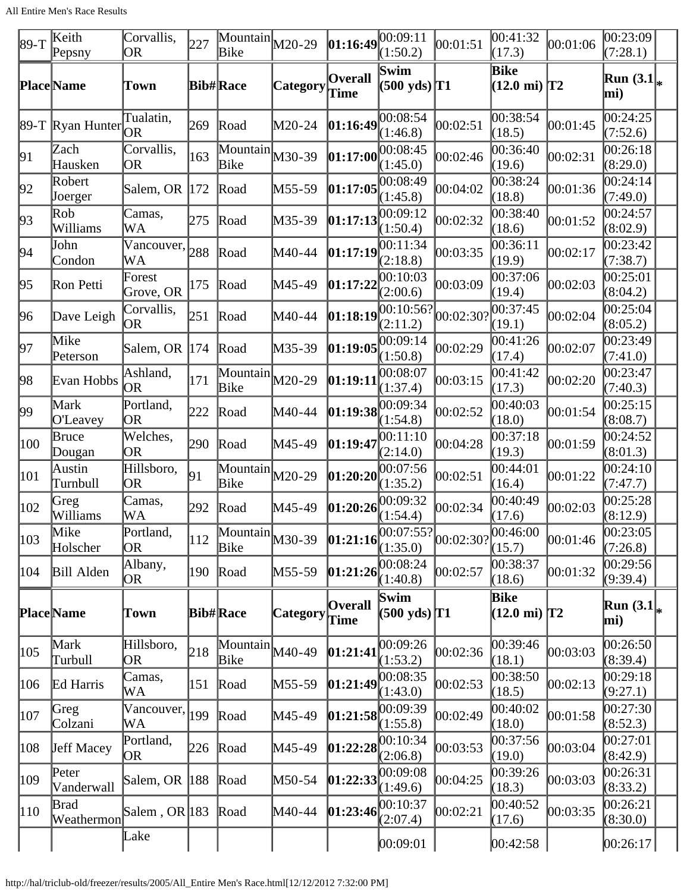All Entire Men's Race Results

| $ 89-T$       | Keith<br>Pepsny               | Corvallis,<br>0R                          | 227           | $\overline{\text{Mountain}}$ M20-29<br>Bike          |                 | $ 01:16:49 ^{00:09:11}$            | (1:50.2)                                                | 00:01:51                                                                                                       | 00:41:32<br>(17.3)             | 00:01:06 | 00:23:09<br>(7:28.1)  |  |
|---------------|-------------------------------|-------------------------------------------|---------------|------------------------------------------------------|-----------------|------------------------------------|---------------------------------------------------------|----------------------------------------------------------------------------------------------------------------|--------------------------------|----------|-----------------------|--|
|               | <b>Place</b> Name             | Town                                      |               | <b>Bib#Race</b>                                      | <b>Category</b> | <b>Overall</b><br>Time             | Swim<br>$(500 \text{ yds})$ T1                          |                                                                                                                | Bike<br>$(12.0 \text{ mi})$ T2 |          | Run $(3.1)$<br>mi)    |  |
|               | 89-T Ryan Hunter              | Tualatin,<br><b>OR</b>                    | 269           | Road                                                 | M20-24          | 01:16:49                           | 00:08:54<br>(1:46.8)                                    | 00:02:51                                                                                                       | 00:38:54<br>(18.5)             | 00:01:45 | 00:24:25<br>(7:52.6)  |  |
| 91            | Zach<br>Hausken               | Corvallis,<br><b>OR</b>                   | 163           | $\overline{\text{Mountain}}$ $\vert$ M30-39<br>Bike  |                 | 01:17:00                           | 00:08:45<br>(1:45.0)                                    | 00:02:46                                                                                                       | 00:36:40<br>(19.6)             | 00:02:31 | 00:26:18<br>(8:29.0)  |  |
| 92            | Robert<br>Joerger             | Salem, OR  172                            |               | Road                                                 | M55-59          | 01:17:05                           | 00:08:49<br>(1:45.8)                                    | 00:04:02                                                                                                       | 00:38:24<br>(18.8)             | 00:01:36 | 00:24:14<br>(7:49.0)  |  |
| 93            | $\mathbb{R}^{ob}$<br>Williams | Camas,<br>WA                              | 275           | Road                                                 | M35-39          | $\left 01:17:13\right ^{00:09:12}$ | (1:50.4)                                                | 00:02:32                                                                                                       | 00:38:40<br>(18.6)             | 00:01:52 | 00:24:57<br>(8:02.9)  |  |
| 94            | John<br>Condon                | $\overline{\text{Vancouver}}$ , 288<br>WA |               | Road                                                 | M40-44          | 01:17:19                           | 00:11:34<br>(2:18.8)                                    | 00:03:35                                                                                                       | 00:36:11<br>(19.9)             | 00:02:17 | 00:23:42<br>(7:38.7)  |  |
| 95            | Ron Petti                     | Forest<br>Grove, OR                       | 175           | Road                                                 | M45-49          | 01:17:22                           | 00:10:03<br>(2:00.6)                                    | 00:03:09                                                                                                       | 00:37:06<br>(19.4)             | 00:02:03 | 00:25:01<br>(8:04.2)  |  |
| 96            | Dave Leigh                    | Corvallis,<br>OR                          | 251           | Road                                                 | M40-44          |                                    | 01:18:19 <br>(2:11.2)                                   | 00:02:30?                                                                                                      | 00:37:45<br>(19.1)             | 00:02:04 | 00:25:04<br>(8:05.2)  |  |
| 97            | Mike<br>Peterson              | Salem, OR 174                             |               | Road                                                 | M35-39          | 01:19:05                           | 00:09:14<br>(1:50.8)                                    | 00:02:29                                                                                                       | 00:41:26<br>(17.4)             | 00:02:07 | 00:23:49<br>(7:41.0)  |  |
| 98            | Evan Hobbs                    | Ashland,<br><b>OR</b>                     | 171           | $\overline{\text{Mountain}}$ $M20-29$<br>Bike        |                 | [01:19:11]                         | 00:08:07<br>(1:37.4)                                    | 00:03:15                                                                                                       | 00:41:42<br>(17.3)             | 00:02:20 | 00:23:47<br>(7:40.3)  |  |
| 99            | Mark<br>O'Leavey              | Portland,<br><b>OR</b>                    | 222           | Road                                                 | M40-44          | 01:19:38                           | 00:09:34<br>(1:54.8)                                    | 00:02:52                                                                                                       | 00:40:03<br>(18.0)             | 00:01:54 | 00:25:15<br>(8:08.7)  |  |
| 100           | Bruce<br>Dougan               | Welches,<br>OR                            | 290           | Road                                                 | M45-49          | 01:19:47                           | 00:11:10<br>(2:14.0)                                    | 00:04:28                                                                                                       | 00:37:18<br>(19.3)             | 00:01:59 | 00:24:52<br>(8:01.3)  |  |
| 101           | Austin<br>Turnbull            | Hillsboro,<br><b>OR</b>                   | 91            | $\overline{\text{Mountain}}_{M20-29}$<br>Bike        |                 |                                    | $\left 01:20:20\right ^{00:07:56}_{\infty}$<br>(1:35.2) | 00:02:51                                                                                                       | 00:44:01<br>(16.4)             | 00:01:22 | 00:24:10<br>(7:47.7)  |  |
| 102           | Greg<br>Williams              | Camas,<br>WA                              | 292           | Road                                                 | M45-49          | 01:20:26                           | 00:09:32<br>(1:54.4)                                    | 00:02:34                                                                                                       | 00:40:49<br>(17.6)             | 00:02:03 | 00:25:28<br>(8:12.9)  |  |
| 103           | Mike<br>Holscher              | Portland,<br>OR                           | $ 112\rangle$ | Mountain M30-39<br>Bike                              |                 |                                    | (1:35.0)                                                | $\left  \frac{00:07:55?}{01:21:16} \right ^{00:07:55?}$ $\left  \frac{00:46:00}{00:02:30?} \right ^{00:46:00}$ | (15.7)                         | 00:01:46 | 00:23:05 <br>(7:26.8) |  |
| 104           | Bill Alden                    | Albany,<br>OR                             | 190           | Road                                                 | $M55-59$        | 01:21:26                           | 00:08:24<br>(1:40.8)                                    | 00:02:57                                                                                                       | 00:38:37<br>(18.6)             | 00:01:32 | 00:29:56 <br>(9:39.4) |  |
|               | <b>Place</b> Name             | Town                                      |               | <b>Bib#Race</b>                                      | <b>Category</b> | <b>Overall</b><br>Time             | Swim<br>$(500 \text{ yds})$ <sup>T1</sup>               |                                                                                                                | Bike<br>$(12.0 \text{ mi})$ T2 |          | Run $(3.1)$<br>mi)    |  |
| 105           | Mark<br>Turbull               | Hillsboro,<br><b>OR</b>                   | 218           | $\overline{\text{Mountain}}_{\text{M40-49}}$<br>Bike |                 | [01:21:41]                         | 00:09:26<br>(1:53.2)                                    | 00:02:36                                                                                                       | 00:39:46<br>(18.1)             | 00:03:03 | 00:26:50<br>(8:39.4)  |  |
| 106           | Ed Harris                     | Camas,<br>WA                              | 151           | Road                                                 | M55-59          | [01:21:49]                         | 00:08:35<br>(1:43.0)                                    | 00:02:53                                                                                                       | 00:38:50<br>(18.5)             | 00:02:13 | 00:29:18<br>(9:27.1)  |  |
| 107           | Greg<br>Colzani               | Vancouver,<br>WA                          | 199           | Road                                                 | M45-49          |                                    | 01:21:58 <br>(1:55.8)                                   | 00:02:49                                                                                                       | 00:40:02<br>(18.0)             | 00:01:58 | 00:27:30<br>(8:52.3)  |  |
| 108           | <b>Jeff Macey</b>             | Portland,<br>OR                           | 226           | Road                                                 | M45-49          | 01:22:28                           | 00:10:34<br>(2:06.8)                                    | 00:03:53                                                                                                       | 00:37:56<br>(19.0)             | 00:03:04 | 00:27:01<br>(8:42.9)  |  |
| $ 109\rangle$ | Peter<br>Vanderwall           | Salem, OR 188                             |               | Road                                                 | M50-54          | [01:22:33]                         | 00:09:08<br>(1:49.6)                                    | 00:04:25                                                                                                       | 00:39:26<br>(18.3)             | 00:03:03 | 00:26:31<br>(8:33.2)  |  |
| 110           | <b>Brad</b><br>Weathermon     | Salem, OR 183                             |               | Road                                                 | M40-44          | [01:23:46]                         | 00:10:37<br>(2:07.4)                                    | 00:02:21                                                                                                       | 00:40:52<br>(17.6)             | 00:03:35 | 00:26:21<br>(8:30.0)  |  |
|               |                               | Lake                                      |               |                                                      |                 |                                    | 00:09:01                                                |                                                                                                                | 00:42:58                       |          | [00:26:17]            |  |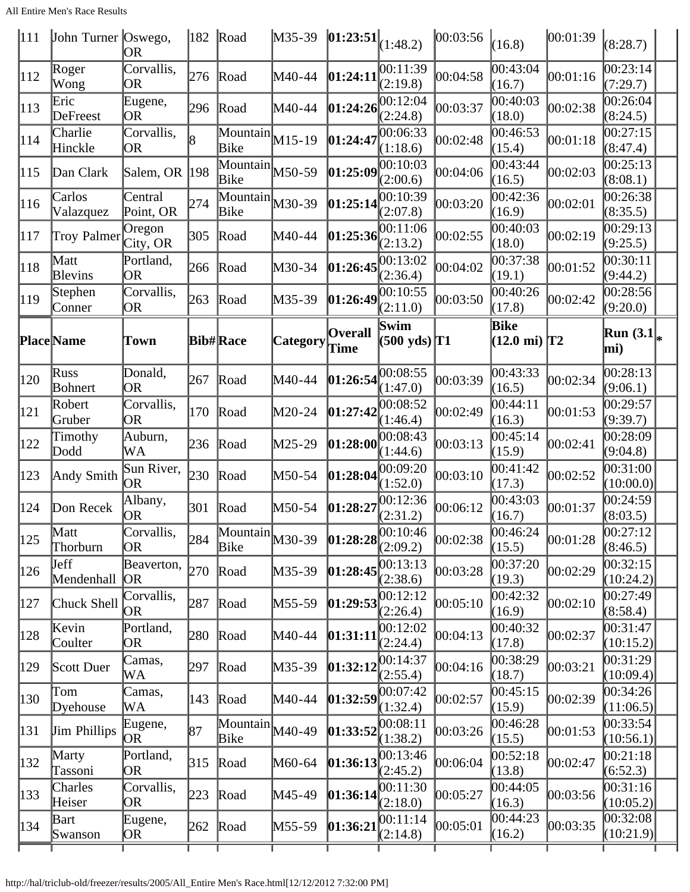All Entire Men's Race Results

|         | OR                                                                                                                                                                                                                                                                                                                                                                                                                                       | 182                                                                                                                             |                  |                                                                                                                                                                                         |                                                                                                                                                                                                                                                                                                                   |                                                                                                                                                                                                                                                                                                                                     |                                                                                                                                                               | (16.8)                                          |                                                                                                                                                                               | (8:28.7)                                                                                                                                                                                                                                                                     |                                                                                           |
|---------|------------------------------------------------------------------------------------------------------------------------------------------------------------------------------------------------------------------------------------------------------------------------------------------------------------------------------------------------------------------------------------------------------------------------------------------|---------------------------------------------------------------------------------------------------------------------------------|------------------|-----------------------------------------------------------------------------------------------------------------------------------------------------------------------------------------|-------------------------------------------------------------------------------------------------------------------------------------------------------------------------------------------------------------------------------------------------------------------------------------------------------------------|-------------------------------------------------------------------------------------------------------------------------------------------------------------------------------------------------------------------------------------------------------------------------------------------------------------------------------------|---------------------------------------------------------------------------------------------------------------------------------------------------------------|-------------------------------------------------|-------------------------------------------------------------------------------------------------------------------------------------------------------------------------------|------------------------------------------------------------------------------------------------------------------------------------------------------------------------------------------------------------------------------------------------------------------------------|-------------------------------------------------------------------------------------------|
|         | Corvallis,<br><b>OR</b>                                                                                                                                                                                                                                                                                                                                                                                                                  | 276                                                                                                                             |                  |                                                                                                                                                                                         |                                                                                                                                                                                                                                                                                                                   | (2:19.8)                                                                                                                                                                                                                                                                                                                            |                                                                                                                                                               | 00:43:04<br>(16.7)                              |                                                                                                                                                                               | 00:23:14<br>(7:29.7)                                                                                                                                                                                                                                                         |                                                                                           |
|         | Eugene,<br>OR                                                                                                                                                                                                                                                                                                                                                                                                                            | 296                                                                                                                             |                  | M40-44                                                                                                                                                                                  |                                                                                                                                                                                                                                                                                                                   | 00:12:04<br>(2:24.8)                                                                                                                                                                                                                                                                                                                | 00:03:37                                                                                                                                                      | 00:40:03                                        | 00:02:38                                                                                                                                                                      | 00:26:04<br>(8:24.5)                                                                                                                                                                                                                                                         |                                                                                           |
|         | Corvallis,<br>OR                                                                                                                                                                                                                                                                                                                                                                                                                         | l8                                                                                                                              | Bike             |                                                                                                                                                                                         |                                                                                                                                                                                                                                                                                                                   |                                                                                                                                                                                                                                                                                                                                     | 00:02:48                                                                                                                                                      | 00:46:53                                        |                                                                                                                                                                               | 00:27:15<br>(8:47.4)                                                                                                                                                                                                                                                         |                                                                                           |
|         |                                                                                                                                                                                                                                                                                                                                                                                                                                          | 198                                                                                                                             | <b>Bike</b>      |                                                                                                                                                                                         |                                                                                                                                                                                                                                                                                                                   | 00:10:03<br>(2:00.6)                                                                                                                                                                                                                                                                                                                | 00:04:06                                                                                                                                                      | 00:43:44<br>(16.5)                              |                                                                                                                                                                               | 00:25:13<br>(8:08.1)                                                                                                                                                                                                                                                         |                                                                                           |
| Carlos  | Central                                                                                                                                                                                                                                                                                                                                                                                                                                  | 274                                                                                                                             | <b>Bike</b>      |                                                                                                                                                                                         |                                                                                                                                                                                                                                                                                                                   | 00:10:39<br>(2:07.8)                                                                                                                                                                                                                                                                                                                | 00:03:20                                                                                                                                                      | 00:42:36<br>(16.9)                              |                                                                                                                                                                               | 00:26:38<br>(8:35.5)                                                                                                                                                                                                                                                         |                                                                                           |
|         | Oregon                                                                                                                                                                                                                                                                                                                                                                                                                                   | 305                                                                                                                             |                  |                                                                                                                                                                                         |                                                                                                                                                                                                                                                                                                                   | 00:11:06<br>(2:13.2)                                                                                                                                                                                                                                                                                                                | 00:02:55                                                                                                                                                      | 00:40:03                                        |                                                                                                                                                                               | 00:29:13<br>(9:25.5)                                                                                                                                                                                                                                                         |                                                                                           |
|         | Portland,<br>OR                                                                                                                                                                                                                                                                                                                                                                                                                          | 266                                                                                                                             |                  | M30-34                                                                                                                                                                                  |                                                                                                                                                                                                                                                                                                                   | 00:13:02<br>(2:36.4)                                                                                                                                                                                                                                                                                                                | 00:04:02                                                                                                                                                      | 00:37:38<br>(19.1)                              | 00:01:52                                                                                                                                                                      | 00:30:11<br>(9:44.2)                                                                                                                                                                                                                                                         |                                                                                           |
|         | Corvallis,<br>OR                                                                                                                                                                                                                                                                                                                                                                                                                         | 263                                                                                                                             |                  |                                                                                                                                                                                         |                                                                                                                                                                                                                                                                                                                   | (2:11.0)                                                                                                                                                                                                                                                                                                                            | 00:03:50                                                                                                                                                      | 00:40:26                                        |                                                                                                                                                                               | (9:20.0)                                                                                                                                                                                                                                                                     |                                                                                           |
|         | Town                                                                                                                                                                                                                                                                                                                                                                                                                                     |                                                                                                                                 |                  |                                                                                                                                                                                         |                                                                                                                                                                                                                                                                                                                   |                                                                                                                                                                                                                                                                                                                                     |                                                                                                                                                               |                                                 |                                                                                                                                                                               | Run $(3.1)_{*}$                                                                                                                                                                                                                                                              |                                                                                           |
|         | Donald,<br>OR                                                                                                                                                                                                                                                                                                                                                                                                                            | 267                                                                                                                             |                  |                                                                                                                                                                                         |                                                                                                                                                                                                                                                                                                                   | 00:08:55<br>(1:47.0)                                                                                                                                                                                                                                                                                                                | 00:03:39                                                                                                                                                      | 00:43:33<br>(16.5)                              | 00:02:34                                                                                                                                                                      | 00:28:13<br>(9:06.1)                                                                                                                                                                                                                                                         |                                                                                           |
|         | Corvallis,<br>OR                                                                                                                                                                                                                                                                                                                                                                                                                         | 170                                                                                                                             |                  |                                                                                                                                                                                         |                                                                                                                                                                                                                                                                                                                   | 00:08:52<br>(1:46.4)                                                                                                                                                                                                                                                                                                                | 00:02:49                                                                                                                                                      | 00:44:11                                        |                                                                                                                                                                               | 00:29:57<br>(9:39.7)                                                                                                                                                                                                                                                         |                                                                                           |
| Timothy | Auburn,<br>WA                                                                                                                                                                                                                                                                                                                                                                                                                            | 236                                                                                                                             |                  |                                                                                                                                                                                         |                                                                                                                                                                                                                                                                                                                   | 00:08:43<br>(1:44.6)                                                                                                                                                                                                                                                                                                                | 00:03:13                                                                                                                                                      | 00:45:14<br>(15.9)                              | 00:02:41                                                                                                                                                                      | 00:28:09<br>(9:04.8)                                                                                                                                                                                                                                                         |                                                                                           |
|         | Sun River,<br><b>OR</b>                                                                                                                                                                                                                                                                                                                                                                                                                  | 230                                                                                                                             |                  |                                                                                                                                                                                         |                                                                                                                                                                                                                                                                                                                   | (1:52.0)                                                                                                                                                                                                                                                                                                                            | 00:03:10                                                                                                                                                      | 00:41:42<br>(17.3)                              | 00:02:52                                                                                                                                                                      | (10:00.0)                                                                                                                                                                                                                                                                    |                                                                                           |
|         | Albany,<br>OR                                                                                                                                                                                                                                                                                                                                                                                                                            | 301                                                                                                                             |                  | M50-54                                                                                                                                                                                  |                                                                                                                                                                                                                                                                                                                   | 00:12:36<br>(2:31.2)                                                                                                                                                                                                                                                                                                                | 00:06:12                                                                                                                                                      | 00:43:03<br>(16.7)                              |                                                                                                                                                                               | 00:24:59<br>(8:03.5)                                                                                                                                                                                                                                                         |                                                                                           |
|         | Corvallis,<br>OR                                                                                                                                                                                                                                                                                                                                                                                                                         |                                                                                                                                 |                  |                                                                                                                                                                                         |                                                                                                                                                                                                                                                                                                                   | (2:09.2)                                                                                                                                                                                                                                                                                                                            | 00:02:38                                                                                                                                                      |                                                 |                                                                                                                                                                               | (8:46.5)                                                                                                                                                                                                                                                                     |                                                                                           |
|         | Beaverton,                                                                                                                                                                                                                                                                                                                                                                                                                               | 270                                                                                                                             |                  | M35-39                                                                                                                                                                                  |                                                                                                                                                                                                                                                                                                                   | 00:13:13<br>(2:38.6)                                                                                                                                                                                                                                                                                                                | 00:03:28                                                                                                                                                      | 00:37:20                                        |                                                                                                                                                                               | 00:32:15<br>(10:24.2)                                                                                                                                                                                                                                                        |                                                                                           |
|         | Corvallis,<br>0R                                                                                                                                                                                                                                                                                                                                                                                                                         | 287                                                                                                                             |                  |                                                                                                                                                                                         |                                                                                                                                                                                                                                                                                                                   | 00:12:12<br>(2:26.4)                                                                                                                                                                                                                                                                                                                | 00:05:10                                                                                                                                                      | 00:42:32                                        |                                                                                                                                                                               | (8:58.4)                                                                                                                                                                                                                                                                     |                                                                                           |
|         | Portland,<br>OR                                                                                                                                                                                                                                                                                                                                                                                                                          | 280                                                                                                                             |                  | M40-44                                                                                                                                                                                  |                                                                                                                                                                                                                                                                                                                   | 00:12:02<br>(2:24.4)                                                                                                                                                                                                                                                                                                                | 00:04:13                                                                                                                                                      | 00:40:32                                        |                                                                                                                                                                               | 00:31:47<br>(10:15.2)                                                                                                                                                                                                                                                        |                                                                                           |
|         | Camas,<br>WA                                                                                                                                                                                                                                                                                                                                                                                                                             | 297                                                                                                                             |                  | M35-39                                                                                                                                                                                  |                                                                                                                                                                                                                                                                                                                   | 00:14:37<br>(2:55.4)                                                                                                                                                                                                                                                                                                                | 00:04:16                                                                                                                                                      | 00:38:29                                        |                                                                                                                                                                               | 00:31:29<br>(10:09.4)                                                                                                                                                                                                                                                        |                                                                                           |
|         | Camas,<br>WА                                                                                                                                                                                                                                                                                                                                                                                                                             | 143                                                                                                                             |                  |                                                                                                                                                                                         |                                                                                                                                                                                                                                                                                                                   | 00:07:42<br>(1:32.4)                                                                                                                                                                                                                                                                                                                | 00:02:57                                                                                                                                                      | 00:45:15                                        |                                                                                                                                                                               | (11:06.5)                                                                                                                                                                                                                                                                    |                                                                                           |
|         |                                                                                                                                                                                                                                                                                                                                                                                                                                          | 87                                                                                                                              |                  |                                                                                                                                                                                         |                                                                                                                                                                                                                                                                                                                   | 00:08:11<br>(1:38.2)                                                                                                                                                                                                                                                                                                                | 00:03:26                                                                                                                                                      | 00:46:28                                        |                                                                                                                                                                               | 00:33:54<br>(10:56.1)                                                                                                                                                                                                                                                        |                                                                                           |
|         | OR                                                                                                                                                                                                                                                                                                                                                                                                                                       | $\beta$ 15                                                                                                                      |                  |                                                                                                                                                                                         |                                                                                                                                                                                                                                                                                                                   | 00:13:46<br>(2:45.2)                                                                                                                                                                                                                                                                                                                | 00:06:04                                                                                                                                                      | 00:52:18                                        |                                                                                                                                                                               | 00:21:18<br>(6:52.3)                                                                                                                                                                                                                                                         |                                                                                           |
|         | Corvallis,<br>OR                                                                                                                                                                                                                                                                                                                                                                                                                         | 223                                                                                                                             |                  | M45-49                                                                                                                                                                                  |                                                                                                                                                                                                                                                                                                                   | (2:18.0)                                                                                                                                                                                                                                                                                                                            | 00:05:27                                                                                                                                                      | 00:44:05                                        |                                                                                                                                                                               | 00:31:16<br>(10:05.2)                                                                                                                                                                                                                                                        |                                                                                           |
|         | OR)                                                                                                                                                                                                                                                                                                                                                                                                                                      | 262                                                                                                                             |                  |                                                                                                                                                                                         |                                                                                                                                                                                                                                                                                                                   | 00:11:14<br>(2:14.8)                                                                                                                                                                                                                                                                                                                | 00:05:01                                                                                                                                                      | 00:44:23                                        |                                                                                                                                                                               | (10:21.9)                                                                                                                                                                                                                                                                    |                                                                                           |
|         | Roger<br>Wong<br>Eric<br>DeFreest<br>Charlie<br>Hinckle<br>Dan Clark<br>Valazquez<br>Matt<br><b>Blevins</b><br>Stephen<br>Conner<br><b>Place</b> Name<br>Russ<br>Bohnert<br>Robert<br>Gruber<br>Dodd<br>Andy Smith<br>Don Recek<br>Matt<br>Thorburn<br><b>J</b> eff<br>Mendenhall<br>Chuck Shell<br>Kevin<br>Coulter<br>Scott Duer<br>Tom<br>Dyehouse<br><b>Jim Phillips</b><br>Marty<br>Tassoni<br>Charles<br>Heiser<br>Bart<br>Swanson | John Turner Oswego,<br>Point, OR<br>Troy Palmer<br>City, OR<br>OR <sub>1</sub><br>Eugene,<br><b>JOR</b><br>Portland,<br>Eugene, | Salem, OR<br>284 | Road<br>Road<br>Road<br>Road<br>Road<br>Road<br><b>Bib#Race</b><br>Road<br>Road<br>Road<br>Road<br>Road<br>Bike<br>Road<br>Road<br>Road<br>Road<br>Road<br>Bike<br>Road<br>Road<br>Road | $M35-39$<br>M40-44<br>$\boxed{\text{Mountain}}$ $M15-19$<br>$\overline{\text{Mountain}}$ M50-59<br>$\overline{\text{Mountain}}$ M30-39<br>M40-44<br>M35-39<br>M40-44<br>M20-24<br>M25-29<br>M50-54<br>Mountain <sub>M30-39</sub><br>M55-59<br>M40-44<br>$\overline{\text{Mountain}}$ $M40-49$<br>M60-64<br>M55-59 | [01:24:1]<br> 01:24:26<br> 01:24:47<br> 01:25:09<br> 01:25:14<br>[01:25:36]<br>01:26:45<br> 01:26:49 <br><b>Overall</b><br>$  \text{Category}  $ Time<br> 01:26:54<br> 01:27:42<br>[01:28:00]<br>01:28:04<br> 01:28:27<br>[01:28:45]<br> 01:29:53<br>[01:31:11]<br>[01:32:12]<br> 01:33:52<br>[01:36:13]<br>[01:36:14]<br>[01:36:2] | $ 01:23:51 _{(1:48.2)}$<br>00:11:39<br>00:06:33<br>(1:18.6)<br>00:10:55<br>Swim<br>00:09:20<br>$\left 01:28:28\right _0^{00:10:46}$<br>[01:32:59]<br>00:11:30 | 00:03:56 <br>00:04:58<br>$(500 \text{ yds})$ T1 | (18.0)<br>(15.4)<br>(18.0)<br>(17.8)<br><b>Bike</b><br>(16.3)<br>00:46:24<br>(15.5)<br>(19.3)<br>(16.9)<br>(17.8)<br>(18.7)<br>(15.9)<br>(15.5)<br>(13.8)<br>(16.3)<br>(16.2) | 00:01:39<br> 00:01:16<br> 00:01:18<br> 00:02:03<br> 00:02:01<br>[00:02:19]<br> 00:02:42<br>$(12.0 \text{ mi})$ T2<br> 00:01:53<br>00:01:37<br>00:01:28<br> 00:02:29<br> 00:02:10<br>00:02:37<br> 00:03:21<br> 00:02:39<br> 00:01:53<br>[00:02:47]<br> 00:03:56 <br> 00:03:35 | 00:28:56<br>mi)<br>00:31:00<br>$\overline{00:}27:12$<br>00:27:49<br>00:34:26<br> 00:32:08 |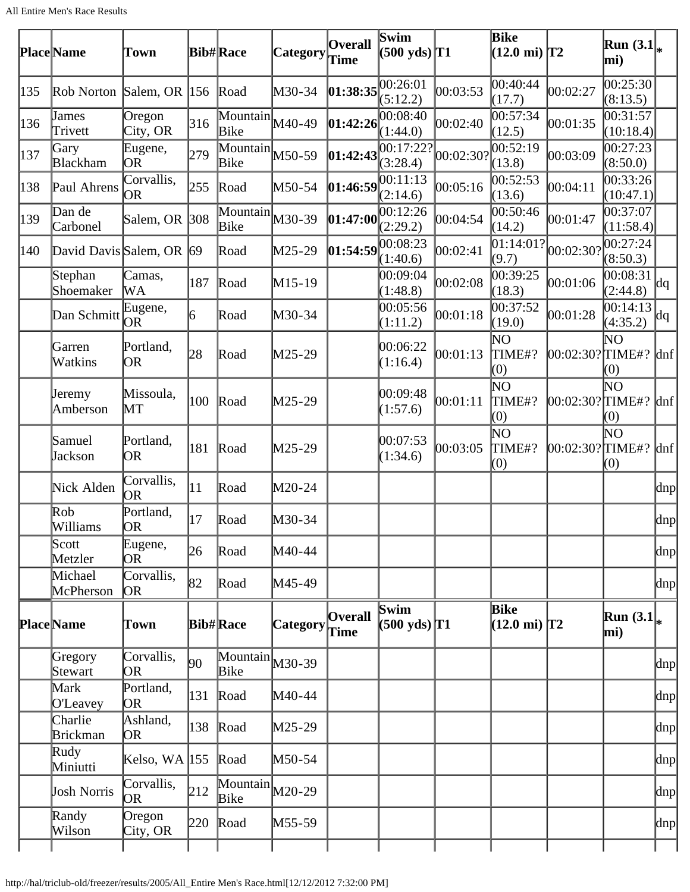|     | <b>Place</b> Name        | Town                    |     | <b>Bib#Race</b>                                      | Category        | <b>Overall</b><br>Time | Swim<br>$(500 \text{ yds})$ T1                                    |           | Bike<br>$(12.0 \text{ mi})$ T2        |                     | Run $(3.1)_{*}$<br>mi) |         |
|-----|--------------------------|-------------------------|-----|------------------------------------------------------|-----------------|------------------------|-------------------------------------------------------------------|-----------|---------------------------------------|---------------------|------------------------|---------|
| 135 | Rob Norton Salem, OR 156 |                         |     | Road                                                 | M30-34          | 01:38:35               | 00:26:01<br>(5:12.2)                                              | 00:03:53  | 00:40:44<br>(17.7)                    | 00:02:27            | 00:25:30<br>(8:13.5)   |         |
| 136 | James<br>Trivett         | Oregon<br>City, OR      | 316 | Mountain M40-49<br>Bike                              |                 | 01:42:26               | 00:08:40<br>(1:44.0)                                              | 00:02:40  | 00:57:34<br>(12.5)                    | 00:01:35            | 00:31:57<br>(10:18.4)  |         |
| 137 | Gary<br><b>Blackham</b>  | Eugene,<br>OR.          | 279 | $\bar{M}$ Ountain $M$ 50-59<br>Bike                  |                 | 01:42:43               | $\overline{00:}17:22?$<br>(3:28.4)                                | 00:02:30? | 00:52:19<br>(13.8)                    | 00:03:09            | 00:27:23<br>(8:50.0)   |         |
| 138 | Paul Ahrens              | Corvallis,<br>OR        | 255 | Road                                                 | M50-54          | 01:46:59               | 00:11:13<br>(2:14.6)                                              | 00:05:16  | 00:52:53<br>(13.6)                    | 00:04:11            | 00:33:26<br>(10:47.1)  |         |
| 139 | Dan de<br>Carbonel       | Salem, OR 308           |     | $\overline{\text{Mountain}}$ $M30-39$<br><b>Bike</b> |                 |                        | $\left 01:47:00\right  \right  \left 00:12:26\right $<br>(2:29.2) | 00:04:54  | 00:50:46<br>(14.2)                    | 00:01:47            | 00:37:07<br>(11:58.4)  |         |
| 140 | David Davis Salem, OR 69 |                         |     | Road                                                 | M25-29          | 01:54:59               | 00:08:23<br>(1:40.6)                                              | 00:02:41  | 01:14:01?<br>(9.7)                    | 00:02:30?           | 00:27:24<br>(8:50.3)   |         |
|     | Stephan<br>Shoemaker     | Camas,<br>WA            | 187 | Road                                                 | M15-19          |                        | 00:09:04<br>(1:48.8)                                              | 00:02:08  | 00:39:25<br>(18.3)                    | 00:01:06            | 00:08:31<br>(2:44.8)   | dq      |
|     | Dan Schmitt              | Eugene,<br>OR           | 6   | Road                                                 | M30-34          |                        | 00:05:56<br>(1:11.2)                                              | 00:01:18  | 0.37:52<br>(19.0)                     | 00:01:28            | 00:14:13<br>(4:35.2)   | dq      |
|     | Garren<br>Watkins        | Portland,<br>OR         | 28  | Road                                                 | M25-29          |                        | 00:06:22<br>(1:16.4)                                              | 00:01:13  | ΝO<br>TIME#?<br>(0)                   | $ 00:02:30?$ TIME#? | NΟ<br>(0)              | $\ln f$ |
|     | Jeremy<br>Amberson       | Missoula,<br>MТ         | 100 | Road                                                 | M25-29          |                        | 00:09:48<br>(1:57.6)                                              | 00:01:11  | ΝO<br>TIME#?<br>(0)                   | 00:02:30? TIME#?    | NΟ<br>(0)              | $\ln f$ |
|     | Samuel<br>Jackson        | Portland,<br>OR.        | 181 | Road                                                 | M25-29          |                        | 00:07:53<br>(1:34.6)                                              | 00:03:05  | ΝO<br>TIME#?<br>(0)                   | $[00:02:30?$ TIME#? | NΟ<br>(0)              | $\ln f$ |
|     | Nick Alden               | Corvallis,<br><b>OR</b> | 11  | Road                                                 | M20-24          |                        |                                                                   |           |                                       |                     |                        | dnp     |
|     | Rob<br>Williams          | Portland,<br><b>OR</b>  | 17  | Road                                                 | M30-34          |                        |                                                                   |           |                                       |                     |                        | dnp     |
|     | Scott<br>Metzler         | Eugene,<br>0R           | 26  | Road                                                 | M40-44          |                        |                                                                   |           |                                       |                     |                        | dnp     |
|     | Michael<br>McPherson     | Corvallis,<br><b>OR</b> | 82  | Road                                                 | M45-49          |                        |                                                                   |           |                                       |                     |                        | dnp     |
|     | <b>Place</b> Name        | Town                    |     | <b>Bib#Race</b>                                      | <b>Category</b> | <b>Overall</b><br>Time | <b>Swim</b><br>$(500 \text{ yds})$ T1                             |           | <b>Bike</b><br>$(12.0 \text{ mi})$ T2 |                     | Run $(3.1)$<br>mi)     |         |
|     | Gregory<br>Stewart       | Corvallis,<br>OR.       | 90  | $\overline{\text{Mountain}}$ $M30-39$<br>Bike        |                 |                        |                                                                   |           |                                       |                     |                        | dnp     |
|     | Mark<br>O'Leavey         | Portland,<br>OR.        | 131 | Road                                                 | M40-44          |                        |                                                                   |           |                                       |                     |                        | dnp     |
|     | Charlie<br>Brickman      | Ashland,<br><b>OR</b>   | 138 | Road                                                 | M25-29          |                        |                                                                   |           |                                       |                     |                        | dnp     |
|     | Rudy<br>Miniutti         | Kelso, WA $ 155$        |     | Road                                                 | M50-54          |                        |                                                                   |           |                                       |                     |                        | dnp     |
|     | Josh Norris              | Corvallis,<br>OR.       | 212 | $\overline{\text{Mountain}}$ $M20-29$<br>Bike        |                 |                        |                                                                   |           |                                       |                     |                        | dnp     |
|     | Randy<br>Wilson          | Oregon<br>City, OR      | 220 | Road                                                 | M55-59          |                        |                                                                   |           |                                       |                     |                        | dnp     |
|     |                          |                         |     |                                                      |                 |                        |                                                                   |           |                                       |                     |                        |         |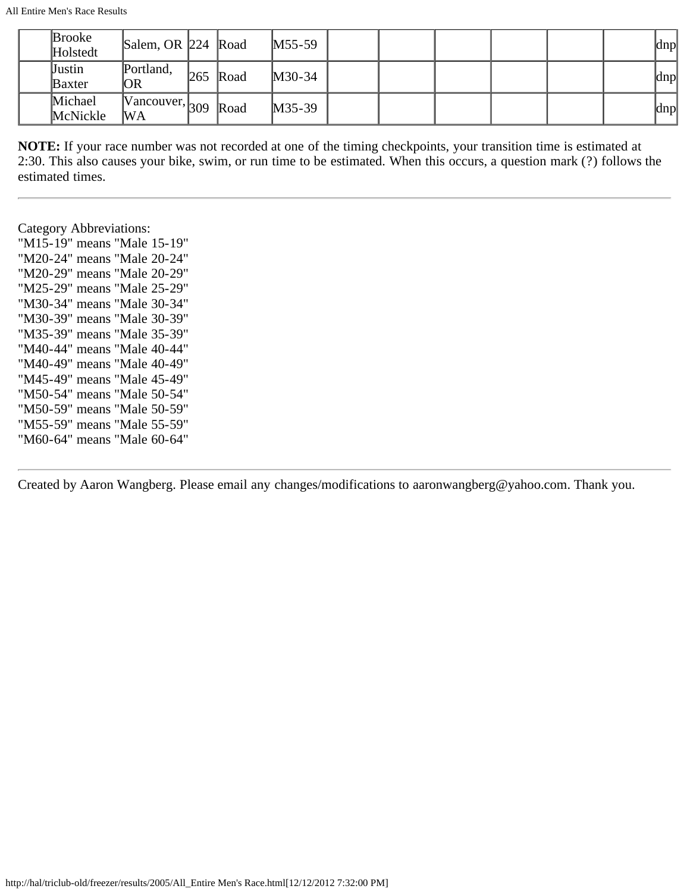| <b>Brooke</b><br>Holstedt | Salem, OR 224 Road                                    |     |      | $M55-59$ |  |  |  | dnp |
|---------------------------|-------------------------------------------------------|-----|------|----------|--|--|--|-----|
| Justin<br><b>Baxter</b>   | Portland,<br>OR                                       | 265 | Road | $M30-34$ |  |  |  | dnp |
| Michael<br>McNickle       | $\sqrt{100}$ Vancouver, 309   $\sqrt{P}$<br><b>WA</b> |     | Road | $M35-39$ |  |  |  | dnp |

**NOTE:** If your race number was not recorded at one of the timing checkpoints, your transition time is estimated at 2:30. This also causes your bike, swim, or run time to be estimated. When this occurs, a question mark (?) follows the estimated times.

Category Abbreviations: "M15-19" means "Male 15-19" "M20-24" means "Male 20-24" "M20-29" means "Male 20-29" "M25-29" means "Male 25-29" "M30-34" means "Male 30-34" "M30-39" means "Male 30-39" "M35-39" means "Male 35-39" "M40-44" means "Male 40-44" "M40-49" means "Male 40-49" "M45-49" means "Male 45-49" "M50-54" means "Male 50-54" "M50-59" means "Male 50-59" "M55-59" means "Male 55-59" "M60-64" means "Male 60-64"

Created by Aaron Wangberg. Please email any changes/modifications to aaronwangberg@yahoo.com. Thank you.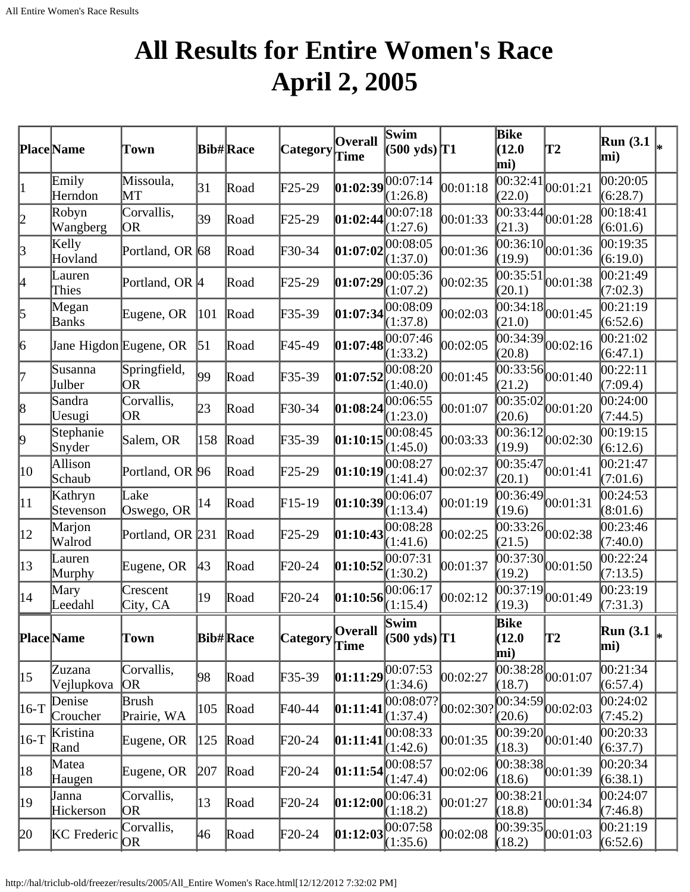### **All Results for Entire Women's Race April 2, 2005**

<span id="page-24-0"></span>

|              | Place Name             | Town                    |                  | <b>Bib#Race</b> | Category         | <b>Overall</b><br><b>Time</b> | Swim<br>$(500 \text{ yds})$ <sup>T1</sup> |           | Bike<br>(12.0)<br>mi) | T2                                        | <b>Run</b> (3.1)<br>mi) |  |
|--------------|------------------------|-------------------------|------------------|-----------------|------------------|-------------------------------|-------------------------------------------|-----------|-----------------------|-------------------------------------------|-------------------------|--|
| $\mathbf{1}$ | Emily<br>Herndon       | Missoula,<br>MT         | 31               | Road            | F25-29           | 01:02:39                      | 00:07:14<br>(1:26.8)                      | 00:01:18  | 00:32:41<br>(22.0)    | 00:01:21                                  | 00:20:05<br>(6:28.7)    |  |
| 2            | Robyn<br>Wangberg      | Corvallis,<br> OR       | 39               | Road            | $F25-29$         | 01:02:44                      | 00:07:18<br>(1:27.6)                      | 00:01:33  | (21.3)                | $\overline{00:33:44}_{00:01:28}$          | 00:18:41<br>(6:01.6)    |  |
| $\beta$      | Kelly<br>Hovland       | Portland, OR 68         |                  | Road            | F30-34           | 01:07:02                      | 00:08:05<br>(1:37.0)                      | 00:01:36  | 00:36:10 <br>(19.9)   | 00:01:36                                  | 00:19:35<br>(6:19.0)    |  |
| 4            | Lauren<br>Thies        | Portland, OR  4         |                  | Road            | $F25-29$         | 01:07:29                      | 00:05:36<br>(1:07.2)                      | 00:02:35  | 00:35:51<br>(20.1)    | 00:01:38                                  | 00:21:49<br>(7:02.3)    |  |
| 5            | Megan<br>Banks         | Eugene, OR              | 101              | Road            | F35-39           | 01:07:34                      | 00:08:09<br>(1:37.8)                      | 00:02:03  | (21.0)                | $\frac{22}{00:34:18} 00:01:45$            | 00:21:19<br>(6:52.6)    |  |
| 6            | Jane Higdon Eugene, OR |                         | $\vert 51 \vert$ | Road            | F45-49           | 01:07:48                      | 00:07:46<br>(1:33.2)                      | 00:02:05  | 00:34:39 <br>(20.8)   | 00:02:16                                  | 00:21:02<br>(6:47.1)    |  |
| 7            | Susanna<br>Julber      | Springfield,<br> OR     | 99               | Road            | F35-39           | 01:07:52                      | 00:08:20<br>(1:40.0)                      | 00:01:45  | (21.2)                | $\overline{00:33:56}$ <sub>00:01:40</sub> | 00:22:11<br>(7:09.4)    |  |
| 8            | Sandra<br>Uesugi       | Corvallis,<br>OR        | 23               | Road            | F30-34           | 01:08:24                      | 00:06:55<br>(1:23.0)                      | 00:01:07  | (20.6)                | $\frac{22}{00:35:02}$ <sub>00:01:20</sub> | 00:24:00<br>(7:44.5)    |  |
| þ.           | Stephanie<br>Snyder    | Salem, OR               | 158              | Road            | F35-39           | 01:10:15                      | 00:08:45<br>(1:45.0)                      | 00:03:33  | 00:36:12 <br>(19.9)   | 00:02:30                                  | 00:19:15<br>(6:12.6)    |  |
| 10           | Allison<br>Schaub      | Portland, OR 96         |                  | Road            | F25-29           | 01:10:19                      | 00:08:27<br>(1:41.4)                      | 00:02:37  | 00:35:47<br>(20.1)    | 00:01:41                                  | 00:21:47<br>(7:01.6)    |  |
| $ 11\rangle$ | Kathryn<br>Stevenson   | Lake<br>Oswego, OR      | 14               | Road            | $F15-19$         | 01:10:39                      | 00:06:07<br>(1:13.4)                      | 00:01:19  | 00:36:49 <br>(19.6)   | 00:01:31                                  | 00:24:53<br>(8:01.6)    |  |
| 12           | Marjon<br>Walrod       | Portland, OR 231        |                  | Road            | F25-29           | 01:10:43                      | 00:08:28<br>(1:41.6)                      | 00:02:25  | [00:33:26]<br>(21.5)  | 00:02:38                                  | 00:23:46<br>(7:40.0)    |  |
| $ 13\rangle$ | Lauren<br>Murphy       | Eugene, OR              | $ 43\rangle$     | Road            | $F20-24$         | 01:10:52                      | 00:07:31<br>(1:30.2)                      | 00:01:37  | (19.2)                | $\overline{00:37:30}$ <sub>00:01:50</sub> | 00:22:24<br>(7:13.5)    |  |
| $ 14\rangle$ | Mary<br>Leedahl        | Crescent<br>City, CA    | 19               | Road            | F20-24           | 01:10:56                      | 00:06:17<br>(1:15.4)                      | 00:02:12  | 00:37:19 <br>(19.3)   | 00:01:49                                  | 00:23:19<br>(7:31.3)    |  |
|              | <b>Place</b> Name      | Town                    |                  | <b>Bib#Race</b> | Category Overall |                               | Swim<br>$(500 \text{ yds})$ <sup>T1</sup> |           | Bike<br>(12.0)<br>mi) | T2                                        | Run(3.1)<br>mi)         |  |
| $ 15\rangle$ | Zuzana<br>Vejlupkova   | Corvallis,<br><b>OR</b> | 98               | Road            | F35-39           | [01:11:29]                    | 00:07:53<br>(1:34.6)                      | 00:02:27  | (18.7)                | $\overline{00:38:28}$ <sub>00:01:07</sub> | 00:21:34<br>(6:57.4)    |  |
| $ 16-T$      | Denise<br>Croucher     | Brush<br>Prairie, WA    | 105              | Road            | F40-44           | 01:11:41                      | 00:08:07?<br>(1:37.4)                     | 00:02:30? | (20.6)                | $\overline{00:34:59}$ 00:02:03            | 00:24:02<br>(7:45.2)    |  |
| $ 16-T$      | Kristina<br>Rand       | Eugene, OR              | 125              | Road            | F20-24           | [01:11:41]                    | 00:08:33<br>(1:42.6)                      | 00:01:35  | (18.3)                | $\overline{00:39:20}$ <sub>00:01:40</sub> | 00:20:33<br>(6:37.7)    |  |
| 18           | Matea<br>Haugen        | Eugene, OR              | 207              | Road            | F20-24           | [01:11:54]                    | 00:08:57<br>(1:47.4)                      | 00:02:06  | (18.6)                | $\overline{00:38:38}$ 00:01:39            | 00:20:34<br>(6:38.1)    |  |
| 19           | Janna<br>Hickerson     | Corvallis,<br>OR.       | 13               | Road            | $F20-24$         | 01:12:00                      | 00:06:31<br>(1:18.2)                      | 00:01:27  | 00:38:21<br>(18.8)    | 00:01:34                                  | 00:24:07<br>(7:46.8)    |  |
| 20           | <b>KC</b> Frederic     | Corvallis,<br>OR        | 46               | Road            | F20-24           | [01:12:03]                    | 00:07:58<br>(1:35.6)                      | 00:02:08  | (18.2)                | $\overline{00:39:35}$ <sub>00:01:03</sub> | 00:21:19<br>(6:52.6)    |  |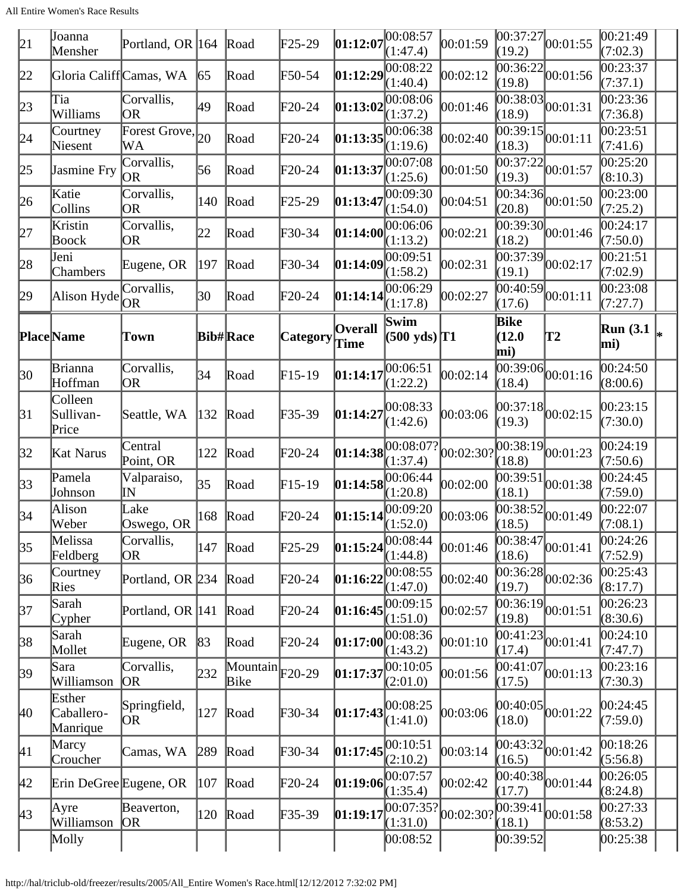| 21               | Joanna<br>Mensher                | Portland, OR $ 164 $        |              | Road                                        | $\text{F25-29}$ | 01:12:07               | 00:08:57<br>(1:47.4)           | 00:01:59  | (19.2)                           | 00:37:27 00:01:55                         | 00:21:49<br>(7:02.3) |  |
|------------------|----------------------------------|-----------------------------|--------------|---------------------------------------------|-----------------|------------------------|--------------------------------|-----------|----------------------------------|-------------------------------------------|----------------------|--|
| 22               | Gloria Califf Camas, WA          |                             | 65           | Road                                        | F50-54          | 01:12:29               | 00:08:22<br>(1:40.4)           | 00:02:12  | 00:36:22 <br>(19.8)              | 00:01:56                                  | 00:23:37<br>(7:37.1) |  |
| 23               | Tia<br>Williams                  | Corvallis,<br>lOR.          | 49           | Road                                        | F20-24          | 01:13:02               | 00:08:06<br>(1:37.2)           | 00:01:46  | $\overline{00}$ :38:03<br>(18.9) | 00:01:31                                  | 00:23:36<br>(7:36.8) |  |
| 24               | Courtney<br>Niesent              | Forest Grove, $_{20}$<br>WА |              | Road                                        | F20-24          | 01:13:35               | 00:06:38<br>(1:19.6)           | 00:02:40  | (18.3)                           | $\overline{00:39:15}$ <sub>00:01:11</sub> | 00:23:51<br>(7:41.6) |  |
| 25               | Jasmine Fry                      | Corvallis,<br>OR)           | 56           | Road                                        | F20-24          | 01:13:37               | 00:07:08<br>(1:25.6)           | 00:01:50  | $\overline{00:}37:22$<br>(19.3)  | 00:01:57                                  | 00:25:20<br>(8:10.3) |  |
| 26               | Katie<br>Collins                 | Corvallis,<br>OR            | 140          | Road                                        | F25-29          | 01:13:47               | 00:09:30<br>(1:54.0)           | 00:04:51  | (20.8)                           | $\overline{00:34:36}$ 00:01:50            | 00:23:00<br>(7:25.2) |  |
| 27               | Kristin<br>Boock                 | Corvallis,<br>OR            | 22           | Road                                        | F30-34          | 01:14:00               | 00:06:06<br>(1:13.2)           | 00:02:21  | (18.2)                           | $\overline{00:39:30}$ <sub>00:01:46</sub> | 00:24:17<br>(7:50.0) |  |
| 28               | Jeni<br>Chambers                 | Eugene, OR                  | 197          | Road                                        | F30-34          | 01:14:09               | 00:09:51<br>(1:58.2)           | 00:02:31  | [00:37:39]<br>(19.1)             | 00:02:17                                  | 00:21:51<br>(7:02.9) |  |
| 29               | Alison Hyde                      | Corvallis,<br>OR.           | 30           | Road                                        | $F20-24$        | 01:14:14               | 00:06:29<br>(1:17.8)           | 00:02:27  | (17.6)                           | $\overline{00:40:59}$ <sub>00:01:11</sub> | 00:23:08<br>(7:27.7) |  |
|                  | <b>Place</b> Name                | Town                        |              | <b>Bib#Race</b>                             | <b>Category</b> | <b>Overall</b><br>Time | Swim<br>$(500 \text{ yds})$ T1 |           | Bike<br>(12.0)<br>mi)            | T2                                        | Run(3.1)<br>mi)      |  |
| $ 30\rangle$     | Brianna<br>Hoffman               | Corvallis,<br>OR            | 34           | Road                                        | $F15-19$        | 01:14:17               | 00:06:51<br>(1:22.2)           | 00:02:14  | (18.4)                           | $\overline{00:39:06}$ <sub>00:01:16</sub> | 00:24:50<br>(8:00.6) |  |
| 31               | Colleen<br>Sullivan-<br>Price    | Seattle, WA                 | 132          | Road                                        | $F35-39$        | 01:14:27               | 00:08:33<br>(1:42.6)           | 00:03:06  | (19.3)                           | $ 00:37:18 $ $ 00:02:15$                  | 00:23:15<br>(7:30.0) |  |
| 32               | Kat Narus                        | Central<br>Point, OR        | 122          | Road                                        | $F20-24$        | 01:14:38               | 00:08:07?<br>(1:37.4)          | 00:02:30? | [00:38:19]<br>(18.8)             | 00:01:23                                  | 00:24:19<br>(7:50.6) |  |
| $\vert 33 \vert$ | Pamela<br>Johnson                | Valparaiso,<br>lΜ           | 35           | Road                                        | $F15-19$        | 01:14:58               | 00:06:44<br>(1:20.8)           | 00:02:00  | 00:39:51<br>(18.1)               | 00:01:38                                  | 00:24:45<br>(7:59.0) |  |
| $\vert$ 34       | Alison<br>Weber                  | Lake<br>Oswego, OR          | 168          | Road                                        | F20-24          | 01:15:14               | 00:09:20<br>(1:52.0)           | 00:03:06  | 00:38:52<br>(18.5)               | 00:01:49                                  | 00:22:07<br>(7:08.1) |  |
| $\vert 35 \vert$ | Melissa<br>Feldberg              | Corvallis,<br>OR            | 147          | Road                                        | $F25-29$        | 01:15:24               | 00:08:44<br>(1:44.8)           | 00:01:46  | [00:38:47]<br>(18.6)             | 00:01:41                                  | 00:24:26<br>(7:52.9) |  |
| $\vert 36 \vert$ | Courtney<br>Ries                 | Portland, OR 234            |              | Road                                        | $\text{F20-24}$ | 01:16:22               | 00:08:55<br>(1:47.0)           | 00:02:40  | (19.7)                           | $\overline{00:36:28}$ 00:02:36            | 00:25:43<br>(8:17.7) |  |
| 37               | Sarah<br>Cypher                  | Portland, OR 141            |              | Road                                        | F20-24          | 01:16:45               | 00:09:15<br>(1:51.0)           | 00:02:57  | 00:36:19 <br>(19.8)              | 00:01:51                                  | 00:26:23<br>(8:30.6) |  |
| 38               | Sarah<br>Mollet                  | Eugene, OR                  | $ 83\rangle$ | Road                                        | F20-24          | 01:17:00               | 00:08:36<br>(1:43.2)           | 00:01:10  | 00:41:23<br>(17.4)               | 00:01:41                                  | 00:24:10<br>(7:47.7) |  |
| 39               | Sara<br>Williamson               | Corvallis,<br><b>OR</b>     | 232          | $\overline{\text{Mountain}}$ F20-29<br>Bike |                 | 01:17:37               | 00:10:05<br>(2:01.0)           | 00:01:56  | [00:41:07]<br>(17.5)             | 00:01:13                                  | 00:23:16<br>(7:30.3) |  |
| 40               | Esther<br>Caballero-<br>Manrique | Springfield,<br> OR         | 127          | Road                                        | F30-34          | 01:17:43               | 00:08:25<br>(1:41.0)           | 00:03:06  | (18.0)                           | $ 00:40:05 _{00:01:22}$                   | 00:24:45<br>(7:59.0) |  |
| 41               | Marcy<br>Croucher                | Camas, WA                   | 289          | Road                                        | F30-34          | 01:17:45               | 00:10:51<br>(2:10.2)           | 00:03:14  | 00:43:32<br>(16.5)               | 00:01:42                                  | 00:18:26<br>(5:56.8) |  |
| 42               | Erin DeGree Eugene, OR           |                             | 107          | Road                                        | F20-24          | [01:19:06]             | 00:07:57<br>(1:35.4)           | 00:02:42  | (17.7)                           | $\overline{00:40:38}$ 00:01:44            | 00:26:05<br>(8:24.8) |  |
| $ 43\rangle$     | Ayre<br>Williamson               | Beaverton,<br> OR           | 120          | Road                                        | F35-39          | [01:19:17]             | 00:07:35? <br>(1:31.0)         | 00:02:30? | 00:39:41<br>(18.1)               | 00:01:58                                  | 00:27:33<br>(8:53.2) |  |
|                  | Molly                            |                             |              |                                             |                 |                        | 00:08:52                       |           | [00:39:52]                       |                                           | 00:25:38             |  |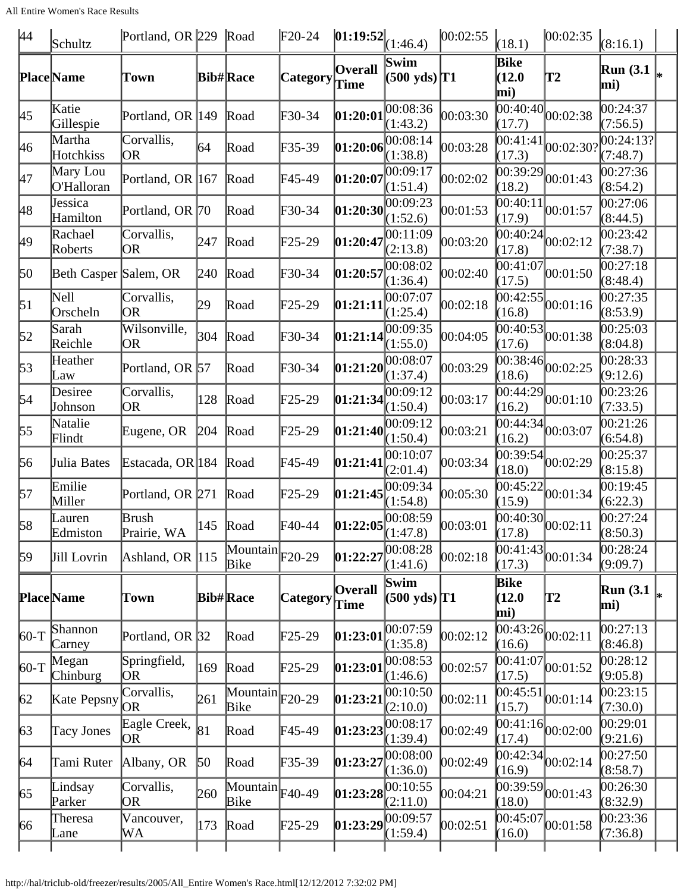| 44               | Schultz                | Portland, OR 229 Road |                 |                                                         | $F20-24$        | $ 01:19:52 _{(1:46.4)}$                |                                | 00:02:55   | (18.1)                       | 00:02:35                                  | (8:16.1)                |    |
|------------------|------------------------|-----------------------|-----------------|---------------------------------------------------------|-----------------|----------------------------------------|--------------------------------|------------|------------------------------|-------------------------------------------|-------------------------|----|
|                  | <b>Place</b> Name      | Town                  |                 | <b>Bib#Race</b>                                         | Category        | <b>Overall</b><br>Time                 | Swim<br>$(500 \text{ yds})$ T1 |            | Bike<br>(12.0)<br>mi)        | T2                                        | <b>Run</b> (3.1<br>mi)  |    |
| 45               | Katie<br>Gillespie     | Portland, OR 149      |                 | Road                                                    | F30-34          | 01:20:01                               | 00:08:36<br>(1:43.2)           | 00:03:30   | (17.7)                       | $\overline{00:40:40}$ <sub>00:02:38</sub> | 00:24:37<br>(7:56.5)    |    |
| 46               | Martha<br>Hotchkiss    | Corvallis,<br>OR.     | 64              | Road                                                    | F35-39          | 01:20:06                               | 00:08:14<br>(1:38.8)           | 00:03:28   | 00:41:41<br>(17.3)           | 00:02:30?                                 | 00:24:13?<br>(7:48.7)   |    |
| 47               | Mary Lou<br>O'Halloran | Portland, OR 167      |                 | Road                                                    | F45-49          | 01:20:07                               | 00:09:17<br>(1:51.4)           | 00:02:02   | 00:39:29 <br>(18.2)          | 00:01:43                                  | 00:27:36<br>(8:54.2)    |    |
| 48               | Jessica<br>Hamilton    | Portland, OR 70       |                 | Road                                                    | F30-34          | 01:20:30                               | 00:09:23<br>(1:52.6)           | 00:01:53   | 00:40:11<br>(17.9)           | 00:01:57                                  | 00:27:06<br>(8:44.5)    |    |
| 49               | Rachael<br>Roberts     | Corvallis,<br>OR      | 247             | Road                                                    | $F25-29$        | 01:20:47                               | 00:11:09<br>(2:13.8)           | 00:03:20   | 00:40:24<br>(17.8)           | 00:02:12                                  | 00:23:42<br>(7:38.7)    |    |
| 50               | Beth Casper Salem, OR  |                       | 240             | Road                                                    | F30-34          | 01:20:57                               | 0.08:02<br>(1:36.4)            | 00:02:40   | 00:41:07<br>(17.5)           | 00:01:50                                  | 00:27:18<br>(8:48.4)    |    |
| $\vert 51 \vert$ | Nell<br>Orscheln       | Corvallis,<br>OR      | 29              | Road                                                    | $F25-29$        | [01:21:11]                             | 00:07:07<br>(1:25.4)           | 00:02:18   | (16.8)                       | $\frac{1}{00:42:55}$ <sub>00:01:16</sub>  | 00:27:35<br>(8:53.9)    |    |
| 52               | Sarah<br>Reichle       | Wilsonville,<br>OR.   | 304             | Road                                                    | F30-34          | 01:21:14                               | 00:09:35<br>(1:55.0)           | 00:04:05   | (17.6)                       | $\overline{ 00:40:53 }_{00:01:38}$        | 00:25:03<br>(8:04.8)    |    |
| $\vert 53 \vert$ | Heather<br>Law         | Portland, OR 57       |                 | Road                                                    | F30-34          | 01:21:20                               | 00:08:07<br>(1:37.4)           | 00:03:29   | (18.6)                       | $\overline{00:38:46}$ 00:02:25            | 00:28:33<br>(9:12.6)    |    |
| 54               | Desiree<br>Johnson     | Corvallis,<br> OR     | 128             | Road                                                    | $F25-29$        | $\left 01:21:34\right 00:09:12$        | (1:50.4)                       | 00:03:17   | (16.2)                       | $\overline{00:44:29}$ 00:01:10            | 00:23:26<br>(7:33.5)    |    |
| 55               | Natalie<br>Flindt      | Eugene, OR            | 204             | Road                                                    | $F25-29$        | 01:21:40                               | 00:09:12<br>(1:50.4)           | 00:03:21   | 00:44:34<br>(16.2)           | 00:03:07                                  | 00:21:26<br>(6:54.8)    |    |
| 56               | Julia Bates            | Estacada, OR 184      |                 | Road                                                    | F45-49          | 01:21:41                               | 00:10:07<br>(2:01.4)           | 00:03:34   | 00:39:54<br>(18.0)           | 00:02:29                                  | 00:25:37<br>(8:15.8)    |    |
| 57               | Emilie<br>Miller       | Portland, OR 271      |                 | Road                                                    | $F25-29$        | 01:21:45                               | 00:09:34<br>(1:54.8)           | 00:05:30   | (15.9)                       | $\overline{00:45:22}\vert_{00:01:34}$     | 00:19:45<br>(6:22.3)    |    |
| 58               | Lauren<br>Edmiston     | Brush<br>Prairie, WA  |                 | 145 Road                                                | F40-44          | <b>01:22:05</b> $00:08:59$<br>(1:47.8) |                                | 00:03:01   | (17.8)                       | $\overline{00:40:30}$ <sub>00:02:11</sub> | 00:27:24<br>(8:50.3)    |    |
| 59               | Jill Lovrin            | Ashland, OR $ 115$    |                 | $\overline{\text{Mountain}}$ $_{\text{F20-29}}$<br>Bike |                 | 01:22:27                               | 00:08:28<br>(1:41.6)           | 00:02:18   | 00:41:43 <br>(17.3)          | 00:01:34                                  | 00:28:24<br>(9:09.7)    |    |
|                  | <b>Place</b> Name      | Town                  |                 | <b>Bib#Race</b>                                         | <b>Category</b> | <b>Overall</b><br>Time                 | Swim<br>$(500 \text{ yds})$ T1 |            | <b>Bike</b><br>(12.0)<br>mi) | T2                                        | <b>Run</b> (3.1)<br>mi) | l∗ |
| $ 60-T$          | Shannon<br>Carney      | Portland, OR 32       |                 | Road                                                    | $\text{F25-29}$ | [01:23:01]                             | 00:07:59<br>(1:35.8)           | [00:02:12] | [00:43:26]<br>(16.6)         | 00:02:11                                  | 00:27:13<br>(8:46.8)    |    |
| $60-T$           | Megan<br>Chinburg      | Springfield,<br>OR.   | 169             | Road                                                    | $F25-29$        | [01:23:01]                             | 00:08:53<br>(1:46.6)           | 00:02:57   | (17.5)                       | $\overline{00:41:07}$ 00:01:52            | 00:28:12<br>(9:05.8)    |    |
| $\vert 62 \vert$ | Kate Pepsny            | Corvallis,<br>lor     | 261             | $\overline{\text{Mountain}}$ F20-29<br>Bike             |                 | [01:23:21]                             | 00:10:50<br>(2:10.0)           | 00:02:11   | 00:45:51<br>(15.7)           | 00:01:14                                  | 00:23:15<br>(7:30.0)    |    |
| $\vert 63 \vert$ | Tacy Jones             | Eagle Creek,<br>OR.   | 81              | Road                                                    | F45-49          | [01:23:23]                             | [00:08:17]<br>(1:39.4)         | 00:02:49   | [00:41:16]<br>(17.4)         | 00:02:00                                  | 00:29:01<br>(9:21.6)    |    |
| 64               | Tami Ruter             | Albany, OR            | 50 <sup>°</sup> | Road                                                    | F35-39          | 01:23:27                               | 00:08:00<br>(1:36.0)           | 00:02:49   | 00:42:34<br>(16.9)           | 00:02:14                                  | 00:27:50<br>(8:58.7)    |    |
| 65               | Lindsay<br>Parker      | Corvallis,<br>OR.     | 260             | $\overline{\text{Mountain}}$ F40-49<br>Bike             |                 | [01:23:28]                             | 00:10:55<br>(2:11.0)           | 00:04:21   | 00:39:59 <br>(18.0)          | 00:01:43                                  | 00:26:30<br>(8:32.9)    |    |
| 66               | Theresa<br>Lane        | Vancouver,<br>WА      | 173             | Road                                                    | $\text{F25-29}$ | 01:23:29                               | 00:09:57<br>(1:59.4)           | 00:02:51   | 00:45:07<br>(16.0)           | 00:01:58                                  | 00:23:36<br>(7:36.8)    |    |
|                  |                        |                       |                 |                                                         |                 |                                        |                                |            |                              |                                           |                         |    |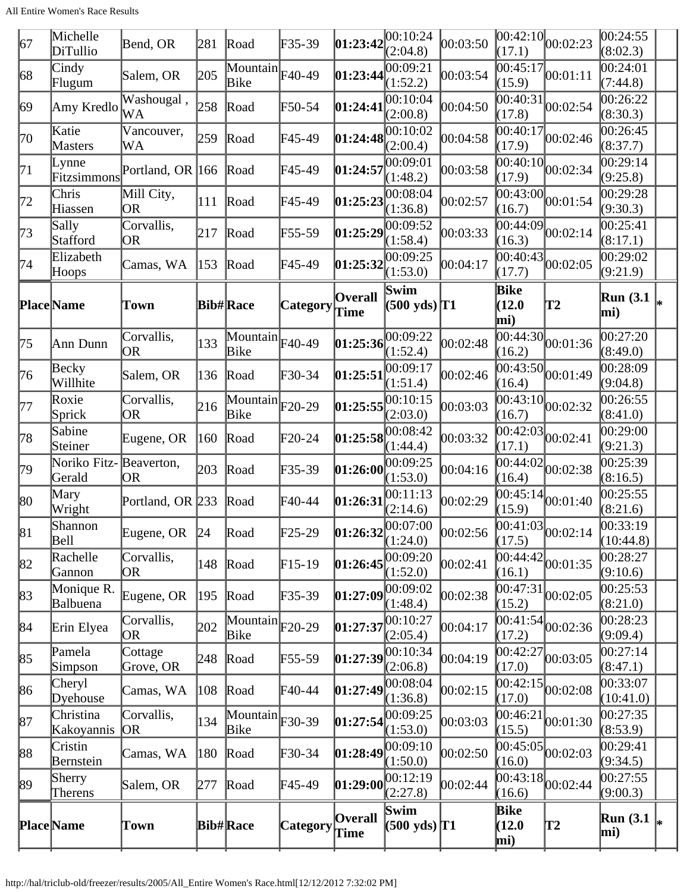| 67  | Michelle<br>DiTullio    | Bend, OR             | 281           | Road                                               | F35-39          | 01:23:42               | 00:10:24<br>(2:04.8)                          | 00:03:50   | (17.1)                | $\overline{ 00:42:10 }_{00:02:23}$         | 00:24:55<br>(8:02.3)   |   |
|-----|-------------------------|----------------------|---------------|----------------------------------------------------|-----------------|------------------------|-----------------------------------------------|------------|-----------------------|--------------------------------------------|------------------------|---|
| 68  | Cindy<br>Flugum         | Salem, OR            | 205           | $\overline{\text{Mountain}}$ F40-49<br><b>Bike</b> |                 | 01:23:44               | 00:09:21<br>(1:52.2)                          | 00:03:54   | 00:45:17<br>(15.9)    | 00:01:11                                   | 00:24:01<br>(7:44.8)   |   |
| 69  | Amy Kredlo              | Washougal,<br>WA     | 258           | Road                                               | F50-54          | 01:24:41               | 00:10:04<br>(2:00.8)                          | 00:04:50   | 00:40:31 <br>(17.8)   | 00:02:54                                   | 00:26:22<br>(8:30.3)   |   |
| 70  | Katie<br><b>Masters</b> | Vancouver,<br>WА     | 259           | Road                                               | F45-49          | 01:24:48               | 00:10:02<br>(2:00.4)                          | 00:04:58   | 00:40:17<br>(17.9)    | 00:02:46                                   | 00:26:45<br>(8:37.7)   |   |
| 71  | Lynne<br>Fitzsimmons    | Portland, OR 166     |               | Road                                               | F45-49          | 01:24:57               | 00:09:01<br>(1:48.2)                          | 00:03:58   | [00:40:10]<br>(17.9)  | 00:02:34                                   | 00:29:14<br>(9:25.8)   |   |
| 72  | Chris<br>Hiassen        | Mill City,<br>OR     | 111           | Road                                               | F45-49          | 01:25:23               | 00:08:04<br>(1:36.8)                          | 00:02:57   | (16.7)                | $\overline{00:43:00}$ <sub>00:01:54</sub>  | 00:29:28<br>(9:30.3)   |   |
| 73  | Sally<br>Stafford       | Corvallis,<br>OR.    | 217           | Road                                               | F55-59          | 01:25:29               | 00:09:52<br>(1:58.4)                          | 00:03:33   | 00:44:09 <br>(16.3)   | 00:02:14                                   | 00:25:41<br>(8:17.1)   |   |
| 74  | Elizabeth<br>Hoops      | Camas, WA            | 153           | Road                                               | F45-49          | 01:25:32               | 00:09:25<br>(1:53.0)                          | 00:04:17   | 00:40:43<br>(17.7)    | 00:02:05                                   | 00:29:02<br>(9:21.9)   |   |
|     | <b>Place</b> Name       | Town                 |               | <b>Bib#Race</b>                                    | <b>Category</b> | <b>Overall</b><br>Time | Swim<br>$(500 \text{ yds})$ T1                |            | Bike<br>(12.0)<br>mi) | T2                                         | <b>Run</b> (3.1<br>mi) |   |
| 175 | Ann Dunn                | Corvallis,<br>OR.    | 133           | $\overline{\text{Mountain}}$ F40-49<br><b>Bike</b> |                 | 01:25:36               | 00:09:22<br>(1:52.4)                          | 00:02:48   | (16.2)                | $\overline{00:44:30}$ <sub>00:01:36</sub>  | 00:27:20<br>(8:49.0)   |   |
| 76  | Becky<br>Willhite       | Salem, OR            | 136           | Road                                               | F30-34          | 01:25:51               | 00:09:17<br>(1:51.4)                          | 00:02:46   | [00:43:50]<br>(16.4)  | 00:01:49                                   | 00:28:09<br>(9:04.8)   |   |
| 177 | Roxie<br>Sprick         | Corvallis,<br>OR     | 216           | $\overline{\text{Mountain}}$ F20-29<br>Bike        |                 | 01:25:55               | 00:10:15<br>(2:03.0)                          | 00:03:03   | 00:43:10 <br>(16.7)   | 00:02:32                                   | 00:26:55<br>(8:41.0)   |   |
| 78  | Sabine<br>Steiner       | Eugene, OR           | 160           | Road                                               | F20-24          | 01:25:58               | 00:08:42<br>(1:44.4)                          | 00:03:32   | 00:42:03 <br>(17.1)   | 00:02:41                                   | 00:29:00<br>(9:21.3)   |   |
| 79  | Noriko Fitz-<br>Gerald  | Beaverton,<br>OR.    | 203           | Road                                               | F35-39          | 01:26:00               | 00:09:25<br>(1:53.0)                          | 00:04:16   | 00:44:02<br>(16.4)    | 00:02:38                                   | 00:25:39<br>(8:16.5)   |   |
| 80  | Mary<br>Wright          | Portland, OR 233     |               | Road                                               | F40-44          | 01:26:31               | 00:11:13<br>(2:14.6)                          | 00:02:29   | 00:45:14<br>(15.9)    | 00:01:40                                   | 00:25:55<br>(8:21.6)   |   |
| 81  | Shannon<br>Bell         | Eugene, OR           | $\mathbf{24}$ | Road                                               | $F25-29$        |                        | $\left 01:26:32\right ^{00:07:00}_{(1:24.0)}$ | 00:02:56   | (17.5)                | $\frac{12}{00:41:03}$ <sub>00:02:14</sub>  | 00:33:19<br>(10:44.8)  |   |
| 82  | Rachelle<br>Gannon      | Corvallis,<br>OR.    | 148           | Road                                               | $F15-19$        | 01:26:45               | 00:09:20<br>(1:52.0)                          | 00:02:41   | 00:44:42 <br>(16.1)   | 00:01:35                                   | 00:28:27<br>(9:10.6)   |   |
| 83  | Monique R.<br>Balbuena  | Eugene, OR           | 195           | Road                                               | F35-39          | 01:27:09               | 00:09:02<br>(1:48.4)                          | 00:02:38   | 00:47:31<br>(15.2)    | 00:02:05                                   | 00:25:53<br>(8:21.0)   |   |
| 84  | Erin Elyea              | Corvallis,<br>OR.    | 202           | $\overline{\text{Mountain}}$ F20-29<br>Bike        |                 | 01:27:37               | 00:10:27<br>(2:05.4)                          | 00:04:17   | (17.2)                | $\overline{00:41:54}$ <sub>00</sub> :02:36 | 00:28:23<br>(9:09.4)   |   |
| 85  | Pamela<br>Simpson       | Cottage<br>Grove, OR | 248           | Road                                               | F55-59          | 01:27:39               | 00:10:34<br>(2:06.8)                          | 00:04:19   | 00:42:27<br>(17.0)    | 00:03:05                                   | 00:27:14<br>(8:47.1)   |   |
| 86  | Cheryl<br>Dyehouse      | Camas, WA            | 108           | Road                                               | F40-44          | 01:27:49               | 00:08:04<br>(1:36.8)                          | 00:02:15   | 00:42:15 <br>(17.0)   | 00:02:08                                   | 00:33:07<br>(10:41.0)  |   |
| 87  | Christina<br>Kakoyannis | Corvallis,<br> OR    | 134           | $\overline{\text{Mountain}}$ F30-39<br>Bike        |                 | 01:27:54               | 00:09:25<br>(1:53.0)                          | 00:03:03   | 00:46:21<br>(15.5)    | 00:01:30                                   | 00:27:35<br>(8:53.9)   |   |
| 88  | Cristin<br>Bernstein    | Camas, WA            | 180           | Road                                               | F30-34          | 01:28:49               | 00:09:10<br>(1:50.0)                          | 00:02:50   | 00:45:05 <br>(16.0)   | 00:02:03                                   | 00:29:41<br>(9:34.5)   |   |
| 89  | Sherry<br>Therens       | Salem, OR            | 277           | Road                                               | F45-49          | [01:29:00]             | 00:12:19<br>(2:27.8)                          | [00:02:44] | (16.6)                | $\overline{00:43:18}$ 00:02:44             | 00:27:55<br>(9:00.3)   |   |
|     | <b>PlaceName</b>        | Town                 |               | <b>Bib#Race</b>                                    | <b>Category</b> | <b>Overall</b><br>Time | Swim<br>$(500 \text{ yds})$ T1                |            | Bike<br>(12.0)<br>mi) | T2                                         | Run(3.1)<br>mi)        | ∗ |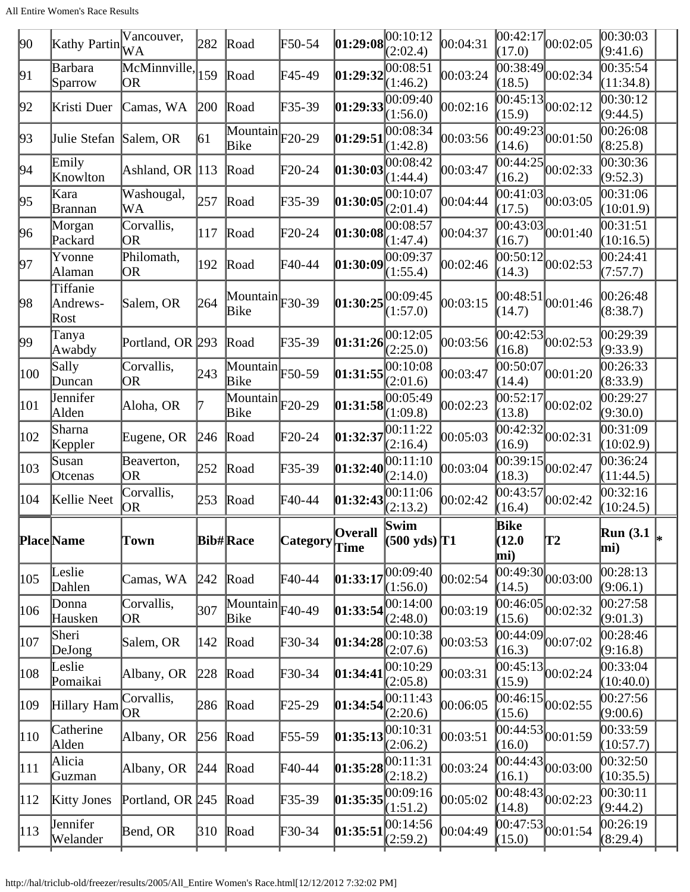| $ 90\rangle$  | Kathy Partin                 | Vancouver,<br>WA    | 282           | Road                                               | F50-54           | 01:29:08   | 00:10:12<br>(2:02.4)           | 00:04:31 | [00:42:17]<br>(17.0)                                 | 00:02:05                                  | 00:30:03<br>(9:41.6)  |  |
|---------------|------------------------------|---------------------|---------------|----------------------------------------------------|------------------|------------|--------------------------------|----------|------------------------------------------------------|-------------------------------------------|-----------------------|--|
| 91            | Barbara<br>Sparrow           | McMinnville,<br> OR | 159           | Road                                               | F45-49           | 01:29:32   | 00:08:51<br>(1:46.2)           | 00:03:24 | 00:38:49 <br>(18.5)                                  | 00:02:34                                  | 00:35:54<br>(11:34.8) |  |
| 92            | Kristi Duer                  | Camas, WA           | 200           | Road                                               | F35-39           | 01:29:33   | 00:09:40<br>(1:56.0)           | 00:02:16 | (15.9)                                               | $\frac{12}{00:45:13}$ 00:02:12            | 00:30:12<br>(9:44.5)  |  |
| 93            | Julie Stefan Salem, OR       |                     | 61            | $\overline{\text{Mountain}}$ F20-29<br>Bike        |                  | 01:29:51   | 00:08:34<br>(1:42.8)           | 00:03:56 | 00:49:23 <br>(14.6)                                  | 00:01:50                                  | 00:26:08<br>(8:25.8)  |  |
| 94            | Emily<br>Knowlton            | Ashland, OR 113     |               | Road                                               | F20-24           | 01:30:03   | 00:08:42<br>(1:44.4)           | 00:03:47 | 00:44:25<br>(16.2)                                   | 00:02:33                                  | 00:30:36<br>(9:52.3)  |  |
| 95            | Kara<br> Brannan             | Washougal,<br>WA    | 257           | Road                                               | F35-39           | 01:30:05   | 00:10:07<br>(2:01.4)           | 00:04:44 | (17.5)                                               | $\overline{00:41:03}$ 00:03:05            | 00:31:06<br>(10:01.9) |  |
| 96            | Morgan<br>Packard            | Corvallis,<br>OR.   | 117           | Road                                               | F20-24           | 01:30:08   | 00:08:57<br>(1:47.4)           | 00:04:37 | 00:43:03<br>(16.7)                                   | 00:01:40                                  | 00:31:51<br>(10:16.5) |  |
| 97            | Yvonne<br> Alaman            | Philomath,<br>OR.   | 192           | Road                                               | F40-44           | 01:30:09   | 00:09:37<br>(1:55.4)           | 00:02:46 | 00:50:12<br>(14.3)                                   | 00:02:53                                  | 00:24:41<br>(7:57.7)  |  |
| 98            | Tiffanie<br>Andrews-<br>Rost | Salem, OR           | 264           | Mountain $ F30-39\rangle$<br>Bike                  |                  | 01:30:25   | 00:09:45<br>(1:57.0)           | 00:03:15 | 00:48:51<br>(14.7)                                   | 00:01:46                                  | 00:26:48<br>(8:38.7)  |  |
| 99            | Tanya<br>Awabdy              | Portland, OR 293    |               | Road                                               | F35-39           | 01:31:26   | 00:12:05<br>(2:25.0)           | 00:03:56 | 00:42:53 <br>(16.8)                                  | 00:02:53                                  | 00:29:39<br>(9:33.9)  |  |
| 100           | Sally<br>Duncan              | Corvallis,<br>OR    | 243           | $\overline{\text{Mountain}}$ F50-59<br>Bike        |                  | 01:31:55   | 00:10:08<br>(2:01.6)           | 00:03:47 | 00:50:07<br>(14.4)                                   | 00:01:20                                  | 00:26:33<br>(8:33.9)  |  |
| 101           | Jennifer<br>Alden            | Aloha, OR           |               | $\overline{\text{Mountain}}$ F20-29<br><b>Bike</b> |                  | 01:31:58   | 00:05:49<br>(1:09.8)           | 00:02:23 | 00:52:17<br>(13.8)                                   | 00:02:02                                  | 00:29:27<br>(9:30.0)  |  |
| 102           | Sharna<br>Keppler            | Eugene, OR          | 246           | Road                                               | F20-24           | 01:32:37   | 00:11:22<br>(2:16.4)           | 00:05:03 | [00:42:32]<br>(16.9)                                 | 00:02:31                                  | 00:31:09<br>(10:02.9) |  |
| 103           | Susan<br>Otcenas             | Beaverton,<br>OR    | 252           | Road                                               | F35-39           | 01:32:40   | 00:11:10<br>(2:14.0)           | 00:03:04 | $\overline{00:39:15}$ <sub>00</sub> :02:47<br>(18.3) |                                           | 00:36:24<br>(11:44.5) |  |
| 104           | Kellie Neet                  | Corvallis,<br>OR.   | 253           | Road                                               | F40-44           | 01:32:43   | 00:11:06<br>(2:13.2)           | 00:02:42 | 00:43:57<br>(16.4)                                   | 00:02:42                                  | 00:32:16<br>(10:24.5) |  |
|               | <b>Place</b> Name            | Town                |               | <b>Bib#Race</b>                                    | Category Overall |            | Swim<br>$(500 \text{ yds})$ T1 |          | <b>Bike</b><br>(12.0)<br>mi)                         | T2                                        | Run $(3.1)$<br>mi)    |  |
| $ 105\rangle$ | Leslie<br>Dahlen             | Camas, WA           | 242           | Road                                               | F40-44           | 01:33:17   | 00:09:40<br>(1:56.0)           | 00:02:54 | (14.5)                                               | $\overline{00:49:30}$ <sub>00:03:00</sub> | 00:28:13<br>(9:06.1)  |  |
| 106           | Donna<br>Hausken             | Corvallis,<br> OR   | 307           | $\overline{\text{Mountain}}$ F40-49<br>Bike        |                  | 01:33:54   | 00:14:00<br>(2:48.0)           | 00:03:19 | (15.6)                                               | $\overline{00:46:05}$ 00:02:32            | 00:27:58<br>(9:01.3)  |  |
| $ 107\rangle$ | Sheri<br>DeJong              | Salem, OR           | 142           | Road                                               | F30-34           | [01:34:28] | 00:10:38<br>(2:07.6)           | 00:03:53 | 00:44:09 <br>(16.3)                                  | 00:07:02                                  | 00:28:46<br>(9:16.8)  |  |
| 108           | Leslie<br>Pomaikai           | Albany, OR          | 228           | Road                                               | F30-34           | [01:34:41] | 00:10:29<br>(2:05.8)           | 00:03:31 | (15.9)                                               | $\overline{00:45:13}$ 00:02:24            | 00:33:04<br>(10:40.0) |  |
| 109           | Hillary Ham                  | Corvallis,<br>OR.   | 286           | Road                                               | F25-29           | 01:34:54   | 00:11:43<br>(2:20.6)           | 00:06:05 | [00:46:15]<br>(15.6)                                 | 00:02:55                                  | 00:27:56<br>(9:00.6)  |  |
| $ 110\rangle$ | Catherine<br>Alden           | Albany, OR          | 256           | Road                                               | F55-59           | [01:35:13] | 00:10:31<br>(2:06.2)           | 00:03:51 | (16.0)                                               | $\overline{00:44:53}$ 00:01:59            | 00:33:59<br>(10:57.7) |  |
| 111           | Alicia<br>Guzman             | Albany, OR          | 244           | Road                                               | F40-44           | 01:35:28   | 00:11:31<br>(2:18.2)           | 00:03:24 | [00:44:43]<br>(16.1)                                 | 00:03:00                                  | 00:32:50<br>(10:35.5) |  |
| 112           | <b>Kitty Jones</b>           | Portland, OR 245    |               | Road                                               | F35-39           | 01:35:35   | 00:09:16<br>(1:51.2)           | 00:05:02 | (14.8)                                               | $\overline{00:48:43}$ 00:02:23            | 00:30:11<br>(9:44.2)  |  |
| 113           | Jennifer<br>Welander         | Bend, OR            | $ 310\rangle$ | Road                                               | F30-34           | 01:35:51   | 00:14:56<br>(2:59.2)           | 00:04:49 | (15.0)                                               | $\overline{00:47:53}$ 00:01:54            | 00:26:19<br>(8:29.4)  |  |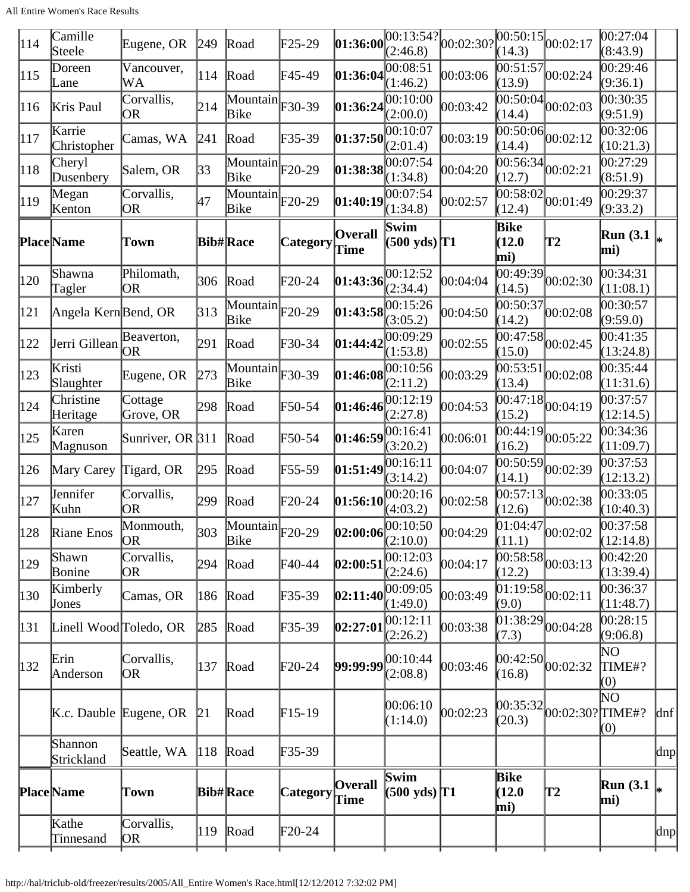| 114           | Camille<br>Steele      | Eugene, OR              | $ 249\rangle$ | Road                                               | F25-29          | 01:36:00               | [00:13:54?]<br>(2:46.8)                                                             | 00:02:30?  | (14.3)                       | $\sqrt{00:50:15}\big _{00:02:17}$         | 00:27:04 <br>(8:43.9)   |                                               |
|---------------|------------------------|-------------------------|---------------|----------------------------------------------------|-----------------|------------------------|-------------------------------------------------------------------------------------|------------|------------------------------|-------------------------------------------|-------------------------|-----------------------------------------------|
| 115           | Doreen<br>Lane         | Vancouver,<br>WA        | 114           | Road                                               | F45-49          | 01:36:04               | 00:08:51<br>(1:46.2)                                                                | 00:03:06   | 00:51:57<br>(13.9)           | 00:02:24                                  | 00:29:46<br>(9:36.1)    |                                               |
| 116           | Kris Paul              | Corvallis,<br>OR        | 214           | $\overline{\text{Mountain}}$ F30-39<br><b>Bike</b> |                 | 01:36:24               | 00:10:00<br>(2:00.0)                                                                | 00:03:42   | (14.4)                       | $\overline{00:50:04}$ 00:02:03            | 00:30:35<br>(9:51.9)    |                                               |
| 117           | Karrie<br>Christopher  | Camas, WA               | 241           | Road                                               | F35-39          | 01:37:50               | 00:10:07<br>(2:01.4)                                                                | 00:03:19   | 00:50:06 <br>(14.4)          | 00:02:12                                  | 00:32:06<br>(10:21.3)   |                                               |
| 118           | Cheryl<br>Dusenbery    | Salem, OR               | 33            | $\overline{\text{Mountain}}$ F20-29<br>Bike        |                 | 01:38:38               | 00:07:54<br>(1:34.8)                                                                | 00:04:20   | (12.7)                       | $\overline{00:56:34}_{00:02:21}$          | 00:27:29<br>(8:51.9)    |                                               |
| 119           | Megan<br>Kenton        | Corvallis,<br>OR        | 47            | $\overline{\text{Mountain}}$ $F20-29$<br>Bike      |                 | 01:40:19               | 00:07:54<br>(1:34.8)                                                                | 00:02:57   | 00:58:02 <br>(12.4)          | 00:01:49                                  | 00:29:37<br>(9:33.2)    |                                               |
|               | <b>Place</b> Name      | Town                    |               | <b>Bib#Race</b>                                    | <b>Category</b> | <b>Overall</b><br>Time | Swim<br>$(500 \text{ yds})$ <sup>T1</sup>                                           |            | Bike<br>(12.0)<br>mi)        | T2                                        | <b>Run</b> (3.1)<br>mi) |                                               |
| 120           | Shawna<br>Tagler       | Philomath,<br>OR        | 306           | Road                                               | F20-24          | 01:43:36               | 00:12:52<br>(2:34.4)                                                                | 00:04:04   | 00:49:39 <br>(14.5)          | 00:02:30                                  | 00:34:31<br>(11:08.1)   |                                               |
| 121           | Angela KernBend, OR    |                         | 313           | $\overline{\text{Mountain}}$ F20-29<br>Bike        |                 | 01:43:58               | 00:15:26<br>(3:05.2)                                                                | 00:04:50   | 00:50:37<br>(14.2)           | 00:02:08                                  | 00:30:57<br>(9:59.0)    |                                               |
| 122           | Jerri Gillean OR       | Beaverton,              | 291           | Road                                               | F30-34          | 01:44:42               | 00:09:29<br>(1:53.8)                                                                | 00:02:55   | [00:47:58]<br>(15.0)         | 00:02:45                                  | 00:41:35<br>(13:24.8)   |                                               |
| 123           | Kristi<br>Slaughter    | Eugene, OR              | 273           | $\overline{\text{Mountain}}$ F30-39<br>Bike        |                 | 01:46:08               | 00:10:56<br>(2:11.2)                                                                | 00:03:29   | 00:53:51<br>(13.4)           | 00:02:08                                  | 00:35:44<br>(11:31.6)   |                                               |
| 124           | Christine<br>Heritage  | Cottage<br>Grove, OR    | 298           | Road                                               | F50-54          | 01:46:46               | 00:12:19<br>(2:27.8)                                                                | 00:04:53   | 00:47:18<br>(15.2)           | 00:04:19                                  | 00:37:57<br>(12:14.5)   |                                               |
| 125           | Karen<br>Magnuson      | Sunriver, OR $\beta$ 11 |               | Road                                               | F50-54          | 01:46:59               | 00:16:41<br>(3:20.2)                                                                | 00:06:01   | 00:44:19 <br>(16.2)          | 00:05:22                                  | 00:34:36<br>(11:09.7)   |                                               |
| 126           | Mary Carey             | Tigard, OR              | 295           | Road                                               | F55-59          | 01:51:49               | 00:16:11<br>(3:14.2)                                                                | 00:04:07   | 00:50:59<br>(14.1)           | 00:02:39                                  | 00:37:53<br>(12:13.2)   |                                               |
| 127           | Jennifer<br>Kuhn       | Corvallis,<br>OR        | 299           | Road                                               | F20-24          | 01:56:10               | 00:20:16<br>(4:03.2)                                                                | 00:02:58   | 00:57:13 <br>(12.6)          | 00:02:38                                  | 00:33:05<br>(10:40.3)   |                                               |
| 128           | Riane Enos             | Monmouth,<br>OR)        | 303           | $\boxed{\text{Mountain}}$ F20-29<br>Bike           |                 |                        | <b>02:00:06</b> $\begin{bmatrix} 00:10:50 & 00:04:29 \\ (2:10.0) & 0 \end{bmatrix}$ |            | (11.1)                       | $\overline{01:04:47}_{00:02:02}$          | 00:37:58<br>(12:14.8)   |                                               |
| 129           | Shawn<br>Bonine        | Corvallis,<br><b>OR</b> | 294           | Road                                               | F40-44          | 02:00:51               | 00:12:03<br>(2:24.6)                                                                | 00:04:17   | (12.2)                       | $\overline{00:58:58}$ 00:03:13            | 00:42:20<br>(13:39.4)   |                                               |
| $ 130\rangle$ | Kimberly<br>Jones      | Camas, OR               | 186           | Road                                               | F35-39          | 02:11:40               | 00:09:05<br>(1:49.0)                                                                | 00:03:49   | (9.0)                        | $\overline{01:19:58}$ <sub>00:02:11</sub> | 00:36:37<br>(11:48.7)   |                                               |
| 131           | Linell Wood Toledo, OR |                         | 285           | Road                                               | F35-39          | 02:27:01               | 00:12:11<br>(2:26.2)                                                                | 00:03:38   | (7.3)                        | $\overline{01:38:29}$ 00:04:28            | 00:28:15<br>(9:06.8)    |                                               |
| $ 132\rangle$ | Erin<br>Anderson       | Corvallis,<br>OR        | 137           | Road                                               | $F20-24$        | 99:99:99               | 00:10:44<br>(2:08.8)                                                                | 00:03:46   | (16.8)                       | $ 00:42:50 $ <sub>00:02:32</sub>          | NΟ<br>TIME#?<br>(0)     |                                               |
|               |                        | K.c. Dauble Eugene, OR  | 21            | Road                                               | $F15-19$        |                        | 00:06:10<br>(1:14.0)                                                                | [00:02:23] | (20.3)                       | $[00:35:32]_{00:02:30?}$ TIME#?           | $\rm NO$<br>(0)         | $\lfloor \lfloor \frac{d}{2} \rfloor \rfloor$ |
|               | Shannon<br>Strickland  | Seattle, WA             | 118           | Road                                               | F35-39          |                        |                                                                                     |            |                              |                                           |                         | $\alpha$                                      |
|               | <b>Place</b> Name      | Town                    |               | <b>Bib#Race</b>                                    | Category        | <b>Overall</b><br>Time | Swim<br>$(500 \text{ yds})$ T1                                                      |            | <b>Bike</b><br>(12.0)<br>mi) | T2                                        | Run(3.1)<br>mi)         |                                               |
|               | Kathe<br>Tinnesand     | Corvallis,<br> OR       | 119           | Road                                               | $F20-24$        |                        |                                                                                     |            |                              |                                           |                         | $\vert \text{dnp} \vert$                      |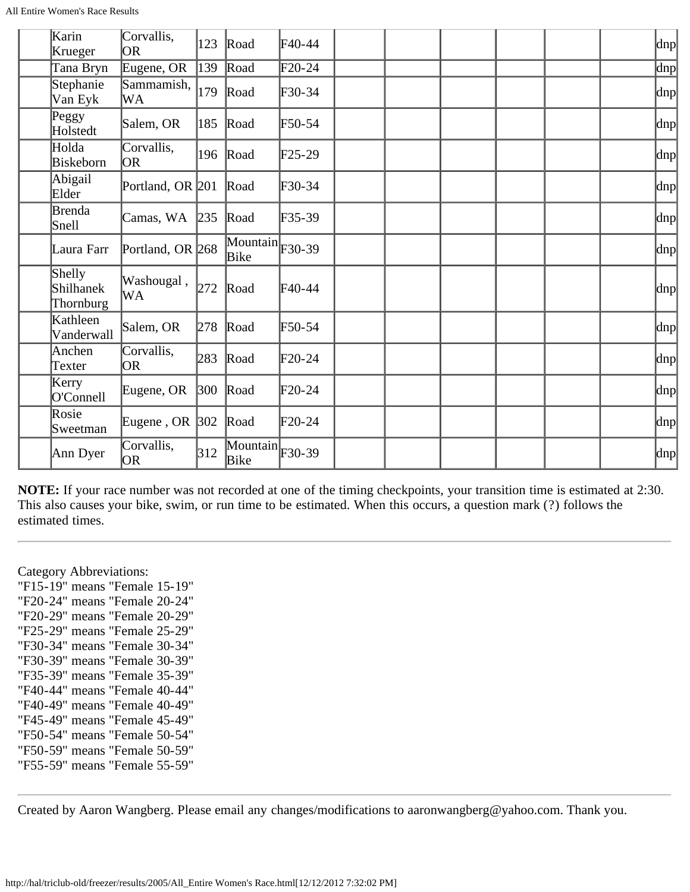| All Entire Women's Race Results |  |
|---------------------------------|--|
|---------------------------------|--|

| Karin<br>Krueger                 | Corvallis,<br>OR.  | 123           | Road                                        | $\text{F}40-44$ |  |  | dnp                      |
|----------------------------------|--------------------|---------------|---------------------------------------------|-----------------|--|--|--------------------------|
| Tana Bryn                        | Eugene, OR         | 139           | Road                                        | $F20-24$        |  |  | $\overline{p}$           |
| Stephanie<br>Van Eyk             | Sammamish,<br>WA   | 179           | Road                                        | F30-34          |  |  | $\vert \text{dnp} \vert$ |
| Peggy<br>Holstedt                | Salem, OR          | 185           | Road                                        | F50-54          |  |  | dnp                      |
| Holda<br>Biskeborn               | Corvallis,<br>OR.  | 196           | Road                                        | $F25-29$        |  |  | $\vert \text{dnp} \vert$ |
| Abigail<br>Elder                 | Portland, OR 201   |               | Road                                        | $F30-34$        |  |  | dnp                      |
| Brenda<br>Snell                  | Camas, WA          | 235           | Road                                        | $F35-39$        |  |  | $\vert$ dnp $\vert$      |
| Laura Farr                       | Portland, OR 268   |               | $\overline{\text{Mountain}}$ F30-39<br>Bike |                 |  |  | dnp                      |
| Shelly<br>Shilhanek<br>Thornburg | Washougal,<br>WА   | 272           | Road                                        | $F40-44$        |  |  | dnp                      |
| Kathleen<br>Vanderwall           | Salem, OR          | 278           | Road                                        | $F50-54$        |  |  | $\text{dnp}$             |
| Anchen<br>Texter                 | Corvallis,<br>OR.  | 283           | Road                                        | $\text{F}20-24$ |  |  | $\vert \text{dnp} \vert$ |
| Kerry<br>O'Connell               | Eugene, OR         | $ 300\rangle$ | Road                                        | $F20-24$        |  |  | $\vert$ dnp $\vert$      |
| Rosie<br>Sweetman                | Eugene, OR $ 302 $ |               | Road                                        | $\text{F}20-24$ |  |  | $\vert$ dnp $\vert$      |
| Ann Dyer                         | Corvallis,<br>OR)  | 312           | $\overline{\text{Mountain}}$ F30-39<br>Bike |                 |  |  | $\vert$ dnp $\vert$      |

**NOTE:** If your race number was not recorded at one of the timing checkpoints, your transition time is estimated at 2:30. This also causes your bike, swim, or run time to be estimated. When this occurs, a question mark (?) follows the estimated times.

Category Abbreviations:

"F15-19" means "Female 15-19" "F20-24" means "Female 20-24" "F20-29" means "Female 20-29" "F25-29" means "Female 25-29" "F30-34" means "Female 30-34" "F30-39" means "Female 30-39" "F35-39" means "Female 35-39" "F40-44" means "Female 40-44" "F40-49" means "Female 40-49" "F45-49" means "Female 45-49" "F50-54" means "Female 50-54" "F50-59" means "Female 50-59" "F55-59" means "Female 55-59"

Created by Aaron Wangberg. Please email any changes/modifications to aaronwangberg@yahoo.com. Thank you.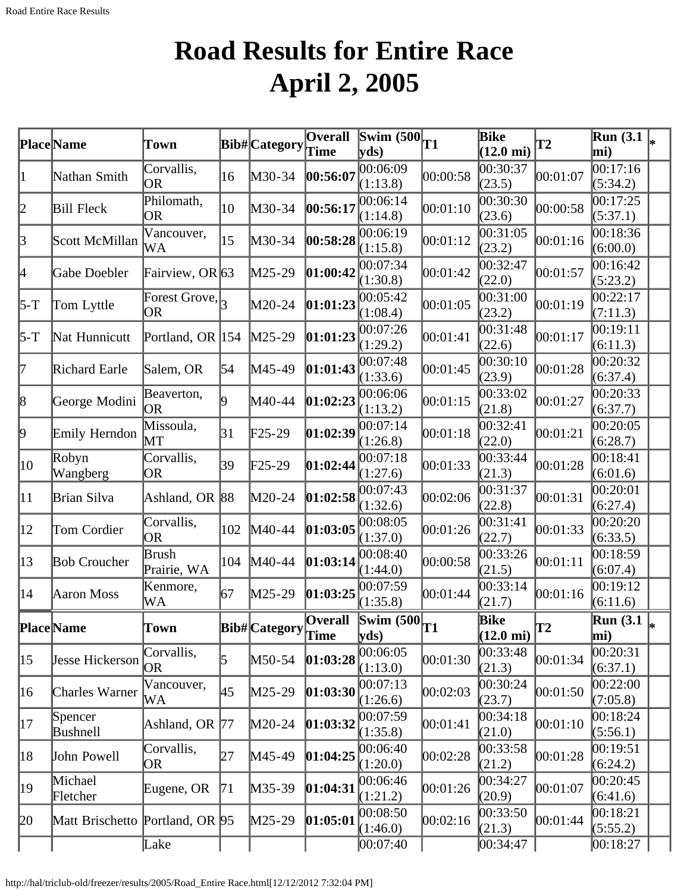# **Road Results for Entire Race April 2, 2005**

<span id="page-31-0"></span>

|              | <b>Place</b> Name               |                                                |     |                       | <b>Overall</b> | Swim $(500)$                                | T1       | Bike                               | $\mathbf{T2}$ | $\overline{\text{Run}}$ (3.1 $\vert_*$ |   |
|--------------|---------------------------------|------------------------------------------------|-----|-----------------------|----------------|---------------------------------------------|----------|------------------------------------|---------------|----------------------------------------|---|
|              |                                 | Town                                           |     | Bib# Category         | Time           | $ {\bf y}$ ds)                              |          | $(12.0 \text{ mi})$                |               | mi)                                    |   |
| 11           | Nathan Smith                    | Corvallis,<br>OR                               | 16  | M30-34                | 00:56:07       | 00:06:09<br>(1:13.8)                        | 00:00:58 | 00:30:37<br>(23.5)                 | 00:01:07      | 00:17:16<br>(5:34.2)                   |   |
| 12           | <b>Bill Fleck</b>               | Philomath,<br>OR                               | 10  | M30-34                | 00:56:17       | 00:06:14<br>(1:14.8)                        | 00:01:10 | 00:30:30<br>(23.6)                 | 00:00:58      | 00:17:25<br>(5:37.1)                   |   |
| 3            | Scott McMillan                  | Vancouver,<br>WA                               | 15  | M30-34                | 00:58:28       | 00:06:19<br>(1:15.8)                        | 00:01:12 | 00:31:05<br>(23.2)                 | 00:01:16      | 00:18:36<br>(6:00.0)                   |   |
| 4            | <b>Gabe Doebler</b>             | Fairview, OR $63$                              |     | M25-29                | 01:00:42       | 00:07:34<br>(1:30.8)                        | 00:01:42 | 00:32:47<br>(22.0)                 | 00:01:57      | 00:16:42<br>(5:23.2)                   |   |
| 5-T          | Tom Lyttle                      | Forest Grove, $\left _{3}\right $<br><b>OR</b> |     | M20-24                | 01:01:23       | 00:05:42<br>(1:08.4)                        | 00:01:05 | 00:31:00<br>(23.2)                 | 00:01:19      | 00:22:17<br>(7:11.3)                   |   |
| 5-T          | Nat Hunnicutt                   | Portland, OR 154                               |     | $M25-29$              | 01:01:23       | 00:07:26<br>(1:29.2)                        | 00:01:41 | 00:31:48<br>(22.6)                 | 00:01:17      | 0.19:11<br>(6:11.3)                    |   |
| 17           | Richard Earle                   | Salem, OR                                      | 54  | M45-49                | [01:01:43]     | 00:07:48<br>(1:33.6)                        | 00:01:45 | 00:30:10<br>(23.9)                 | 00:01:28      | 00:20:32<br>(6:37.4)                   |   |
| 8            | George Modini                   | Beaverton,<br><b>OR</b>                        | O.  | M40-44                | 01:02:23       | 00:06:06<br>(1:13.2)                        | 00:01:15 | 00:33:02<br>(21.8)                 | 00:01:27      | 00:20:33<br>(6:37.7)                   |   |
| þ,           | Emily Herndon                   | Missoula,<br>$\operatorname{MT}$               | 31  | $\text{F25-29}$       | 01:02:39       | 00:07:14<br>(1:26.8)                        | 00:01:18 | 00:32:41<br>(22.0)                 | 00:01:21      | 00:20:05<br>(6:28.7)                   |   |
| 10           | Robyn<br>Wangberg               | Corvallis,<br>OR                               | 39  | $\text{F25-29}$       | 01:02:44       | 00:07:18<br>(1:27.6)                        | 00:01:33 | 00:33:44<br>(21.3)                 | 00:01:28      | 00:18:41<br>(6:01.6)                   |   |
| $ 11\rangle$ | Brian Silva                     | Ashland, OR 88                                 |     | M20-24                | 01:02:58       | 00:07:43<br>(1:32.6)                        | 00:02:06 | 00:31:37<br>(22.8)                 | 00:01:31      | 00:20:01<br>(6:27.4)                   |   |
| $ 12\rangle$ | Tom Cordier                     | Corvallis,<br>OR                               | 102 | M40-44                | 01:03:05       | 00:08:05<br>(1:37.0)                        | 00:01:26 | 00:31:41<br>(22.7)                 | 00:01:33      | 00:20:20<br>(6:33.5)                   |   |
| $ 13\rangle$ | <b>Bob Croucher</b>             | <b>Brush</b><br>Prairie, WA                    | 104 | M40-44                | [01:03:14]     | 00:08:40<br>(1:44.0)                        | 00:00:58 | 00:33:26<br>(21.5)                 | 00:01:11      | 00:18:59<br>(6:07.4)                   |   |
| 14           | Aaron Moss                      | Kenmore,<br>WA                                 | 67  | M25-29                | 01:03:25       | 00:07:59<br>(1:35.8)                        | 00:01:44 | 00:33:14<br>(21.7)                 | 00:01:16      | 00:19:12<br>(6:11.6)                   |   |
|              | <b>PlaceName</b>                | Town                                           |     | Bib# Category Overall |                | $\overline{\text{Swim } (500)}_{T1}$<br>yds |          | <b>Bike</b><br>$(12.0 \text{ mi})$ | lT2           | <b>Run</b> (3.1)<br>mi)                | ∗ |
| $ 15\rangle$ | <b>Jesse Hickerson</b>          | Corvallis,<br>OR                               | 5   | $M50-54$              | 01:03:28       | 00:06:05<br>(1:13.0)                        | 00:01:30 | 00:33:48<br>(21.3)                 | 00:01:34      | 00:20:31<br>(6:37.1)                   |   |
| 16           | <b>Charles Warner</b>           | Vancouver,<br>WA                               | 45  | $M25-29$              | [01:03:30]     | 00:07:13<br>(1:26.6)                        | 00:02:03 | 00:30:24<br>(23.7)                 | 00:01:50      | 00:22:00<br>(7:05.8)                   |   |
| 17           | Spencer<br>Bushnell             | Ashland, OR 77                                 |     | $M20-24$              | 01:03:32       | 00:07:59<br>(1:35.8)                        | 00:01:41 | 00:34:18<br>(21.0)                 | 00:01:10      | 00:18:24<br>(5:56.1)                   |   |
| 18           | John Powell                     | Corvallis,<br>OR                               | 27  | M45-49                | 01:04:25       | 00:06:40<br>(1:20.0)                        | 00:02:28 | 00:33:58<br>(21.2)                 | 00:01:28      | 00:19:51<br>(6:24.2)                   |   |
| 19           | Michael<br>Fletcher             | Eugene, OR                                     | 71  | $M35-39$              | [01:04:31]     | 00:06:46<br>(1:21.2)                        | 00:01:26 | 00:34:27<br>(20.9)                 | 00:01:07      | 00:20:45<br>(6:41.6)                   |   |
| 20           | Matt Brischetto Portland, OR 95 |                                                |     | $M25-29$              | [01:05:01]     | 00:08:50<br>(1:46.0)                        | 00:02:16 | 00:33:50<br>(21.3)                 | 00:01:44      | 00:18:21<br>(5:55.2)                   |   |
|              |                                 | Lake                                           |     |                       |                | 00:07:40                                    |          | 00:34:47                           |               | 00:18:27                               |   |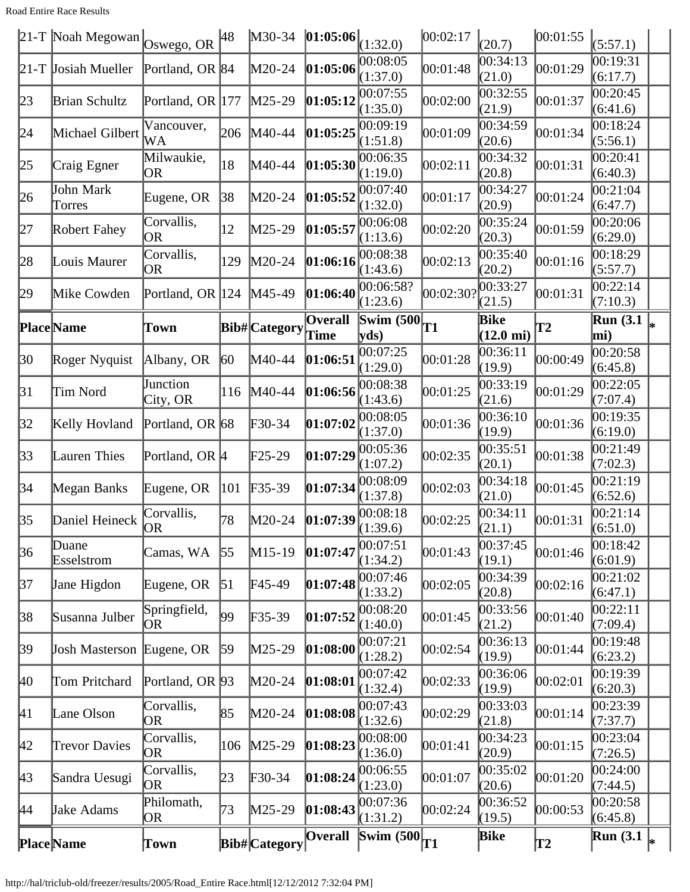Road Entire Race Results

|           | 21-T Noah Megowan Oswego, OR |                               | 48               | M30-34        | 01:05:06               | (1:32.0)                                  | 00:02:17  | (20.7)                      | 00:01:55  | (5:57.1)                           |  |
|-----------|------------------------------|-------------------------------|------------------|---------------|------------------------|-------------------------------------------|-----------|-----------------------------|-----------|------------------------------------|--|
|           | $21-T$ Josiah Mueller        | Portland, OR 84               |                  | M20-24        | 01:05:06               | 00:08:05<br>(1:37.0)                      | 00:01:48  | 00:34:13<br>(21.0)          | 00:01:29  | 00:19:31<br>(6:17.7)               |  |
| 23        | <b>Brian Schultz</b>         | Portland, OR 177              |                  | $M25-29$      | 01:05:12               | 00:07:55<br>(1:35.0)                      | 00:02:00  | 00:32:55<br>(21.9)          | 00:01:37  | 00:20:45<br>(6:41.6)               |  |
| 24        | Michael Gilbert              | Vancouver,<br>WA              | 206              | M40-44        | 01:05:25               | 00:09:19<br>(1:51.8)                      | 00:01:09  | 00:34:59<br>(20.6)          | 00:01:34  | 00:18:24<br>(5:56.1)               |  |
| 25        | Craig Egner                  | Milwaukie,<br><b>OR</b>       | 18               | M40-44        | 01:05:30               | 00:06:35<br>(1:19.0)                      | 00:02:11  | 00:34:32<br>(20.8)          | 00:01:31  | $\overline{00}$ :20:41<br>(6:40.3) |  |
| 26        | John Mark<br>Torres          | Eugene, OR                    | 38               | M20-24        | 01:05:52               | 00:07:40<br>(1:32.0)                      | 00:01:17  | 00:34:27<br>(20.9)          | 00:01:24  | 00:21:04<br>(6:47.7)               |  |
| 27        | Robert Fahey                 | Corvallis,<br>OR              | 12               | M25-29        | 01:05:57               | 00:06:08<br>(1:13.6)                      | 00:02:20  | 00:35:24<br>(20.3)          | 00:01:59  | 00:20:06<br>(6:29.0)               |  |
| 28        | Louis Maurer                 | Corvallis,<br>OR              | 129              | $M20-24$      | 01:06:16               | 00:08:38<br>(1:43.6)                      | 00:02:13  | 00:35:40<br>(20.2)          | 00:01:16  | 00:18:29<br>(5:57.7)               |  |
| 29        | Mike Cowden                  | Portland, OR $ 124 $          |                  | $M45-49$      | 01:06:40               | 00:06:58?<br>(1:23.6)                     | 00:02:30? | 00:33:27<br>(21.5)          | 00:01:31  | 00:22:14<br>(7:10.3)               |  |
|           | <b>Place</b> Name            | Town                          |                  | Bib# Category | <b>Overall</b><br>Time | $\vert$ Swim (500 $\vert$<br>yds)         | T1        | Bike<br>$(12.0 \text{ mi})$ | <b>T2</b> | <b>Run</b> (3.1)<br>mi)            |  |
| 30        | Roger Nyquist                | Albany, OR                    | $ 60\rangle$     | M40-44        | 01:06:51               | 00:07:25<br>(1:29.0)                      | 00:01:28  | 00:36:11<br>(19.9)          | 00:00:49  | 00:20:58<br>(6:45.8)               |  |
| $\beta$ 1 | Tim Nord                     | Junction<br>City, OR          | 116              | M40-44        | 01:06:56               | 00:08:38<br>(1:43.6)                      | 00:01:25  | 00:33:19<br>(21.6)          | 00:01:29  | 00:22:05<br>(7:07.4)               |  |
| 32        | Kelly Hovland                | Portland, OR 68               |                  | F30-34        | 01:07:02               | 00:08:05<br>(1:37.0)                      | 00:01:36  | 00:36:10<br>(19.9)          | 00:01:36  | 00:19:35<br>(6:19.0)               |  |
| $\beta$ 3 | Lauren Thies                 | Portland, OR $ 4$             |                  | F25-29        | 01:07:29               | 00:05:36<br>(1:07.2)                      | 00:02:35  | 00:35:51<br>(20.1)          | 00:01:38  | 00:21:49<br>(7:02.3)               |  |
| 34        | Megan Banks                  | Eugene, OR                    | 101              | $F35-39$      | 01:07:34               | 00:08:09<br>(1:37.8)                      | 00:02:03  | 00:34:18<br>(21.0)          | 00:01:45  | 00:21:19<br>(6:52.6)               |  |
| 35        | Daniel Heineck               | Corvallis,<br>OR <sub>1</sub> | 78               | M20-24        | 01:07:39               | 00:08:18<br>(1:39.6)                      | 00:02:25  | 00:34:11<br>(21.1)          | 00:01:31  | 00:21:14<br>(6:51.0)               |  |
| $\beta$ 6 | Duane<br>Esselstrom          | Camas, WA                     | 55               | M15-19        | 01:07:47               | 00:07:51<br>(1:34.2)                      | 00:01:43  | 00:37:45<br>(19.1)          | 00:01:46  | 00:18:42<br>(6:01.9)               |  |
| 37        | Jane Higdon                  | Eugene, OR                    | $\vert 51 \vert$ | F45-49        | 01:07:48               | 00:07:46<br>(1:33.2)                      | 00:02:05  | 00:34:39<br>(20.8)          | 00:02:16  | 00:21:02<br>(6:47.1)               |  |
| 38        | Susanna Julber               | Springfield,<br><b>OR</b>     | 99               | $F35-39$      | 01:07:52               | 00:08:20<br>(1:40.0)                      | 00:01:45  | 00:33:56<br>(21.2)          | 00:01:40  | 00:22:11<br>(7:09.4)               |  |
| 39        | Josh Masterson Eugene, OR    |                               | 59               | M25-29        | 01:08:00               | 00:07:21<br>(1:28.2)                      | 00:02:54  | 00:36:13<br>(19.9)          | 00:01:44  | 00:19:48<br>(6:23.2)               |  |
| <b>40</b> | Tom Pritchard                | Portland, OR 93               |                  | M20-24        | 01:08:01               | 00:07:42<br>(1:32.4)                      | 00:02:33  | 00:36:06<br>(19.9)          | 00:02:01  | 00:19:39<br>(6:20.3)               |  |
| 41        | Lane Olson                   | Corvallis,<br>OR              | 85               | M20-24        | 01:08:08               | 00:07:43<br>(1:32.6)                      | 00:02:29  | 00:33:03<br>(21.8)          | 00:01:14  | 00:23:39<br>(7:37.7)               |  |
| 42        | Trevor Davies                | Corvallis,<br>OR              | 106              | $M25-29$      | 01:08:23               | 00:08:00<br>(1:36.0)                      | 00:01:41  | 00:34:23<br>(20.9)          | 00:01:15  | 00:23:04<br>(7:26.5)               |  |
| $\mu$ 3   | Sandra Uesugi                | Corvallis,<br>OR              | 23               | $F30-34$      | 01:08:24               | 00:06:55<br>(1:23.0)                      | 00:01:07  | 00:35:02<br>(20.6)          | 00:01:20  | 00:24:00<br>(7:44.5)               |  |
| 44        | Jake Adams                   | Philomath,<br><b>OR</b>       | 73               | M25-29        | 01:08:43               | 00:07:36<br>(1:31.2)                      | 00:02:24  | 00:36:52<br>(19.5)          | 00:00:53  | 00:20:58<br>(6:45.8)               |  |
|           | <b>Place</b> Name            | Town                          |                  | Bib# Category | <b>Overall</b>         | $\frac{\sqrt{25}}{5 \text{wim} (500)}$ T1 |           | Bike                        | T2        | <b>Run</b> (3.1)                   |  |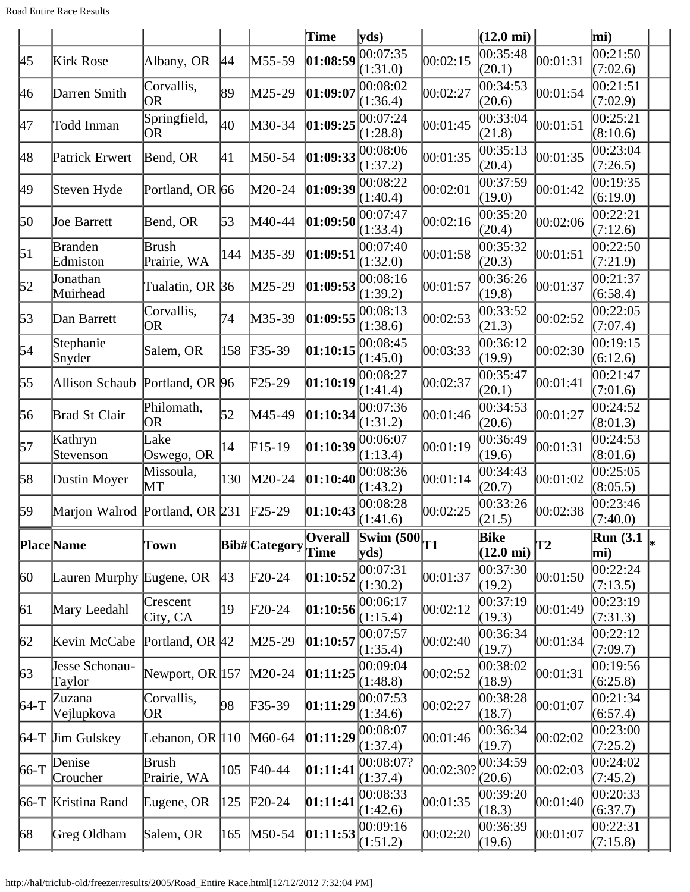|                  |                                |                           |     |                      | Time                   | yds                                             |           | $(12.0 \text{ mi})$                |          | mi)                                |  |
|------------------|--------------------------------|---------------------------|-----|----------------------|------------------------|-------------------------------------------------|-----------|------------------------------------|----------|------------------------------------|--|
| 45               | Kirk Rose                      | Albany, OR                | 44  | M55-59               | 01:08:59               | 00:07:35<br>(1:31.0)                            | 00:02:15  | 00:35:48<br>(20.1)                 | 00:01:31 | 00:21:50<br>(7:02.6)               |  |
| 46               | Darren Smith                   | Corvallis,<br> OR         | 89  | M25-29               | 01:09:07               | 00:08:02<br>(1:36.4)                            | 00:02:27  | 00:34:53<br>(20.6)                 | 00:01:54 | 0.21:51<br>(7:02.9)                |  |
| 47               | Todd Inman                     | Springfield,<br><b>OR</b> | 40  | M30-34               | 01:09:25               | 00:07:24<br>(1:28.8)                            | 00:01:45  | 00:33:04<br>(21.8)                 | 00:01:51 | 00:25:21<br>(8:10.6)               |  |
| 48               | Patrick Erwert                 | Bend, OR                  | 41  | M50-54               | 01:09:33               | 00:08:06<br>(1:37.2)                            | 00:01:35  | 00:35:13<br>(20.4)                 | 00:01:35 | 00:23:04<br>(7:26.5)               |  |
| 49               | Steven Hyde                    | Portland, OR 66           |     | M20-24               | 01:09:39               | 00:08:22<br>(1:40.4)                            | 00:02:01  | 00:37:59<br>(19.0)                 | 00:01:42 | 00:19:35<br>(6:19.0)               |  |
| 50               | Joe Barrett                    | Bend, OR                  | 53  | M40-44               | 01:09:50               | 00:07:47<br>(1:33.4)                            | 00:02:16  | 00:35:20<br>(20.4)                 | 00:02:06 | $\overline{00}$ :22:21<br>(7:12.6) |  |
| $\vert 51 \vert$ | <b>Branden</b><br>Edmiston     | Brush<br>Prairie, WA      | 144 | $M35-39$             | 01:09:51               | 00:07:40<br>(1:32.0)                            | 00:01:58  | 00:35:32<br>(20.3)                 | 00:01:51 | 00:22:50<br>(7:21.9)               |  |
| $\vert 52 \vert$ | Jonathan<br>Muirhead           | Tualatin, OR 36           |     | M25-29               | 01:09:53               | 00:08:16<br>(1:39.2)                            | 00:01:57  | 00:36:26<br>(19.8)                 | 00:01:37 | 00:21:37<br>(6:58.4)               |  |
| $\sqrt{53}$      | Dan Barrett                    | Corvallis,<br> OR         | 74  | M35-39               | 01:09:55               | 00:08:13<br>(1:38.6)                            | 00:02:53  | 00:33:52<br>(21.3)                 | 00:02:52 | 00:22:05<br>(7:07.4)               |  |
| 54               | Stephanie<br>Snyder            | Salem, OR                 | 158 | $F35-39$             | 01:10:15               | 00:08:45<br>(1:45.0)                            | 00:03:33  | 00:36:12<br>(19.9)                 | 00:02:30 | 00:19:15<br>(6:12.6)               |  |
| 55               | Allison Schaub Portland, OR 96 |                           |     | F25-29               | [01:10:19]             | 00:08:27<br>(1:41.4)                            | 00:02:37  | 00:35:47<br>(20.1)                 | 00:01:41 | 00:21:47<br>(7:01.6)               |  |
| 56               | Brad St Clair                  | Philomath,<br>OR.         | 52  | M45-49               | 01:10:34               | 00:07:36<br>(1:31.2)                            | 00:01:46  | 00:34:53<br>(20.6)                 | 00:01:27 | 00:24:52<br>(8:01.3)               |  |
| 57               | Kathryn<br>Stevenson           | Lake<br>Oswego, OR        | 14  | $F15-19$             | [01:10:39]             | 00:06:07<br>(1:13.4)                            | 00:01:19  | 00:36:49<br>(19.6)                 | 00:01:31 | 00:24:53<br>(8:01.6)               |  |
| 58               | Dustin Moyer                   | Missoula,<br>MT           | 130 | $M20-24$             | [01:10:40]             | 00:08:36<br>(1:43.2)                            | 00:01:14  | 00:34:43<br>(20.7)                 | 00:01:02 | 00:25:05<br>(8:05.5)               |  |
| 59               | Marjon Walrod Portland, OR 231 |                           |     | $\text{F25-29}$      | [01:10:43]             | 00:08:28<br>(1:41.6)                            | 00:02:25  | 00:33:26<br>(21.5)                 | 00:02:38 | 00:23:46<br>(7:40.0)               |  |
|                  | <b>Place</b> Name              | Town                      |     | <b>Bib#</b> Category | <b>Overall</b><br>Time | $\frac{1}{\sqrt{\text{Swim }(500)}}$ T1<br>vds) |           | <b>Bike</b><br>$(12.0 \text{ mi})$ | T2       | Run (3.1 $\vert_*$<br>mi)          |  |
| $ 60\rangle$     | Lauren Murphy Eugene, OR       |                           | 43  | $F20-24$             | 01:10:52               | 00:07:31<br>(1:30.2)                            | 00:01:37  | 00:37:30<br>(19.2)                 | 00:01:50 | 00:22:24<br>(7:13.5)               |  |
| 61               | Mary Leedahl                   | Crescent<br>City, CA      | 19  | $\text{F}20-24$      | 01:10:56               | 00:06:17<br>(1:15.4)                            | 00:02:12  | 00:37:19<br>(19.3)                 | 00:01:49 | 00:23:19<br>(7:31.3)               |  |
| 62               | Kevin McCabe                   | Portland, OR 42           |     | $M25-29$             | 01:10:57               | 00:07:57<br>(1:35.4)                            | 00:02:40  | 00:36:34<br>(19.7)                 | 00:01:34 | 00:22:12<br>(7:09.7)               |  |
| 63               | Jesse Schonau-<br>Taylor       | Newport, OR $ 157 $       |     | $M20-24$             | 01:11:25               | 00:09:04<br>(1:48.8)                            | 00:02:52  | 00:38:02<br>(18.9)                 | 00:01:31 | 00:19:56<br>(6:25.8)               |  |
| $64-T$           | Zuzana<br>Vejlupkova           | Corvallis,<br>OR          | 98  | $F35-39$             | [01:11:29]             | 00:07:53<br>(1:34.6)                            | 00:02:27  | 00:38:28<br>(18.7)                 | 00:01:07 | 00:21:34<br>(6:57.4)               |  |
|                  | $64-T$ Jim Gulskey             | Lebanon, OR $ 110$        |     | $M60-64$             | [01:11:29]             | 00:08:07<br>(1:37.4)                            | 00:01:46  | 00:36:34<br>(19.7)                 | 00:02:02 | 00:23:00<br>(7:25.2)               |  |
| $66-T$           | Denise<br>Croucher             | Brush<br>Prairie, WA      | 105 | $F40-44$             | [01:11:41]             | 00:08:07?<br>(1:37.4)                           | 00:02:30? | 00:34:59<br>(20.6)                 | 00:02:03 | 00:24:02<br>(7:45.2)               |  |
|                  | 66-T Kristina Rand             | Eugene, OR                | 125 | $F20-24$             | [01:11:41]             | 00:08:33<br>(1:42.6)                            | 00:01:35  | 00:39:20<br>(18.3)                 | 00:01:40 | 00:20:33<br>(6:37.7)               |  |
| 68               | Greg Oldham                    | Salem, OR                 | 165 | $M50-54$             | [01:11:53]             | 00:09:16<br>(1:51.2)                            | 00:02:20  | 00:36:39<br>(19.6)                 | 00:01:07 | 00:22:31<br>(7:15.8)               |  |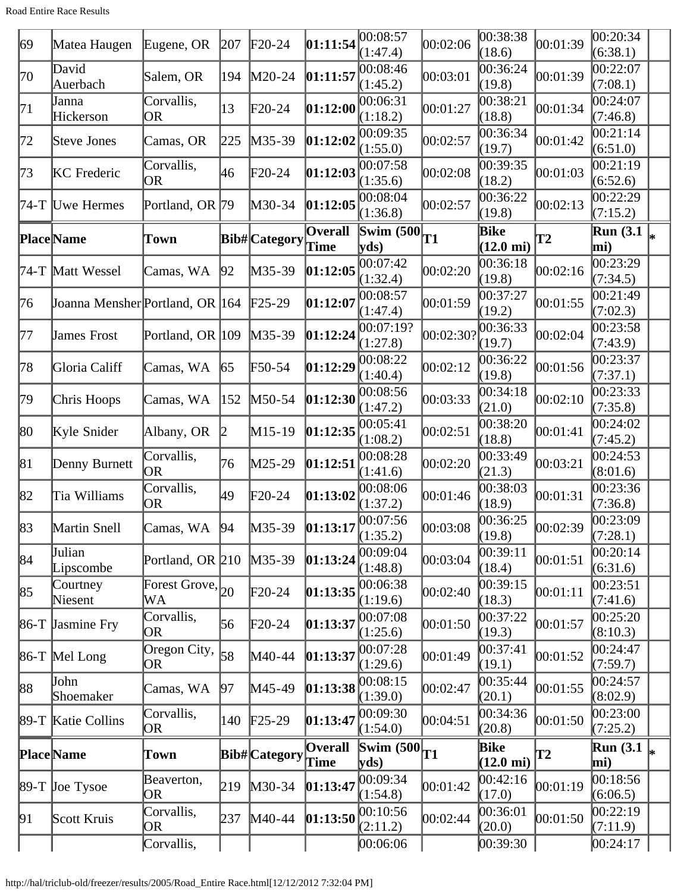Road Entire Race Results

| 69  | Matea Haugen                    | Eugene, OR                  | 207 | $F20-24$             | 01:11:54               | 00:08:57<br>(1:47.4)                                               | 00:02:06  | 00:38:38<br>(18.6)          | 00:01:39 | 00:20:34<br>(6:38.1)                          |  |
|-----|---------------------------------|-----------------------------|-----|----------------------|------------------------|--------------------------------------------------------------------|-----------|-----------------------------|----------|-----------------------------------------------|--|
| 70  | David<br>Auerbach               | Salem, OR                   | 194 | M20-24               | 01:11:57               | 00:08:46<br>(1:45.2)                                               | 00:03:01  | 00:36:24<br>(19.8)          | 00:01:39 | 00:22:07<br>(7:08.1)                          |  |
| 71  | Janna<br>Hickerson              | Corvallis,<br>OR            | 13  | $F20-24$             | 01:12:00               | 00:06:31<br>(1:18.2)                                               | 00:01:27  | 00:38:21<br>(18.8)          | 00:01:34 | 00:24:07<br>(7:46.8)                          |  |
| 72  | Steve Jones                     | Camas, OR                   | 225 | M35-39               | 01:12:02               | 00:09:35<br>(1:55.0)                                               | 00:02:57  | 00:36:34<br>(19.7)          | 00:01:42 | 00:21:14<br>(6:51.0)                          |  |
| 73  | <b>KC</b> Frederic              | Corvallis,<br>OR            | 46  | $F20-24$             | 01:12:03               | 00:07:58<br>(1:35.6)                                               | 00:02:08  | 00:39:35<br>(18.2)          | 00:01:03 | 00:21:19<br>(6:52.6)                          |  |
|     | 74-T Uwe Hermes                 | Portland, OR 79             |     | M30-34               | 01:12:05               | 00:08:04<br>(1:36.8)                                               | 00:02:57  | 00:36:22<br>(19.8)          | 00:02:13 | 00:22:29<br>(7:15.2)                          |  |
|     | <b>Place</b> Name               | Town                        |     | Bib# Category        | <b>Overall</b><br>Time | $\frac{1}{\sqrt{\text{Swim }(500)}}$ T1<br>$\mathbf{v}\mathbf{ds}$ |           | Bike<br>$(12.0 \text{ mi})$ | T2       | $\overline{\text{Run}}$ (3.1 $\vert_*$<br>mi) |  |
|     | 74-T Matt Wessel                | Camas, WA                   | 92  | M35-39               | 01:12:05               | 00:07:42<br>(1:32.4)                                               | 00:02:20  | 00:36:18<br>(19.8)          | 00:02:16 | 00:23:29<br>(7:34.5)                          |  |
| 76  | Joanna Mensher Portland, OR 164 |                             |     | $\text{F25-29}$      | 01:12:07               | 00:08:57<br>(1:47.4)                                               | 00:01:59  | 00:37:27<br>(19.2)          | 00:01:55 | 00:21:49<br>(7:02.3)                          |  |
| 177 | James Frost                     | Portland, OR 109            |     | $M35-39$             | 01:12:24               | 00:07:19?<br>(1:27.8)                                              | 00:02:30? | 00:36:33<br>(19.7)          | 00:02:04 | 00:23:58<br>(7:43.9)                          |  |
| 78  | Gloria Califf                   | Camas, WA                   | 65  | F50-54               | 01:12:29               | 00:08:22<br>(1:40.4)                                               | 00:02:12  | 00:36:22<br>(19.8)          | 00:01:56 | 00:23:37<br>(7:37.1)                          |  |
| 79  | Chris Hoops                     | Camas, WA                   | 152 | $M50-54$             | 01:12:30               | 00:08:56<br>(1:47.2)                                               | 00:03:33  | 00:34:18<br>(21.0)          | 00:02:10 | 00:23:33<br>(7:35.8)                          |  |
| 80  | Kyle Snider                     | Albany, OR                  |     | $M15-19$             | [01:12:35]             | 00:05:41<br>(1:08.2)                                               | 00:02:51  | 00:38:20<br>(18.8)          | 00:01:41 | 00:24:02<br>(7:45.2)                          |  |
| 81  | Denny Burnett                   | Corvallis,<br><b>OR</b>     | 76  | M25-29               | 01:12:51               | 00:08:28<br>(1:41.6)                                               | 00:02:20  | 00:33:49<br>(21.3)          | 00:03:21 | 00:24:53<br>(8:01.6)                          |  |
| 82  | Tia Williams                    | Corvallis,<br>OR            | 49  | $F20-24$             | 01:13:02               | 00:08:06<br>(1:37.2)                                               | 00:01:46  | 00:38:03<br>(18.9)          | 00:01:31 | 00:23:36<br>(7:36.8)                          |  |
| 83  | Martin Snell                    | Camas, WA                   | 94  | M35-39               |                        | $\left 01:13:17\right \right \left 00:07:56$<br>(1:35.2)           | 00:03:08  | 00:36:25<br>(19.8)          | 00:02:39 | 00:23:09<br>(7:28.1)                          |  |
| 84  | Julian<br>Lipscombe             | Portland, OR $210$          |     | $M35-39$             | 01:13:24               | 00:09:04<br>(1:48.8)                                               | 00:03:04  | 00:39:11<br>(18.4)          | 00:01:51 | 00:20:14<br>(6:31.6)                          |  |
| 85  | Courtney<br>Niesent             | Forest Grove, $_{20}$<br>WA |     | $F20-24$             | 01:13:35               | 00:06:38<br>(1:19.6)                                               | 00:02:40  | 00:39:15<br>(18.3)          | 00:01:11 | 00:23:51<br>(7:41.6)                          |  |
|     | 86-T Jasmine Fry                | Corvallis,<br>OR.           | 56  | $F20-24$             | [01:13:37]             | 00:07:08<br>(1:25.6)                                               | 00:01:50  | 00:37:22<br>(19.3)          | 00:01:57 | 00:25:20<br>(8:10.3)                          |  |
|     | $86-T$ Mel Long                 | Oregon City,<br>OR)         | 58  | $M40-44$             | 01:13:37               | 00:07:28<br>(1:29.6)                                               | 00:01:49  | 00:37:41<br>(19.1)          | 00:01:52 | 00:24:47<br>(7:59.7)                          |  |
| 88  | John<br>Shoemaker               | Camas, WA                   | 197 | $M45-49$             | [01:13:38]             | 00:08:15<br>(1:39.0)                                               | 00:02:47  | 00:35:44<br>(20.1)          | 00:01:55 | 00:24:57<br>(8:02.9)                          |  |
|     | 89-T Katie Collins              | Corvallis,<br>OR.           | 140 | $F25-29$             | 01:13:47               | 00:09:30<br>(1:54.0)                                               | 00:04:51  | 00:34:36<br>(20.8)          | 00:01:50 | 00:23:00<br>(7:25.2)                          |  |
|     | <b>Place</b> Name               | Town                        |     | <b>Bib#</b> Category | <b>Overall</b><br>Time | Swim $(500)$<br>yds)                                               | T1        | Bike<br>$(12.0 \text{ mi})$ | T2       | $\overline{\text{Run}}(3.1\vert_{*})$<br>mi)  |  |
|     | 89-T Joe Tysoe                  | Beaverton,<br>OR            | 219 | $M30-34$             | 01:13:47               | 00:09:34<br>(1:54.8)                                               | 00:01:42  | 00:42:16<br>(17.0)          | 00:01:19 | 00:18:56<br>(6:06.5)                          |  |
| 91  | Scott Kruis                     | Corvallis,<br>OR)           | 237 | $M40-44$             | [01:13:50]             | 00:10:56<br>(2:11.2)                                               | 00:02:44  | 00:36:01<br>(20.0)          | 00:01:50 | 00:22:19<br>(7:11.9)                          |  |
|     |                                 | Corvallis,                  |     |                      |                        | 00:06:06                                                           |           | 00:39:30                    |          | [00:24:17]                                    |  |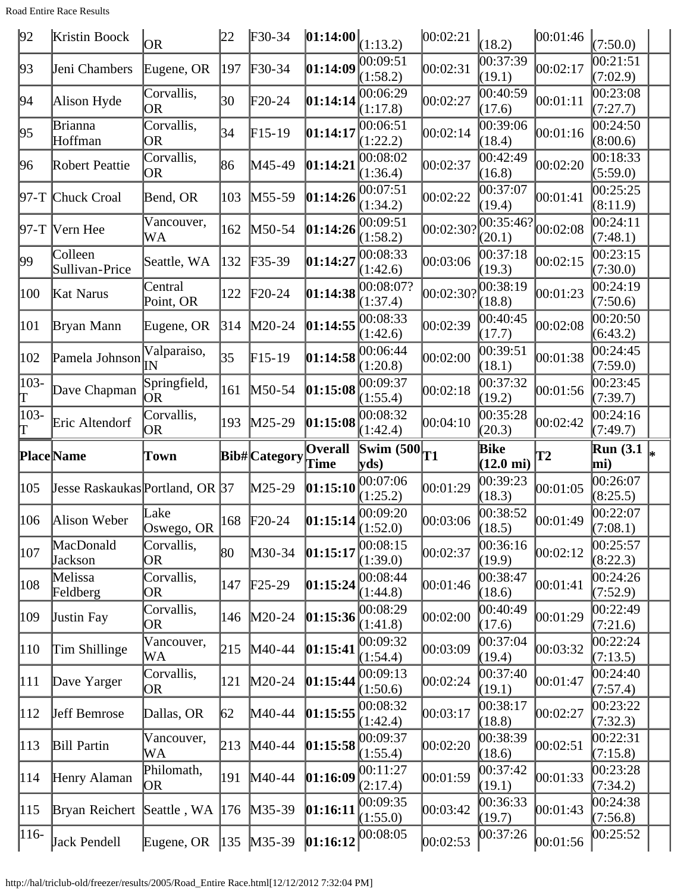Road Entire Race Results

| 92            | Kristin Boock                   | OR                        | 22  | $F30-34$             | 01:14:00                                                            | (1:13.2)                                 | 00:02:21           | (18.2)                          | 00:01:46      | (7:50.0)                         |  |
|---------------|---------------------------------|---------------------------|-----|----------------------|---------------------------------------------------------------------|------------------------------------------|--------------------|---------------------------------|---------------|----------------------------------|--|
| 93            | Jeni Chambers                   | Eugene, OR                | 197 | F30-34               | 01:14:09                                                            | 00:09:51<br>(1:58.2)                     | 00:02:31           | 00:37:39<br>(19.1)              | 00:02:17      | 00:21:51<br>(7:02.9)             |  |
| 94            | Alison Hyde                     | Corvallis,<br>OR          | 30  | $\text{F20-24}$      | 01:14:14                                                            | 00:06:29<br>(1:17.8)                     | 00:02:27           | 00:40:59<br>(17.6)              | 00:01:11      | 0.23:08<br>(7:27.7)              |  |
| 95            | Brianna<br>Hoffman              | Corvallis,<br>OR          | 34  | $F15-19$             | 01:14:17                                                            | 00:06:51<br>(1:22.2)                     | 00:02:14           | 00:39:06<br>(18.4)              | 00:01:16      | 00:24:50<br>(8:00.6)             |  |
| 96            | Robert Peattie                  | Corvallis,<br>OR          | 86  | M45-49               | 01:14:21                                                            | 00:08:02<br>(1:36.4)                     | 00:02:37           | 00:42:49<br>(16.8)              | 00:02:20      | 00:18:33<br>(5:59.0)             |  |
|               | 97-T Chuck Croal                | Bend, OR                  | 103 | M55-59               | 01:14:26                                                            | 00:07:51<br>(1:34.2)                     | 00:02:22           | 00:37:07<br>(19.4)              | 00:01:41      | 00:25:25<br>(8:11.9)             |  |
|               | 97-T  Vern Hee                  | Vancouver,<br>WA          | 162 | M50-54               | 01:14:26                                                            | 00:09:51<br>(1:58.2)                     | $ 00:02:30\rangle$ | 00:35:46?<br>(20.1)             | 00:02:08      | 00:24:11<br>(7:48.1)             |  |
| 99            | Colleen<br>Sullivan-Price       | Seattle, WA               | 132 | F35-39               | 01:14:27                                                            | 00:08:33<br>(1:42.6)                     | 00:03:06           | 00:37:18<br>(19.3)              | 00:02:15      | 00:23:15<br>(7:30.0)             |  |
| 100           | Kat Narus                       | Central<br>Point, OR      | 122 | $F20-24$             | 01:14:38                                                            | 00:08:07?<br>(1:37.4)                    | $ 00:02:30\rangle$ | 00:38:19<br>(18.8)              | 00:01:23      | 00:24:19<br>(7:50.6)             |  |
| 101           | Bryan Mann                      | Eugene, OR                | 314 | $M20-24$             | 01:14:55                                                            | 00:08:33<br>(1:42.6)                     | 00:02:39           | 00:40:45<br>(17.7)              | 00:02:08      | 00:20:50<br>(6:43.2)             |  |
| 102           | Pamela Johnson                  | Valparaiso,<br>lΝ         | 35  | $F15-19$             | 01:14:58                                                            | 00:06:44<br>(1:20.8)                     | 00:02:00           | 00:39:51<br>(18.1)              | 00:01:38      | 00:24:45<br>(7:59.0)             |  |
| $103 -$       | Dave Chapman                    | Springfield,<br><b>OR</b> | 161 | M50-54               | 01:15:08                                                            | 00:09:37<br>(1:55.4)                     | 00:02:18           | 00:37:32<br>(19.2)              | 00:01:56      | 00:23:45<br>(7:39.7)             |  |
| $103 -$       | Eric Altendorf                  | Corvallis,<br>OR          | 193 | $M25-29$             | 01:15:08                                                            | 00:08:32<br>(1:42.4)                     | 00:04:10           | 00:35:28<br>(20.3)              | 00:02:42      | 00:24:16<br>(7:49.7)             |  |
|               |                                 |                           |     |                      |                                                                     |                                          |                    |                                 |               |                                  |  |
|               | <b>Place</b> Name               | Town                      |     | <b>Bib#</b> Category | <b>Overall</b>                                                      | $\frac{1}{\sqrt{\text{Swim } (500)}}$ T1 |                    | Bike                            | $\mathbf{T2}$ | <b>Run</b> (3.1)                 |  |
| 105           | Jesse Raskaukas Portland, OR 37 |                           |     | M25-29               | Time<br>[01:15:10]                                                  | yds)<br>00:07:06                         | 00:01:29           | $(12.0 \text{ mi})$<br>00:39:23 | 00:01:05      | mi)<br>00:26:07                  |  |
| 106           | Alison Weber                    | Lake                      | 168 | $F20-24$             |                                                                     | (1:25.2)<br>00:09:20                     | 00:03:06           | (18.3)<br>00:38:52              | 00:01:49      | (8:25.5)<br>00:22:07             |  |
| 107           | MacDonald                       | Oswego, OR<br>Corvallis,  | 80  | M30-34               | $\left  01:15:14 \right  \times \left  1:52.0 \right)$<br> 01:15:17 | 00:08:15                                 | 00:02:37           | (18.5)<br>00:36:16              | 00:02:12      | (7:08.1)<br>00:25:57             |  |
| 108           | <b>Jackson</b><br>Melissa       | OR<br>Corvallis,<br>OR    | 147 | $\text{F25-29}$      | 01:15:24                                                            | (1:39.0)<br>00:08:44                     | 00:01:46           | (19.9)<br>00:38:47              | 00:01:41      | (8:22.3)<br>00:24:26             |  |
| 109           | Feldberg<br><b>Justin Fay</b>   | Corvallis,<br>OR          | 146 | $M20-24$             | 01:15:36                                                            | (1:44.8)<br>00:08:29                     | 00:02:00           | (18.6)<br>00:40:49              | 00:01:29      | (7:52.9)<br>00:22:49             |  |
| 110           | Tim Shillinge                   | Vancouver,<br>WA          | 215 | $M40-44$             | 01:15:41                                                            | (1:41.8)<br>00:09:32                     | 00:03:09           | (17.6)<br>00:37:04              | 00:03:32      | (7:21.6)<br>00:22:24<br>(7:13.5) |  |
| 111           | Dave Yarger                     | Corvallis,<br>OR          | 121 | $M20-24$             | 01:15:44                                                            | (1:54.4)<br>00:09:13                     | 00:02:24           | (19.4)<br>00:37:40              | 00:01:47      | 00:24:40                         |  |
| $ 112\rangle$ | <b>Jeff Bemrose</b>             | Dallas, OR                | 62  | M40-44               | 01:15:55                                                            | (1:50.6)<br>00:08:32<br>(1:42.4)         | 00:03:17           | (19.1)<br>00:38:17              | 00:02:27      | (7:57.4)<br>00:23:22             |  |
| 113           | <b>Bill Partin</b>              | Vancouver,<br>WA          | 213 | $M40-44$             | 01:15:58                                                            | 00:09:37                                 | 00:02:20           | (18.8)<br>00:38:39              | 00:02:51      | (7:32.3)<br>00:22:31             |  |
| 114           | Henry Alaman                    | Philomath,<br>OR          | 191 | $M40-44$             | [01:16:09]                                                          | (1:55.4)<br>00:11:27<br>(2:17.4)         | 00:01:59           | (18.6)<br>00:37:42              | 00:01:33      | (7:15.8)<br>00:23:28             |  |
| 115           | Bryan Reichert                  | Seattle, WA               | 176 | $M35-39$             | [01:16:11]                                                          | 00:09:35<br>(1:55.0)                     | 00:03:42           | (19.1)<br>00:36:33<br>(19.7)    | 00:01:43      | (7:34.2)<br>00:24:38<br>(7:56.8) |  |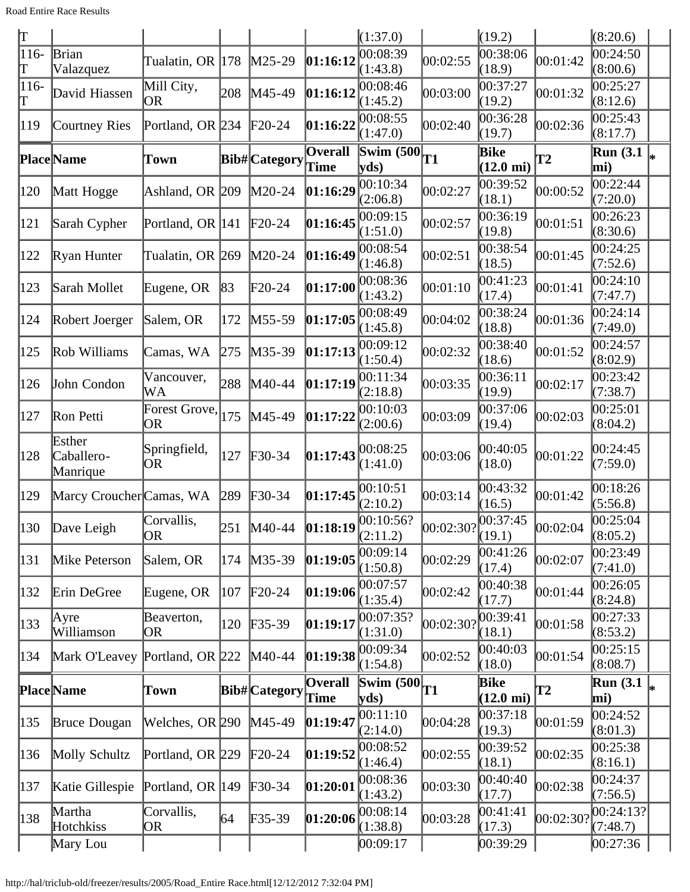| $\overline{\rm T}$ |                                  |                         |     |                   |                              | (1:37.0)                                                         |                    | (19.2)                      |           | (8:20.6)                |    |
|--------------------|----------------------------------|-------------------------|-----|-------------------|------------------------------|------------------------------------------------------------------|--------------------|-----------------------------|-----------|-------------------------|----|
| $116-$             | <b>Brian</b>                     | Tualatin, OR            | 178 | $M25-29$          | 01:16:12                     | 00:08:39                                                         | 00:02:55           | 00:38:06                    | 00:01:42  | 00:24:50                |    |
| ľΤ                 | Valazquez                        |                         |     |                   |                              | (1:43.8)                                                         |                    | (18.9)                      |           | (8:00.6)                |    |
| $116-$<br>Τ        | David Hiassen                    | Mill City,<br><b>OR</b> | 208 | M45-49            | 01:16:12                     | 00:08:46<br>(1:45.2)                                             | 00:03:00           | 00:37:27<br>(19.2)          | 00:01:32  | 00:25:27<br>(8:12.6)    |    |
| 119                | Courtney Ries                    | Portland, OR 234        |     | $F20-24$          | 01:16:22                     | 00:08:55<br>(1:47.0)                                             | 00:02:40           | 00:36:28<br>(19.7)          | 00:02:36  | 00:25:43<br>(8:17.7)    |    |
|                    | <b>Place</b> Name                | Town                    |     | Bib# Category     | <b>Overall</b><br>Time       | $\frac{1}{\sqrt{\text{Swim }(500)}}$ T1<br>yds)                  |                    | Bike<br>$(12.0 \text{ mi})$ | T2        | <b>Run</b> (3.1)<br>mi) |    |
| 120                |                                  |                         |     | $M20-24$          | 01:16:29                     | 00:10:34                                                         | 00:02:27           | 00:39:52                    | 00:00:52  | 00:22:44                |    |
|                    | Matt Hogge                       | Ashland, OR 209         |     |                   |                              | (2:06.8)                                                         |                    | (18.1)                      |           | (7:20.0)                |    |
| 121                | Sarah Cypher                     | Portland, OR 141        |     | $F20-24$          | 01:16:45                     | 00:09:15<br>(1:51.0)                                             | 00:02:57           | 00:36:19<br>(19.8)          | 00:01:51  | 00:26:23<br>(8:30.6)    |    |
| 122                | Ryan Hunter                      | Tualatin, OR 269        |     | $M20-24$          | 01:16:49                     | 00:08:54<br>(1:46.8)                                             | 00:02:51           | 00:38:54<br>(18.5)          | 00:01:45  | 00:24:25<br>(7:52.6)    |    |
| 123                | Sarah Mollet                     | Eugene, OR              | 83  | $F20-24$          | 01:17:00                     | 00:08:36                                                         | 00:01:10           | 00:41:23                    | 00:01:41  | 00:24:10                |    |
|                    |                                  |                         |     |                   |                              | (1:43.2)<br>00:08:49                                             |                    | (17.4)<br>00:38:24          |           | (7:47.7)<br>00:24:14    |    |
| 124                | Robert Joerger                   | Salem, OR               | 172 | $M55-59$          | 01:17:05                     | (1:45.8)                                                         | 00:04:02           | (18.8)                      | 00:01:36  | (7:49.0)                |    |
| 125                | Rob Williams                     | Camas, WA               | 275 | $M35-39$          | 01:17:13                     | 00:09:12<br>(1:50.4)                                             | 00:02:32           | 00:38:40<br>(18.6)          | 00:01:52  | 00:24:57<br>(8:02.9)    |    |
| 126                | John Condon                      | Vancouver,              | 288 | $M40-44$          | 01:17:19                     | 00:11:34                                                         | 00:03:35           | 00:36:11                    | 00:02:17  | 00:23:42                |    |
|                    |                                  | WA                      |     |                   |                              | (2:18.8)                                                         |                    | (19.9)                      |           | (7:38.7)                |    |
| 127                | Ron Petti                        | Forest Grove,<br>OR     | 175 | $M45-49$          | 01:17:22                     | 00:10:03<br>(2:00.6)                                             | 00:03:09           | 00:37:06<br>(19.4)          | 00:02:03  | 00:25:01<br>(8:04.2)    |    |
| 128                | Esther<br>Caballero-<br>Manrique | Springfield,<br>OR      | 127 | $F30-34$          | 01:17:43                     | 00:08:25<br>(1:41.0)                                             | 00:03:06           | 00:40:05<br>(18.0)          | 00:01:22  | 00:24:45<br>(7:59.0)    |    |
| 129                | Marcy Croucher Camas, WA         |                         | 289 | $F30-34$          | 01:17:45                     | 00:10:51<br>(2:10.2)                                             | 00:03:14           | 00:43:32<br>(16.5)          | 00:01:42  | 00:18:26<br>(5:56.8)    |    |
| 130                | Dave Leigh                       | Corvallis,<br>OR.       | 251 | M40-44            |                              | $\left 01:18:19\right \right \left 00:10:56?\right $<br>(2:11.2) | 00:02:30? 00:37:45 | (19.1)                      | 00:02:04  | 00:25:04<br>(8:05.2)    |    |
| 131                | Mike Peterson                    | Salem, OR               | 174 | $M35-39$          | 01:19:05                     | 00:09:14<br>(1:50.8)                                             | 00:02:29           | 00:41:26<br>(17.4)          | 00:02:07  | 00:23:49<br>(7:41.0)    |    |
| 132                | Erin DeGree                      | Eugene, OR              | 107 | $F20-24$          | [01:19:06]                   | 00:07:57<br>(1:35.4)                                             | 00:02:42           | 00:40:38<br>(17.7)          | 00:01:44  | 00:26:05<br>(8:24.8)    |    |
|                    | Ayre                             | Beaverton,              |     |                   |                              | 00:07:35?                                                        |                    | 00:39:41                    |           | 00:27:33                |    |
| 133                | Williamson                       | OR                      | 120 | $F35-39$          | [01:19:17                    | (1:31.0)                                                         | 00:02:301          | (18.1)                      | 00:01:58  | (8:53.2)                |    |
| 134                | Mark O'Leavey                    | Portland, OR 222        |     | $M40-44$          | [01:19:38]                   | 00:09:34                                                         | 00:02:52           | 00:40:03                    | 00:01:54  | 00:25:15                |    |
|                    |                                  |                         |     |                   |                              | (1:54.8)                                                         |                    | (18.0)                      |           | (8:08.7)                |    |
|                    | <b>Place</b> Name                | Town                    |     | Bib#Category Time | <b>Overall</b>               | Swim $(500)$<br>yds                                              | <b>T1</b>          | Bike<br>$(12.0 \text{ mi})$ | T2        | <b>Run</b> (3.1)<br>mi) | lж |
| 135                | <b>Bruce Dougan</b>              | Welches, OR 290         |     | $M45-49$          | 01:19:47                     | 00:11:10<br>(2:14.0)                                             | 00:04:28           | 00:37:18<br>(19.3)          | 00:01:59  | 00:24:52<br>(8:01.3)    |    |
| 136                | Molly Schultz                    | Portland, OR 229        |     | $F20-24$          | 01:19:52                     | 00:08:52                                                         | 00:02:55           | 00:39:52                    | 00:02:35  | 00:25:38                |    |
|                    |                                  |                         |     |                   | $\pmb{01:}2\pmb{0:}0\pmb{1}$ | (1:46.4)<br>00:08:36                                             |                    | (18.1)<br>00:40:40          |           | (8:16.1)<br>00:24:37    |    |
| 137                | Katie Gillespie                  | Portland, OR 149        |     | $F30-34$          |                              | (1:43.2)                                                         | 00:03:30           | (17.7)                      | 00:02:38  | (7:56.5)                |    |
| 138                | Martha<br>Hotchkiss              | Corvallis,<br>OR        | 64  | $F35-39$          | [01:20:06]                   | 00:08:14<br>(1:38.8)                                             | 00:03:28           | 00:41:41<br>(17.3)          | 00:02:30? | 00:24:13? <br>(7:48.7)  |    |
|                    | Mary Lou                         |                         |     |                   |                              | 00:09:17                                                         |                    | [00:39:29]                  |           | 00:27:36                |    |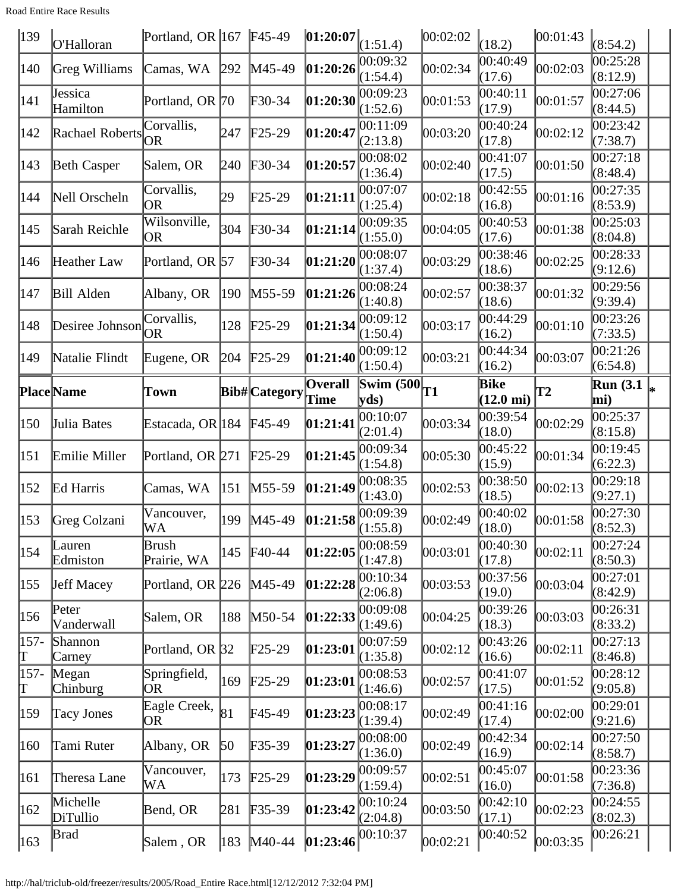Road Entire Race Results

| $\vert$ 139        | O'Halloran                           | Portland, OR  167   F45-49      |     |                            | 01:20:07                                                              | (1:51.4)                         | 00:02:02 | (18.2)                       | 00:01:43      | (8:54.2)                         |  |
|--------------------|--------------------------------------|---------------------------------|-----|----------------------------|-----------------------------------------------------------------------|----------------------------------|----------|------------------------------|---------------|----------------------------------|--|
| 140                | Greg Williams                        | Camas, WA                       | 292 | M45-49                     | 01:20:26                                                              | 00:09:32<br>(1:54.4)             | 00:02:34 | 00:40:49<br>(17.6)           | 00:02:03      | 00:25:28<br>(8:12.9)             |  |
| 141                | Jessica<br>Hamilton                  | Portland, OR 70                 |     | F30-34                     | 01:20:30                                                              | 00:09:23<br>(1:52.6)             | 00:01:53 | 00:40:11<br>(17.9)           | 00:01:57      | 00:27:06<br>(8:44.5)             |  |
| 142                | Rachael Roberts                      | Corvallis,<br><b>OR</b>         | 247 | $F25-29$                   | 01:20:47                                                              | 00:11:09<br>(2:13.8)             | 00:03:20 | 00:40:24<br>(17.8)           | 00:02:12      | 00:23:42<br>(7:38.7)             |  |
| 143                | <b>Beth Casper</b>                   | Salem, OR                       | 240 | $\textcolor{blue}{F30-34}$ | 01:20:57                                                              | 00:08:02<br>(1:36.4)             | 00:02:40 | 00:41:07<br>(17.5)           | 00:01:50      | 00:27:18<br>(8:48.4)             |  |
| 144                | Nell Orscheln                        | Corvallis,<br><b>OR</b>         | 29  | $F25-29$                   | [01:21:11]                                                            | 00:07:07<br>(1:25.4)             | 00:02:18 | 00:42:55<br>(16.8)           | 00:01:16      | 00:27:35<br>(8:53.9)             |  |
| 145                | Sarah Reichle                        | Wilsonville,<br>OR.             | 304 | $F30-34$                   | 01:21:14                                                              | 00:09:35<br>(1:55.0)             | 00:04:05 | 00:40:53<br>(17.6)           | 00:01:38      | 00:25:03<br>(8:04.8)             |  |
| 146                | Heather Law                          | Portland, OR 57                 |     | F30-34                     | 01:21:20                                                              | 00:08:07<br>(1:37.4)             | 00:03:29 | 00:38:46<br>(18.6)           | 00:02:25      | 00:28:33<br>(9:12.6)             |  |
| 147                | Bill Alden                           | Albany, OR                      | 190 | $M55-59$                   | 01:21:26                                                              | 00:08:24<br>(1:40.8)             | 00:02:57 | 00:38:37<br>(18.6)           | 00:01:32      | 00:29:56<br>(9:39.4)             |  |
| 148                | Desiree Johnson $\overline{OR}$      | Corvallis,                      | 128 | $F25-29$                   | 01:21:34                                                              | 00:09:12<br>(1:50.4)             | 00:03:17 | 00:44:29<br>(16.2)           | 00:01:10      | 00:23:26<br>(7:33.5)             |  |
| 149                | Natalie Flindt                       | Eugene, OR                      | 204 | $F25-29$                   | [01:21:40]                                                            | 00:09:12<br>(1:50.4)             | 00:03:21 | 00:44:34<br>(16.2)           | 00:03:07      | 00:21:26<br>(6:54.8)             |  |
|                    |                                      |                                 |     |                            | <b>Overall</b>                                                        | Swim $(500)$                     |          | Bike                         |               | $\overline{\text{Run (3.1)}}$    |  |
|                    | <b>Place</b> Name                    | Town                            |     | <b>Bib#</b> Category       | <b>Time</b>                                                           | yds                              | T1       | $(12.0 \text{ mi})$          | $\mathbf{T2}$ | mi)                              |  |
| 150                | Julia Bates                          | Estacada, OR 184                |     | $F45-49$                   | [01:21:41]                                                            | 00:10:07<br>(2:01.4)             | 00:03:34 | 00:39:54<br>(18.0)           | 00:02:29      | 00:25:37<br>(8:15.8)             |  |
|                    |                                      |                                 |     |                            |                                                                       |                                  |          |                              |               |                                  |  |
| 151                | Emilie Miller                        | Portland, OR 271                |     | $F25-29$                   | 01:21:45                                                              | 00:09:34                         | 00:05:30 | 00:45:22                     | 00:01:34      | 00:19:45                         |  |
| 152                | Ed Harris                            | Camas, WA                       | 151 | $M55-59$                   | [01:21:49]                                                            | (1:54.8)<br>00:08:35             | 00:02:53 | (15.9)<br>00:38:50           | 00:02:13      | (6:22.3)<br>00:29:18             |  |
| 153                | Greg Colzani                         | Vancouver,                      | 199 | $M45-49$                   |                                                                       | (1:43.0)<br> 00:09:39            | 00:02:49 | (18.5)<br>00:40:02           | 00:01:58      | (9:27.1)<br>00:27:30             |  |
| 154                | Lauren                               | WA<br>Brush                     | 145 | $F40-44$                   | $\left[01:21:58\frac{\text{VU}}{\text{(1:55.8)}}\right]$<br> 01:22:05 | 00:08:59                         | 00:03:01 | (18.0)<br>00:40:30           | 00:02:11      | (8:52.3)<br>00:27:24             |  |
| 155                | Edmiston<br><b>Jeff Macey</b>        | Prairie, WA<br>Portland, OR 226 |     | $M45-49$                   | 01:22:28                                                              | (1:47.8)<br>00:10:34             | 00:03:53 | (17.8)<br>00:37:56           | 00:03:04      | (8:50.3)<br>00:27:01             |  |
| 156                | Peter                                | Salem, OR                       | 188 | $M50-54$                   | [01:22:33]                                                            | (2:06.8)<br>00:09:08             | 00:04:25 | (19.0)<br>00:39:26           | 00:03:03      | (8:42.9)<br>00:26:31             |  |
| $157 -$            | Vanderwall<br>Shannon                | Portland, OR 32                 |     | $F25-29$                   | [01:23:01]                                                            | (1:49.6)<br>00:07:59             | 00:02:12 | (18.3)<br>00:43:26           | 00:02:11      | (8:33.2)<br>00:27:13             |  |
| T<br>$157 -$       | Carney<br>Megan                      | Springfield,                    | 169 | $F25-29$                   | [01:23:01]                                                            | (1:35.8)<br>00:08:53             | 00:02:57 | (16.6)<br>00:41:07           | 00:01:52      | (8:46.8)<br>00:28:12             |  |
| T<br>$ 159\rangle$ | <b>Chinburg</b><br><b>Tacy Jones</b> | OR<br>Eagle Creek,              | 81  | F45-49                     | [01:23:23]                                                            | (1:46.6)<br>00:08:17             | 00:02:49 | (17.5)<br>00:41:16           | 00:02:00      | (9:05.8)<br>00:29:01             |  |
| 160                | Tami Ruter                           | OR<br>Albany, OR                | 50  | $F35-39$                   | 01:23:27                                                              | (1:39.4)<br>00:08:00             | 00:02:49 | (17.4)<br>00:42:34           | 00:02:14      | (9:21.6)<br>00:27:50             |  |
| 161                | Theresa Lane                         | Vancouver,                      | 173 | $F25-29$                   | [01:23:29]                                                            | (1:36.0)<br>00:09:57             | 00:02:51 | (16.9)<br>00:45:07           | 00:01:58      | (8:58.7)<br>00:23:36             |  |
| 162                | Michelle<br>DiTullio                 | WA<br>Bend, OR                  | 281 | $F35-39$                   | 01:23:42                                                              | (1:59.4)<br>00:10:24<br>(2:04.8) | 00:03:50 | (16.0)<br>00:42:10<br>(17.1) | 00:02:23      | (7:36.8)<br>00:24:55<br>(8:02.3) |  |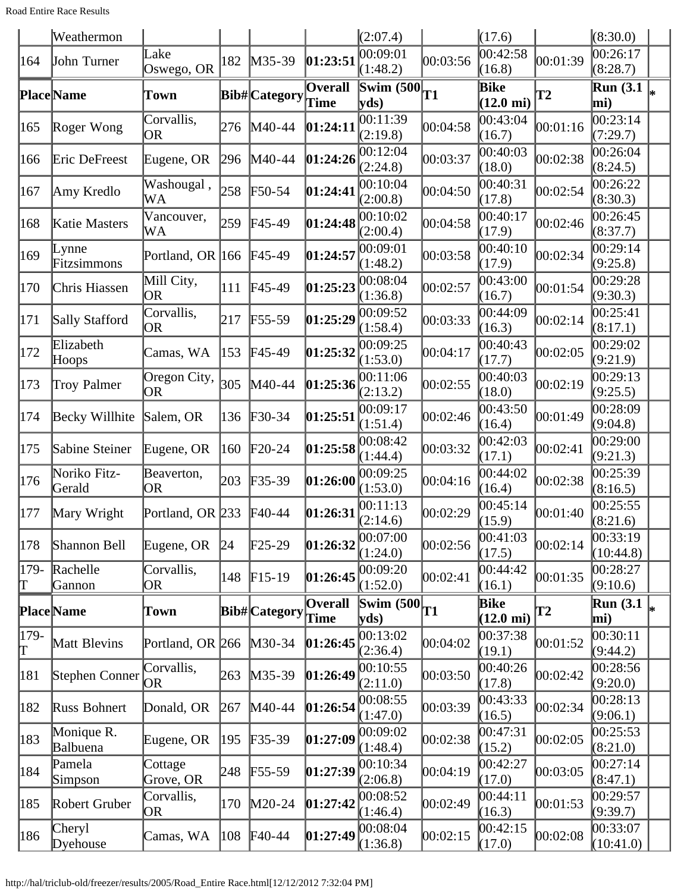Road Entire Race Results

|                                  | Weathermon              |                         |     |                      |                        | (2:07.4)                         |           | (17.6)                      |          | (8:30.0)                |  |
|----------------------------------|-------------------------|-------------------------|-----|----------------------|------------------------|----------------------------------|-----------|-----------------------------|----------|-------------------------|--|
| 164                              | John Turner             | Lake<br>Oswego, OR      | 182 | M35-39               | 01:23:51               | 0.09:01<br>(1:48.2)              | 00:03:56  | 00:42:58<br>(16.8)          | 00:01:39 | 00:26:17<br>(8:28.7)    |  |
|                                  | <b>Place</b> Name       | Town                    |     | <b>Bib#</b> Category | Overall<br>Time        | $\mathbf{Swim}\;$ (500)<br> yds) | <b>T1</b> | Bike<br>$(12.0 \text{ mi})$ | T2       | <b>Run</b> (3.1)<br>mi) |  |
| 165                              | Roger Wong              | Corvallis,<br>OR        | 276 | M40-44               | 01:24:11               | 00:11:39<br>(2:19.8)             | 00:04:58  | 00:43:04<br>(16.7)          | 00:01:16 | 00:23:14<br>(7:29.7)    |  |
| 166                              | Eric DeFreest           | Eugene, OR              | 296 | M40-44               | 01:24:26               | 00:12:04<br>(2:24.8)             | 00:03:37  | 00:40:03<br>(18.0)          | 00:02:38 | 00:26:04<br>(8:24.5)    |  |
| 167                              | Amy Kredlo              | Washougal,<br>WA        | 258 | $F50-54$             | 01:24:41               | 00:10:04<br>(2:00.8)             | 00:04:50  | 00:40:31<br>(17.8)          | 00:02:54 | 00:26:22<br>(8:30.3)    |  |
| 168                              | Katie Masters           | Vancouver,<br>WA        | 259 | F45-49               | 01:24:48               | 00:10:02<br>(2:00.4)             | 00:04:58  | 00:40:17<br>(17.9)          | 00:02:46 | 00:26:45<br>(8:37.7)    |  |
| 169                              | $L$ ynne<br>Fitzsimmons | Portland, OR 166        |     | F45-49               | 01:24:57               | 00:09:01<br>(1:48.2)             | 00:03:58  | 00:40:10<br>(17.9)          | 00:02:34 | 00:29:14<br>(9:25.8)    |  |
| 170                              | Chris Hiassen           | Mill City,<br>OR        | 111 | F45-49               | 01:25:23               | 00:08:04<br>(1:36.8)             | 00:02:57  | 00:43:00<br>(16.7)          | 00:01:54 | 00:29:28<br>(9:30.3)    |  |
| 171                              | Sally Stafford          | Corvallis,<br><b>OR</b> | 217 | $F55-59$             | 01:25:29               | 00:09:52<br>(1:58.4)             | 00:03:33  | 00:44:09<br>(16.3)          | 00:02:14 | 00:25:41<br>(8:17.1)    |  |
| 172                              | Elizabeth<br>Hoops      | Camas, WA               | 153 | F45-49               | 01:25:32               | 00:09:25<br>(1:53.0)             | 00:04:17  | 00:40:43<br>(17.7)          | 00:02:05 | 00:29:02<br>(9:21.9)    |  |
| 173                              | <b>Troy Palmer</b>      | Oregon City,<br>OR      | 305 | M40-44               | 01:25:36               | 00:11:06<br>(2:13.2)             | 00:02:55  | 00:40:03<br>(18.0)          | 00:02:19 | 00:29:13<br>(9:25.5)    |  |
| 174                              | Becky Willhite          | Salem, OR               | 136 | $F30-34$             | 01:25:51               | 00:09:17<br>(1:51.4)             | 00:02:46  | 00:43:50<br>(16.4)          | 00:01:49 | 00:28:09<br>(9:04.8)    |  |
| 175                              | Sabine Steiner          | Eugene, OR              | 160 | $F20-24$             | 01:25:58               | 00:08:42<br>(1:44.4)             | 00:03:32  | 00:42:03<br>(17.1)          | 00:02:41 | 00:29:00<br>(9:21.3)    |  |
| 176                              | Noriko Fitz-<br>Gerald  | Beaverton,<br>OR        | 203 | $F35-39$             | 01:26:00               | 00:09:25<br>(1:53.0)             | 00:04:16  | 00:44:02<br>(16.4)          | 00:02:38 | 00:25:39<br>(8:16.5)    |  |
| 177                              | Mary Wright             | Portland, OR 233        |     | F40-44               | 01:26:31               | 00:11:13<br>(2:14.6)             | 00:02:29  | 00:45:14<br>(15.9)          | 00:01:40 | 00:25:55<br>(8:21.6)    |  |
| 178                              | Shannon Bell            | Eugene, OR              | 24  | $F25-29$             | 01:26:32               | 00:07:00<br>(1:24.0)             | 00:02:56  | 00:41:03<br>(17.5)          | 00:02:14 | [00:33:19]<br>(10:44.8) |  |
| 179-<br>Т                        | Rachelle<br>Gannon      | Corvallis,<br>OR        | 148 | $F15-19$             | 01:26:45               | 00:09:20<br>(1:52.0)             | 00:02:41  | 00:44:42<br>(16.1)          | 00:01:35 | 00:28:27<br>(9:10.6)    |  |
|                                  | <b>Place</b> Name       | Town                    |     | <b>Bib#</b> Category | <b>Overall</b><br>Time | Swim $(500)$<br>yds)             | T1        | Bike<br>$(12.0 \text{ mi})$ | T2       | <b>Run</b> (3.1<br>mi)  |  |
| 179-<br>$\mathord{\text{\rm T}}$ | Matt Blevins            | Portland, OR 266        |     | $M30-34$             | 01:26:45               | 00:13:02<br>(2:36.4)             | 00:04:02  | 00:37:38<br>(19.1)          | 00:01:52 | 00:30:11<br>(9:44.2)    |  |
| 181                              | Stephen Conner          | Corvallis,<br>OR        | 263 | M35-39               | 01:26:49               | 00:10:55<br>(2:11.0)             | 00:03:50  | 00:40:26<br>(17.8)          | 00:02:42 | 00:28:56<br>(9:20.0)    |  |
| 182                              | Russ Bohnert            | Donald, OR              | 267 | M40-44               | 01:26:54               | 00:08:55<br>(1:47.0)             | 00:03:39  | 00:43:33<br>(16.5)          | 00:02:34 | 00:28:13<br>(9:06.1)    |  |
| 183                              | Monique R.<br>Balbuena  | Eugene, OR              | 195 | $F35-39$             | [01:27:09]             | 00:09:02<br>(1:48.4)             | 00:02:38  | 00:47:31<br>(15.2)          | 00:02:05 | 00:25:53<br>(8:21.0)    |  |
| 184                              | Pamela<br>Simpson       | Cottage<br>Grove, OR    | 248 | $F55-59$             | [01:27:39]             | 00:10:34<br>(2:06.8)             | 00:04:19  | 00:42:27<br>(17.0)          | 00:03:05 | 00:27:14<br>(8:47.1)    |  |
| 185                              | Robert Gruber           | Corvallis,<br>OR        | 170 | $M20-24$             | 01:27:42               | 00:08:52<br>(1:46.4)             | 00:02:49  | 00:44:11<br>(16.3)          | 00:01:53 | 00:29:57<br>(9:39.7)    |  |
| 186                              | Cheryl<br>Dyehouse      | Camas, WA               | 108 | $F40-44$             | [01:27:49]             | 00:08:04<br>(1:36.8)             | 00:02:15  | 00:42:15<br>(17.0)          | 00:02:08 | 00:33:07<br>(10:41.0)   |  |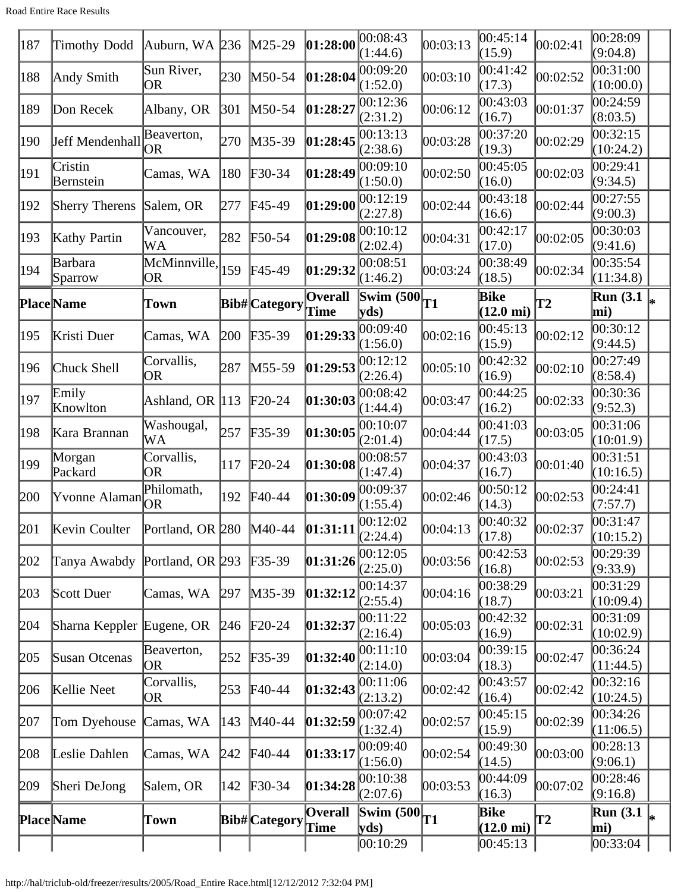Road Entire Race Results

| 187 | Timothy Dodd              | Auburn, WA 236                                              |     | $M25-29$                   | 01:28:00               | 00:08:43<br>(1:44.6) | 00:03:13 | 00:45:14<br>(15.9)          | 00:02:41      | 00:28:09<br>(9:04.8)              |  |
|-----|---------------------------|-------------------------------------------------------------|-----|----------------------------|------------------------|----------------------|----------|-----------------------------|---------------|-----------------------------------|--|
| 188 | Andy Smith                | Sun River,<br>OR                                            | 230 | M50-54                     | 01:28:04               | 00:09:20<br>(1:52.0) | 00:03:10 | 00:41:42<br>(17.3)          | 00:02:52      | 00:31:00<br>(10:00.0)             |  |
| 189 | Don Recek                 | Albany, OR                                                  | 301 | $M50-54$                   | 01:28:27               | 00:12:36<br>(2:31.2) | 00:06:12 | 00:43:03<br>(16.7)          | 00:01:37      | 00:24:59<br>(8:03.5)              |  |
| 190 | Jeff Mendenhall           | Beaverton,<br>OR                                            | 270 | $M35-39$                   | 01:28:45               | 00:13:13<br>(2:38.6) | 00:03:28 | 00:37:20<br>(19.3)          | 00:02:29      | 00:32:15<br>(10:24.2)             |  |
| 191 | Cristin<br>Bernstein      | Camas, WA                                                   | 180 | $\textcolor{blue}{F30-34}$ | 01:28:49               | 00:09:10<br>(1:50.0) | 00:02:50 | 00:45:05<br>(16.0)          | 00:02:03      | 00:29:41<br>(9:34.5)              |  |
| 192 | <b>Sherry Therens</b>     | Salem, OR                                                   | 277 | $F45-49$                   | 01:29:00               | 00:12:19<br>(2:27.8) | 00:02:44 | 00:43:18<br>(16.6)          | 00:02:44      | $\overline{0}0:27:55$<br>(9:00.3) |  |
| 193 | Kathy Partin              | Vancouver,<br>WA                                            | 282 | $F50-54$                   | 01:29:08               | 00:10:12<br>(2:02.4) | 00:04:31 | 00:42:17<br>(17.0)          | 00:02:05      | 00:30:03<br>(9:41.6)              |  |
| 194 | Barbara<br>Sparrow        | $\overline{\text{McMinnville}}$ <sub>159</sub><br><b>OR</b> |     | $F45-49$                   | 01:29:32               | 00:08:51<br>(1:46.2) | 00:03:24 | 00:38:49<br>(18.5)          | 00:02:34      | 00:35:54<br>(11:34.8)             |  |
|     |                           |                                                             |     |                            | Overall                | <b>Swim (500)</b>    |          | Bike                        |               | Run $(3.1)$                       |  |
|     | <b>Place</b> Name         | Town                                                        |     | <b>Bib#</b> Category       | Time                   | yds)                 | T1       | $(12.0 \text{ mi})$         | $\bf{T2}$     | mi)                               |  |
| 195 | Kristi Duer               | Camas, WA                                                   | 200 | $F35-39$                   | 01:29:33               | 00:09:40<br>(1:56.0) | 00:02:16 | 00:45:13<br>(15.9)          | 00:02:12      | 00:30:12<br>(9:44.5)              |  |
| 196 | Chuck Shell               | Corvallis,<br>OR                                            | 287 | $M55-59$                   | 01:29:53               | 00:12:12<br>(2:26.4) | 00:05:10 | 00:42:32<br>(16.9)          | 00:02:10      | 00:27:49<br>(8:58.4)              |  |
| 197 | Emily<br>Knowlton         | Ashland, OR 113                                             |     | $\text{F}20-24$            | 01:30:03               | 00:08:42<br>(1:44.4) | 00:03:47 | 00:44:25<br>(16.2)          | 00:02:33      | 00:30:36<br>(9:52.3)              |  |
| 198 | Kara Brannan              | Washougal,<br>WA                                            | 257 | $F35-39$                   | 01:30:05               | 00:10:07<br>(2:01.4) | 00:04:44 | 00:41:03<br>(17.5)          | 00:03:05      | 00:31:06<br>(10:01.9)             |  |
| 199 | Morgan<br>Packard         | Corvallis,<br>OR                                            | 117 | $\text{F}20-24$            | 01:30:08               | 00:08:57<br>(1:47.4) | 00:04:37 | 00:43:03<br>(16.7)          | 00:01:40      | 00:31:51<br>(10:16.5)             |  |
| 200 | [Yvonne Alaman]           | Philomath,<br><b>OR</b>                                     | 192 | $\text{F}40-44$            | [01:30:09]             | 00:09:37<br>(1:55.4) | 00:02:46 | 00:50:12<br>(14.3)          | 00:02:53      | 00:24:41<br>(7:57.7)              |  |
| 201 | Kevin Coulter             | Portland, OR $\sqrt{280}$ M40-44                            |     |                            | 01:31:11               | 00:12:02<br>(2:24.4) | 00:04:13 | 00:40:32<br>(17.8)          | 00:02:37      | [00:31:47]<br>(10:15.2)           |  |
| 202 | Tanya Awabdy              | Portland, OR 293                                            |     | $F35-39$                   | 01:31:26               | 00:12:05<br>(2:25.0) | 00:03:56 | 00:42:53<br>(16.8)          | 00:02:53      | 00:29:39<br>(9:33.9)              |  |
| 203 | Scott Duer                | Camas, WA                                                   | 297 | $M35-39$                   | 01:32:12               | 00:14:37<br>(2:55.4) | 00:04:16 | 00:38:29<br>(18.7)          | 00:03:21      | 00:31:29<br>(10:09.4)             |  |
| 204 | Sharna Keppler Eugene, OR |                                                             | 246 | $F20-24$                   | 01:32:37               | 00:11:22<br>(2:16.4) | 00:05:03 | 00:42:32<br>(16.9)          | 00:02:31      | 00:31:09<br>(10:02.9)             |  |
| 205 | Susan Otcenas             | Beaverton,<br>OR)                                           | 252 | $F35-39$                   | [01:32:40]             | 00:11:10<br>(2:14.0) | 00:03:04 | 00:39:15<br>(18.3)          | 00:02:47      | 00:36:24<br>(11:44.5)             |  |
| 206 | Kellie Neet               | Corvallis,<br>OR                                            | 253 | $F40-44$                   | 01:32:43               | 00:11:06<br>(2:13.2) | 00:02:42 | 00:43:57<br>(16.4)          | 00:02:42      | 00:32:16<br>(10:24.5)             |  |
| 207 | Tom Dyehouse              | Camas, WA                                                   | 143 | $M40-44$                   | 01:32:59               | 00:07:42<br>(1:32.4) | 00:02:57 | 00:45:15<br>(15.9)          | 00:02:39      | 00:34:26<br>(11:06.5)             |  |
| 208 | Leslie Dahlen             | Camas, WA                                                   | 242 | $F40-44$                   | [01:33:17]             | 00:09:40<br>(1:56.0) | 00:02:54 | 00:49:30<br>(14.5)          | 00:03:00      | 00:28:13<br>(9:06.1)              |  |
| 209 | Sheri DeJong              | Salem, OR                                                   | 142 | $F30-34$                   | [01:34:28]             | 00:10:38<br>(2:07.6) | 00:03:53 | 00:44:09<br>(16.3)          | 00:07:02      | 00:28:46<br>(9:16.8)              |  |
|     | <b>Place</b> Name         | Town                                                        |     | <b>Bib#</b> Category       | <b>Overall</b><br>Time | Swim $(500)$<br>yds  | T1       | Bike<br>$(12.0 \text{ mi})$ | $\mathbf{T2}$ | <b>Run</b> (3.1)<br>mi)           |  |
|     |                           |                                                             |     |                            |                        | 00:10:29             |          | 00:45:13                    |               | 00:33:04                          |  |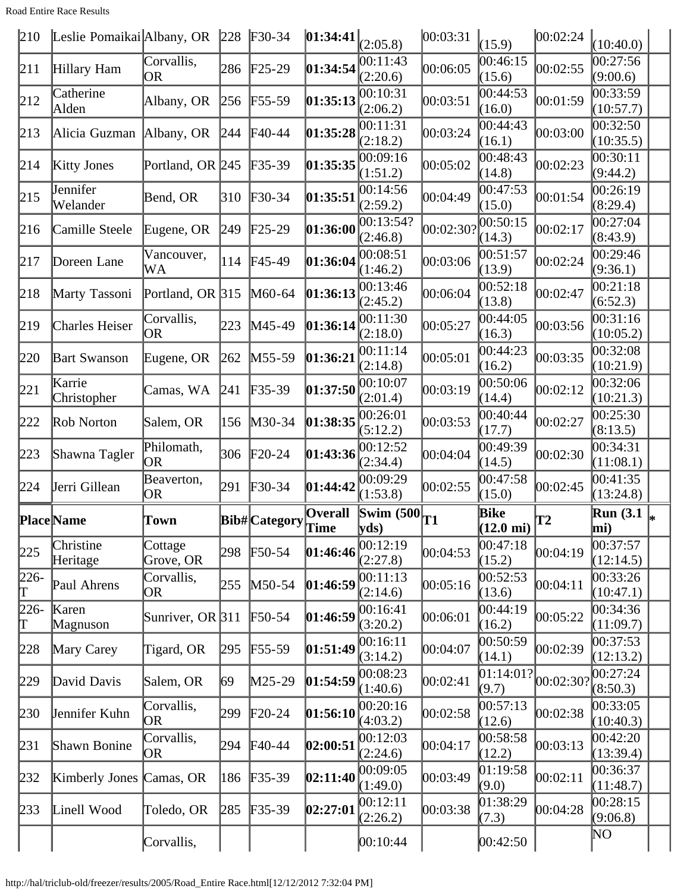Road Entire Race Results

| 210          | Leslie Pomaikai Albany, OR 228 |                         |     | $F30-34$      | 01:34:41               | (2:05.8)                                  | 00:03:31  | (15.9)                      | 00:02:24  | (10:40.0)             |
|--------------|--------------------------------|-------------------------|-----|---------------|------------------------|-------------------------------------------|-----------|-----------------------------|-----------|-----------------------|
| 211          | Hillary Ham                    | Corvallis,<br>OR        | 286 | $F25-29$      | 01:34:54               | 00:11:43<br>(2:20.6)                      | 00:06:05  | 00:46:15<br>(15.6)          | 00:02:55  | 00:27:56<br>(9:00.6)  |
| 212          | Catherine<br>Alden             | Albany, OR              | 256 | $F55-59$      | 01:35:13               | 00:10:31<br>(2:06.2)                      | 00:03:51  | 00:44:53<br>(16.0)          | 00:01:59  | 00:33:59<br>(10:57.7) |
| 213          | Alicia Guzman Albany, OR       |                         | 244 | F40-44        | 01:35:28               | 00:11:31<br>(2:18.2)                      | 00:03:24  | 00:44:43<br>(16.1)          | 00:03:00  | 00:32:50<br>(10:35.5) |
| 214          | <b>Kitty Jones</b>             | Portland, OR 245        |     | $F35-39$      | 01:35:35               | 00:09:16<br>(1:51.2)                      | 00:05:02  | 00:48:43<br>(14.8)          | 00:02:23  | 0.30:11<br>(9:44.2)   |
| 215          | Jennifer<br>Welander           | Bend, OR                | 310 | $F30-34$      | 01:35:51               | 00:14:56<br>(2:59.2)                      | 00:04:49  | 00:47:53<br>(15.0)          | 00:01:54  | 00:26:19<br>(8:29.4)  |
| 216          | Camille Steele                 | Eugene, OR              | 249 | $F25-29$      | 01:36:00               | 00:13:54?<br>(2:46.8)                     | 00:02:30? | 00:50:15<br>(14.3)          | 00:02:17  | 00:27:04<br>(8:43.9)  |
| 217          | Doreen Lane                    | Vancouver,<br>WA        | 114 | F45-49        | 01:36:04               | 00:08:51<br>(1:46.2)                      | 00:03:06  | 00:51:57<br>(13.9)          | 00:02:24  | 00:29:46<br>(9:36.1)  |
| 218          | Marty Tassoni                  | Portland, OR 315        |     | M60-64        | 01:36:13               | 00:13:46<br>(2:45.2)                      | 00:06:04  | 00:52:18<br>(13.8)          | 00:02:47  | 00:21:18<br>(6:52.3)  |
| 219          | Charles Heiser                 | Corvallis,<br>OR        | 223 | M45-49        | 01:36:14               | 00:11:30<br>(2:18.0)                      | 00:05:27  | 00:44:05<br>(16.3)          | 00:03:56  | 00:31:16<br>(10:05.2) |
| 220          | <b>Bart Swanson</b>            | Eugene, OR              | 262 | M55-59        | 01:36:21               | 00:11:14<br>(2:14.8)                      | 00:05:01  | 00:44:23<br>(16.2)          | 00:03:35  | 00:32:08<br>(10:21.9) |
| 221          | Karrie<br>Christopher          | Camas, WA               | 241 | $F35-39$      | 01:37:50               | 00:10:07<br>(2:01.4)                      | 00:03:19  | 00:50:06<br>(14.4)          | 00:02:12  | 00:32:06<br>(10:21.3) |
| 222          | Rob Norton                     | Salem, OR               | 156 | M30-34        | 01:38:35               | 00:26:01<br>(5:12.2)                      | 00:03:53  | 00:40:44<br>(17.7)          | 00:02:27  | 00:25:30<br>(8:13.5)  |
|              |                                |                         |     |               |                        |                                           |           |                             |           |                       |
| 223          | Shawna Tagler                  | Philomath,<br><b>OR</b> | 306 | $F20-24$      | 01:43:36               | 00:12:52<br>(2:34.4)                      | 00:04:04  | 00:49:39<br>(14.5)          | 00:02:30  | 00:34:31<br>(11:08.1) |
| 224          | Jerri Gillean                  | Beaverton,<br>OR        | 291 | $F30-34$      | 01:44:42               | 00:09:29<br>(1:53.8)                      | 00:02:55  | 00:47:58<br>(15.0)          | 00:02:45  | 00:41:35<br>(13:24.8) |
|              | <b>Place</b> Name              | Town                    |     | Bib# Category | <b>Overall</b><br>Time | $\overline{\text{Swim } (500)}$ T1<br>yds |           | Bike<br>$(12.0 \text{ mi})$ | T2        | Run $(3.1)$<br>mi)    |
| 225          | Christine<br>Heritage          | Cottage<br>Grove, OR    | 298 | $F50-54$      | 01:46:46               | 00:12:19<br>(2:27.8)                      | 00:04:53  | 00:47:18<br>(15.2)          | 00:04:19  | 00:37:57<br>(12:14.5) |
| $226 -$<br>Γ | Paul Ahrens                    | Corvallis,<br>OR        | 255 | M50-54        | 01:46:59               | 00:11:13<br>(2:14.6)                      | 00:05:16  | 00:52:53<br>(13.6)          | 00:04:11  | 00:33:26<br>(10:47.1) |
| $226 -$<br>T | Karen<br>Magnuson              | Sunriver, OR $ 311$     |     | F50-54        | 01:46:59               | 00:16:41<br>(3:20.2)                      | 00:06:01  | 00:44:19<br>(16.2)          | 00:05:22  | 00:34:36<br>(11:09.7) |
| 228          | Mary Carey                     | Tigard, OR              | 295 | $F55-59$      | [01:51:49]             | 00:16:11<br>(3:14.2)                      | 00:04:07  | 00:50:59<br>(14.1)          | 00:02:39  | 00:37:53<br>(12:13.2) |
| 229          | David Davis                    | Salem, OR               | 69  | M25-29        | 01:54:59               | 00:08:23<br>(1:40.6)                      | 00:02:41  | 01:14:01?<br>(9.7)          | 00:02:30? | 00:27:24<br>(8:50.3)  |
| 230          | Jennifer Kuhn                  | Corvallis,<br><b>OR</b> | 299 | $F20-24$      | 01:56:10               | 00:20:16<br>(4:03.2)                      | 00:02:58  | 00:57:13<br>(12.6)          | 00:02:38  | 00:33:05<br>(10:40.3) |
| 231          | Shawn Bonine                   | Corvallis,<br>OR        | 294 | F40-44        | 02:00:51               | 00:12:03<br>(2:24.6)                      | 00:04:17  | 00:58:58<br>(12.2)          | 00:03:13  | 00:42:20<br>(13:39.4) |
| 232          | <b>Kimberly Jones</b>          | Camas, OR               | 186 | $F35-39$      | 02:11:40               | 00:09:05<br>(1:49.0)                      | 00:03:49  | 01:19:58<br>(9.0)           | 00:02:11  | 00:36:37<br>(11:48.7) |
| 233          | Linell Wood                    | Toledo, OR              | 285 | $F35-39$      | 02:27:01               | 00:12:11<br>(2:26.2)                      | 00:03:38  | 01:38:29<br>(7.3)           | 00:04:28  | 00:28:15<br>(9:06.8)  |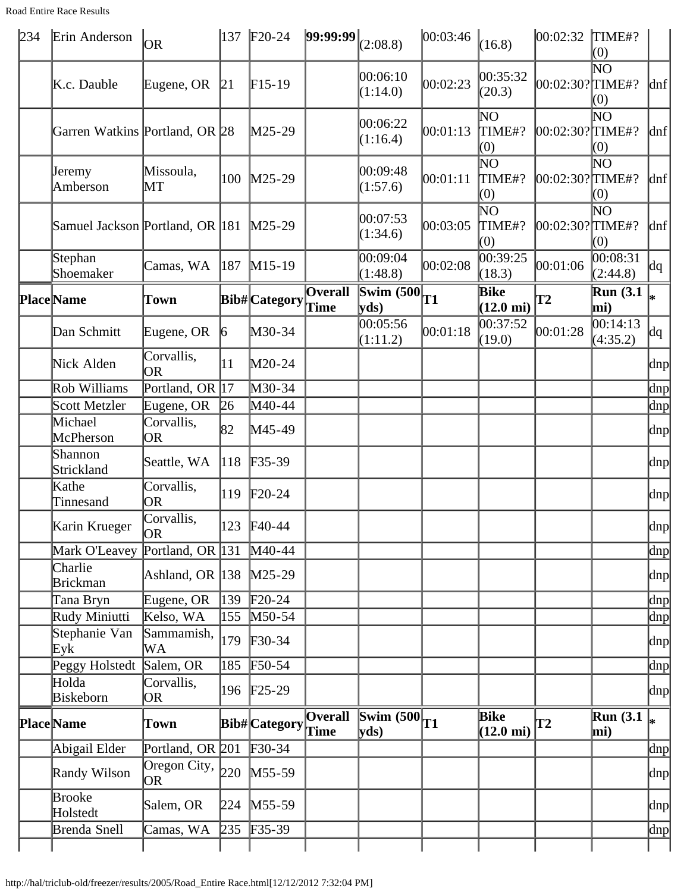| <b>Road Entire Race Results</b> |
|---------------------------------|
|---------------------------------|

| 234 | Erin Anderson                   | <b>OR</b>                        |                 | 137   F20-24            | $ 99:99:99 _{(2:08.8)}$ |                                                 | 00:03:46 | (16.8)                               | 00:02:32        | TIME#?<br>(0)              |                     |
|-----|---------------------------------|----------------------------------|-----------------|-------------------------|-------------------------|-------------------------------------------------|----------|--------------------------------------|-----------------|----------------------------|---------------------|
|     | K.c. Dauble                     | Eugene, OR                       | 21              | $F15-19$                |                         | 00:06:10<br>(1:14.0)                            | 00:02:23 | 00:35:32<br>(20.3)                   | 00:02:30?∏IME#? | $\overline{\rm NO}$<br>(0) | $\vert$ dnf $\vert$ |
|     | Garren Watkins Portland, OR 28  |                                  |                 | M25-29                  |                         | 00:06:22<br>(1:16.4)                            | 00:01:13 | $\overline{\rm NO}$<br>TIME#?<br>(0) | 00:02:30?∏IME#? | $\overline{\rm NO}$<br>(0) | $\vert$ dnf $\vert$ |
|     | Jeremy<br>Amberson              | Missoula,<br>MT                  | 100             | $M25-29$                |                         | 00:09:48<br>(1:57.6)                            | 00:01:11 | $\overline{\rm NO}$<br>TIME#?<br>(0) | 00:02:30?TIME#? | $\overline{\rm NO}$<br>(0) | $\vert$ dnf $\vert$ |
|     | Samuel Jackson Portland, OR 181 |                                  |                 | $M25-29$                |                         | 00:07:53<br>(1:34.6)                            | 00:03:05 | $\overline{\rm NO}$<br>TIME#?<br>(0) | 00:02:30?∏IME#? | $N$ O<br>(0)               | $\vert$ dnf $\vert$ |
|     | Stephan<br>Shoemaker            | Camas, WA                        | 187             | $M15-19$                |                         | 00:09:04<br>(1:48.8)                            | 00:02:08 | $\overline{00:39:25}$<br>(18.3)      | 00:01:06        | 00:08:31<br>(2:44.8)       | dq                  |
|     | <b>Place</b> Name               | Town                             |                 | Bib#Category            | Overall<br><b>Time</b>  | $\frac{1}{\sqrt{\text{Swim }(500)}}$ T1<br>yds) |          | Bike<br>$(12.0 \text{ mi})$          | $\mathbf{T2}$   | <b>Run</b> (3.1)<br>mi)    |                     |
|     | Dan Schmitt                     | Eugene, OR                       | $\vert 6 \vert$ | M30-34                  |                         | 00:05:56<br>(1:11.2)                            | 00:01:18 | 00:37:52<br>(19.0)                   | 00:01:28        | 00:14:13<br>(4:35.2)       | dq                  |
|     | Nick Alden                      | Corvallis,<br><b>OR</b>          | 11              | M20-24                  |                         |                                                 |          |                                      |                 |                            | dnp                 |
|     | Rob Williams                    | Portland, OR 17                  |                 | M30-34                  |                         |                                                 |          |                                      |                 |                            | dnp                 |
|     | Scott Metzler                   | Eugene, OR                       | $\sqrt{26}$     | M40-44                  |                         |                                                 |          |                                      |                 |                            | $\alpha$            |
|     | Michael<br>McPherson            | Corvallis,<br>0R                 | 82              | M45-49                  |                         |                                                 |          |                                      |                 |                            | $ {\rm dnp} $       |
|     | Shannon<br>Strickland           | Seattle, WA                      | 118             | $F35-39$                |                         |                                                 |          |                                      |                 |                            | $\vert$ dnp         |
|     | Kathe<br>Tinnesand              | Corvallis,<br>OR                 | 119             | $F20-24$                |                         |                                                 |          |                                      |                 |                            | dnp                 |
|     | Karin Krueger                   | Corvallis,<br><b>OR</b>          |                 | 123 F40-44              |                         |                                                 |          |                                      |                 |                            | $\vert$ dnp         |
|     | Mark O'Leavey Portland, OR 131  |                                  |                 | $M40-44$                |                         |                                                 |          |                                      |                 |                            | dnp                 |
|     | Charlie<br><b>Brickman</b>      | Ashland, OR 138 M25-29           |                 |                         |                         |                                                 |          |                                      |                 |                            | $\vert$ dnp $\vert$ |
|     | Tana Bryn                       | Eugene, OR                       | 139             | $\text{F}20-24$         |                         |                                                 |          |                                      |                 |                            | dnp                 |
|     | Rudy Miniutti                   | Kelso, WA                        | 155             | $M50-54$                |                         |                                                 |          |                                      |                 |                            | $\ln p$             |
|     | Stephanie Van<br>Eyk            | Sammamish,<br>WА                 | 179             | $F30-34$                |                         |                                                 |          |                                      |                 |                            | dnp                 |
|     | Peggy Holstedt                  | Salem, OR                        | 185             | $F50-54$                |                         |                                                 |          |                                      |                 |                            | dnp                 |
|     | Holda<br>Biskeborn              | Corvallis,<br>OR                 |                 | 196 F <sub>25</sub> -29 |                         |                                                 |          |                                      |                 |                            | $\vert$ dnp $\vert$ |
|     | <b>Place</b> Name               | Town                             |                 | Bib#Category Time       | <b>Overall</b>          | $\frac{1}{\sqrt{\text{Swim }(500)}}$ T1<br>yds) |          | Bike<br>$(12.0 \text{ mi})$          | T2              | Run(3.1)<br>mi)            |                     |
|     | Abigail Elder                   | Portland, OR 201 F30-34          |                 |                         |                         |                                                 |          |                                      |                 |                            | $\ln p$             |
|     | Randy Wilson                    | Oregon City, $\vert_{220}$<br>OR |                 | $M55-59$                |                         |                                                 |          |                                      |                 |                            | dnp                 |
|     | Brooke<br>Holstedt              | Salem, OR                        | 224             | $M55-59$                |                         |                                                 |          |                                      |                 |                            | dnp                 |
|     | Brenda Snell                    | Camas, WA                        | 235             | $F35-39$                |                         |                                                 |          |                                      |                 |                            | $\ln p$             |
|     |                                 |                                  |                 |                         |                         |                                                 |          |                                      |                 |                            |                     |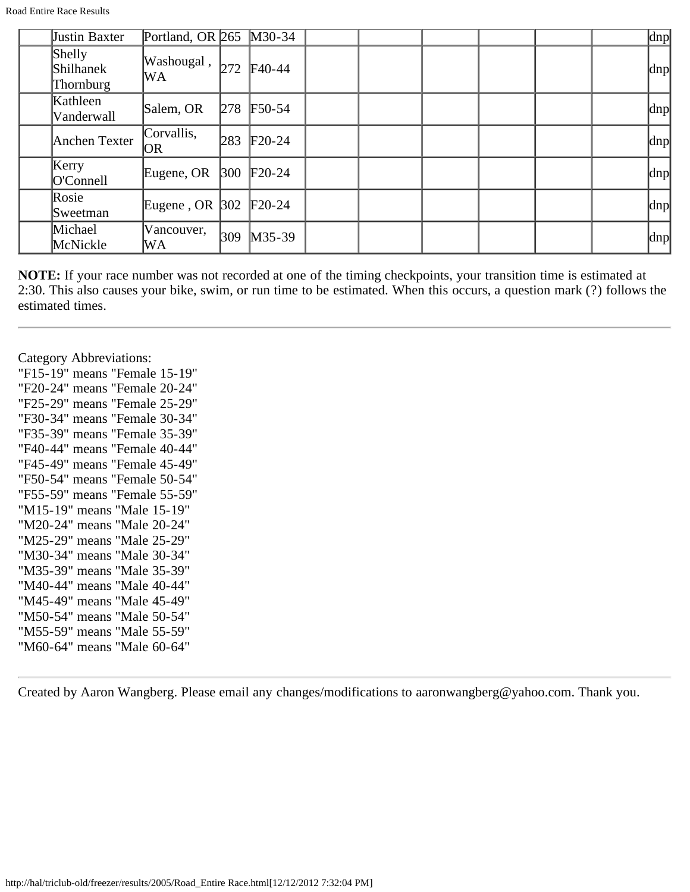Road Entire Race Results

| Justin Baxter                    | Portland, OR $265$ |               | $M30-34$ |  |  |  | dnp |
|----------------------------------|--------------------|---------------|----------|--|--|--|-----|
| Shelly<br>Shilhanek<br>Thornburg | Washougal,<br>WA   | 272           | $F40-44$ |  |  |  | dnp |
| Kathleen<br>Vanderwall           | Salem, OR          | 278           | $F50-54$ |  |  |  | dnp |
| Anchen Texter                    | Corvallis,<br>OR   | 283           | $F20-24$ |  |  |  | dnp |
| Kerry<br>O'Connell               | Eugene, OR         | $ 300\rangle$ | $F20-24$ |  |  |  | dnp |
| Rosie<br>Sweetman                | Eugene, OR $ 302 $ |               | $F20-24$ |  |  |  | dnp |
| Michael<br>McNickle              | Vancouver,<br>WA   | 309           | $M35-39$ |  |  |  | dnp |

Category Abbreviations:

"F15-19" means "Female 15-19" "F20-24" means "Female 20-24" "F25-29" means "Female 25-29" "F30-34" means "Female 30-34" "F35-39" means "Female 35-39" "F40-44" means "Female 40-44" "F45-49" means "Female 45-49" "F50-54" means "Female 50-54" "F55-59" means "Female 55-59" "M15-19" means "Male 15-19" "M20-24" means "Male 20-24" "M25-29" means "Male 25-29" "M30-34" means "Male 30-34" "M35-39" means "Male 35-39" "M40-44" means "Male 40-44" "M45-49" means "Male 45-49" "M50-54" means "Male 50-54" "M55-59" means "Male 55-59" "M60-64" means "Male 60-64"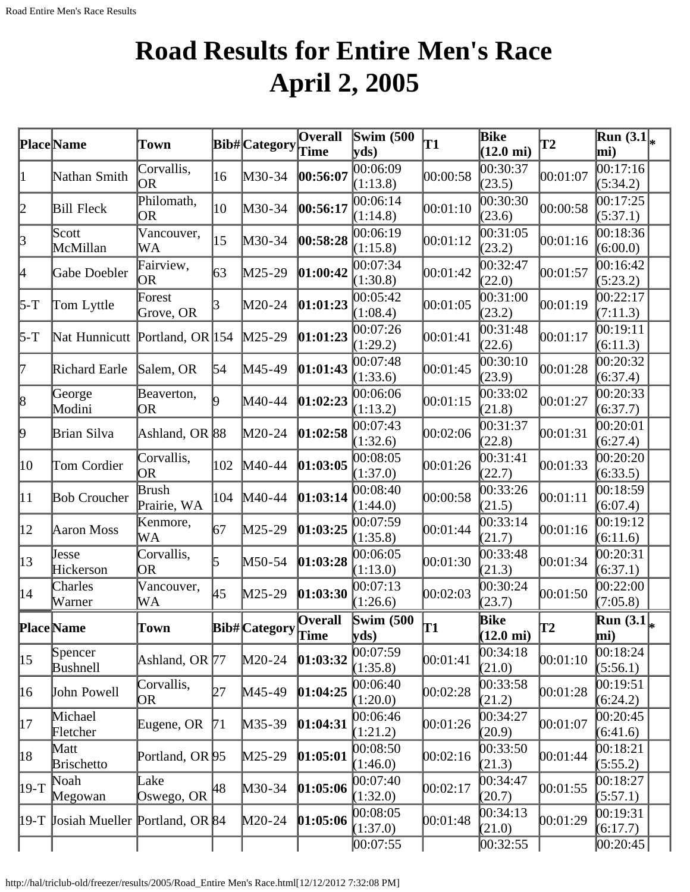# **Road Results for Entire Men's Race April 2, 2005**

|                  | Place Name                          | Town                       |     | Bib#Category  | Overall<br>Time         | Swim $(500)$<br>$\mathbf{v}\mathbf{ds}$ | T1       | <b>Bike</b><br>$(12.0 \text{ mi})$ | <b>T2</b> | $\overline{\text{Run}}(3.1\vert_{\ast})$<br>mi) |  |
|------------------|-------------------------------------|----------------------------|-----|---------------|-------------------------|-----------------------------------------|----------|------------------------------------|-----------|-------------------------------------------------|--|
| 1                | Nathan Smith                        | Corvallis,<br>OR           | 16  | M30-34        | 00:56:07                | 00:06:09<br>(1:13.8)                    | 00:00:58 | 00:30:37<br>(23.5)                 | 00:01:07  | 00:17:16<br>(5:34.2)                            |  |
| 2                | <b>Bill Fleck</b>                   | Philomath,<br>OR           | 10  | M30-34        | 00:56:17                | 00:06:14<br>(1:14.8)                    | 00:01:10 | 00:30:30<br>(23.6)                 | 00:00:58  | 00:17:25<br>(5:37.1)                            |  |
| 3                | Scott<br>McMillan                   | Vancouver,<br>WA           | 15  | M30-34        | 00:58:28                | 00:06:19<br>(1:15.8)                    | 00:01:12 | 00:31:05<br>(23.2)                 | 00:01:16  | 00:18:36<br>(6:00.0)                            |  |
| 4                | Gabe Doebler                        | Fairview,<br>OR            | 63  | M25-29        | 01:00:42                | 00:07:34<br>(1:30.8)                    | 00:01:42 | 00:32:47<br>(22.0)                 | 00:01:57  | 00:16:42<br>(5:23.2)                            |  |
| 5-T              | Tom Lyttle                          | Forest<br>Grove, OR        | В   | M20-24        | [01:01:23]              | 00:05:42<br>(1:08.4)                    | 00:01:05 | 00:31:00<br>(23.2)                 | 00:01:19  | 00:22:17<br>(7:11.3)                            |  |
| 5-T              | Nat Hunnicutt Portland, OR 154      |                            |     | $M25-29$      | [01:01:23]              | 00:07:26<br>(1:29.2)                    | 00:01:41 | 00:31:48<br>(22.6)                 | 00:01:17  | 00:19:11<br>(6:11.3)                            |  |
| 7                | Richard Earle                       | Salem, OR                  | 54  | M45-49        | [01:01:43]              | 00:07:48<br>(1:33.6)                    | 00:01:45 | 00:30:10<br>(23.9)                 | 00:01:28  | 00:20:32<br>(6:37.4)                            |  |
| 8                | George<br>Modini                    | Beaverton,<br>OR           |     | M40-44        | 01:02:23                | 00:06:06<br>(1:13.2)                    | 00:01:15 | 00:33:02<br>(21.8)                 | 00:01:27  | 00:20:33<br>(6:37.7)                            |  |
| þ.               | Brian Silva                         | Ashland, OR 88             |     | M20-24        | [01:02:58]              | 00:07:43<br>(1:32.6)                    | 00:02:06 | 00:31:37<br>(22.8)                 | 00:01:31  | 00:20:01<br>(6:27.4)                            |  |
| 10               | Tom Cordier                         | Corvallis,<br><b>OR</b>    | 102 | $M40-44$      | 01:03:05                | 00:08:05<br>(1:37.0)                    | 00:01:26 | 00:31:41<br>(22.7)                 | 00:01:33  | 00:20:20<br>(6:33.5)                            |  |
| $ 11\rangle$     | <b>Bob Croucher</b>                 | Brush<br>Prairie, WA       | 104 | $M40-44$      | [01:03:14]              | 00:08:40<br>(1:44.0)                    | 00:00:58 | 00:33:26<br>(21.5)                 | 00:01:11  | 00:18:59<br>(6:07.4)                            |  |
| $ 12\rangle$     | Aaron Moss                          | Kenmore,<br>WА             | 67  | M25-29        | [01:03:25]              | 00:07:59<br>(1:35.8)                    | 00:01:44 | 00:33:14<br>(21.7)                 | 00:01:16  | 00:19:12<br>(6:11.6)                            |  |
| 13               | Jesse<br>Hickerson                  | Corvallis,<br>OR           | 5   | M50-54        | [01:03:28]              | 00:06:05<br>(1:13.0)                    | 00:01:30 | 00:33:48<br>(21.3)                 | 00:01:34  | 00:20:31<br>(6:37.1)                            |  |
| $ 14\rangle$     | Charles<br>Warner                   | Vancouver,<br>WA           | 45  | M25-29        | [01:03:30]              | 00:07:13<br>(1:26.6)                    | 00:02:03 | 00:30:24<br>(23.7)                 | 00:01:50  | 00:22:00<br>(7:05.8)                            |  |
|                  | <b>Place Name</b>                   | Town                       |     | Bib# Category | <b>Overall</b><br>[Time | Swim $(500)$<br>yds                     | lT1      | Bike<br>$(12.0 \text{ mi})$        | T2        | $\overline{\text{Run}}(3.1\vert_{*})$<br>mi)    |  |
| $\vert 15 \vert$ | Spencer<br>Bushnell                 | Ashland, OR 77             |     | M20-24        | [01:03:32]              | 00:07:59<br>(1:35.8)                    | 00:01:41 | 00:34:18<br>(21.0)                 | 00:01:10  | 00:18:24<br>(5:56.1)                            |  |
| 16               | John Powell                         | Corvallis,<br>OR           | 127 | M45-49        | 01:04:25                | 00:06:40<br>(1:20.0)                    | 00:02:28 | 00:33:58<br>(21.2)                 | 00:01:28  | 00:19:51<br>(6:24.2)                            |  |
| 17               | Michael<br>Fletcher                 | Eugene, OR                 | 71  | M35-39        | [01:04:31]              | 00:06:46<br>(1:21.2)                    | 00:01:26 | 00:34:27<br>(20.9)                 | 00:01:07  | 00:20:45<br>(6:41.6)                            |  |
| 18               | Matt<br><b>Brischetto</b>           | Portland, OR <sup>95</sup> |     | M25-29        | [01:05:01]              | 00:08:50<br>(1:46.0)                    | 00:02:16 | 00:33:50<br>(21.3)                 | 00:01:44  | 00:18:21<br>(5:55.2)                            |  |
| 19-T             | Noah<br>Megowan                     | Lake<br>Oswego, OR         | 48  | M30-34        | [01:05:06]              | 00:07:40<br>(1:32.0)                    | 00:02:17 | 00:34:47<br>(20.7)                 | 00:01:55  | 00:18:27<br>(5:57.1)                            |  |
|                  | 19-T Josiah Mueller Portland, OR 84 |                            |     | $M20-24$      | [01:05:06]              | 00:08:05<br>(1:37.0)<br> 00:07:55       | 00:01:48 | 00:34:13<br>(21.0)<br> 00:32:55    | 00:01:29  | 00:19:31<br>(6:17.7)<br> 00:20:45               |  |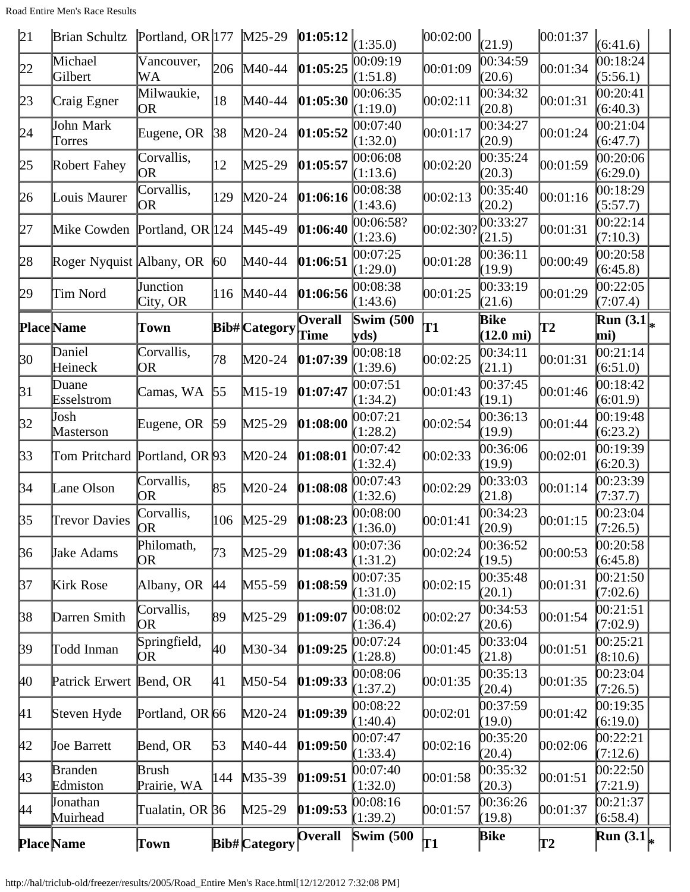| 21                 | <b>Brian Schultz</b>          | Portland, OR $ 177 \rangle$ M25-29 |              |                      | $ 01:05:12 _{(1:35.0)}$ |                                              | 00:02:00   | (21.9)                      | 00:01:37      | (6:41.6)               |  |
|--------------------|-------------------------------|------------------------------------|--------------|----------------------|-------------------------|----------------------------------------------|------------|-----------------------------|---------------|------------------------|--|
| 22                 | Michael<br>Gilbert            | Vancouver,<br>WА                   | 206          | M40-44               | 01:05:25                | 00:09:19<br>(1:51.8)                         | 00:01:09   | 00:34:59<br>(20.6)          | 00:01:34      | 00:18:24<br>(5:56.1)   |  |
| 23                 | Craig Egner                   | Milwaukie,<br>OR.                  | 18           | M40-44               | 01:05:30                | 00:06:35<br>(1:19.0)                         | 00:02:11   | 00:34:32<br>(20.8)          | 00:01:31      | 00:20:41<br>(6:40.3)   |  |
| 24                 | John Mark<br>Torres           | Eugene, OR                         | 38           | $M20-24$             | 01:05:52                | 00:07:40<br>(1:32.0)                         | 00:01:17   | 00:34:27<br>(20.9)          | 00:01:24      | 00:21:04<br>(6:47.7)   |  |
| 25                 | Robert Fahey                  | Corvallis,<br> OR                  | 12           | $M25-29$             | 01:05:57                | 00:06:08<br>(1:13.6)                         | 00:02:20   | 00:35:24<br>(20.3)          | 00:01:59      | 00:20:06<br>(6:29.0)   |  |
| 26                 | Louis Maurer                  | Corvallis,<br>OR)                  | 129          | $M20-24$             | 01:06:16                | 00:08:38<br>(1:43.6)                         | 00:02:13   | 00:35:40<br>(20.2)          | 00:01:16      | 00:18:29<br>(5:57.7)   |  |
| 27                 | Mike Cowden Portland, OR 124  |                                    |              | $M45-49$             | 01:06:40                | 00:06:58?<br>(1:23.6)                        | [00:02:30] | 00:33:27<br>(21.5)          | 00:01:31      | 00:22:14<br>(7:10.3)   |  |
| 28                 | Roger Nyquist Albany, OR      |                                    | $ 60\rangle$ | $M40-44$             | 01:06:51                | 00:07:25<br>(1:29.0)                         | 00:01:28   | 00:36:11<br>(19.9)          | 00:00:49      | 00:20:58<br>(6:45.8)   |  |
| 29                 | Tim Nord                      | Junction<br>City, OR               | 116          | $M40-44$             | 01:06:56                | 00:08:38<br>(1:43.6)                         | 00:01:25   | [00:33:19]<br>(21.6)        | 00:01:29      | 00:22:05<br>(7:07.4)   |  |
|                    | <b>Place</b> Name             | Town                               |              | Bib# Category        | Overall<br>Time         | <b>Swim (500)</b><br>$\mathbf{v}\mathbf{ds}$ | T1         | Bike<br>$(12.0 \text{ mi})$ | $\mathbf{T2}$ | Run $(3.1)$<br>mi)     |  |
| 30                 | Daniel<br>Heineck             | Corvallis,<br>OR                   | 78           | $M20-24$             | [01:07:39]              | 00:08:18<br>(1:39.6)                         | 00:02:25   | 00:34:11<br>(21.1)          | 00:01:31      | 00:21:14<br>(6:51.0)   |  |
| $\beta$ 1          | Duane<br>Esselstrom           | Camas, WA                          | 55           | $M15-19$             | 01:07:47                | 00:07:51<br>(1:34.2)                         | [00:01:43] | 00:37:45<br>(19.1)          | 00:01:46      | 00:18:42<br>(6:01.9)   |  |
| 32                 | Josh<br>Masterson             | Eugene, OR                         | 59           | $M25-29$             | [01:08:00]              | 00:07:21<br>(1:28.2)                         | 00:02:54   | 00:36:13<br>(19.9)          | 00:01:44      | 00:19:48<br>(6:23.2)   |  |
| 33                 | Tom Pritchard Portland, OR 93 |                                    |              | $M20-24$             | [01:08:01]              | 00:07:42<br>(1:32.4)                         | 00:02:33   | 00:36:06<br>(19.9)          | 00:02:01      | 00:19:39<br>(6:20.3)   |  |
| 34                 | Lane Olson                    | Corvallis,<br>OR                   | 85           | $M20-24$             | [01:08:08]              | 00:07:43<br>(1:32.6)                         | 00:02:29   | 00:33:03<br>(21.8)          | 00:01:14      | 00:23:39<br>(7:37.7)   |  |
| 35                 | <b>Trevor Davies</b>          | Corvallis,<br><b>OR</b>            | 106          | $M25-29$             | 01:08:23                | 00:08:00<br>(1:36.0)                         | 00:01:41   | 00:34:23<br>(20.9)          | 00:01:15      | 00:23:04<br>(7:26.5)   |  |
| 36                 | Jake Adams                    | Philomath,<br>OR                   | 73           | $M25-29$             | [01:08:43]              | 00:07:36<br>(1:31.2)                         | 00:02:24   | 00:36:52<br>(19.5)          | 00:00:53      | [00:20:58]<br>(6:45.8) |  |
| 37                 | Kirk Rose                     | Albany, OR                         | <b>44</b>    | $M55-59$             | 01:08:59                | 00:07:35<br>(1:31.0)                         | 00:02:15   | 00:35:48<br>(20.1)          | 00:01:31      | 00:21:50<br>(7:02.6)   |  |
| $\beta$            | Darren Smith                  | Corvallis,<br>OR                   | 89           | $M25-29$             | [01:09:07]              | 00:08:02<br>(1:36.4)                         | 00:02:27   | 00:34:53<br>(20.6)          | 00:01:54      | 00:21:51<br>(7:02.9)   |  |
| $\beta$            | Todd Inman                    | Springfield,<br>ЮR                 | 40           | M30-34               | [01:09:25]              | 00:07:24<br>(1:28.8)                         | 00:01:45   | 00:33:04<br>(21.8)          | [00:01:51]    | 00:25:21<br>(8:10.6)   |  |
| $\mu$ <sub>0</sub> | Patrick Erwert                | Bend, OR                           | 41           | $M50-54$             | [01:09:33]              | 00:08:06<br>(1:37.2)                         | 00:01:35   | 00:35:13<br>(20.4)          | 00:01:35      | [00:23:04]<br>(7:26.5) |  |
| 41                 | Steven Hyde                   | Portland, OR 66                    |              | $M20-24$             | [01:09:39]              | 00:08:22<br>(1:40.4)                         | 00:02:01   | 00:37:59<br>(19.0)          | 00:01:42      | 00:19:35<br>(6:19.0)   |  |
| 42                 | <b>Joe Barrett</b>            | Bend, OR                           | 53           | M40-44               | [01:09:50]              | 00:07:47<br>(1:33.4)                         | 00:02:16   | 00:35:20<br>(20.4)          | 00:02:06      | 00:22:21<br>(7:12.6)   |  |
| $ 43\rangle$       | <b>Branden</b><br>Edmiston    | Brush<br>Prairie, WA               | 144          | $M35-39$             | [01:09:51]              | 00:07:40<br>(1:32.0)                         | 00:01:58   | 00:35:32<br>(20.3)          | 00:01:51      | 00:22:50<br>(7:21.9)   |  |
| 44                 | <b>Jonathan</b><br>Muirhead   | Tualatin, OR <b>36</b>             |              | $M25-29$             | [01:09:53]              | 00:08:16<br>(1:39.2)                         | 00:01:57   | 00:36:26<br>(19.8)          | 00:01:37      | 00:21:37<br>(6:58.4)   |  |
|                    | <b>Place Name</b>             | Town                               |              | <b>Bib#</b> Category | <b>Overall</b>          | <b>Swim (500</b>                             | <b> T1</b> | <b>Bike</b>                 | T2            | Run $(3.1)$            |  |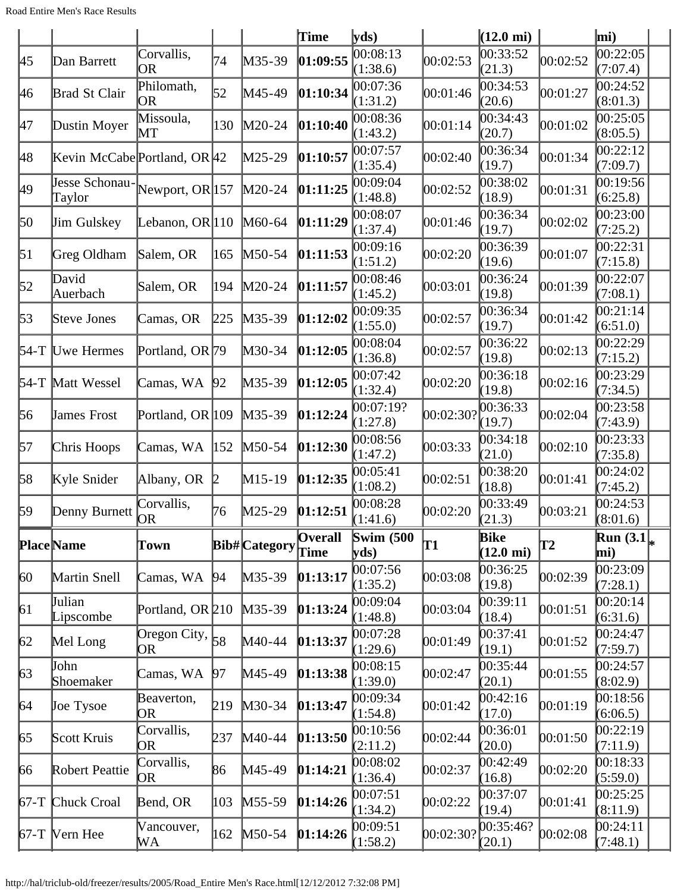|                  |                                         |                                 |                   |                      | Time                   | yds                                          |           | $(12.0 \text{ mi})$                |          | mi)                    |  |
|------------------|-----------------------------------------|---------------------------------|-------------------|----------------------|------------------------|----------------------------------------------|-----------|------------------------------------|----------|------------------------|--|
| 45               | Dan Barrett                             | Corvallis,<br>OR                | 74                | M35-39               | 01:09:55               | 00:08:13<br>(1:38.6)                         | 00:02:53  | 00:33:52<br>(21.3)                 | 00:02:52 | 00:22:05<br>(7:07.4)   |  |
| 46               | Brad St Clair                           | Philomath,<br>OR                | 52                | M45-49               | 01:10:34               | 00:07:36<br>(1:31.2)                         | 00:01:46  | 00:34:53<br>(20.6)                 | 00:01:27 | 00:24:52<br>(8:01.3)   |  |
| 47               | Dustin Moyer                            | Missoula,<br>MТ                 | 130               | $M20-24$             | 01:10:40               | 00:08:36<br>(1:43.2)                         | 00:01:14  | 00:34:43<br>(20.7)                 | 00:01:02 | 00:25:05<br>(8:05.5)   |  |
| 48               | Kevin McCabe Portland, OR 42            |                                 |                   | M25-29               | 01:10:57               | 00:07:57<br>(1:35.4)                         | 00:02:40  | 00:36:34<br>(19.7)                 | 00:01:34 | 00:22:12<br>(7:09.7)   |  |
| 49               | Jesse Schonau-Newport, OR 157<br>Taylor |                                 |                   | $M20-24$             | 01:11:25               | 00:09:04<br>(1:48.8)                         | 00:02:52  | 00:38:02<br>(18.9)                 | 00:01:31 | 00:19:56<br>(6:25.8)   |  |
| 50               | <b>Jim Gulskey</b>                      | Lebanon, OR $ 110$              |                   | $M60-64$             | 01:11:29               | 00:08:07<br>(1:37.4)                         | 00:01:46  | 00:36:34<br>(19.7)                 | 00:02:02 | 00:23:00<br>(7:25.2)   |  |
| $\vert 51 \vert$ | Greg Oldham                             | Salem, OR                       | 165               | $M50-54$             | 01:11:53               | 00:09:16<br>(1:51.2)                         | 00:02:20  | 00:36:39<br>(19.6)                 | 00:01:07 | 00:22:31<br>(7:15.8)   |  |
| $\mathfrak{b}2$  | David<br>Auerbach                       | Salem, OR                       | 194               | $M20-24$             | [01:11:57]             | 00:08:46<br>(1:45.2)                         | 00:03:01  | 00:36:24<br>(19.8)                 | 00:01:39 | 00:22:07<br>(7:08.1)   |  |
| 53               | Steve Jones                             | Camas, OR                       | 225               | $M35-39$             | [01:12:02]             | 00:09:35<br>(1:55.0)                         | 00:02:57  | 00:36:34<br>(19.7)                 | 00:01:42 | 00:21:14<br>(6:51.0)   |  |
|                  | 54-T Uwe Hermes                         | Portland, OR 79                 |                   | M30-34               | 01:12:05               | 00:08:04<br>(1:36.8)                         | 00:02:57  | 00:36:22<br>(19.8)                 | 00:02:13 | 00:22:29<br>(7:15.2)   |  |
|                  | 54-T Matt Wessel                        | Camas, WA                       | 92                | M35-39               | 01:12:05               | 00:07:42<br>(1:32.4)                         | 00:02:20  | 00:36:18<br>(19.8)                 | 00:02:16 | 00:23:29<br>(7:34.5)   |  |
| 56               | <b>James Frost</b>                      | Portland, OR 109                |                   | M35-39               | [01:12:24]             | 00:07:19?<br>(1:27.8)                        | 00:02:30? | 00:36:33<br>(19.7)                 | 00:02:04 | 00:23:58<br>(7:43.9)   |  |
| 57               | Chris Hoops                             | Camas, WA                       | $\vert 152 \vert$ | M50-54               | [01:12:30]             | 00:08:56<br>(1:47.2)                         | 00:03:33  | 00:34:18<br>(21.0)                 | 00:02:10 | 00:23:33<br>(7:35.8)   |  |
| 58               | Kyle Snider                             | Albany, OR                      | $\mathbb{p}$      | $M15-19$             | [01:12:35]             | 00:05:41<br>(1:08.2)                         | 00:02:51  | 00:38:20<br>(18.8)                 | 00:01:41 | 00:24:02<br>(7:45.2)   |  |
| 59               | Denny Burnett                           | Corvallis,<br>ЮR                | 76                | M25-29               | [01:12:51]             | 00:08:28<br>(1:41.6)                         | 00:02:20  | 00:33:49<br>(21.3)                 | 00:03:21 | 00:24:53<br>(8:01.6)   |  |
|                  | <b>Place</b> Name                       | Town                            |                   | <b>Bib#</b> Category | <b>Overall</b><br>Time | <b>Swim (500)</b><br>$\mathbf{v}\mathbf{ds}$ | T1        | <b>Bike</b><br>$(12.0 \text{ mi})$ | T2       | Run $(3.1]_{*}$<br>mi) |  |
| 60               | Martin Snell                            | Camas, WA                       | 94                | M35-39               | [01:13:17]             | 00:07:56<br>(1:35.2)                         | 00:03:08  | 00:36:25<br>(19.8)                 | 00:02:39 | 00:23:09<br>(7:28.1)   |  |
| 61               | Julian<br>Lipscombe                     | Portland, OR 210                |                   | $M35-39$             | [01:13:24]             | 00:09:04<br>(1:48.8)                         | 00:03:04  | 00:39:11<br>(18.4)                 | 00:01:51 | 00:20:14<br>(6:31.6)   |  |
| 62               | Mel Long                                | Oregon City, $\big _{58}$<br>OR |                   | M40-44               | [01:13:37]             | 00:07:28<br>(1:29.6)                         | 00:01:49  | 00:37:41<br>(19.1)                 | 00:01:52 | 00:24:47<br>(7:59.7)   |  |
| 63               | John<br>Shoemaker                       | Camas, WA                       | 97                | M45-49               | [01:13:38]             | 00:08:15<br>(1:39.0)                         | 00:02:47  | 00:35:44<br>(20.1)                 | 00:01:55 | 00:24:57<br>(8:02.9)   |  |
| 64               | <b>Joe Tysoe</b>                        | Beaverton,<br>OR                | 219               | $M30-34$             | [01:13:47]             | 00:09:34<br>(1:54.8)                         | 00:01:42  | 00:42:16<br>(17.0)                 | 00:01:19 | 00:18:56<br>(6:06.5)   |  |
| 65               | Scott Kruis                             | Corvallis,<br>OR                | 237               | $M40-44$             | [01:13:50]             | 00:10:56<br>(2:11.2)                         | 00:02:44  | 00:36:01<br>(20.0)                 | 00:01:50 | 00:22:19<br>(7:11.9)   |  |
| 66               | Robert Peattie                          | Corvallis,<br>OR                | 86                | M45-49               | [01:14:21]             | 00:08:02<br>(1:36.4)                         | 00:02:37  | 00:42:49<br>(16.8)                 | 00:02:20 | 00:18:33<br>(5:59.0)   |  |
|                  | 67-T Chuck Croal                        | Bend, OR                        | 103               | $M55 - 59$           | [01:14:26]             | 00:07:51<br>(1:34.2)                         | 00:02:22  | 00:37:07<br>(19.4)                 | 00:01:41 | 00:25:25<br>(8:11.9)   |  |
| $67-T$           | <b>Vern</b> Hee                         | Vancouver,<br>WА                | 162               | M50-54               | [01:14:26]             | 00:09:51<br>(1:58.2)                         | 00:02:30? | 00:35:46?<br>(20.1)                | 00:02:08 | 00:24:11<br>(7:48.1)   |  |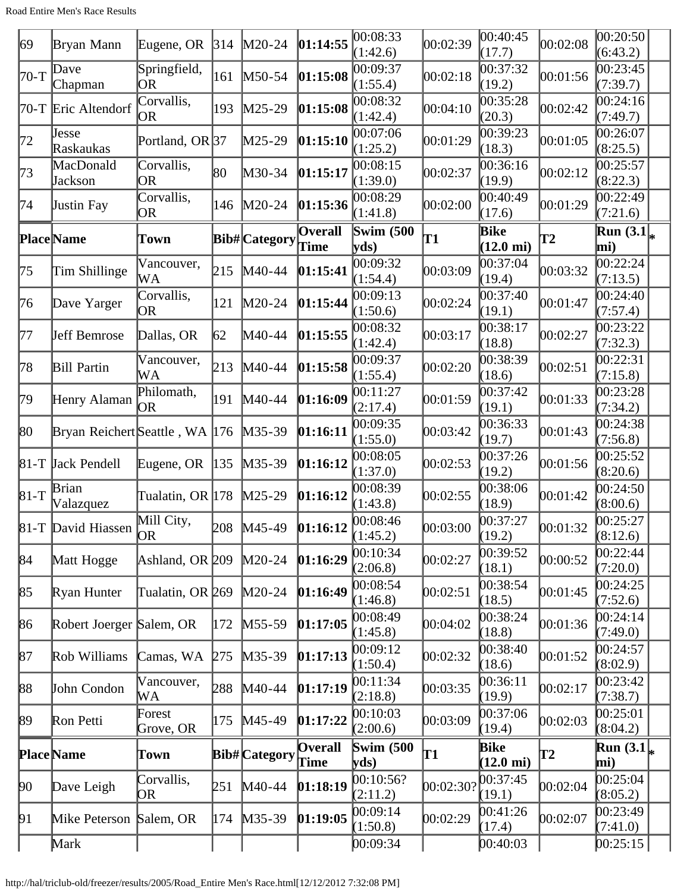| 69     | Bryan Mann                     | Eugene, OR          | 314           | $M20-24$             | 01:14:55               | 00:08:33<br>(1:42.6)      | 00:02:39  | 00:40:45<br>(17.7)                 | 00:02:08      | 00:20:50 <br>(6:43.2)                |
|--------|--------------------------------|---------------------|---------------|----------------------|------------------------|---------------------------|-----------|------------------------------------|---------------|--------------------------------------|
| 70-T   | Dave<br>Chapman                | Springfield,<br> OR | 161           | $M50-54$             | 01:15:08               | 00:09:37<br>(1:55.4)      | 00:02:18  | 00:37:32<br>(19.2)                 | 00:01:56      | 00:23:45<br>(7:39.7)                 |
| 70-T   | Eric Altendorf                 | Corvallis,<br> OR   | 193           | M25-29               | 01:15:08               | 00:08:32<br>(1:42.4)      | 00:04:10  | 00:35:28<br>(20.3)                 | 00:02:42      | 00:24:16<br>(7:49.7)                 |
| 72     | Jesse<br>Raskaukas             | Portland, OR 37     |               | M25-29               | 01:15:10               | 00:07:06<br>(1:25.2)      | 00:01:29  | 00:39:23<br>(18.3)                 | 00:01:05      | 00:26:07<br>(8:25.5)                 |
| 73     | MacDonald<br>Jackson           | Corvallis,<br>OR    | 80            | M30-34               | 01:15:17               | 00:08:15<br>(1:39.0)      | 00:02:37  | 00:36:16<br>(19.9)                 | 00:02:12      | 00:25:57<br>(8:22.3)                 |
| 74     | Justin Fay                     | Corvallis,<br>OR    | 146           | $M20-24$             | 01:15:36               | 00:08:29<br>(1:41.8)      | 00:02:00  | 00:40:49<br>(17.6)                 | 00:01:29      | 00:22:49<br>(7:21.6)                 |
|        | <b>Place</b> Name              | Town                |               | <b>Bib#</b> Category | <b>Overall</b><br>Time | <b>Swim (500)</b><br>yds) | T1        | <b>Bike</b><br>$(12.0 \text{ mi})$ | $\mathbf{T2}$ | Run $(3.1)_{*}$<br>mi)               |
| 75     | Tim Shillinge                  | Vancouver,<br>WА    | 215           | M40-44               | 01:15:41               | 00:09:32<br>(1:54.4)      | 00:03:09  | 00:37:04<br>(19.4)                 | 00:03:32      | 00:22:24<br>(7:13.5)                 |
| 76     | Dave Yarger                    | Corvallis,<br>OR.   | 121           | $M20-24$             | [01:15:44]             | 00:09:13<br>(1:50.6)      | 00:02:24  | 00:37:40<br>(19.1)                 | 00:01:47      | 00:24:40<br>(7:57.4)                 |
| 177    | <b>Jeff Bemrose</b>            | Dallas, OR          | 62            | M40-44               | 01:15:55               | 00:08:32<br>(1:42.4)      | 00:03:17  | 00:38:17<br>(18.8)                 | 00:02:27      | 00:23:22<br>(7:32.3)                 |
| 78     | <b>Bill Partin</b>             | Vancouver,<br>WА    | 213           | M40-44               | 01:15:58               | 00:09:37<br>(1:55.4)      | 00:02:20  | 00:38:39<br>(18.6)                 | 00:02:51      | 00:22:31<br>(7:15.8)                 |
| 79     | Henry Alaman                   | Philomath,<br>10R   | 191           | M40-44               | [01:16:09]             | 00:11:27<br>(2:17.4)      | 00:01:59  | 00:37:42<br>(19.1)                 | 00:01:33      | 00:23:28<br>(7:34.2)                 |
| 80     | Bryan Reichert Seattle, WA 176 |                     |               | $M35-39$             | [01:16:11]             | 00:09:35<br>(1:55.0)      | 00:03:42  | 00:36:33<br>(19.7)                 | 00:01:43      | 00:24:38<br>(7:56.8)                 |
|        | 81-T Jack Pendell              | Eugene, OR          | $ 135\rangle$ | $M35-39$             | [01:16:12]             | 00:08:05<br>(1:37.0)      | 00:02:53  | 00:37:26<br>(19.2)                 | 00:01:56      | 00:25:52<br>(8:20.6)                 |
| $81-T$ | <b>Brian</b><br>Valazquez      | Tualatin, OR 178    |               | $M25-29$             | [01:16:12]             | 00:08:39<br>(1:43.8)      | 00:02:55  | 00:38:06<br>(18.9)                 | 00:01:42      | 00:24:50<br>(8:00.6)                 |
|        | 81-T David Hiassen             | Mill City,<br>OR.   |               | 208 M45-49           | 01:16:12               | 00:08:46<br>(1:45.2)      | 00:03:00  | 00:37:27<br>(19.2)                 | 00:01:32      | 00:25:27<br>(8:12.6)                 |
| 84     | Matt Hogge                     | Ashland, OR 209     |               | $M20-24$             | [01:16:29]             | 00:10:34<br>(2:06.8)      | 00:02:27  | 00:39:52<br>(18.1)                 | 00:00:52      | 00:22:44<br>(7:20.0)                 |
| 85     | Ryan Hunter                    | Tualatin, OR 269    |               | $M20-24$             | 01:16:49               | 00:08:54<br>(1:46.8)      | 00:02:51  | 00:38:54<br>(18.5)                 | 00:01:45      | 00:24:25<br>(7:52.6)                 |
| 86     | Robert Joerger Salem, OR       |                     | 172           | $M55-59$             | [01:17:05]             | 00:08:49<br>(1:45.8)      | 00:04:02  | 00:38:24<br>(18.8)                 | 00:01:36      | 00:24:14<br>(7:49.0)                 |
| 87     | Rob Williams                   | Camas, WA           | 275           | M35-39               | [01:17:13]             | 00:09:12<br>(1:50.4)      | 00:02:32  | 00:38:40<br>(18.6)                 | 00:01:52      | 00:24:57<br>(8:02.9)                 |
| 88     | John Condon                    | Vancouver,<br>WА    | 288           | M40-44               | [01:17:19]             | 00:11:34<br>(2:18.8)      | 00:03:35  | 00:36:11<br>(19.9)                 | 00:02:17      | 00:23:42<br>(7:38.7)                 |
| 89     | Ron Petti                      | Forest<br>Grove, OR | 175           | M45-49               | [01:17:22]             | 00:10:03<br>(2:00.6)      | 00:03:09  | 00:37:06<br>(19.4)                 | 00:02:03      | 00:25:01<br>(8:04.2)                 |
|        | <b>Place Name</b>              | Town                |               | <b>Bib#</b> Category | <b>Overall</b><br>Time | <b>Swim (500)</b><br>yds) | Τ1        | Bike<br>$(12.0 \text{ mi})$        | $\mathbf{T2}$ | $\overline{\text{Run (3.1)}}$<br>mi) |
| 90     | Dave Leigh                     | Corvallis,<br>OR    | 251           | $M40-44$             | [01:18:19]             | 00:10:56?<br>(2:11.2)     | 00:02:30? | 00:37:45<br>(19.1)                 | 00:02:04      | 00:25:04<br>(8:05.2)                 |
| 91     | Mike Peterson                  | Salem, OR           | 174           | $M35-39$             | [01:19:05]             | 00:09:14<br>(1:50.8)      | 00:02:29  | 00:41:26<br>(17.4)                 | 00:02:07      | 00:23:49<br>(7:41.0)                 |
|        | Mark                           |                     |               |                      |                        | 00:09:34                  |           | 00:40:03                           |               | [00:25:15]                           |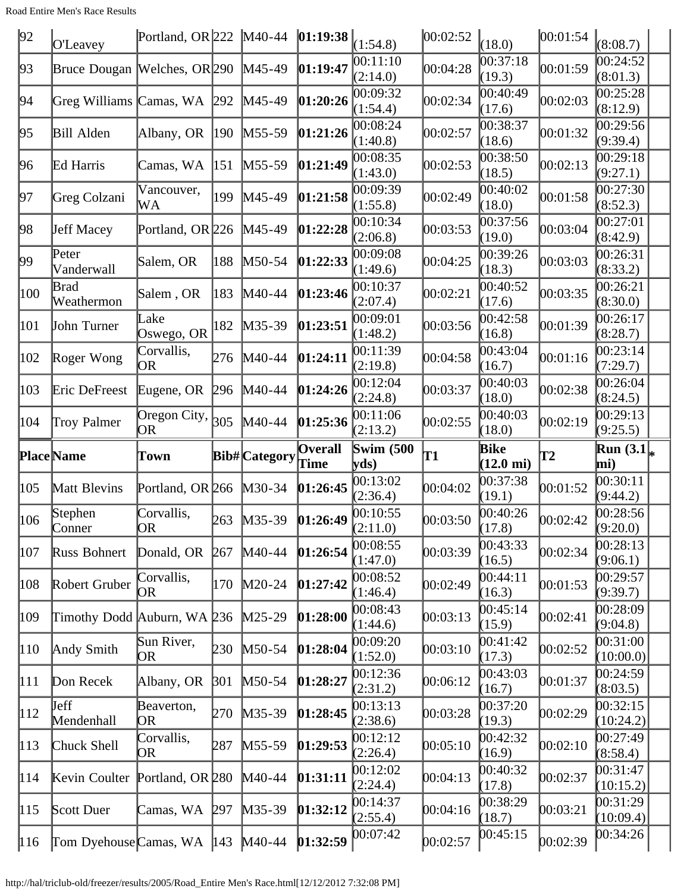Road Entire Men's Race Results

| 92             | O'Leavey                     | Portland, OR $222$ M40-44                            |                       |                      | $ 01:19:38 _{(1:54.8)}$ |                                  | 00:02:52 | (18.0)                          | 00:01:54      | (8:08.7)                           |
|----------------|------------------------------|------------------------------------------------------|-----------------------|----------------------|-------------------------|----------------------------------|----------|---------------------------------|---------------|------------------------------------|
| 93             | Bruce Dougan Welches, OR 290 |                                                      |                       | $M45-49$             | 01:19:47                | 00:11:10<br>(2:14.0)             | 00:04:28 | 00:37:18<br>(19.3)              | 00:01:59      | 00:24:52<br>(8:01.3)               |
| 94             | Greg Williams Camas, WA      |                                                      | 292                   | M45-49               | 01:20:26                | 00:09:32<br>(1:54.4)             | 00:02:34 | 00:40:49<br>(17.6)              | 00:02:03      | 00:25:28<br>(8:12.9)               |
| 95             | <b>Bill Alden</b>            | Albany, OR                                           | $ 190\rangle$         | $M55-59$             | 01:21:26                | 00:08:24<br>(1:40.8)             | 00:02:57 | 00:38:37<br>(18.6)              | 00:01:32      | 00:29:56<br>(9:39.4)               |
| 96             | Ed Harris                    | Camas, WA                                            | 151                   | $M55-59$             | 01:21:49                | 00:08:35<br>(1:43.0)             | 00:02:53 | 00:38:50<br>(18.5)              | 00:02:13      | 00:29:18<br>(9:27.1)               |
| 97             | Greg Colzani                 | Vancouver,<br>WА                                     | 199                   | $M45-49$             | 01:21:58                | 00:09:39<br>(1:55.8)             | 00:02:49 | 00:40:02<br>(18.0)              | 00:01:58      | 00:27:30<br>(8:52.3)               |
| 98             | <b>Jeff Macey</b>            | Portland, OR 226                                     |                       | $M45-49$             | 01:22:28                | 00:10:34<br>(2:06.8)             | 00:03:53 | 00:37:56<br>(19.0)              | 00:03:04      | 00:27:01<br>(8:42.9)               |
| 99             | Peter<br>Vanderwall          | Salem, OR                                            | 188                   | $M50-54$             | 01:22:33                | 00:09:08<br>(1:49.6)             | 00:04:25 | 00:39:26<br>(18.3)              | 00:03:03      | 00:26:31<br>(8:33.2)               |
| 100            | <b>Brad</b><br>Weathermon    | Salem, OR                                            | 183                   | $M40-44$             | 01:23:46                | 00:10:37<br>(2:07.4)             | 00:02:21 | 00:40:52<br>(17.6)              | 00:03:35      | 00:26:21<br>(8:30.0)               |
| 101            | John Turner                  | Lake<br>Oswego, OR                                   | 182                   | $M35-39$             | [01:23:51]              | 00:09:01<br>(1:48.2)             | 00:03:56 | 00:42:58<br>(16.8)              | 00:01:39      | 00:26:17<br>(8:28.7)               |
| 102            | Roger Wong                   | Corvallis,<br>OR                                     | 276                   | $M40-44$             | [01:24:11]              | 00:11:39<br>(2:19.8)             | 00:04:58 | 00:43:04<br>(16.7)              | 00:01:16      | 00:23:14<br>(7:29.7)               |
| 103            | Eric DeFreest                | Eugene, OR                                           | 296                   | $M40-44$             | 01:24:26                | 00:12:04<br>(2:24.8)             | 00:03:37 | 00:40:03<br>(18.0)              | 00:02:38      | 00:26:04<br>(8:24.5)               |
| 104            | <b>Troy Palmer</b>           | $\overline{\text{Oregon}}$ City, $\big _{305}$<br>OR |                       | $M40-44$             | 01:25:36                | 00:11:06<br>(2:13.2)             | 00:02:55 | 00:40:03<br>(18.0)              | 00:02:19      | 00:29:13<br>(9:25.5)               |
|                |                              |                                                      |                       |                      |                         |                                  |          |                                 |               |                                    |
|                | <b>Place</b> Name            | Town                                                 |                       | <b>Bib#</b> Category | <b>Overall</b><br>Time  | <b>Swim (500)</b><br>yds)        | T1       | <b>Bike</b>                     | $\mathbf{T2}$ | Run $(3.1)$<br>mi)                 |
| 105            | Matt Blevins                 | Portland, OR 266                                     |                       | M30-34               | [01:26:45]              | 00:13:02<br>(2:36.4)             | 00:04:02 | $(12.0 \text{ mi})$<br>00:37:38 | 00:01:52      | 00:30:11<br>(9:44.2)               |
| 106            | Stephen                      | Corvallis,                                           | 263                   | $M35-39$             | 01:26:49                | 00:10:55                         | 00:03:50 | (19.1)<br>00:40:26              | 00:02:42      | 00:28:56                           |
| 107            | Conner<br>Russ Bohnert       | <b>OR</b><br>Donald, OR                              | 267                   | $M40-44$             | 01:26:54                | (2:11.0)<br>00:08:55             | 00:03:39 | (17.8)<br>00:43:33              | 00:02:34      | (9:20.0)<br>00:28:13               |
| 108            | Robert Gruber                | Corvallis,<br>OR                                     | 170                   | $M20-24$             | 01:27:42                | (1:47.0)<br>00:08:52             | 00:02:49 | (16.5)<br>00:44:11              | 00:01:53      | (9:06.1)<br>00:29:57               |
| 109            | Timothy Dodd Auburn, WA 236  |                                                      |                       | $M25-29$             | [01:28:00]              | (1:46.4)<br>00:08:43             | 00:03:13 | (16.3)<br>00:45:14              | 00:02:41      | (9:39.7)<br>00:28:09               |
| $ 110\rangle$  | Andy Smith                   | Sun River,<br>ЮR                                     | 230                   | $M50-54$             | [01:28:04]              | (1:44.6)<br>00:09:20             | 00:03:10 | (15.9)<br>00:41:42              | 00:02:52      | (9:04.8)<br>00:31:00               |
| 111            | Don Recek                    | Albany, OR                                           | $\beta$ <sub>01</sub> | $M50-54$             | [01:28:27]              | (1:52.0)<br>00:12:36             | 00:06:12 | (17.3)<br>00:43:03              | 00:01:37      | (10:00.0)<br>00:24:59              |
| 112            | <b>Jeff</b>                  | Beaverton,                                           | 270                   | $M35-39$             | [01:28:45]              | (2:31.2)<br>00:13:13             | 00:03:28 | (16.7)<br>00:37:20              | 00:02:29      | (8:03.5)<br>00:32:15               |
| $ 113\rangle$  | Mendenhall<br>Chuck Shell    | ЮR<br>Corvallis,                                     | 287                   | $M55-59$             | [01:29:53]              | (2:38.6)<br>00:12:12             | 00:05:10 | (19.3)<br>00:42:32              | 00:02:10      | (10:24.2)<br>00:27:49              |
| 114            | Kevin Coulter                | OR<br>Portland, OR 280                               |                       | $M40-44$             | [01:31:11]              | (2:26.4)<br>00:12:02             | 00:04:13 | (16.9)<br>00:40:32              | 00:02:37      | (8:58.4)<br>00:31:47               |
| $\parallel$ 15 | Scott Duer                   | Camas, WA                                            | 297                   | $M35-39$             | [01:32:12]              | (2:24.4)<br>00:14:37<br>(2:55.4) | 00:04:16 | (17.8)<br>00:38:29<br>(18.7)    | 00:03:21      | (10:15.2)<br>00:31:29<br>(10:09.4) |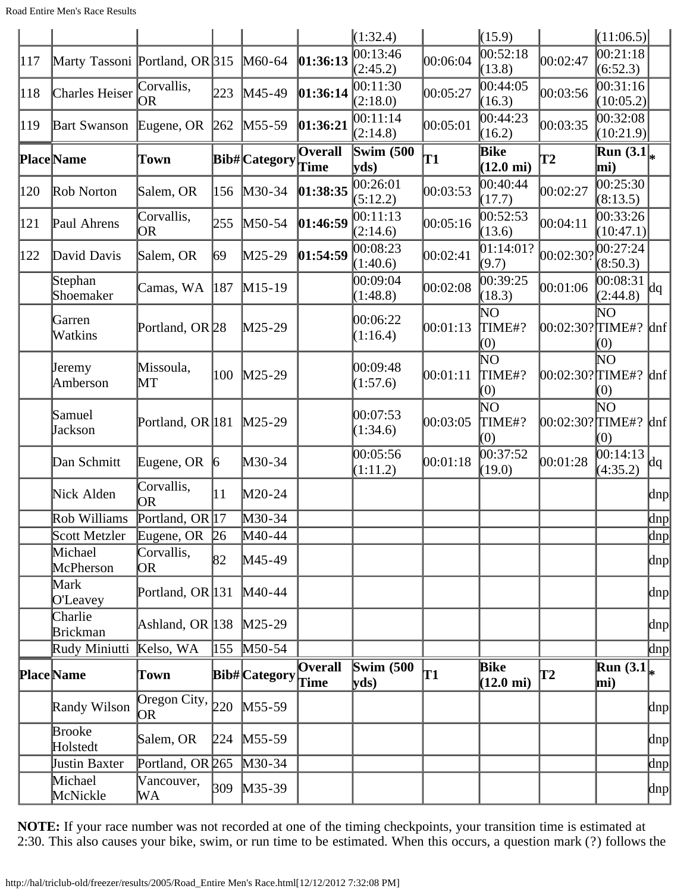|     |                                |                                  |                 |                      |                        | (1:32.4)             |          | (15.9)                                      |                 | (11:06.5)                           |                     |
|-----|--------------------------------|----------------------------------|-----------------|----------------------|------------------------|----------------------|----------|---------------------------------------------|-----------------|-------------------------------------|---------------------|
| 117 | Marty Tassoni Portland, OR 315 |                                  |                 | M60-64               | 01:36:13               | 00:13:46<br>(2:45.2) | 00:06:04 | 00:52:18<br>(13.8)                          | 00:02:47        | 00:21:18<br>(6:52.3)                |                     |
| 118 | Charles Heiser                 | Corvallis,<br>lOR.               | 223             | $M45-49$             | 01:36:14               | 00:11:30<br>(2:18.0) | 00:05:27 | 00:44:05<br>(16.3)                          | 00:03:56        | 00:31:16<br>(10:05.2)               |                     |
| 119 | <b>Bart Swanson</b>            | Eugene, OR                       | 262             | $M55-59$             | 01:36:21               | 00:11:14<br>(2:14.8) | 00:05:01 | 00:44:23<br>(16.2)                          | 00:03:35        | 00:32:08<br>(10:21.9)               |                     |
|     | <b>Place</b> Name              | Town                             |                 | <b>Bib#</b> Category | <b>Overall</b><br>Time | Swim $(500)$<br>yds) | T1       | <b>Bike</b><br>$(12.0 \text{ mi})$          | T2              | Run $(3.1)$<br>mi)                  |                     |
| 120 | Rob Norton                     | Salem, OR                        | 156             | $M30-34$             | 01:38:35               | 00:26:01<br>(5:12.2) | 00:03:53 | 00:40:44<br>(17.7)                          | 00:02:27        | 00:25:30<br>(8:13.5)                |                     |
| 121 | Paul Ahrens                    | Corvallis,<br>OR                 | 255             | $M50-54$             | 01:46:59               | 00:11:13<br>(2:14.6) | 00:05:16 | 00:52:53<br>(13.6)                          | 00:04:11        | 00:33:26<br>(10:47.1)               |                     |
| 122 | David Davis                    | Salem, OR                        | 69              | $M25-29$             | 01:54:59               | 00:08:23<br>(1:40.6) | 00:02:41 | [01:14:01?<br>(9.7)                         | 00:02:30?       | 00:27:24<br>(8:50.3)                |                     |
|     | Stephan<br>Shoemaker           | Camas, WA                        | 187             | $M15-19$             |                        | 00:09:04<br>(1:48.8) | 00:02:08 | 00:39:25<br>(18.3)                          | 00:01:06        | 00:08:31<br>(2:44.8)                | dq                  |
|     | Garren<br>Watkins              | Portland, OR <sub>28</sub>       |                 | $M25-29$             |                        | 00:06:22<br>(1:16.4) | 00:01:13 | $\mathop{\rm NO}\nolimits$<br>TIME#?<br>(0) | 00:02:30?∏IME#? | $\mathop{\rm NO}\nolimits$<br>(0)   | $\ln f$             |
|     | Jeremy<br>Amberson             | Missoula,<br>MT                  | 100             | $M25-29$             |                        | 00:09:48<br>(1:57.6) | 00:01:11 | NО<br>TIME#?<br>(0)                         | 00:02:30?∏IME#? | $\mathop{\rm NO}\nolimits$<br>(0)   | $\ln f$             |
|     | Samuel<br>Jackson              | Portland, OR 181                 |                 | $M25-29$             |                        | 00:07:53<br>(1:34.6) | 00:03:05 | ΝO<br>TIME#?<br>(0)                         | 00:02:30?∏IME#? | ΝO<br>(0)                           | $\ln f$             |
|     | Dan Schmitt                    | Eugene, OR                       | $\vert 6 \vert$ | $M30-34$             |                        | 00:05:56<br>(1:11.2) | 00:01:18 | 00:37:52<br>(19.0)                          | 00:01:28        | 00:14:13<br>(4:35.2)                | dq                  |
|     | Nick Alden                     | Corvallis,<br>OR                 | 11              | $M20-24$             |                        |                      |          |                                             |                 |                                     | dnp                 |
|     | Rob Williams                   | Portland, OR 17                  |                 | M30-34               |                        |                      |          |                                             |                 |                                     | $\ln p$             |
|     | Scott Metzler                  | Eugene, OR 26                    |                 | $M40-44$             |                        |                      |          |                                             |                 |                                     | <u>dnp</u>          |
|     | Michael<br>McPherson           | Corvallis,<br>OR                 | 82              | M45-49               |                        |                      |          |                                             |                 |                                     | dnp                 |
|     | Mark<br><b>O'Leavey</b>        | Portland, OR $ 131 $             |                 | $M40-44$             |                        |                      |          |                                             |                 |                                     | dnp                 |
|     | Charlie<br><b>Brickman</b>     | Ashland, OR $ 138 $              |                 | $M25-29$             |                        |                      |          |                                             |                 |                                     | dnp                 |
|     | Rudy Miniutti                  | Kelso, WA                        | 155             | $M50-54$             |                        |                      |          |                                             |                 |                                     | dnp                 |
|     | <b>Place</b> Name              | Town                             |                 | Bib# Category        | <b>Overall</b><br>Time | Swim $(500)$<br>yds) | T1       | <b>Bike</b><br>$(12.0 \text{ mi})$          | T2              | $\overline{\text{Run}(3.1)}$<br>mi) |                     |
|     | Randy Wilson                   | Oregon City, $\vert_{220}$<br>OR |                 | $M55-59$             |                        |                      |          |                                             |                 |                                     | dnp                 |
|     | <b>Brooke</b><br>Holstedt      | Salem, OR                        |                 | 224 M55-59           |                        |                      |          |                                             |                 |                                     | dnp                 |
|     | Justin Baxter                  | Portland, OR 265                 |                 | $M30-34$             |                        |                      |          |                                             |                 |                                     | $\vert$ dnp $\vert$ |
|     | Michael<br>McNickle            | Vancouver,<br>WА                 | 309             | $M35-39$             |                        |                      |          |                                             |                 |                                     | dnp                 |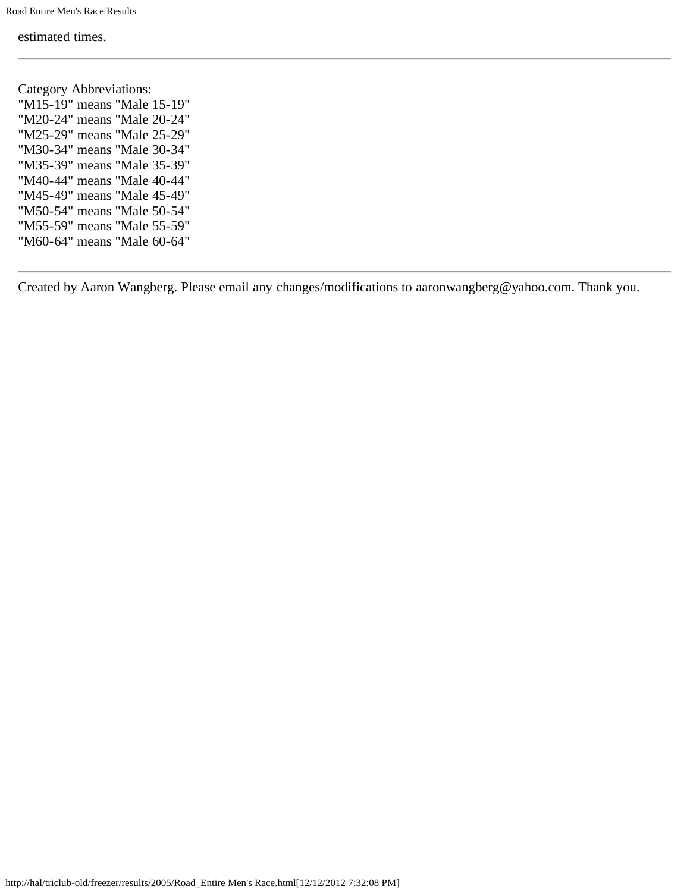estimated times.

Category Abbreviations: "M15-19" means "Male 15-19" "M20-24" means "Male 20-24" "M25-29" means "Male 25-29" "M30-34" means "Male 30-34" "M35-39" means "Male 35-39" "M40-44" means "Male 40-44" "M45-49" means "Male 45-49" "M50-54" means "Male 50-54" "M55-59" means "Male 55-59" "M60-64" means "Male 60-64"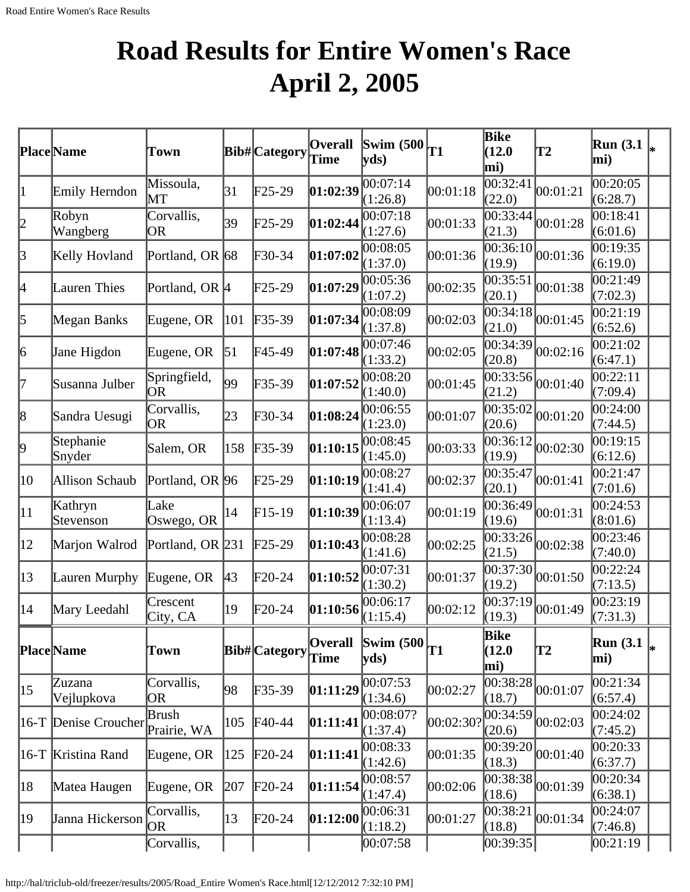# **Road Results for Entire Women's Race April 2, 2005**

|                 | Place Name           | Town                             |               | <b>Bib#</b> Category | Overall<br>Time        | $\vert$ Swim (500 $\vert$<br>yds   | T1        | Bike<br>(12.0)<br>mi)        | T2                                        | <b>Run</b> (3.1)<br>mi) |  |
|-----------------|----------------------|----------------------------------|---------------|----------------------|------------------------|------------------------------------|-----------|------------------------------|-------------------------------------------|-------------------------|--|
| 1               | Emily Herndon        | Missoula,<br>$\operatorname{MT}$ | 31            | $F25-29$             | 01:02:39               | 00:07:14<br>(1:26.8)               | 00:01:18  | 00:32:41<br>(22.0)           | 00:01:21                                  | 00:20:05<br>(6:28.7)    |  |
| þ               | Robyn<br>Wangberg    | Corvallis,<br><b>OR</b>          | 39            | $F25-29$             | 01:02:44               | $\overline{00}$ :07:18<br>(1:27.6) | 00:01:33  | 00:33:44<br>(21.3)           | 00:01:28                                  | 00:18:41<br>(6:01.6)    |  |
| $\beta$         | Kelly Hovland        | Portland, OR 68                  |               | $F30-34$             | 01:07:02               | 00:08:05<br>(1:37.0)               | 00:01:36  | 00:36:10 <br>(19.9)          | 00:01:36                                  | 00:19:35<br>(6:19.0)    |  |
| 4               | Lauren Thies         | Portland, OR <sup>[4]</sup>      |               | $F25-29$             | 01:07:29               | 00:05:36<br>(1:07.2)               | 00:02:35  | 00:35:51<br>(20.1)           | 00:01:38                                  | 00:21:49<br>(7:02.3)    |  |
| 5               | Megan Banks          | Eugene, OR                       | 101           | $F35-39$             | 01:07:34               | 00:08:09<br>(1:37.8)               | 00:02:03  | 00:34:18<br>(21.0)           | 00:01:45                                  | 00:21:19<br>(6:52.6)    |  |
| $\vert 6 \vert$ | Jane Higdon          | Eugene, OR                       | 51            | F45-49               | 01:07:48               | 00:07:46<br>(1:33.2)               | 00:02:05  | 00:34:39<br>(20.8)           | 00:02:16                                  | 00:21:02<br>(6:47.1)    |  |
| 17              | Susanna Julber       | Springfield,<br>OR               | 99            | $\text{F}35-39$      | 01:07:52               | 00:08:20<br>(1:40.0)               | 00:01:45  | 00:33:56 <br>(21.2)          | 00:01:40                                  | 00:22:11<br>(7:09.4)    |  |
| $\vert 8 \vert$ | Sandra Uesugi        | Corvallis,<br><b>OR</b>          | 23            | $F30-34$             | 01:08:24               | 00:06:55<br>(1:23.0)               | 00:01:07  | 00:35:02<br>(20.6)           | 00:01:20                                  | 00:24:00<br>(7:44.5)    |  |
| þ,              | Stephanie<br>Snyder  | Salem, OR                        | 158           | $F35-39$             | 01:10:15               | 00:08:45<br>(1:45.0)               | 00:03:33  | 00:36:12<br>(19.9)           | 00:02:30                                  | 00:19:15<br>(6:12.6)    |  |
| 10              | Allison Schaub       | Portland, OR 96                  |               | $F25-29$             | [01:10:19]             | 00:08:27<br>(1:41.4)               | 00:02:37  | 00:35:47<br>(20.1)           | 00:01:41                                  | 00:21:47<br>(7:01.6)    |  |
| $ 11\rangle$    | Kathryn<br>Stevenson | Lake<br>Oswego, OR               | 14            | $F15-19$             | 01:10:39               | 00:06:07<br>(1:13.4)               | 00:01:19  | 00:36:49 <br>(19.6)          | 00:01:31                                  | 00:24:53<br>(8:01.6)    |  |
| $ 12\rangle$    | Marjon Walrod        | Portland, OR 231                 |               | $\text{F25-29}$      | 01:10:43               | 00:08:28<br>(1:41.6)               | 00:02:25  | [00:33:26]<br>(21.5)         | 00:02:38                                  | 00:23:46<br>(7:40.0)    |  |
| $ 13\rangle$    | Lauren Murphy        | Eugene, OR                       | $ 43\rangle$  | $F20-24$             | 01:10:52               | 00:07:31<br>(1:30.2)               | 00:01:37  | 00:37:30 <br>(19.2)          | 00:01:50                                  | 00:22:24<br>(7:13.5)    |  |
| 14              | Mary Leedahl         | Crescent<br>City, CA             | 19            | $F20-24$             | 01:10:56               | 00:06:17<br>(1:15.4)               | 00:02:12  | 00:37:19<br>(19.3)           | 00:01:49                                  | 00:23:19<br>(7:31.3)    |  |
|                 | Place Name           | Town                             |               | <b>Bib#</b> Category | <b>Overall</b><br>Time | Swim $(500)$ <sub>T1</sub><br>yds  |           | <b>Bike</b><br>(12.0)<br>mi) | T2                                        | Run $(3.1)$<br>mi)      |  |
| $ 15\rangle$    | Zuzana<br>Vejlupkova | Corvallis,<br>OR                 | 98            | $F35-39$             | 01:11:29               | 00:07:53<br>(1:34.6)               | 00:02:27  | 00:38:28 <br>(18.7)          | 00:01:07                                  | 00:21:34<br>(6:57.4)    |  |
|                 | 16-T Denise Croucher | Brush<br>Prairie, WA             | 105           | $F40-44$             | [01:11:41]             | 00:08:07?<br>(1:37.4)              | 00:02:30? | 00:34:59 <br>(20.6)          | 00:02:03                                  | 00:24:02<br>(7:45.2)    |  |
|                 | 16-T Kristina Rand   | Eugene, OR                       | $ 125\rangle$ | $F20-24$             | 01:11:41               | 00:08:33<br>(1:42.6)               | 00:01:35  | (18.3)                       | $\overline{00:39:20}$ <sub>00:01:40</sub> | 00:20:33<br>(6:37.7)    |  |
| 18              | Matea Haugen         | Eugene, OR                       | 207           | $F20-24$             | 01:11:54               | 00:08:57<br>(1:47.4)               | 00:02:06  | 00:38:38 <br>(18.6)          | 00:01:39                                  | 00:20:34<br>(6:38.1)    |  |
| 19              | Janna Hickerson      | Corvallis,<br> OR                | 13            | $\text{F}20-24$      | 01:12:00               | 00:06:31<br>(1:18.2)               | 00:01:27  | 00:38:21<br>(18.8)           | 00:01:34                                  | 00:24:07<br>(7:46.8)    |  |
|                 |                      | Corvallis,                       |               |                      |                        | 00:07:58                           |           | 00:39:35                     |                                           | 00:21:19                |  |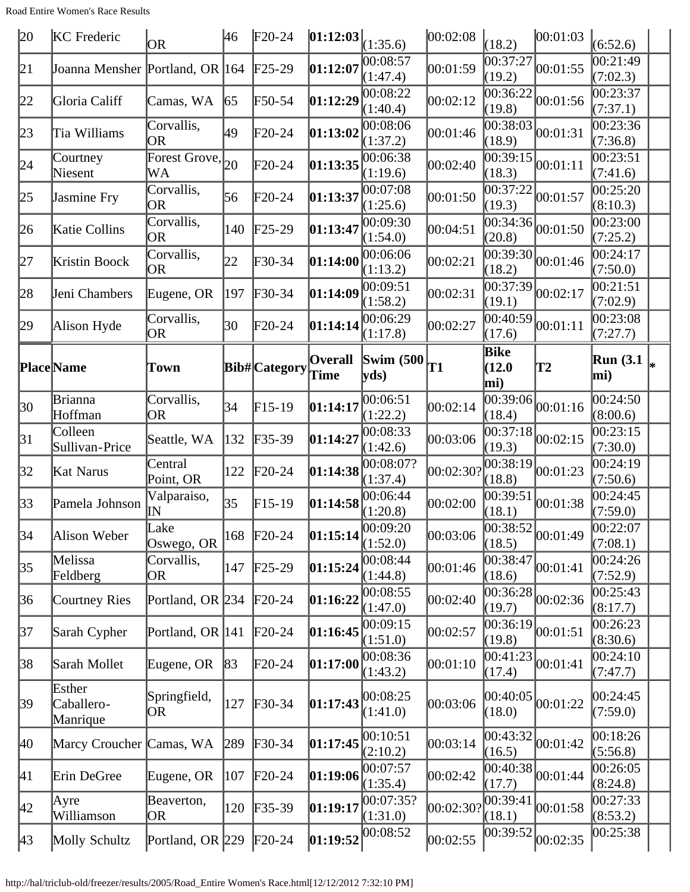Road Entire Women's Race Results

| 20           | <b>KC</b> Frederic               | OR.                         | 46  | $F20-24$                   | [01:12:03]             | (1:35.6)                           | 00:02:08  | (18.2)                          | 00:01:03                                                                         | (6:52.6)             |  |
|--------------|----------------------------------|-----------------------------|-----|----------------------------|------------------------|------------------------------------|-----------|---------------------------------|----------------------------------------------------------------------------------|----------------------|--|
| 21           | Joanna Mensher Portland, OR 164  |                             |     | $F25-29$                   | 01:12:07               | 00:08:57<br>(1:47.4)               | 00:01:59  | $\overline{00:}37:27$<br>(19.2) | 00:01:55                                                                         | 00:21:49<br>(7:02.3) |  |
| 22           | Gloria Califf                    | Camas, WA                   | 65  | $\text{F}50-54$            | 01:12:29               | 00:08:22<br>(1:40.4)               | 00:02:12  | 00:36:22<br>(19.8)              | 00:01:56                                                                         | 00:23:37<br>(7:37.1) |  |
| 23           | Tia Williams                     | Corvallis,<br>OR            | 49  | $F20-24$                   | 01:13:02               | 00:08:06<br>(1:37.2)               | 00:01:46  | 00:38:03<br>(18.9)              | 00:01:31                                                                         | 00:23:36<br>(7:36.8) |  |
| 24           | Courtney<br>Niesent              | Forest Grove, $_{20}$<br>WA |     | $F20-24$                   | 01:13:35               | 00:06:38<br>(1:19.6)               | 00:02:40  | 00:39:15<br>(18.3)              | 00:01:11                                                                         | 00:23:51<br>(7:41.6) |  |
| 25           | Jasmine Fry                      | Corvallis,<br>OR            | 56  | $F20-24$                   | 01:13:37               | 00:07:08<br>(1:25.6)               | 00:01:50  | 00:37:22<br>(19.3)              | 00:01:57                                                                         | 00:25:20<br>(8:10.3) |  |
| 26           | Katie Collins                    | Corvallis,<br><b>OR</b>     | 140 | $F25-29$                   | 01:13:47               | 00:09:30<br>(1:54.0)               | 00:04:51  | 00:34:36 <br>(20.8)             | 00:01:50                                                                         | 00:23:00<br>(7:25.2) |  |
| 27           | Kristin Boock                    | Corvallis,<br>OR            | 22  | $F30-34$                   | 01:14:00               | 00:06:06<br>(1:13.2)               | 00:02:21  | (18.2)                          | $\overline{ 00:39:30 }_{00:01:46}$                                               | 00:24:17<br>(7:50.0) |  |
| 28           | Jeni Chambers                    | Eugene, OR                  | 197 | $\textcolor{blue}{F30-34}$ | 01:14:09               | 00:09:51<br>(1:58.2)               | 00:02:31  | 00:37:39<br>(19.1)              | 00:02:17                                                                         | 00:21:51<br>(7:02.9) |  |
| 29           | Alison Hyde                      | Corvallis,<br>OR            | 30  | $\text{F}20-24$            | 01:14:14               | 00:06:29<br>(1:17.8)               | 00:02:27  | (17.6)                          | $\frac{1}{00:40:59}$ <sub>00:01:11</sub>                                         | 00:23:08<br>(7:27.7) |  |
|              | <b>Place</b> Name                | Town                        |     | <b>Bib#</b> Category       | Overall<br><b>Time</b> | Swim (500 $_{\text{T1}}$ )<br>vds) |           | Bike<br>(12.0)<br>mi)           | T2                                                                               | Run $(3.1)$<br>mi)   |  |
| 30           | Brianna<br>Hoffman               | Corvallis,<br>OR            | 34  | $F15-19$                   | 01:14:17               | 00:06:51<br>(1:22.2)               | 00:02:14  | (18.4)                          | $\overline{00:39:06}$ <sub>00:01:16</sub>                                        | 00:24:50<br>(8:00.6) |  |
| 31           | Colleen<br>Sullivan-Price        | Seattle, WA                 | 132 | $F35-39$                   | 01:14:27               | 00:08:33<br>(1:42.6)               | 00:03:06  | 00:37:18 <br>(19.3)             | 00:02:15                                                                         | 00:23:15<br>(7:30.0) |  |
| 32           | Kat Narus                        | Central<br>Point, OR        | 122 | $F20-24$                   | 01:14:38               | 00:08:07?<br>(1:37.4)              | 00:02:30? | 00:38:19<br>(18.8)              | 00:01:23                                                                         | 00:24:19<br>(7:50.6) |  |
| 33           | Pamela Johnson                   | Valparaiso,<br>IΝ           | 35  | $F15-19$                   | 01:14:58               | 00:06:44<br>(1:20.8)               | 00:02:00  | 00:39:51<br>(18.1)              | 00:01:38                                                                         | 00:24:45<br>(7:59.0) |  |
| 34           | Alison Weber                     | Lake<br>Oswego, OR          | 168 | $\text{F}20-24$            | 01:15:14               | 00:09:20<br>(1:52.0)               | 00:03:06  | (18.5)                          | $\begin{bmatrix} 1 & 0 & 0 \\ 0 & 0 & 0 \\ 0 & 0 & 0 \\ 0 & 0 & 1 \end{bmatrix}$ | 00:22:07<br>(7:08.1) |  |
| 35           | Melissa<br>Feldberg              | Corvallis,<br>OR            | 147 | $F25-29$                   | 01:15:24               | 00:08:44<br>(1:44.8)               | 00:01:46  | 00:38:47<br>(18.6)              | 00:01:41                                                                         | 00:24:26<br>(7:52.9) |  |
| 36           | Courtney Ries                    | Portland, OR 234            |     | $F20-24$                   | 01:16:22               | 00:08:55<br>(1:47.0)               | 00:02:40  | 00:36:28<br>(19.7)              | 00:02:36                                                                         | 00:25:43<br>(8:17.7) |  |
| 37           | Sarah Cypher                     | Portland, OR 141            |     | $F20-24$                   | 01:16:45               | 00:09:15<br>(1:51.0)               | 00:02:57  | 00:36:19<br>(19.8)              | 00:01:51                                                                         | 00:26:23<br>(8:30.6) |  |
| 38           | Sarah Mollet                     | Eugene, OR                  | 83  | $\text{F}20-24$            | 01:17:00               | 00:08:36<br>(1:43.2)               | 00:01:10  | 00:41:23 <br>(17.4)             | 00:01:41                                                                         | 00:24:10<br>(7:47.7) |  |
| 39           | Esther<br>Caballero-<br>Manrique | Springfield,<br>OR          | 127 | $F30-34$                   | 01:17:43               | 00:08:25<br>(1:41.0)               | 00:03:06  | (18.0)                          | $ 00:40:05 _{00:01:22}$                                                          | 00:24:45<br>(7:59.0) |  |
| 40           | Marcy Croucher Camas, WA         |                             | 289 | $F30-34$                   | 01:17:45               | 00:10:51<br>(2:10.2)               | 00:03:14  | 00:43:32<br>(16.5)              | 00:01:42                                                                         | 00:18:26<br>(5:56.8) |  |
| 41           | Erin DeGree                      | Eugene, OR                  | 107 | $F20-24$                   | 01:19:06               | 00:07:57<br>(1:35.4)               | 00:02:42  | 00:40:38<br>(17.7)              | 00:01:44                                                                         | 00:26:05<br>(8:24.8) |  |
| 42           | Ayre<br>Williamson               | Beaverton,<br> OR           | 120 | $F35-39$                   | 01:19:17               | 00:07:35?<br>(1:31.0)              | 00:02:30? | 00:39:41<br>(18.1)              | 00:01:58                                                                         | 00:27:33<br>(8:53.2) |  |
| $ 43\rangle$ | Molly Schultz                    | Portland, OR 229            |     | $F20-24$                   | 01:19:52               | 00:08:52                           | 00:02:55  | 00:39:52                        | 00:02:35                                                                         | 00:25:38             |  |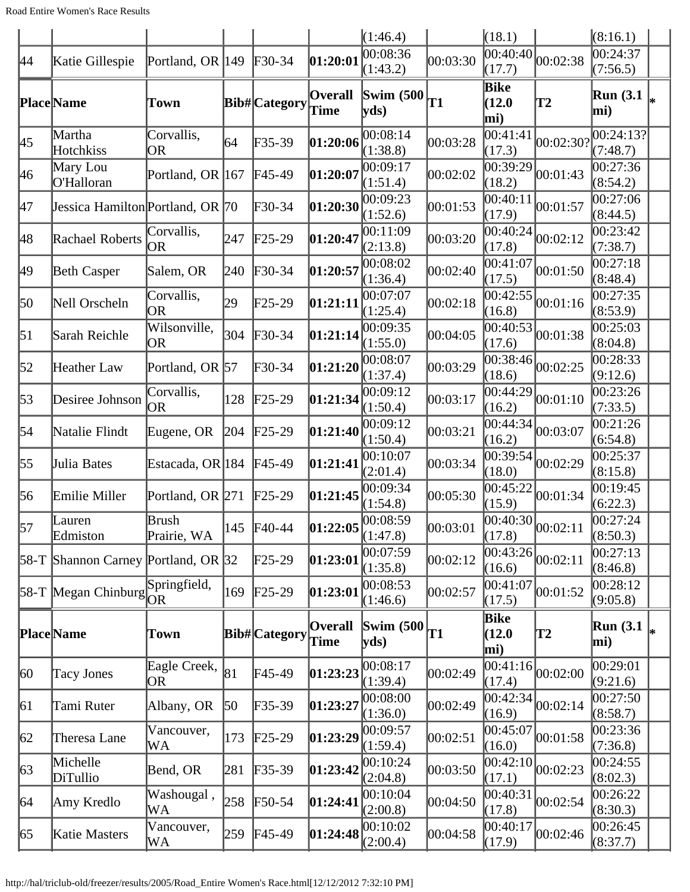|                  |                                       |                         |     |                            |                              | (1:46.4)                         |          | (18.1)                |                                           | (8:16.1)               |    |
|------------------|---------------------------------------|-------------------------|-----|----------------------------|------------------------------|----------------------------------|----------|-----------------------|-------------------------------------------|------------------------|----|
| 44               | Katie Gillespie                       | Portland, OR 149        |     | $F30-34$                   | $\pmb{01:}2\pmb{0:}0\pmb{1}$ | 00:08:36<br>(1:43.2)             | 00:03:30 | 00:40:40<br>(17.7)    | 00:02:38                                  | 0.24:37<br>(7:56.5)    |    |
|                  | Place Name                            | Town                    |     | <b>Bib#</b> Category       | <b>Overall</b><br>Time       | $\vert$ Swim (500 $\vert$<br>yds | T1       | Bike<br>(12.0)<br>mi) | <b>T2</b>                                 | <b>Run</b> (3.1<br>mi) | l∗ |
| 45               | Martha<br>Hotchkiss                   | Corvallis,<br><b>OR</b> | 64  | $F35-39$                   | 01:20:06                     | 00:08:14<br>(1:38.8)             | 00:03:28 | 00:41:41<br>(17.3)    | 00:02:30?                                 | 00:24:13?<br>(7:48.7)  |    |
| 46               | Mary Lou<br>O'Halloran                | Portland, OR 167        |     | $\text{F}45-49$            | $\pmb{01:}2\pmb{0:}0\pmb{7}$ | 00:09:17<br>(1:51.4)             | 00:02:02 | 00:39:29<br>(18.2)    | 00:01:43                                  | 00:27:36<br>(8:54.2)   |    |
| 47               | Jessica Hamilton Portland, OR 70      |                         |     | $F30-34$                   | 01:20:30                     | 00:09:23<br>(1:52.6)             | 00:01:53 | 00:40:11<br>(17.9)    | 00:01:57                                  | 00:27:06<br>(8:44.5)   |    |
| 48               | Rachael Roberts                       | Corvallis,<br> OR       | 247 | $F25-29$                   | 01:20:47                     | 00:11:09<br>(2:13.8)             | 00:03:20 | 00:40:24<br>(17.8)    | 00:02:12                                  | 00:23:42<br>(7:38.7)   |    |
| 49               | <b>Beth Casper</b>                    | Salem, OR               | 240 | $\textcolor{blue}{F30-34}$ | 01:20:57                     | 00:08:02<br>(1:36.4)             | 00:02:40 | 00:41:07<br>(17.5)    | 00:01:50                                  | 00:27:18<br>(8:48.4)   |    |
| 50               | Nell Orscheln                         | Corvallis,<br>OR        | 29  | $\text{F25-29}$            | [01:21:11]                   | 00:07:07<br>(1:25.4)             | 00:02:18 | 00:42:55<br>(16.8)    | 00:01:16                                  | 00:27:35<br>(8:53.9)   |    |
| $\vert 51 \vert$ | Sarah Reichle                         | Wilsonville,<br>OR      | 304 | $F30-34$                   | 01:21:14                     | 00:09:35<br>(1:55.0)             | 00:04:05 | 00:40:53<br>(17.6)    | 00:01:38                                  | 00:25:03<br>(8:04.8)   |    |
| 52               | Heather Law                           | Portland, OR 57         |     | $\textcolor{blue}{F30-34}$ | 01:21:20                     | 00:08:07<br>(1:37.4)             | 00:03:29 | 00:38:46<br>(18.6)    | 00:02:25                                  | 00:28:33<br>(9:12.6)   |    |
| 53               | Desiree Johnson                       | Corvallis,<br>OR        | 128 | $\text{F25-29}$            | 01:21:34                     | 00:09:12<br>(1:50.4)             | 00:03:17 | 00:44:29<br>(16.2)    | 00:01:10                                  | 00:23:26<br>(7:33.5)   |    |
| 54               | Natalie Flindt                        | Eugene, OR              | 204 | $F25-29$                   | 01:21:40                     | 00:09:12<br>(1:50.4)             | 00:03:21 | 00:44:34<br>(16.2)    | 00:03:07                                  | 00:21:26<br>(6:54.8)   |    |
| 55               | Julia Bates                           | Estacada, OR 184        |     | $F45-49$                   | 01:21:41                     | 00:10:07<br>(2:01.4)             | 00:03:34 | (18.0)                | $\overline{00:39:54}_{00:02:29}$          | 00:25:37<br>(8:15.8)   |    |
| 56               | Emilie Miller                         | Portland, OR 271        |     | $F25-29$                   | 01:21:45                     | 00:09:34<br>(1:54.8)             | 00:05:30 | 00:45:22<br>(15.9)    | 00:01:34                                  | 00:19:45<br>(6:22.3)   |    |
| $\vert$ 57       | Lauren<br>Edmiston                    | Brush<br>Prairie, WA    |     | 145 F40-44                 | 01:22:05                     | 00:08:59<br>(1:47.8)             | 00:03:01 | (17.8)                | $\overline{00:40:30}$ <sub>00:02:11</sub> | 00:27:24<br>(8:50.3)   |    |
|                  | $58-T$ Shannon Carney Portland, OR 32 |                         |     | $\text{F25-29}$            | 01:23:01                     | 00:07:59<br>(1:35.8)             | 00:02:12 | 00:43:26 <br>(16.6)   | 00:02:11                                  | 00:27:13<br>(8:46.8)   |    |
|                  | 58-T Megan Chinburg $OR^{\text{PPH}}$ | Springfield,            | 169 | $\text{F25-29}$            | 01:23:01                     | 00:08:53<br>(1:46.6)             | 00:02:57 | 00:41:07<br>(17.5)    | 00:01:52                                  | 00:28:12<br>(9:05.8)   |    |
|                  | <b>Place</b> Name                     | Town                    |     | <b>Bib#</b> Category       | Overall<br>Time              | Swim $(500)$<br>$ {\rm vds})$    | T1       | Bike<br>(12.0)<br>mi) | $\mathbf{T2}$                             | Run $(3.1)$<br>mi)     |    |
| $ 60\rangle$     | <b>Tacy Jones</b>                     | Eagle Creek,<br>OR      | 81  | $FA5-49$                   | 01:23:23                     | 00:08:17<br>(1:39.4)             | 00:02:49 | 00:41:16 <br>(17.4)   | 00:02:00                                  | 00:29:01<br>(9:21.6)   |    |
| 61               | Tami Ruter                            | Albany, OR              | 50  | $F35-39$                   | 01:23:27                     | 00:08:00<br>(1:36.0)             | 00:02:49 | 00:42:34<br>(16.9)    | 00:02:14                                  | 00:27:50<br>(8:58.7)   |    |
| 62               | Theresa Lane                          | Vancouver,<br>WА        | 173 | $F25-29$                   | 01:23:29                     | 00:09:57<br>(1:59.4)             | 00:02:51 | 00:45:07<br>(16.0)    | 00:01:58                                  | 00:23:36<br>(7:36.8)   |    |
| 63               | Michelle<br>DiTullio                  | Bend, OR                | 281 | $F35-39$                   | 01:23:42                     | 00:10:24<br>(2:04.8)             | 00:03:50 | 00:42:10 <br>(17.1)   | 00:02:23                                  | 00:24:55<br>(8:02.3)   |    |
| 64               | Amy Kredlo                            | Washougal,<br>WA        | 258 | $F50-54$                   | 01:24:41                     | 00:10:04<br>(2:00.8)             | 00:04:50 | 00:40:31<br>(17.8)    | 00:02:54                                  | 00:26:22<br>(8:30.3)   |    |
| 65               | Katie Masters                         | Vancouver,<br>WА        | 259 | $F45-49$                   | 01:24:48                     | 00:10:02<br>(2:00.4)             | 00:04:58 | 00:40:17<br>(17.9)    | 00:02:46                                  | 00:26:45<br>(8:37.7)   |    |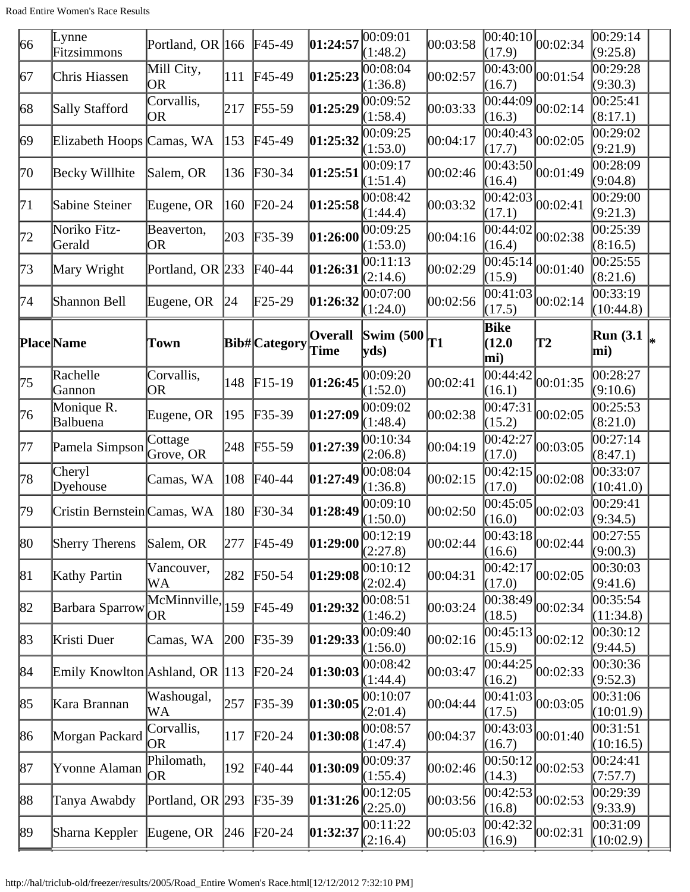| 66           | Lynne<br>Fitzsimmons           | Portland, OR 166        |     | $FA5-49$        | 01:24:57               | 00:09:01<br>(1:48.2)                             | 00:03:58 | 00:40:10 <br>(17.9)   | 00:02:34                       | 00:29:14<br>(9:25.8)        |
|--------------|--------------------------------|-------------------------|-----|-----------------|------------------------|--------------------------------------------------|----------|-----------------------|--------------------------------|-----------------------------|
| 67           | Chris Hiassen                  | Mill City,<br><b>OR</b> | 111 | $FA5-49$        | 01:25:23               | 00:08:04<br>(1:36.8)                             | 00:02:57 | 00:43:00<br>(16.7)    | 00:01:54                       | 00:29:28<br>(9:30.3)        |
| 68           | Sally Stafford                 | Corvallis,<br>OR        | 217 | $F55-59$        | 01:25:29               | 00:09:52<br>(1:58.4)                             | 00:03:33 | 00:44:09<br>(16.3)    | 00:02:14                       | 00:25:41<br>(8:17.1)        |
| $ 69\rangle$ | Elizabeth Hoops Camas, WA      |                         | 153 | $F45-49$        | 01:25:32               | 00:09:25<br>(1:53.0)                             | 00:04:17 | 00:40:43<br>(17.7)    | 00:02:05                       | 00:29:02<br>(9:21.9)        |
| 70           | Becky Willhite                 | Salem, OR               | 136 | $F30-34$        | 01:25:51               | 00:09:17<br>(1:51.4)                             | 00:02:46 | 00:43:50<br>(16.4)    | 00:01:49                       | 00:28:09<br>(9:04.8)        |
| 71           | Sabine Steiner                 | Eugene, OR              | 160 | $\text{F}20-24$ | 01:25:58               | 00:08:42<br>(1:44.4)                             | 00:03:32 | 00:42:03<br>(17.1)    | 00:02:41                       | 00:29:00<br>(9:21.3)        |
| 72           | Noriko Fitz-<br>Gerald         | Beaverton,<br>OR        | 203 | $F35-39$        | 01:26:00               | 00:09:25<br>(1:53.0)                             | 00:04:16 | 00:44:02<br>(16.4)    | 00:02:38                       | 00:25:39<br>(8:16.5)        |
| 73           | Mary Wright                    | Portland, OR 233        |     | $\text{F}40-44$ | 01:26:31               | 00:11:13<br>(2:14.6)                             | 00:02:29 | 00:45:14<br>(15.9)    | 00:01:40                       | 00:25:55<br>(8:21.6)        |
| 74           | Shannon Bell                   | Eugene, OR              | 24  | $F25-29$        | 01:26:32               | 00:07:00<br>(1:24.0)                             | 00:02:56 | 00:41:03<br>(17.5)    | 00:02:14                       | 00:33:19<br>(10:44.8)       |
|              | <b>Place</b> Name              | Town                    |     | Bib# Category   | <b>Overall</b><br>Time | <b>Swim (500)</b><br>$ {\bf y} {\bf d} s\rangle$ | T1       | Bike<br>(12.0)<br>mi) | $\mathbf{T2}$                  | Run (3.1 $\vert_{*}$<br>mi) |
| 75           | Rachelle<br>Gannon             | Corvallis,<br>OR        | 148 | $F15-19$        | 01:26:45               | 00:09:20<br>(1:52.0)                             | 00:02:41 | 00:44:42<br>(16.1)    | 00:01:35                       | 00:28:27<br>(9:10.6)        |
| 76           | Monique R.<br>Balbuena         | Eugene, OR              | 195 | $F35-39$        | 01:27:09               | 00:09:02<br>(1:48.4)                             | 00:02:38 | 00:47:31<br>(15.2)    | 00:02:05                       | 00:25:53<br>(8:21.0)        |
| 77           | Pamela Simpson                 | Cottage<br>Grove, OR    | 248 | $F55-59$        | 01:27:39               | 00:10:34<br>(2:06.8)                             | 00:04:19 | 00:42:27<br>(17.0)    | 00:03:05                       | 00:27:14<br>(8:47.1)        |
| 78           | Cheryl<br>Dyehouse             | Camas, WA               | 108 | $\text{F}40-44$ | 01:27:49               | 00:08:04<br>(1:36.8)                             | 00:02:15 | [00:42:15]<br>(17.0)  | 00:02:08                       | 00:33:07<br>(10:41.0)       |
| 79           | Cristin Bernstein Camas, WA    |                         | 180 | $F30-34$        | 01:28:49               | 00:09:10<br>(1:50.0)                             | 00:02:50 | 00:45:05<br>(16.0)    | 00:02:03                       | 00:29:41<br>(9:34.5)        |
| 80           | <b>Sherry Therens</b>          | Salem, OR               | 277 | $FA5-49$        | 01:29:00               | 00:12:19<br>(2:27.8)                             | 00:02:44 | (16.6)                | $\overline{00:43:}18$ 00:02:44 | 00:27:55<br>(9:00.3)        |
| 81           | Kathy Partin                   | Vancouver,<br>WА        | 282 | $F50-54$        | 01:29:08               | 00:10:12<br>(2:02.4)                             | 00:04:31 | 00:42:17<br>(17.0)    | 00:02:05                       | 00:30:03<br>(9:41.6)        |
| 82           | Barbara Sparrow <sub>OR</sub>  | McMinnville,            | 159 | $F45-49$        | 01:29:32               | 00:08:51<br>(1:46.2)                             | 00:03:24 | 00:38:49<br>(18.5)    | 00:02:34                       | 00:35:54<br>(11:34.8)       |
| 83           | Kristi Duer                    | Camas, WA               | 200 | $F35-39$        | 01:29:33               | 00:09:40<br>(1:56.0)                             | 00:02:16 | 00:45:13<br>(15.9)    | 00:02:12                       | 00:30:12<br>(9:44.5)        |
| 84           | Emily Knowlton Ashland, OR 113 |                         |     | $\text{F}20-24$ | 01:30:03               | 00:08:42<br>(1:44.4)                             | 00:03:47 | 00:44:25<br>(16.2)    | 00:02:33                       | 00:30:36<br>(9:52.3)        |
| 85           | Kara Brannan                   | Washougal,<br>WА        | 257 | $F35-39$        | 01:30:05               | 00:10:07<br>(2:01.4)                             | 00:04:44 | 00:41:03<br>(17.5)    | 00:03:05                       | 00:31:06<br>(10:01.9)       |
| 86           | Morgan Packard                 | Corvallis,<br> OR       | 117 | $\text{F}20-24$ | 01:30:08               | 00:08:57<br>(1:47.4)                             | 00:04:37 | 00:43:03 <br>(16.7)   | 00:01:40                       | 00:31:51<br>(10:16.5)       |
| 87           | Yvonne Alaman                  | Philomath,<br>OR.       | 192 | $F40-44$        | 01:30:09               | 00:09:37<br>(1:55.4)                             | 00:02:46 | 00:50:12<br>(14.3)    | 00:02:53                       | 00:24:41<br>(7:57.7)        |
| 88           | Tanya Awabdy                   | Portland, OR 293        |     | $F35-39$        | 01:31:26               | 00:12:05<br>(2:25.0)                             | 00:03:56 | 00:42:53<br>(16.8)    | 00:02:53                       | 00:29:39<br>(9:33.9)        |
| 89           | Sharna Keppler                 | Eugene, OR              | 246 | $F20-24$        | [01:32:37]             | 00:11:22<br>(2:16.4)                             | 00:05:03 | 00:42:32<br>(16.9)    | 00:02:31                       | 00:31:09<br>(10:02.9)       |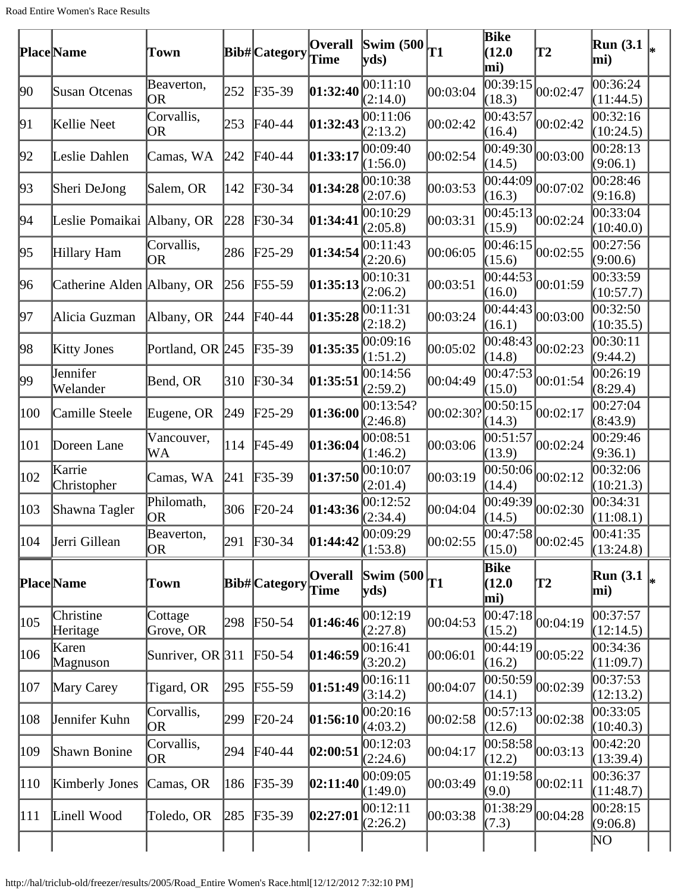|     | <b>Place</b> Name          | Town                    |     | <b>Bib#</b>  Category | <b>Overall</b><br><b>Time</b>              | Swim $(500)$ <sub>T1</sub><br>yds |           | Bike<br>(12.0)<br>mi)        | T2                                              | <b>Run</b> (3.1)<br>mi) |    |
|-----|----------------------------|-------------------------|-----|-----------------------|--------------------------------------------|-----------------------------------|-----------|------------------------------|-------------------------------------------------|-------------------------|----|
| 90  | Susan Otcenas              | Beaverton,<br>OR        | 252 | $F35-39$              | 01:32:40                                   | 00:11:10<br>(2:14.0)              | 00:03:04  | 00:39:15<br>(18.3)           | 00:02:47                                        | 00:36:24<br>(11:44.5)   |    |
| 91  | Kellie Neet                | Corvallis,<br><b>OR</b> | 253 | $\text{F}40-44$       | 01:32:43                                   | 00:11:06<br>(2:13.2)              | 00:02:42  | 00:43:57<br>(16.4)           | 00:02:42                                        | 00:32:16<br>(10:24.5)   |    |
| 92  | Leslie Dahlen              | Camas, WA               | 242 | F40-44                | 01:33:17                                   | 00:09:40<br>(1:56.0)              | 00:02:54  | 00:49:30<br>(14.5)           | 00:03:00                                        | 00:28:13<br>(9:06.1)    |    |
| 93  | Sheri DeJong               | Salem, OR               | 142 | $\text{F}30-34$       | 01:34:28                                   | 00:10:38<br>(2:07.6)              | 00:03:53  | 00:44:09<br>(16.3)           | 00:07:02                                        | 00:28:46<br>(9:16.8)    |    |
| 94  | Leslie Pomaikai Albany, OR |                         | 228 | $F30-34$              | 01:34:41                                   | 00:10:29<br>(2:05.8)              | 00:03:31  | 00:45:13<br>(15.9)           | 00:02:24                                        | 00:33:04<br>(10:40.0)   |    |
| 95  | Hillary Ham                | Corvallis,<br>OR        | 286 | $F25-29$              | 01:34:54                                   | 00:11:43<br>(2:20.6)              | 00:06:05  | 00:46:15<br>(15.6)           | 00:02:55                                        | 00:27:56<br>(9:00.6)    |    |
| 96  | Catherine Alden Albany, OR |                         | 256 | $F55-59$              | 01:35:13                                   | 00:10:31<br>(2:06.2)              | 00:03:51  | 00:44:53<br>(16.0)           | 00:01:59                                        | 00:33:59<br>(10:57.7)   |    |
| 97  | Alicia Guzman              | Albany, OR              | 244 | $F40-44$              | 01:35:28                                   | 00:11:31<br>(2:18.2)              | 00:03:24  | 00:44:43<br>(16.1)           | 00:03:00                                        | 0.32:50<br>(10:35.5)    |    |
| 98  | <b>Kitty Jones</b>         | Portland, OR 245        |     | $F35-39$              | 01:35:35                                   | 00:09:16<br>(1:51.2)              | 00:05:02  | 00:48:43<br>(14.8)           | 00:02:23                                        | 00:30:11<br>(9:44.2)    |    |
| 99  | Jennifer<br>Welander       | Bend, OR                | 310 | $F30-34$              | 01:35:51                                   | 00:14:56<br>(2:59.2)              | 00:04:49  | 00:47:53<br>(15.0)           | 00:01:54                                        | 00:26:19<br>(8:29.4)    |    |
| 100 | Camille Steele             | Eugene, OR              | 249 | $\text{F25-29}$       | 01:36:00                                   | 00:13:54?<br>(2:46.8)             | 00:02:30? | 00:50:15<br>(14.3)           | 00:02:17                                        | 00:27:04<br>(8:43.9)    |    |
| 101 | Doreen Lane                | Vancouver,<br>WA        | 114 | $F45-49$              | 01:36:04                                   | 00:08:51<br>(1:46.2)              | 00:03:06  | 00:51:57<br>(13.9)           | 00:02:24                                        | 00:29:46<br>(9:36.1)    |    |
| 102 | Karrie<br>Christopher      | Camas, WA               | 241 | $F35-39$              | 01:37:50                                   | 00:10:07<br>(2:01.4)              | 00:03:19  | [00:50:06]<br>(14.4)         | 00:02:12                                        | 00:32:06<br>(10:21.3)   |    |
| 103 | Shawna Tagler              | Philomath,<br>OR        | 306 | $F20-24$              | 01:43:36                                   | 00:12:52<br>(2:34.4)              | 00:04:04  | 00:49:39<br>(14.5)           | 00:02:30                                        | 00:34:31<br>(11:08.1)   |    |
| 104 | Jerri Gillean              | Beaverton,<br>OR        | 291 | $F30-34$              | $\left 01:44:42\right \overline{00:09:29}$ | (1:53.8)                          | 00:02:55  | (15.0)                       | $\frac{(1.117)}{00:47:58}$ <sub>00</sub> :02:45 | 00:41:35<br>(13:24.8)   |    |
|     | <b>Place</b> Name          | Town                    |     | <b>Bib#</b> Category  | <b>Overall</b><br><b>Time</b>              | Swim (500 $_{\text{T1}}$ )<br>yds |           | Bike<br>(12.0)<br>mi)        | T2                                              | <b>Run</b> (3.1)<br>mi) | I∗ |
| 105 | Christine<br>Heritage      | Cottage<br>Grove, OR    | 298 | $F50-54$              | 01:46:46                                   | 00:12:19<br>(2:27.8)              | 00:04:53  | $\sqrt{00}$ :47:18<br>(15.2) | 00:04:19                                        | 00:37:57<br>(12:14.5)   |    |
| 106 | Karen<br>Magnuson          | Sunriver, OR $311$      |     | $F50-54$              | 01:46:59                                   | 00:16:41<br>(3:20.2)              | 00:06:01  | 00:44:19<br>(16.2)           | 00:05:22                                        | 00:34:36<br>(11:09.7)   |    |
| 107 | Mary Carey                 | Tigard, OR              | 295 | $F55-59$              | 01:51:49                                   | 00:16:11<br>(3:14.2)              | 00:04:07  | 00:50:59 <br>(14.1)          | 00:02:39                                        | 00:37:53<br>(12:13.2)   |    |
| 108 | Jennifer Kuhn              | Corvallis,<br><b>OR</b> | 299 | $F20-24$              | 01:56:10                                   | 00:20:16<br>(4:03.2)              | 00:02:58  | 00:57:13<br>(12.6)           | 00:02:38                                        | 00:33:05<br>(10:40.3)   |    |
| 109 | Shawn Bonine               | Corvallis,<br><b>OR</b> | 294 | $F40-44$              | 02:00:51                                   | 00:12:03<br>(2:24.6)              | 00:04:17  | 00:58:58<br>(12.2)           | 00:03:13                                        | 00:42:20<br>(13:39.4)   |    |
| 110 | <b>Kimberly Jones</b>      | Camas, OR               | 186 | $F35-39$              | 02:11:40                                   | 00:09:05<br>(1:49.0)              | 00:03:49  | [01:19:58]<br>(9.0)          | 00:02:11                                        | 00:36:37<br>(11:48.7)   |    |
| 111 | Linell Wood                | Toledo, OR              | 285 | $F35-39$              | 02:27:01                                   | 00:12:11<br>(2:26.2)              | 00:03:38  | 01:38:29 <br>(7.3)           | 00:04:28                                        | 00:28:15<br>(9:06.8)    |    |
|     |                            |                         |     |                       |                                            |                                   |           |                              |                                                 | NO                      |    |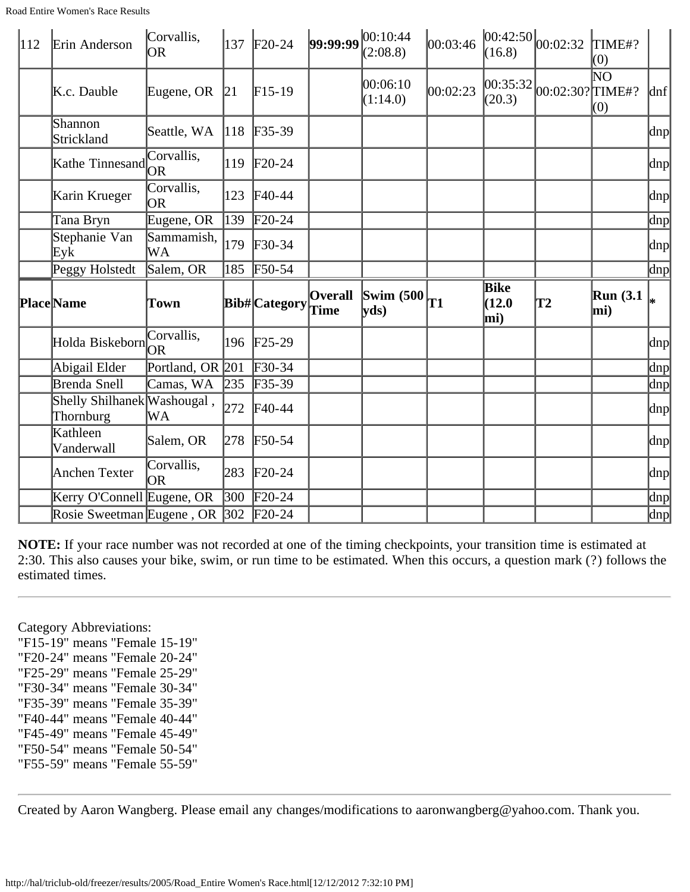| $\vert$ 112 | Erin Anderson                                                      | Corvallis,<br><b>OR</b> |                          | 137 F <sub>20</sub> -24 |                        | 99:99:99 00:10:44<br>(2:08.8)                             | 00:03:46 | (16.8)                | $ 00:42:50 _{00:02:32}$                    | TIME#?<br>(0)              |                     |
|-------------|--------------------------------------------------------------------|-------------------------|--------------------------|-------------------------|------------------------|-----------------------------------------------------------|----------|-----------------------|--------------------------------------------|----------------------------|---------------------|
|             | K.c. Dauble                                                        | Eugene, OR              | 21                       | $F15-19$                |                        | 00:06:10<br>(1:14.0)                                      | 00:02:23 | (20.3)                | $\left  00:35:32 \right  00:02:30?$ TIME#? | $\overline{\rm NO}$<br>(0) | $\ln f$             |
|             | Shannon<br>Strickland                                              | Seattle, WA             | $ 118\rangle$            | $F35-39$                |                        |                                                           |          |                       |                                            |                            | $ {\rm d}n{\rm p} $ |
|             | Kathe Tinnesand                                                    | Corvallis,              | 119                      | $F20-24$                |                        |                                                           |          |                       |                                            |                            | dnp                 |
|             | Karin Krueger                                                      | Corvallis,<br>lor       | 123                      | $F40-44$                |                        |                                                           |          |                       |                                            |                            | $\text{dnp}$        |
|             | Tana Bryn                                                          | Eugene, OR              | 139                      | $F20-24$                |                        |                                                           |          |                       |                                            |                            | dnp                 |
|             | Stephanie Van<br>Eyk                                               | Sammamish,<br>WА        | 179                      | $F30-34$                |                        |                                                           |          |                       |                                            |                            | dnp                 |
|             | Peggy Holstedt                                                     | Salem, OR               | 185                      | $F50-54$                |                        |                                                           |          |                       |                                            |                            | dnp                 |
|             |                                                                    |                         |                          |                         |                        |                                                           |          |                       |                                            |                            |                     |
|             | <b>Place</b> Name                                                  | Town                    |                          | <b>Bib#</b> Category    | <b>Overall</b><br>Time | Swim $(500)$ <sup>T1</sup><br>$ {\bf v} {\bf d} s\rangle$ |          | Bike<br>(12.0)<br>mi) | T2                                         | <b>Run</b> (3.1)<br>mi)    | l*                  |
|             | Holda Biskeborn                                                    | Corvallis,              |                          | 196 F25-29              |                        |                                                           |          |                       |                                            |                            |                     |
|             | Abigail Elder                                                      | Portland, OR 201        |                          | $F30-34$                |                        |                                                           |          |                       |                                            |                            |                     |
|             | Brenda Snell                                                       | Camas, WA               | 235                      | $F35-39$                |                        |                                                           |          |                       |                                            |                            | dnp<br>dnp<br>dnp   |
|             | Shelly Shilhanek Washougal,<br>Thornburg                           | WA                      | 272                      | $F40-44$                |                        |                                                           |          |                       |                                            |                            |                     |
|             | Kathleen<br>Vanderwall                                             | Salem, OR               | 278                      | $F50-54$                |                        |                                                           |          |                       |                                            |                            |                     |
|             | Anchen Texter                                                      | Corvallis,<br>OR.       | 283                      | $F20-24$                |                        |                                                           |          |                       |                                            |                            | dnp<br>dnp<br>dnp   |
|             | Kerry O'Connell Eugene, OR<br>Rosie Sweetman Eugene, OR 302 F20-24 |                         | $\left 300\right\rangle$ | $F20-24$                |                        |                                                           |          |                       |                                            |                            | $\ln p$             |

Category Abbreviations: "F15-19" means "Female 15-19" "F20-24" means "Female 20-24" "F25-29" means "Female 25-29" "F30-34" means "Female 30-34" "F35-39" means "Female 35-39" "F40-44" means "Female 40-44" "F45-49" means "Female 45-49" "F50-54" means "Female 50-54" "F55-59" means "Female 55-59"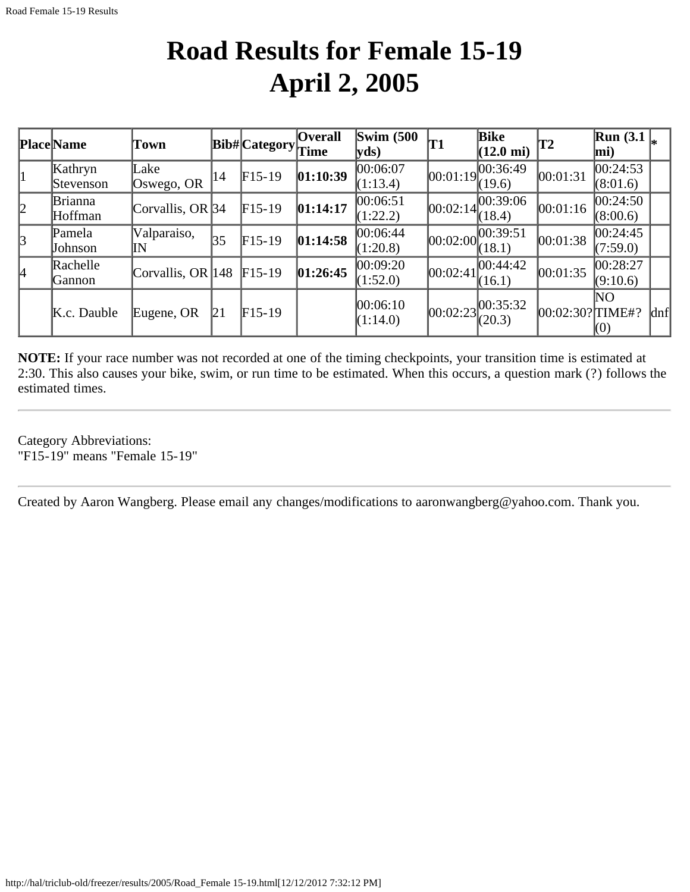### **Road Results for Female 15-19 April 2, 2005**

|           | <b>Place</b> Name         | Town               |     | $ {\bf Bib\#} $ Category $ {\bf \widetilde{Time}} $ | <b>Overall</b> | Swim $(500)$<br>yds   | <b>T1</b> | Bike<br>$(12.0 \text{ mi})$                  | $ {\bf T2} $     | Run(3.1)<br>$ \text{mi})$ |     |
|-----------|---------------------------|--------------------|-----|-----------------------------------------------------|----------------|-----------------------|-----------|----------------------------------------------|------------------|---------------------------|-----|
|           | Kathryn<br>Stevenson      | Lake<br>Oswego, OR | 14  | $F15-19$                                            | [01:10:39]     | 00:06:07<br>(1:13.4)  |           | $[00:01:19]^{00:36:49}$<br>(19.6)            | 00:01:31         | 00:24:53<br>(8:01.6)      |     |
| $\vert$ 2 | <b>Brianna</b><br>Hoffman | Corvallis, OR $34$ |     | $F15-19$                                            | 01:14:17       | 00:06:51<br>(1:22.2)  |           | $[00:02:14]$ $\overline{00:39:06}$<br>(18.4) | 00:01:16         | 00:24:50<br>(8:00.6)      |     |
| 3         | Pamela<br>Johnson         | Valparaiso,<br>IN  | 35  | $F15-19$                                            | 01:14:58       | 00:06:44 <br>(1:20.8) |           | [00:02:00]<br>(18.1)                         | 00:01:38         | 00:24:45<br>(7:59.0)      |     |
| 14        | Rachelle<br> Gannon       | Corvallis, OR 148  |     | $F15-19$                                            | 01:26:45       | 00:09:20<br>(1:52.0)  | 00:02:41  | 00:44:42 <br>(16.1)                          | 00:01:35         | 00:28:27<br>(9:10.6)      |     |
|           | K.c. Dauble               | Eugene, OR         | ľ21 | $F15-19$                                            |                | 00:06:10<br>(1:14.0)  |           | $ 00:02:23 ^{00:35:32}_{(20.3)}$             | 00:02:30? TIME#? | NO<br>(0)                 | dnf |

**NOTE:** If your race number was not recorded at one of the timing checkpoints, your transition time is estimated at 2:30. This also causes your bike, swim, or run time to be estimated. When this occurs, a question mark (?) follows the estimated times.

Category Abbreviations: "F15-19" means "Female 15-19"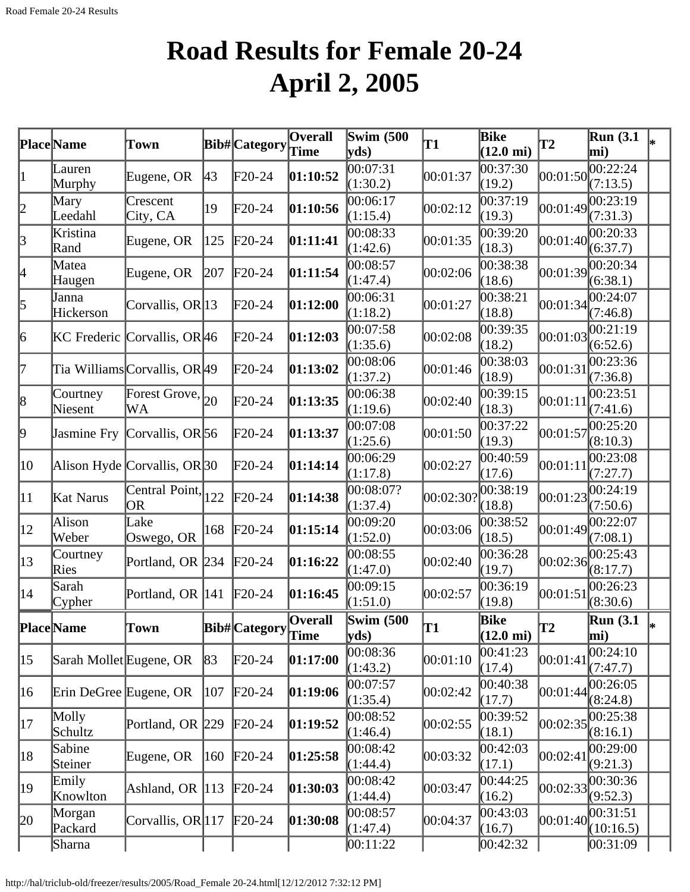# **Road Results for Female 20-24 April 2, 2005**

|                 | Place Name              | Town                               |     | Bib#Category    | $\overline{O}$ verall | <b>Swim (500)</b><br>yds) | T1                 | Bike<br>$(12.0 \text{ mi})$ | $\bf{T2}$ | Run(3.1)<br>mi)       |  |
|-----------------|-------------------------|------------------------------------|-----|-----------------|-----------------------|---------------------------|--------------------|-----------------------------|-----------|-----------------------|--|
| 1               | Lauren<br>Murphy        | Eugene, OR                         | 43  | $F20-24$        | 01:10:52              | 00:07:31<br>(1:30.2)      | 00:01:37           | 00:37:30<br>(19.2)          | 00:01:50  | 00:22:24<br>(7:13.5)  |  |
| 2               | Mary<br>Leedahl         | Crescent<br>City, CA               | 19  | $\text{F}20-24$ | 01:10:56              | 00:06:17<br>(1:15.4)      | 00:02:12           | 00:37:19<br>(19.3)          | 00:01:49  | 00:23:19<br>(7:31.3)  |  |
| $\beta$         | Kristina<br>Rand        | Eugene, OR                         | 125 | $\text{F}20-24$ | [01:11:41]            | 00:08:33<br>(1:42.6)      | 00:01:35           | 00:39:20<br>(18.3)          | 00:01:40  | 00:20:33<br>(6:37.7)  |  |
| 4               | Matea<br>Haugen         | Eugene, OR                         | 207 | $\text{F}20-24$ | 01:11:54              | 00:08:57<br>(1:47.4)      | 00:02:06           | 00:38:38<br>(18.6)          | 00:01:39  | 00:20:34<br>(6:38.1)  |  |
| 5               | Janna<br>Hickerson      | Corvallis, OR  $13$                |     | $\text{F}20-24$ | [01:12:00]            | 00:06:31<br>(1:18.2)      | 00:01:27           | 00:38:21<br>(18.8)          | 00:01:34  | 0.24:07<br>(7:46.8)   |  |
| 6               |                         | KC Frederic Corvallis, OR 46       |     | $\text{F}20-24$ | [01:12:03]            | 00:07:58<br>(1:35.6)      | 00:02:08           | 00:39:35<br>(18.2)          | 00:01:03  | 00:21:19<br>(6:52.6)  |  |
| 17              |                         | Tia WilliamsCorvallis, OR49        |     | $\text{F}20-24$ | 01:13:02              | 00:08:06<br>(1:37.2)      | 00:01:46           | 00:38:03<br>(18.9)          | 00:01:31  | 00:23:36<br>(7:36.8)  |  |
| $\vert 8 \vert$ | Courtney<br>Niesent     | Forest Grove, $ _{20}$<br>WA       |     | $\text{F}20-24$ | [01:13:35]            | 00:06:38<br>(1:19.6)      | 00:02:40           | 00:39:15<br>(18.3)          | 00:01:11  | 00:23:51<br>(7:41.6)  |  |
| þ,              | Jasmine Fry             | Corvallis, OR 56                   |     | $F20-24$        | 01:13:37              | 00:07:08<br>(1:25.6)      | 00:01:50           | 00:37:22<br>(19.3)          | 00:01:57  | 00:25:20<br>(8:10.3)  |  |
| $ 10\rangle$    |                         | Alison Hyde Corvallis, OR30        |     | $\text{F}20-24$ | 01:14:14              | 00:06:29<br>(1:17.8)      | 00:02:27           | 00:40:59<br>(17.6)          | 00:01:11  | 00:23:08<br>(7:27.7)  |  |
| $ 11\rangle$    | Kat Narus               | Central Point, $\vert_{122}$<br>OR |     | $\text{F}20-24$ | [01:14:38]            | 00:08:07?<br>(1:37.4)     | $ 00:02:30\rangle$ | 00:38:19<br>(18.8)          | 00:01:23  | 00:24:19<br>(7:50.6)  |  |
| $ 12\rangle$    | Alison<br> Weber        | Lake<br>Oswego, OR                 | 168 | $F20-24$        | 01:15:14              | 00:09:20<br>(1:52.0)      | 00:03:06           | 00:38:52<br>(18.5)          | 00:01:49  | 00:22:07<br>(7:08.1)  |  |
| $ 13\rangle$    | Courtney<br>Ries        | Portland, OR 234                   |     | $F20-24$        | 01:16:22              | 00:08:55<br>(1:47.0)      | 00:02:40           | 00:36:28<br>(19.7)          | 00:02:36  | 00:25:43<br>(8:17.7)  |  |
| $ 14\rangle$    | Sarah<br>Cypher         | Portland, OR $ 141 $               |     | $F20-24$        | 01:16:45              | 00:09:15<br>(1:51.0)      | 00:02:57           | 00:36:19<br>(19.8)          | 00:01:51  | 00:26:23<br>(8:30.6)  |  |
|                 | <b>Place</b> Name       | Town                               |     | Bib# Category   | Overall<br>∣Time      | <b>Swim (500</b><br>yds   | lT1                | Bike<br>$(12.0 \text{ mi})$ | T2        | Run(3.1)<br>mi)       |  |
| $ 15\rangle$    | Sarah Mollet Eugene, OR |                                    | 83  | $F20-24$        | 01:17:00              | 00:08:36<br>(1:43.2)      | 00:01:10           | 00:41:23<br>(17.4)          | 00:01:41  | 00:24:10<br>(7:47.7)  |  |
| 16              | Erin DeGree Eugene, OR  |                                    | 107 | $\text{F}20-24$ | 01:19:06              | 00:07:57<br>(1:35.4)      | 00:02:42           | 00:40:38<br>(17.7)          | 00:01:44  | 00:26:05<br>(8:24.8)  |  |
| 17              | Molly<br>Schultz        | Portland, OR 229                   |     | $F20-24$        | 01:19:52              | 00:08:52<br>(1:46.4)      | 00:02:55           | 00:39:52<br>(18.1)          | 00:02:35  | 00:25:38<br>(8:16.1)  |  |
| 18              | Sabine<br>Steiner       | Eugene, OR                         | 160 | $F20-24$        | 01:25:58              | 00:08:42<br>(1:44.4)      | 00:03:32           | 00:42:03<br>(17.1)          | 00:02:41  | 00:29:00<br>(9:21.3)  |  |
| 19              | Emily<br>Knowlton       | Ashland, OR $ 113$                 |     | $\text{F}20-24$ | [01:30:03]            | 00:08:42<br>(1:44.4)      | 00:03:47           | 00:44:25<br>(16.2)          | 00:02:33  | 00:30:36<br>(9:52.3)  |  |
| 20              | Morgan<br>Packard       | Corvallis, $OR 117$                |     | $\text{F}20-24$ | 01:30:08              | 00:08:57<br>(1:47.4)      | 00:04:37           | 00:43:03<br>(16.7)          | 00:01:40  | 00:31:51<br>(10:16.5) |  |
|                 | Sharna                  |                                    |     |                 |                       | 00:11:22                  |                    | 00:42:32                    |           | 00:31:09              |  |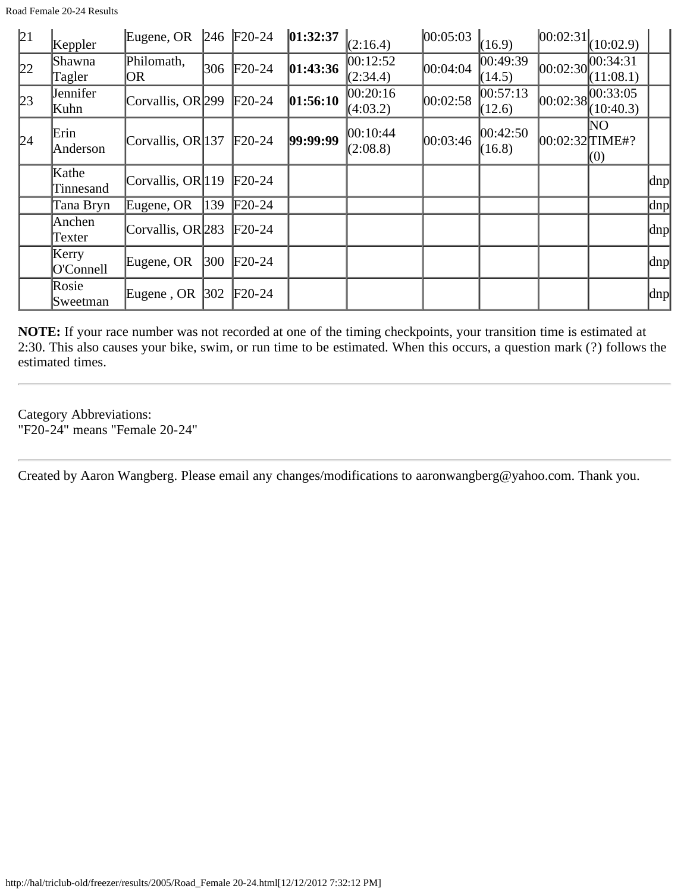| 21 | Keppler            | Eugene, OR                   |     | $246$ F <sub>20</sub> -24 | 01:32:37 | (2:16.4)             | 00:05:03 | (16.9)              | 00:02:31            | (10:02.9)             |                     |
|----|--------------------|------------------------------|-----|---------------------------|----------|----------------------|----------|---------------------|---------------------|-----------------------|---------------------|
| 22 | Shawna<br>Tagler   | Philomath,<br>OR.            | 306 | $F20-24$                  | 01:43:36 | 00:12:52<br>(2:34.4) | 00:04:04 | 00:49:39 <br>(14.5) | 00:02:30            | 00:34:31<br>(11:08.1) |                     |
| 23 | Jennifer<br>Kuhn   | Corvallis, OR 299            |     | $F20-24$                  | 01:56:10 | 00:20:16<br>(4:03.2) | 00:02:58 | 00:57:13<br>(12.6)  | 00:02:38            | 00:33:05<br>(10:40.3) |                     |
| 24 | Erin<br>Anderson   | Corvallis, OR 137            |     | $F20-24$                  | 99:99:99 | 00:10:44<br>(2:08.8) | 00:03:46 | 00:42:50 <br>(16.8) | $[00:02:32]$ TIME#? | NΟ<br>(0)             |                     |
|    | Kathe<br>Tinnesand | Corvallis, $OR 119$          |     | $\text{F20-24}$           |          |                      |          |                     |                     |                       | $\vert$ dnp $\vert$ |
|    | Tana Bryn          | Eugene, OR                   | 139 | $F20-24$                  |          |                      |          |                     |                     |                       | $\vert$ dnp $\vert$ |
|    | Anchen<br>Texter   | Corvallis, OR <sub>283</sub> |     | $\text{F20-24}$           |          |                      |          |                     |                     |                       | $\vert$ dnp $\vert$ |
|    | Kerry<br>O'Connell | Eugene, OR                   | 300 | $\text{F}20-24$           |          |                      |          |                     |                     |                       | $\vert$ dnp $\vert$ |
|    | Rosie<br>Sweetman  | Eugene, OR                   | 302 | $F20-24$                  |          |                      |          |                     |                     |                       | dnp                 |

Category Abbreviations: "F20-24" means "Female 20-24"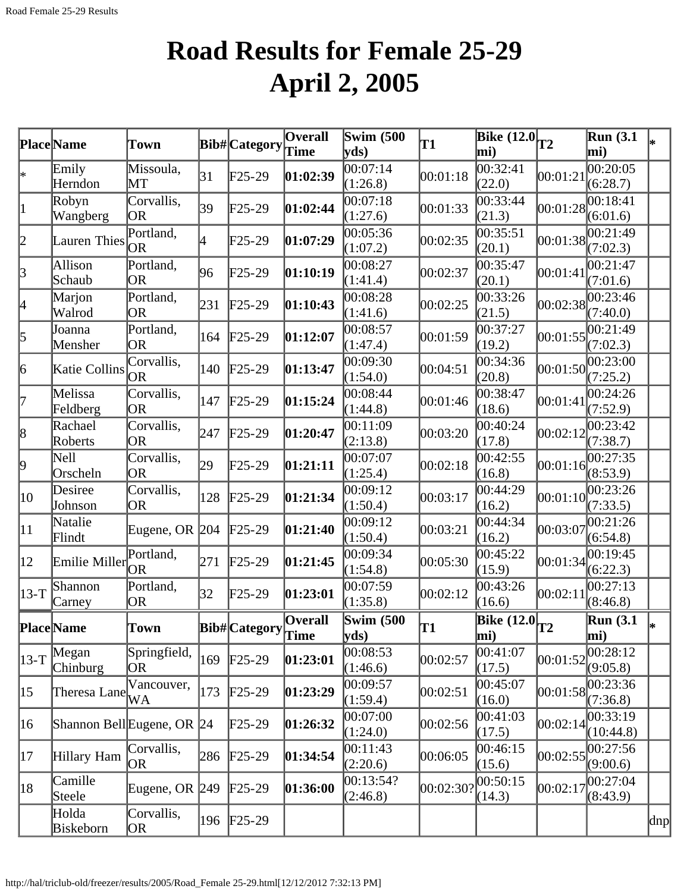# **Road Results for Female 25-29 April 2, 2005**

|              | Place Name                 | Town                    |     | Bib#Category         | $\overline{O}$ verall  | $\overline{\text{Swim}}$ (500<br>yds | T1        | Bike $(12.0)$ <sub>T2</sub><br>mi) |          | Run(3.1)<br>mi)         | l∗. |
|--------------|----------------------------|-------------------------|-----|----------------------|------------------------|--------------------------------------|-----------|------------------------------------|----------|-------------------------|-----|
| ∗            | Emily<br>Herndon           | Missoula,<br>MТ         | 31  | $F25-29$             | 01:02:39               | 00:07:14<br>(1:26.8)                 | 00:01:18  | 00:32:41<br>(22.0)                 | 00:01:21 | 00:20:05<br>(6:28.7)    |     |
| $\vert$ 1    | Robyn<br>Wangberg          | Corvallis,<br>OR        | 39  | $\text{F25-29}$      | 01:02:44               | 00:07:18<br>(1:27.6)                 | 00:01:33  | 00:33:44<br>(21.3)                 | 00:01:28 | 00:18:41<br>(6:01.6)    |     |
| 2            | Lauren Thies               | Portland,<br>OR.        | 4   | $\text{F25-29}$      | 01:07:29               | 00:05:36<br>(1:07.2)                 | 00:02:35  | 00:35:51<br>(20.1)                 | 00:01:38 | 00:21:49<br>(7:02.3)    |     |
| 3            | Allison<br>Schaub          | Portland,<br><b>OR</b>  | 96  | $\text{F25-29}$      | [01:10:19]             | 00:08:27<br>(1:41.4)                 | 00:02:37  | 00:35:47<br>(20.1)                 | 00:01:41 | 00:21:47<br>(7:01.6)    |     |
| 4            | Marjon<br>Walrod           | Portland,<br><b>OR</b>  | 231 | $F25-29$             | 01:10:43               | 00:08:28<br>(1:41.6)                 | 00:02:25  | 00:33:26<br>(21.5)                 | 00:02:38 | 00:23:46<br>(7:40.0)    |     |
| 5            | Joanna<br>Mensher          | Portland,<br>OR         | 164 | $F25-29$             | 01:12:07               | 00:08:57<br>(1:47.4)                 | 00:01:59  | 00:37:27<br>(19.2)                 | 00:01:55 | 00:21:49<br>(7:02.3)    |     |
| 6            | Katie Collins              | Corvallis,<br><b>OR</b> | 140 | $F25-29$             | 01:13:47               | 00:09:30<br>(1:54.0)                 | 00:04:51  | 00:34:36<br>(20.8)                 | 00:01:50 | 00:23:00<br>(7:25.2)    |     |
| 17           | Melissa<br>Feldberg        | Corvallis,<br>OR        | 147 | $F25-29$             | 01:15:24               | 00:08:44<br>(1:44.8)                 | 00:01:46  | 00:38:47<br>(18.6)                 | 00:01:41 | 00:24:26<br>(7:52.9)    |     |
| $\vert 8$    | Rachael<br>Roberts         | Corvallis,<br><b>OR</b> | 247 | $F25-29$             | 01:20:47               | 00:11:09<br>(2:13.8)                 | 00:03:20  | 00:40:24<br>(17.8)                 | 00:02:12 | 00:23:42<br>(7:38.7)    |     |
| þ.           | Nell<br>Orscheln           | Corvallis,<br><b>OR</b> | 29  | $F25-29$             | [01:21:11]             | 00:07:07<br>(1:25.4)                 | 00:02:18  | 00:42:55<br>(16.8)                 | 00:01:16 | 00:27:35<br>(8:53.9)    |     |
| 10           | Desiree<br>Johnson         | Corvallis,<br>OR        | 128 | $F25-29$             | 01:21:34               | 00:09:12<br>(1:50.4)                 | 00:03:17  | 00:44:29<br>(16.2)                 | 00:01:10 | 00:23:26<br>(7:33.5)    |     |
| $ 11\rangle$ | Natalie<br>Flindt          | Eugene, OR $ 204 $      |     | $F25-29$             | [01:21:40]             | 00:09:12<br>(1:50.4)                 | 00:03:21  | 00:44:34<br>(16.2)                 | 00:03:07 | 00:21:26<br>(6:54.8)    |     |
| $ 12\rangle$ | Emilie Miller              | Portland,<br><b>OR</b>  | 271 | $\text{F25-29}$      | 01:21:45               | 00:09:34<br>(1:54.8)                 | 00:05:30  | 00:45:22<br>(15.9)                 | 00:01:34 | 00:19:45<br>(6:22.3)    |     |
| $ 13-T$      | Shannon<br>Carney          | Portland,<br>OR)        | 32  | $F25-29$             | [01:23:01]             | 00:07:59<br>(1:35.8)                 | 00:02:12  | 00:43:26<br>(16.6)                 | 00:02:11 | 00:27:13<br>(8:46.8)    |     |
|              | <b>Place</b> Name          | Town                    |     | <b>Bib#</b> Category | Overall<br><b>Time</b> | <b>Swim (500)</b><br>yds)            | T1        | Bike $(12.0$ <sub>T2</sub><br>mi)  |          | <b>Run</b> (3.1)<br>mi) | l∗  |
| $ 13-T$      | Megan<br>Chinburg          | Springfield,<br>OR.     | 169 | $F25-29$             | 01:23:01               | 00:08:53<br>(1:46.6)                 | 00:02:57  | 00:41:07<br>(17.5)                 | 00:01:52 | 00:28:12<br>(9:05.8)    |     |
| $ 15\rangle$ | Theresa Lane               | Vancouver,<br>WA        | 173 | $F25-29$             | [01:23:29]             | 00:09:57<br>(1:59.4)                 | 00:02:51  | 00:45:07<br>(16.0)                 | 00:01:58 | 00:23:36<br>(7:36.8)    |     |
| 16           | Shannon Bell Eugene, OR 24 |                         |     | $\text{F25-29}$      | 01:26:32               | 00:07:00<br>(1:24.0)                 | 00:02:56  | 00:41:03<br>(17.5)                 | 00:02:14 | 00:33:19<br>(10:44.8)   |     |
| 17           | Hillary Ham                | Corvallis,<br>OR.       | 286 | $F25-29$             | 01:34:54               | 00:11:43<br>(2:20.6)                 | 00:06:05  | 00:46:15<br>(15.6)                 | 00:02:55 | 00:27:56<br>(9:00.6)    |     |
| 18           | Camille<br>Steele          | Eugene, OR 249          |     | $F25-29$             | 01:36:00               | 00:13:54?<br>(2:46.8)                | 00:02:30? | 00:50:15<br>(14.3)                 | 00:02:17 | 00:27:04<br>(8:43.9)    |     |
|              | Holda<br>Biskeborn         | Corvallis,<br>OR.       |     | 196 F25-29           |                        |                                      |           |                                    |          |                         | dnp |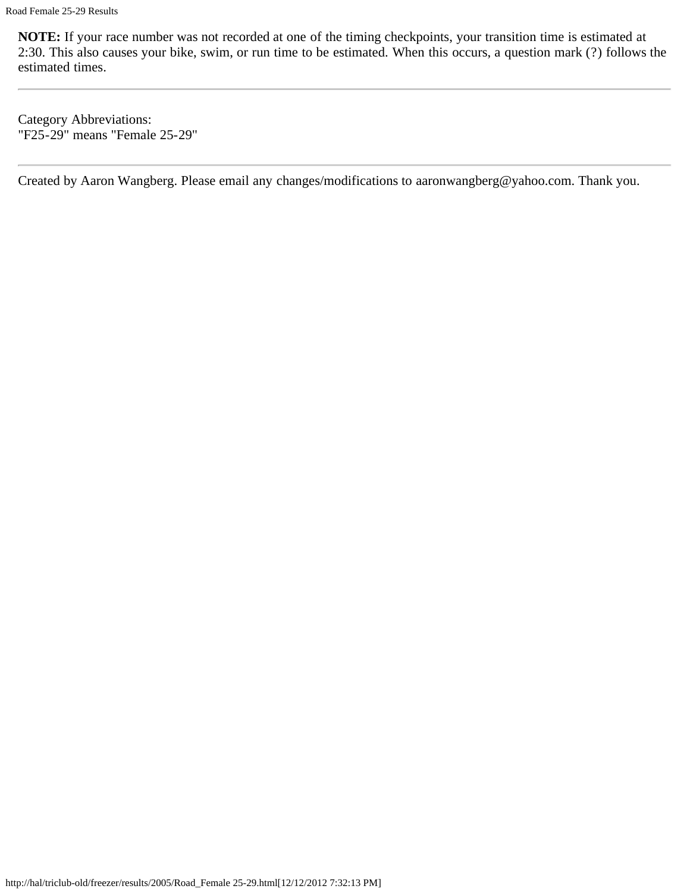Category Abbreviations: "F25-29" means "Female 25-29"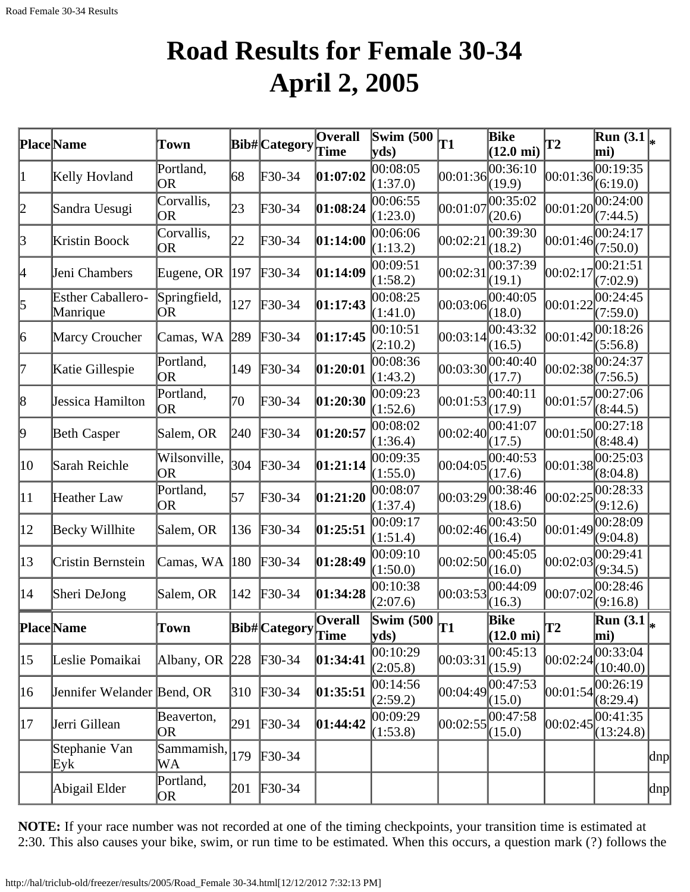## **Road Results for Female 30-34 April 2, 2005**

|              | <b>Place</b> Name                    | Town                |     | Bib# Category                                                       | Overall  | Swim $(500)$                              | T1       | <b>Bike</b>                 | <b>T2</b> | $\overline{\text{Run}}(3.1\vert_{*})$   |          |
|--------------|--------------------------------------|---------------------|-----|---------------------------------------------------------------------|----------|-------------------------------------------|----------|-----------------------------|-----------|-----------------------------------------|----------|
|              |                                      |                     |     |                                                                     | Time     | $ {\bf v} {\bf d} s)$                     |          | $(12.0 \text{ mi})$         |           | mi)                                     |          |
| 1            | Kelly Hovland                        | Portland,<br>OR     | 68  | F30-34                                                              | 01:07:02 | 00:08:05<br>(1:37.0)                      | 00:01:36 | 00:36:10<br>(19.9)          | 00:01:36  | 00:19:35<br>(6:19.0)                    |          |
| 2            | Sandra Uesugi                        | Corvallis,<br>OR    | 23  | F30-34                                                              | 01:08:24 | 00:06:55<br>(1:23.0)                      | 00:01:07 | 00:35:02<br>(20.6)          | 00:01:20  | 00:24:00<br>(7:44.5)                    |          |
| 3            | Kristin Boock                        | Corvallis,<br>OR    | 22  | F30-34                                                              | 01:14:00 | 00:06:06<br>(1:13.2)                      | 00:02:21 | 00:39:30<br>(18.2)          | 00:01:46  | 00:24:17<br>(7:50.0)                    |          |
| 4            | Jeni Chambers                        | Eugene, OR          | 197 | $F30-34$                                                            | 01:14:09 | 00:09:51<br>(1:58.2)                      | 00:02:31 | 00:37:39<br>(19.1)          | 00:02:17  | 00:21:51<br>(7:02.9)                    |          |
| 5            | <b>Esther Caballero-</b><br>Manrique | Springfield,<br> OR | 127 | $F30-34$                                                            | 01:17:43 | 00:08:25<br>(1:41.0)                      | 00:03:06 | 00:40:05<br>(18.0)          | 00:01:22  | 00:24:45<br>(7:59.0)                    |          |
| 6            | Marcy Croucher                       | Camas, WA           | 289 | F30-34                                                              | 01:17:45 | 00:10:51<br>(2:10.2)                      | 00:03:14 | 00:43:32<br>(16.5)          | 00:01:42  | 00:18:26<br>(5:56.8)                    |          |
| 17           | Katie Gillespie                      | Portland,<br>OR     | 149 | $F30-34$                                                            | 01:20:01 | 00:08:36<br>(1:43.2)                      | 00:03:30 | 00:40:40<br>(17.7)          | 00:02:38  | 00:24:37<br>(7:56.5)                    |          |
| 8            | Jessica Hamilton                     | Portland,<br> OR    | 70  | F30-34                                                              | 01:20:30 | 00:09:23<br>(1:52.6)                      | 00:01:53 | 00:40:11<br>(17.9)          | 00:01:57  | 00:27:06<br>(8:44.5)                    |          |
| 9            | <b>Beth Casper</b>                   | Salem, OR           | 240 | $F30-34$                                                            | 01:20:57 | 00:08:02<br>(1:36.4)                      | 00:02:40 | 00:41:07<br>(17.5)          | 00:01:50  | 00:27:18<br>(8:48.4)                    |          |
| 10           | Sarah Reichle                        | Wilsonville,<br>OR  | 304 | F30-34                                                              | 01:21:14 | 00:09:35<br>(1:55.0)                      | 00:04:05 | 00:40:53<br>(17.6)          | 00:01:38  | 00:25:03<br>(8:04.8)                    |          |
| 11           | Heather Law                          | Portland,<br>OR     | 57  | F30-34                                                              | 01:21:20 | 00:08:07<br>(1:37.4)                      | 00:03:29 | 00:38:46<br>(18.6)          | 00:02:25  | 00:28:33<br>(9:12.6)                    |          |
| $ 12\rangle$ | Becky Willhite                       | Salem, OR           | 136 | F30-34                                                              | 01:25:51 | 00:09:17<br>(1:51.4)                      | 00:02:46 | 00:43:50<br>(16.4)          | 00:01:49  | 00:28:09<br>(9:04.8)                    |          |
| $ 13\rangle$ | Cristin Bernstein                    | Camas, WA           | 180 | F30-34                                                              | 01:28:49 | 00:09:10<br>(1:50.0)                      | 00:02:50 | 00:45:05<br>(16.0)          | 00:02:03  | 00:29:41<br>(9:34.5)                    |          |
| 14           | Sheri DeJong                         | Salem, OR           | 142 | $F30-34$                                                            | 01:34:28 | 00:10:38<br>(2:07.6)                      | 00:03:53 | 00:44:09<br>(16.3)          | 00:07:02  | 00:28:46<br>(9:16.8)                    |          |
|              | <b>Place Name</b>                    | Town                |     | ${\bf \boxed{Bib\#}\begin{bmatrix} \text{Category} \end{bmatrix} }$ |          | <b>Swim (500)</b><br>$ {\bf y} {\bf ds})$ | lT1      | Bike<br>$(12.0 \text{ mi})$ | T2        | $\overline{\text{Run}}(3.1)_{*}$<br>mi) |          |
| $ 15\rangle$ | Leslie Pomaikai                      | Albany, OR $ 228 $  |     | $F30-34$                                                            | 01:34:41 | 00:10:29<br>(2:05.8)                      | 00:03:31 | 00:45:13<br>(15.9)          | 00:02:24  | 00:33:04<br>(10:40.0)                   |          |
| 16           | Jennifer Welander Bend, OR           |                     | 310 | $F30-34$                                                            | 01:35:51 | 00:14:56<br>(2:59.2)                      |          | 00:04:49 00:47:53<br>(15.0) | 00:01:54  | 00:26:19<br>(8:29.4)                    |          |
| 17           | Jerri Gillean                        | Beaverton,<br>OR.   | 291 | $\textcolor{blue}{F30-34}$                                          | 01:44:42 | 00:09:29<br>(1:53.8)                      | 00:02:55 | 00:47:58<br>(15.0)          | 00:02:45  | 00:41:35<br>(13:24.8)                   |          |
|              | Stephanie Van<br>Eyk                 | Sammamish,<br>WА    | 179 | $\text{F}30-34$                                                     |          |                                           |          |                             |           |                                         | $\alpha$ |
|              | Abigail Elder                        | Portland,<br>OR)    | 201 | $F30-34$                                                            |          |                                           |          |                             |           |                                         | dnp      |

**NOTE:** If your race number was not recorded at one of the timing checkpoints, your transition time is estimated at 2:30. This also causes your bike, swim, or run time to be estimated. When this occurs, a question mark (?) follows the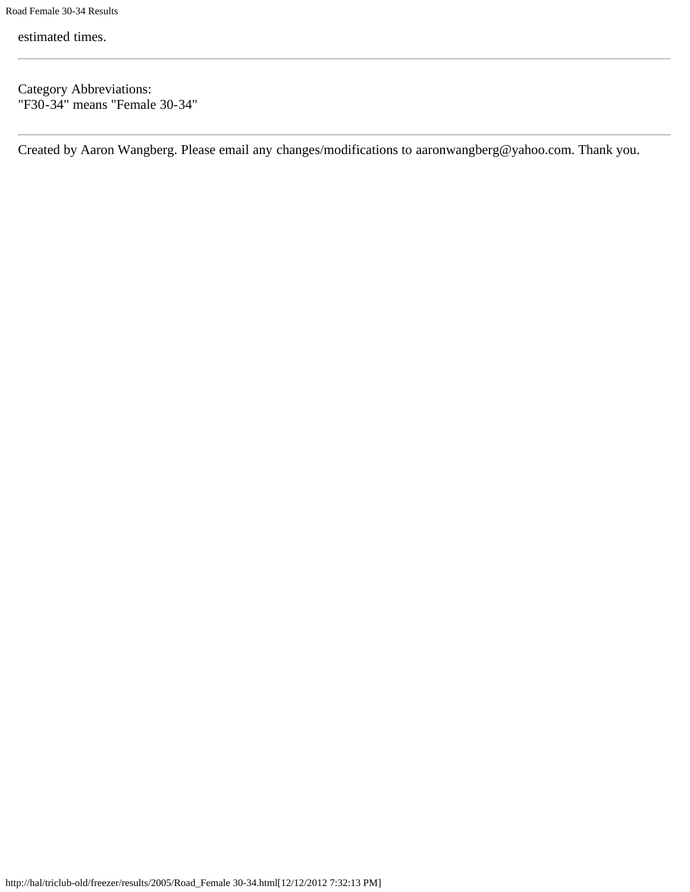estimated times.

Category Abbreviations: "F30-34" means "Female 30-34"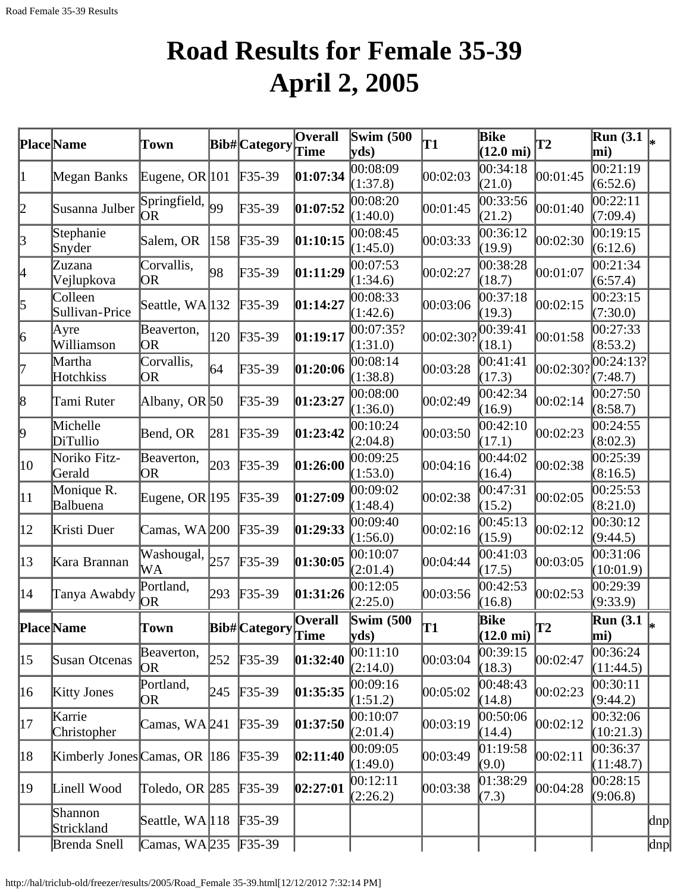# **Road Results for Female 35-39 April 2, 2005**

|                 | Place Name                   | Town                    |     | <b>Bib#</b> Category | Overall<br>Time        | Swim $(500)$<br>yds           | T1        | Bike<br>$(12.0 \text{ mi})$        | <b>T2</b> | <b>Run</b> (3.1<br>mi)                       |               |
|-----------------|------------------------------|-------------------------|-----|----------------------|------------------------|-------------------------------|-----------|------------------------------------|-----------|----------------------------------------------|---------------|
| 1               | Megan Banks                  | Eugene, OR $ 101$       |     | $F35-39$             | 01:07:34               | 00:08:09<br>(1:37.8)          | 00:02:03  | 00:34:18<br>(21.0)                 | 00:01:45  | 0.21:19<br>(6:52.6)                          |               |
| $ 2\>$          | Susanna Julber               | Springfield,<br>lor     | 99  | $F35-39$             | 01:07:52               | 00:08:20<br>(1:40.0)          | 00:01:45  | 00:33:56<br>(21.2)                 | 00:01:40  | 00:22:11<br>(7:09.4)                         |               |
| 3               | Stephanie<br>Snyder          | Salem, OR               | 158 | $F35-39$             | 01:10:15               | 00:08:45<br>(1:45.0)          | 00:03:33  | 00:36:12<br>(19.9)                 | 00:02:30  | 00:19:15<br>(6:12.6)                         |               |
| 4               | Zuzana<br>Vejlupkova         | Corvallis,<br> OR       | 98  | $F35-39$             | 01:11:29               | 00:07:53<br>(1:34.6)          | 00:02:27  | 00:38:28<br>(18.7)                 | 00:01:07  | 00:21:34<br>(6:57.4)                         |               |
| 5               | Colleen<br>Sullivan-Price    | Seattle, WA 132         |     | $F35-39$             | 01:14:27               | 00:08:33<br>(1:42.6)          | 00:03:06  | 00:37:18<br>(19.3)                 | 00:02:15  | 00:23:15<br>(7:30.0)                         |               |
| $\vert 6 \vert$ | Ayre<br>Williamson           | Beaverton,<br> OR       | 120 | $F35-39$             | 01:19:17               | 00:07:35?<br>(1:31.0)         | 00:02:30? | 00:39:41<br>(18.1)                 | 00:01:58  | 00:27:33<br>(8:53.2)                         |               |
| 17              | Martha<br>Hotchkiss          | Corvallis,<br><b>OR</b> | 64  | $F35-39$             | 01:20:06               | 00:08:14<br>(1:38.8)          | 00:03:28  | 00:41:41<br>(17.3)                 | 00:02:30? | 00:24:13?<br>(7:48.7)                        |               |
| 8               | Tami Ruter                   | Albany, OR 50           |     | $F35-39$             | 01:23:27               | 00:08:00<br>(1:36.0)          | 00:02:49  | 00:42:34<br>(16.9)                 | 00:02:14  | 00:27:50<br>(8:58.7)                         |               |
| þ.              | Michelle<br>DiTullio         | Bend, OR                | 281 | $F35-39$             | 01:23:42               | 00:10:24<br>(2:04.8)          | 00:03:50  | 00:42:10<br>(17.1)                 | 00:02:23  | 00:24:55<br>(8:02.3)                         |               |
| $ 10\rangle$    | Noriko Fitz-<br>Gerald       | Beaverton,<br>OR.       | 203 | $F35-39$             | 01:26:00               | 00:09:25<br>(1:53.0)          | 00:04:16  | 00:44:02<br>(16.4)                 | 00:02:38  | 00:25:39<br>(8:16.5)                         |               |
| $ 11\rangle$    | Monique R.<br>Balbuena       | Eugene, OR $ 195 $      |     | $F35-39$             | 01:27:09               | 00:09:02<br>(1:48.4)          | 00:02:38  | 00:47:31<br>(15.2)                 | 00:02:05  | 00:25:53<br>(8:21.0)                         |               |
| $ 12\rangle$    | Kristi Duer                  | Camas, WA 200           |     | $F35-39$             | 01:29:33               | 00:09:40<br>(1:56.0)          | 00:02:16  | 00:45:13<br>(15.9)                 | 00:02:12  | 00:30:12<br>(9:44.5)                         |               |
| $ 13\rangle$    | Kara Brannan                 | Washougal,<br>WА        | 257 | $F35-39$             | 01:30:05               | 00:10:07<br>(2:01.4)          | 00:04:44  | 00:41:03<br>(17.5)                 | 00:03:05  | 00:31:06<br>(10:01.9)                        |               |
| 14              | Tanya Awabdy                 | Portland,<br><b>OR</b>  | 293 | $F35-39$             | 01:31:26               | 00:12:05<br>(2:25.0)          | 00:03:56  | 00:42:53<br>(16.8)                 | 00:02:53  | 00:29:39<br>(9:33.9)                         |               |
|                 | <b>Place</b> Name            | Town                    |     | Bib#Category         | <b>Overall</b><br>Time | Swim $(500)$<br>$ {\rm yds})$ | lT1       | <b>Bike</b><br>$(12.0 \text{ mi})$ | T2        | $\overline{\text{Run}}(3.1\vert_{*})$<br>mi) |               |
| $ 15\rangle$    | Susan Otcenas                | Beaverton,<br>OR.       | 252 | $F35-39$             | 01:32:40               | 00:11:10<br>(2:14.0)          | 00:03:04  | 00:39:15<br>(18.3)                 | 00:02:47  | 00:36:24<br>(11:44.5)                        |               |
| 16              | <b>Kitty Jones</b>           | Portland,<br>OR         | 245 | $F35-39$             | 01:35:35               | 00:09:16<br>(1:51.2)          | 00:05:02  | 00:48:43<br>(14.8)                 | 00:02:23  | 00:30:11<br>(9:44.2)                         |               |
| 17              | Karrie<br>Christopher        | Camas, WA241            |     | $F35-39$             | 01:37:50               | 00:10:07<br>(2:01.4)          | 00:03:19  | 00:50:06<br>(14.4)                 | 00:02:12  | 00:32:06<br>(10:21.3)                        |               |
| 18              | Kimberly Jones Camas, OR 186 |                         |     | $F35-39$             | 02:11:40               | 00:09:05<br>(1:49.0)          | 00:03:49  | 01:19:58<br>(9.0)                  | 00:02:11  | 00:36:37<br>(11:48.7)                        |               |
| 19              | Linell Wood                  | Toledo, OR 285          |     | $F35-39$             | 02:27:01               | 00:12:11<br>(2:26.2)          | 00:03:38  | 01:38:29<br>(7.3)                  | 00:04:28  | 00:28:15<br>(9:06.8)                         |               |
|                 | Shannon<br>Strickland        | Seattle, WA 118         |     | $F35-39$             |                        |                               |           |                                    |           |                                              | $ {\rm dnp} $ |
|                 | Brenda Snell                 | Camas, WA 235 F35-39    |     |                      |                        |                               |           |                                    |           |                                              | dnp           |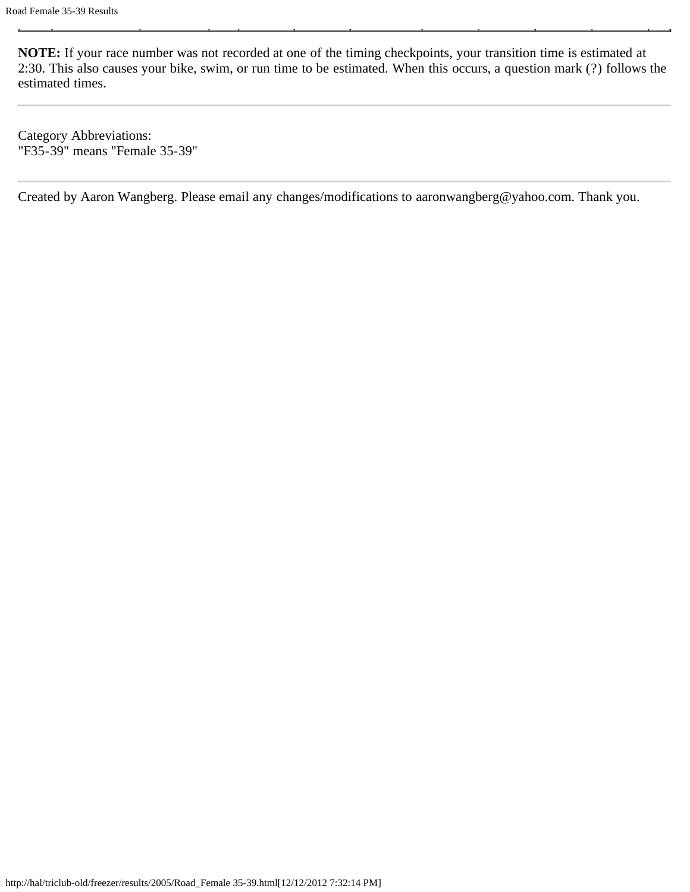Category Abbreviations: "F35-39" means "Female 35-39"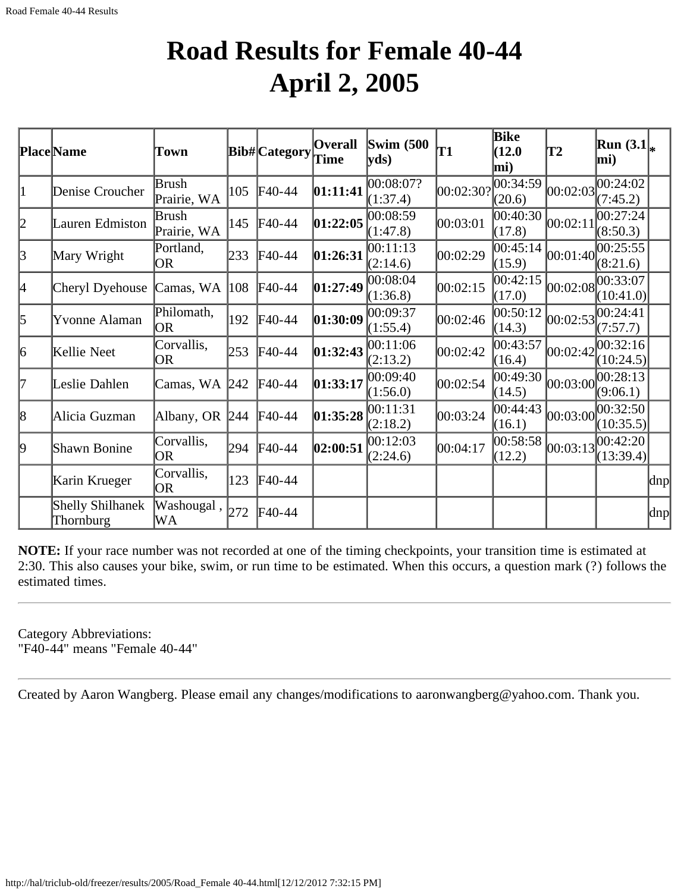### **Road Results for Female 40-44 April 2, 2005**

|    | <b>Place</b> Name             | Town                        |     | Bib#Category Time | Overall  | <b>Swim</b> (500)<br>yds | T1        | Bike<br>(12.0)<br>mi) | T2       | $\left \text{Run } (\text{3.1}\right _{\ast}$<br>mi) |                     |
|----|-------------------------------|-----------------------------|-----|-------------------|----------|--------------------------|-----------|-----------------------|----------|------------------------------------------------------|---------------------|
| 1  | Denise Croucher               | <b>Brush</b><br>Prairie, WA | 105 | $F40-44$          | 01:11:41 | 00:08:07?<br>(1:37.4)    | 00:02:30? | 00:34:59<br>(20.6)    | 00:02:03 | 00:24:02<br>(7:45.2)                                 |                     |
| 2  | Lauren Edmiston               | Brush<br>Prairie, WA        | 145 | $\textsf{F}40-44$ | 01:22:05 | 00:08:59<br>(1:47.8)     | 00:03:01  | 00:40:30 <br>(17.8)   | 00:02:11 | 00:27:24<br>(8:50.3)                                 |                     |
| 3  | Mary Wright                   | Portland,<br>OR             | 233 | $F40-44$          | 01:26:31 | 00:11:13<br>(2:14.6)     | 00:02:29  | 00:45:14<br>(15.9)    | 00:01:40 | 00:25:55<br>(8:21.6)                                 |                     |
| 4  | Cheryl Dyehouse               | Camas, WA  108              |     | $\text{F}40-44$   | 01:27:49 | 00:08:04<br>(1:36.8)     | 00:02:15  | 00:42:15<br>(17.0)    |          | 00:02:08 <br>(10:41.0)                               |                     |
| 5  | Yvonne Alaman                 | Philomath,<br><b>OR</b>     | 192 | $F40-44$          | 01:30:09 | 00:09:37<br>(1:55.4)     | 00:02:46  | 00:50:12<br>(14.3)    | 00:02:53 | 00:24:41<br>(7:57.7)                                 |                     |
| 6  | Kellie Neet                   | Corvallis,<br><b>OR</b>     | 253 | $F40-44$          | 01:32:43 | 00:11:06<br>(2:13.2)     | 00:02:42  | 00:43:57<br>(16.4)    | 00:02:42 | 00:32:16<br>(10:24.5)                                |                     |
| 17 | Leslie Dahlen                 | Camas, WA 242               |     | $F40-44$          | 01:33:17 | 00:09:40<br>(1:56.0)     | 00:02:54  | 00:49:30<br>(14.5)    | 00:03:00 | 00:28:13<br>(9:06.1)                                 |                     |
| 8  | Alicia Guzman                 | Albany, OR 244              |     | $F40-44$          | 01:35:28 | 00:11:31<br>(2:18.2)     | 00:03:24  | [00:44:43]<br>(16.1)  |          | 00:03:00 <br>(10:35.5)                               |                     |
| 9  | Shawn Bonine                  | Corvallis,<br><b>OR</b>     | 294 | $F40-44$          | 02:00:51 | 00:12:03<br>(2:24.6)     | 00:04:17  | 00:58:58<br>(12.2)    | 00:03:13 | 00:42:20<br>(13:39.4)                                |                     |
|    | Karin Krueger                 | Corvallis,<br><b>OR</b>     | 123 | $\textsf{F}40-44$ |          |                          |           |                       |          |                                                      | $\vert$ dnp $\vert$ |
|    | Shelly Shilhanek<br>Thornburg | Washougal,<br>WA            | 272 | $F40-44$          |          |                          |           |                       |          |                                                      | $\vert$ dnp $\vert$ |

**NOTE:** If your race number was not recorded at one of the timing checkpoints, your transition time is estimated at 2:30. This also causes your bike, swim, or run time to be estimated. When this occurs, a question mark (?) follows the estimated times.

Category Abbreviations: "F40-44" means "Female 40-44"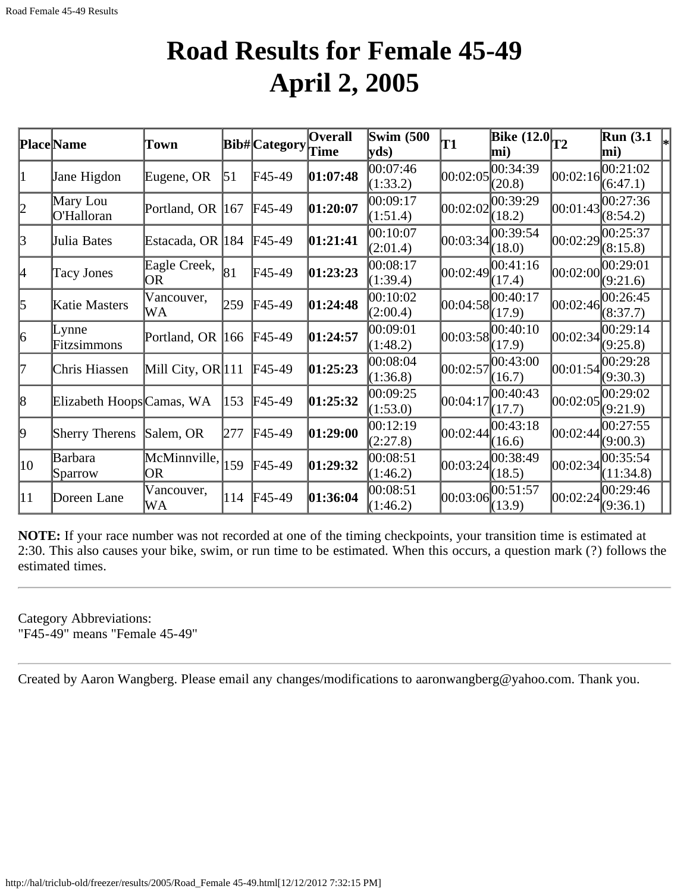#### **Road Results for Female 45-49 April 2, 2005**

|              | <b>Place</b> Name         | Town                 |     | Bib# Category | <b>Overall</b> | Swim $(500)$         | T1       | Bike $(12.0)$ <sub>T2</sub>            |            | <b>Run</b> (3.1)                    |
|--------------|---------------------------|----------------------|-----|---------------|----------------|----------------------|----------|----------------------------------------|------------|-------------------------------------|
|              |                           |                      |     |               | <b>Time</b>    | yds                  |          | mi)                                    |            | mi)                                 |
| 1            | Jane Higdon               | Eugene, OR           | 51  | $F45-49$      | 01:07:48       | 00:07:46<br>(1:33.2) | 00:02:05 | 00:34:39<br>(20.8)                     | [00:02:16] | 00:21:02<br>(6:47.1)                |
| 2            | Mary Lou<br>O'Halloran    | Portland, OR         | 167 | $FA5-49$      | 01:20:07       | 00:09:17<br>(1:51.4) | 00:02:02 | 00:39:29<br>(18.2)                     | 00:01:43   | 00:27:36<br>(8:54.2)                |
| 3            | Julia Bates               | Estacada, OR  184    |     | $FA5-49$      | 01:21:41       | 00:10:07<br>(2:01.4) | 00:03:34 | 00:39:54 <br>(18.0)                    | 00:02:29   | 00:25:37<br>(8:15.8)                |
| 4            | <b>Tacy Jones</b>         | Eagle Creek,<br>OR   | 81  | $F45-49$      | 01:23:23       | 00:08:17<br>(1:39.4) | 00:02:49 | 00:41:16<br>(17.4)                     | 00:02:00   | 00:29:01<br>(9:21.6)                |
| 5            | Katie Masters             | Vancouver,<br>WA     | 259 | $F45-49$      | 01:24:48       | 00:10:02<br>(2:00.4) | 00:04:58 | 00:40:17<br>(17.9)                     | [00:02:46] | 00:26:45 <br>(8:37.7)               |
| 6            | Lynne<br>Fitzsimmons      | Portland, OR         | 166 | $F45-49$      | 01:24:57       | 00:09:01<br>(1:48.2) |          | $ 00:03:58 ^{00:40:10}_{-4}$<br>(17.9) |            | $ 00:02:34 ^{00:29:14}$<br>(9:25.8) |
| 17           | Chris Hiassen             | Mill City, OR $ 111$ |     | $FA5-49$      | 01:25:23       | 00:08:04<br>(1:36.8) | 00:02:57 | 00:43:00<br>(16.7)                     |            | 00:01:54 <br>(9:30.3)               |
| 8            | Elizabeth Hoops Camas, WA |                      | 153 | $F45-49$      | 01:25:32       | 00:09:25<br>(1:53.0) | 00:04:17 | 00:40:43<br>(17.7)                     | 00:02:05   | 00:29:02<br>(9:21.9)                |
| 9            | Sherry Therens            | Salem, OR            | 277 | $F45-49$      | 01:29:00       | 00:12:19<br>(2:27.8) | 00:02:44 | 00:43:18<br>(16.6)                     | 00:02:44   | 00:27:55<br>(9:00.3)                |
| 10           | Barbara<br>Sparrow        | McMinnville,<br>OR   | 159 | $FA5-49$      | 01:29:32       | 00:08:51<br>(1:46.2) | 00:03:24 | 00:38:49<br>(18.5)                     | 00:02:34   | 00:35:54<br>(11:34.8)               |
| $ 11\rangle$ | Doreen Lane               | Vancouver,<br>WA     | 114 | $F45-49$      | 01:36:04       | 00:08:51<br>(1:46.2) | 00:03:06 | 00:51:57<br>(13.9)                     | 00:02:24   | 00:29:46<br>(9:36.1)                |

**NOTE:** If your race number was not recorded at one of the timing checkpoints, your transition time is estimated at 2:30. This also causes your bike, swim, or run time to be estimated. When this occurs, a question mark (?) follows the estimated times.

Category Abbreviations: "F45-49" means "Female 45-49"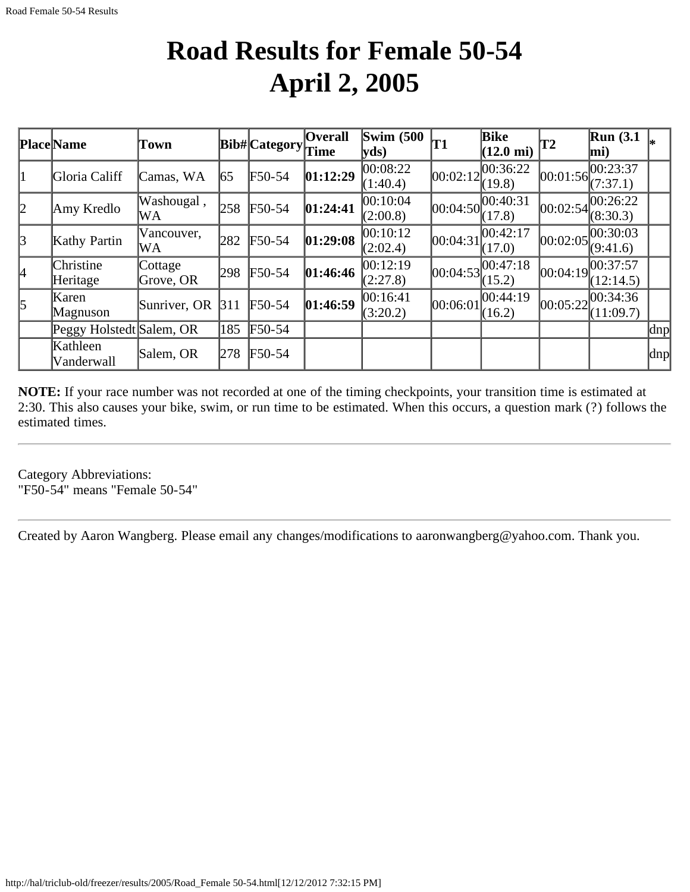### **Road Results for Female 50-54 April 2, 2005**

|               | Place Name               | Town                 |     | $ Bib\# Categy$ Time | <b>Overall</b> | <b>Swim (500)</b><br>$\mathbf{v}\mathbf{ds}$ | 'T1      | <b>Bike</b><br>$(12.0 \text{ mi})$           | T2         | $\mathbb{R}$ un (3.1<br>$\bf{m}$ i) |                     |
|---------------|--------------------------|----------------------|-----|----------------------|----------------|----------------------------------------------|----------|----------------------------------------------|------------|-------------------------------------|---------------------|
| $\vert$ 1     | Gloria Califf            | Camas, WA            | 65  | F50-54               | 01:12:29       | $ 00:08:22\rangle$<br>(1:40.4)               |          | $ 00:02:12 ^{00:36:22}$<br>(19.8)            | [00:01:56] | 00:23:37<br>(7:37.1)                |                     |
| 2             | Amy Kredlo               | Washougal,<br>WA     | 258 | $F50-54$             | 01:24:41       | 00:10:04<br>(2:00.8)                         |          | 00:04:50 <br>(17.8)                          | 00:02:54   | 00:26:22<br>(8:30.3)                |                     |
| $\mathcal{B}$ | Kathy Partin             | Vancouver,<br>WA     | 282 | $F50-54$             | 01:29:08       | 00:10:12<br>(2:02.4)                         | 00:04:31 | 00:42:17<br>(17.0)                           | 00:02:05   | 00:30:03<br>(9:41.6)                |                     |
| 4             | Christine<br>Heritage    | Cottage<br>Grove, OR | 298 | F50-54               | 01:46:46       | 00:12:19<br>(2:27.8)                         |          | $[00:04:53]$ $\overline{00:47:18}$<br>(15.2) | [00:04:19] | 00:37:57<br>(12:14.5)               |                     |
| $\vert$ 5     | Karen<br>Magnuson        | Sunriver, OR         | 311 | $F50-54$             | 01:46:59       | 00:16:41<br>(3:20.2)                         | 00:06:01 | 00:44:19<br>(16.2)                           | 00:05:22   | 00:34:36<br>(11:09.7)               |                     |
|               | Peggy Holstedt Salem, OR |                      | 185 | $\text{F}50-54$      |                |                                              |          |                                              |            |                                     | $\vert$ dnp $\vert$ |
|               | Kathleen<br>Vanderwall   | Salem, OR            | 278 | F50-54               |                |                                              |          |                                              |            |                                     | dnp                 |

**NOTE:** If your race number was not recorded at one of the timing checkpoints, your transition time is estimated at 2:30. This also causes your bike, swim, or run time to be estimated. When this occurs, a question mark (?) follows the estimated times.

Category Abbreviations: "F50-54" means "Female 50-54"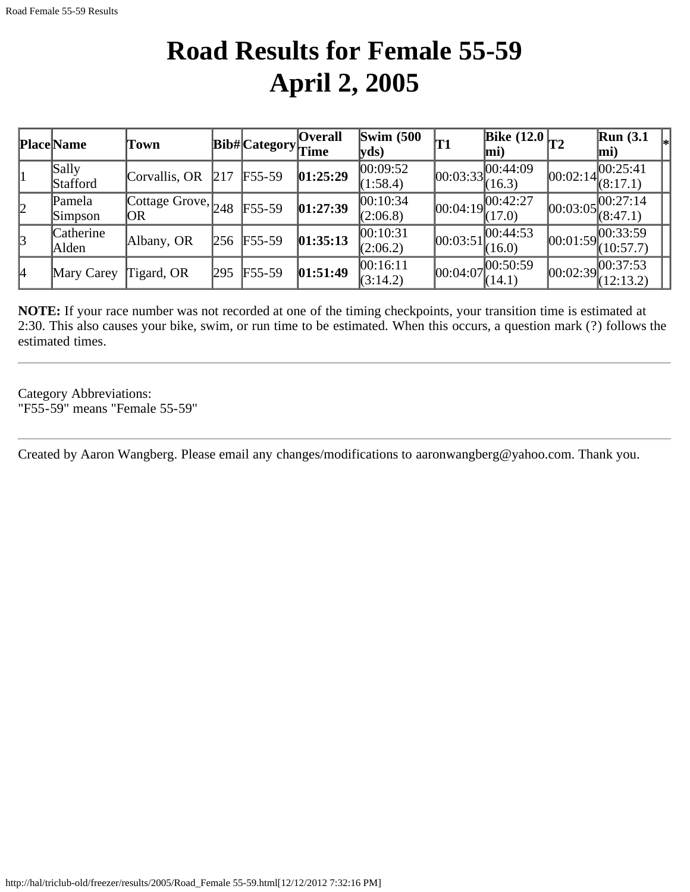### **Road Results for Female 55-59 April 2, 2005**

|   | <b>Place</b> Name  | Town                                                             |      | <b>Bib#</b> Category <sub>Time</sub> | Overall  | Swim $(500)$<br>$ {\bf y}$ ds) | 'T1        | Bike $(12.0)$ <sub>T2</sub><br>mi) |            | Run(3.1)<br>mi)                      |  |
|---|--------------------|------------------------------------------------------------------|------|--------------------------------------|----------|--------------------------------|------------|------------------------------------|------------|--------------------------------------|--|
|   | Sally<br>Stafford  | Corvallis, OR                                                    | 1217 | $F55-59$                             | 01:25:29 | 00:09:52 <br>(1:58.4)          | [00:03:33] | ,100:44:09<br>(16.3)               | [00:02:14] | 00:25:41<br>(8:17.1)                 |  |
| 2 | Pamela<br>Simpson  | $\sqrt{\text{Cottage}}$ Grove, $\vert_{248}$ $\downarrow$<br> OR |      | $F55-59$                             | 01:27:39 | 00:10:34<br>(2:06.8)           |            | 00:04:19 <br>(17.0)                |            | 00:03:05 <br>(8:47.1)                |  |
| 3 | Catherine<br>Alden | Albany, OR                                                       |      | 256 F55-59                           | 01:35:13 | 00:10:31<br>(2:06.2)           | 00:03:51   | 00:44:53<br>(16.0)                 |            | 00:01:59 00:33:59<br>(10:57.7)       |  |
| 4 | Mary Carey         | Tigard, OR                                                       | 295  | $F55-59$                             | 01:51:49 | 00:16:11<br>(3:14.2)           | [00:04:07] | ,100:50:59<br>(14.1)               |            | $ 00:02:39 ^{00:37:53}$<br>(12:13.2) |  |

**NOTE:** If your race number was not recorded at one of the timing checkpoints, your transition time is estimated at 2:30. This also causes your bike, swim, or run time to be estimated. When this occurs, a question mark (?) follows the estimated times.

Category Abbreviations: "F55-59" means "Female 55-59"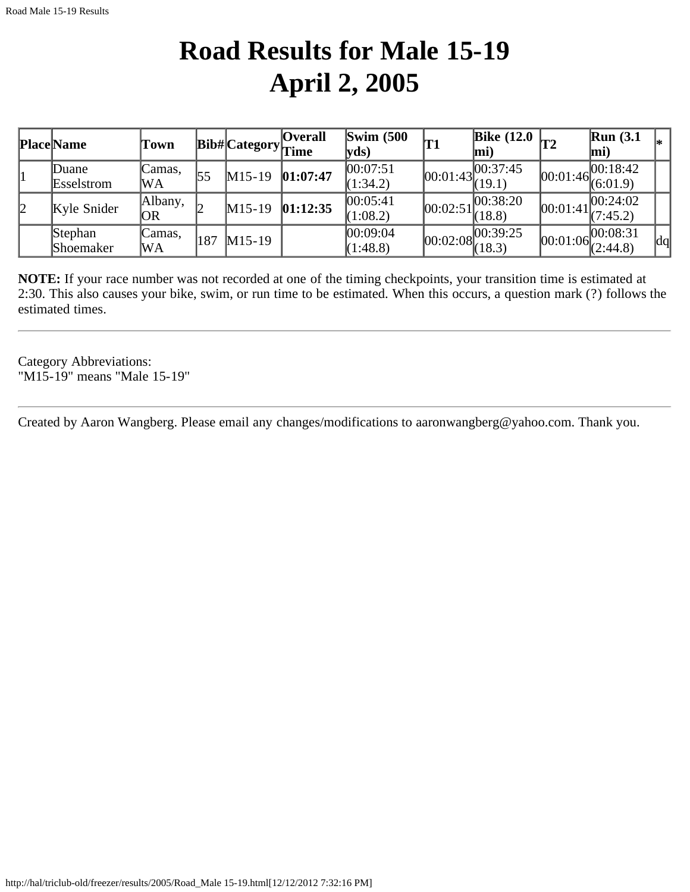### **Road Results for Male 15-19 April 2, 2005**

|   | <b>Place Name</b>    | Town                 |     | <b>Bib#</b> Category <sub>Time</sub> | <b>Overall</b> | Swim $(500)$<br>$ {\bf v} {\bf d} s)$ | T1         | Bike $(12.0)$<br>$ \text{mi} $   |            | Run(3.1)<br>lmi)                         | I∗ |
|---|----------------------|----------------------|-----|--------------------------------------|----------------|---------------------------------------|------------|----------------------------------|------------|------------------------------------------|----|
|   | Duane<br>Esselstrom  | Camas.<br>lWΑ        |     | $M15-19$                             | 01:07:47       | 00:07:51<br>(1:34.2)                  | [00:01:43] | [00:37:45]<br>(19.1)             | [00:01:46] | 00:18:42 <br>(6:01.9)                    |    |
| 2 | Kyle Snider          | Albany,<br><b>OR</b> |     | $M15-19$                             | 01:12:35       | 00:05:41<br>(1:08.2)                  | 00:02:51   | 00:38:20 <br>(18.8)              | [00:01:41] | 00:24:02 <br>(7:45.2)                    |    |
|   | Stephan<br>Shoemaker | Camas.<br>WA         | 187 | $M15-19$                             |                | 00:09:04<br>(1:48.8)                  |            | $ 00:02:08 ^{00:39:25}_{(18.3)}$ |            | $\boxed{00:01:06}^{00:08:31}_{(2:44.8)}$ | dq |

**NOTE:** If your race number was not recorded at one of the timing checkpoints, your transition time is estimated at 2:30. This also causes your bike, swim, or run time to be estimated. When this occurs, a question mark (?) follows the estimated times.

Category Abbreviations: "M15-19" means "Male 15-19"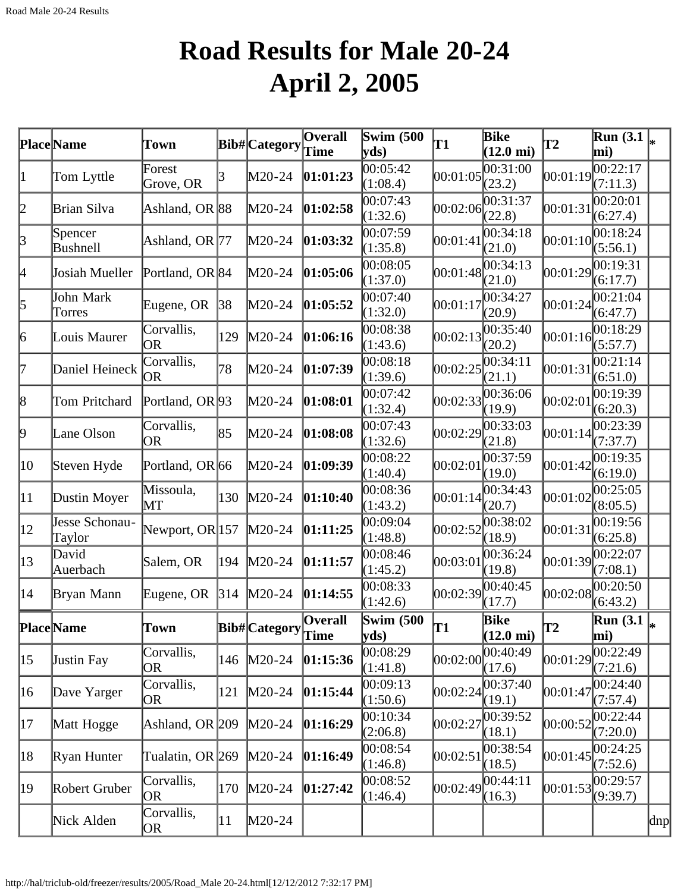# **Road Results for Male 20-24 April 2, 2005**

|              | <b>Place</b> Name        | Town                             |              | <b>Bib#</b> Category | <b>Overall</b><br>Time | Swim $(500)$<br>yds                       | <b>T1</b> | <b>Bike</b><br>$(12.0 \text{ mi})$ | <b>T2</b> | $\overline{\text{Run}}$ (3.1 $\vert_*$<br>mi)        |     |
|--------------|--------------------------|----------------------------------|--------------|----------------------|------------------------|-------------------------------------------|-----------|------------------------------------|-----------|------------------------------------------------------|-----|
| 1            | Tom Lyttle               | Forest<br>Grove, OR              |              | M20-24               | 01:01:23               | 00:05:42<br>(1:08.4)                      | 00:01:05  | 00:31:00<br>(23.2)                 | 00:01:19  | 00:22:17<br>(7:11.3)                                 |     |
| 2            | Brian Silva              | Ashland, OR 88                   |              | M20-24               | 01:02:58               | 00:07:43<br>(1:32.6)                      | 00:02:06  | 00:31:37<br>(22.8)                 | 00:01:31  | 00:20:01<br>(6:27.4)                                 |     |
| 3            | Spencer<br>Bushnell      | Ashland, OR 77                   |              | M20-24               | 01:03:32               | 00:07:59<br>(1:35.8)                      | 00:01:41  | 00:34:18<br>(21.0)                 | 00:01:10  | 00:18:24<br>(5:56.1)                                 |     |
| 4            | Josiah Mueller           | Portland, OR 84                  |              | M20-24               | 01:05:06               | 00:08:05<br>(1:37.0)                      | 00:01:48  | 00:34:13<br>(21.0)                 | 00:01:29  | 00:19:31<br>(6:17.7)                                 |     |
| 5            | John Mark<br>Torres      | Eugene, OR                       | 38           | M20-24               | 01:05:52               | 00:07:40<br>(1:32.0)                      | 00:01:17  | 00:34:27<br>(20.9)                 | 00:01:24  | 00:21:04<br>(6:47.7)                                 |     |
| 6            | Louis Maurer             | Corvallis,<br><b>OR</b>          | 129          | M20-24               | 01:06:16               | 00:08:38<br>(1:43.6)                      | 00:02:13  | 00:35:40<br>(20.2)                 | 00:01:16  | 00:18:29<br>(5:57.7)                                 |     |
| 17           | Daniel Heineck           | Corvallis,<br><b>OR</b>          | 78           | M20-24               | 01:07:39               | 00:08:18<br>(1:39.6)                      | 00:02:25  | 00:34:11<br>(21.1)                 | 00:01:31  | 00:21:14<br>(6:51.0)                                 |     |
| 8            | Tom Pritchard            | Portland, OR <sup>[93]</sup>     |              | M20-24               | [01:08:01]             | 00:07:42<br>(1:32.4)                      | 00:02:33  | 00:36:06<br>(19.9)                 | 00:02:01  | 00:19:39<br>(6:20.3)                                 |     |
| 9            | Lane Olson               | Corvallis,<br><b>OR</b>          | 85           | M20-24               | 01:08:08               | 00:07:43<br>(1:32.6)                      | 00:02:29  | 00:33:03<br>(21.8)                 | 00:01:14  | 00:23:39<br>(7:37.7)                                 |     |
| 10           | Steven Hyde              | Portland, OR 66                  |              | M20-24               | 01:09:39               | 00:08:22<br>(1:40.4)                      | 00:02:01  | 00:37:59<br>(19.0)                 | 00:01:42  | 00:19:35<br>(6:19.0)                                 |     |
| 11           | Dustin Moyer             | Missoula,<br>$\operatorname{MT}$ | 130          | $M20-24$             | 01:10:40               | 00:08:36<br>(1:43.2)                      | 00:01:14  | 00:34:43<br>(20.7)                 | 00:01:02  | 00:25:05<br>(8:05.5)                                 |     |
| $ 12\rangle$ | Jesse Schonau-<br>Taylor | Newport, OR 157                  |              | $M20-24$             | 01:11:25               | 00:09:04<br>(1:48.8)                      | 00:02:52  | 00:38:02<br>(18.9)                 | 00:01:31  | 00:19:56<br>(6:25.8)                                 |     |
| $ 13\rangle$ | David<br>Auerbach        | Salem, OR                        | 194          | M20-24               | 01:11:57               | 00:08:46<br>(1:45.2)                      | 00:03:01  | 00:36:24<br>(19.8)                 | 00:01:39  | 00:22:07<br>(7:08.1)                                 |     |
| 14           | Bryan Mann               | Eugene, OR                       | 314          | $M20-24$             | 01:14:55               | 00:08:33<br>(1:42.6)                      | 00:02:39  | 00:40:45<br>(17.7)                 | 00:02:08  | 00:20:50<br>(6:43.2)                                 |     |
|              | <b>Place Name</b>        | Town                             |              | Bib# Category        | Overall<br>Time        | <b>Swim (500)</b><br>$ {\bf y} {\bf ds})$ | T1        | Bike<br>$(12.0 \text{ mi})$        | T2        | $\overline{\text{Run}}(3.1\vert_{*})$<br>$\vert$ mi) |     |
| $ 15\rangle$ | Justin Fay               | Corvallis,<br>OR                 | 146          | $M20-24$             | 01:15:36               | 00:08:29<br>(1:41.8)                      | 00:02:00  | 00:40:49<br>(17.6)                 | 00:01:29  | 00:22:49<br>(7:21.6)                                 |     |
| 16           | Dave Yarger              | Corvallis,<br>OR                 | 121          | $M20-24$             | 01:15:44               | 00:09:13<br>(1:50.6)                      | 00:02:24  | 00:37:40<br>(19.1)                 | 00:01:47  | 00:24:40<br>(7:57.4)                                 |     |
| 17           | Matt Hogge               | Ashland, OR 209                  |              | $M20-24$             | 01:16:29               | 00:10:34<br>(2:06.8)                      | 00:02:27  | 00:39:52<br>(18.1)                 | 00:00:52  | 00:22:44<br>(7:20.0)                                 |     |
| 18           | Ryan Hunter              | Tualatin, OR 269                 |              | $M20-24$             | 01:16:49               | 00:08:54<br>(1:46.8)                      | 00:02:51  | 00:38:54<br>(18.5)                 | 00:01:45  | 00:24:25<br>(7:52.6)                                 |     |
| 19           | Robert Gruber            | Corvallis,<br> OR                | 170          | $M20-24$             | 01:27:42               | 00:08:52<br>(1:46.4)                      | 00:02:49  | 00:44:11<br>(16.3)                 | 00:01:53  | 00:29:57<br>(9:39.7)                                 |     |
|              | Nick Alden               | Corvallis,<br>OR                 | $ 11\rangle$ | $M20-24$             |                        |                                           |           |                                    |           |                                                      | dnp |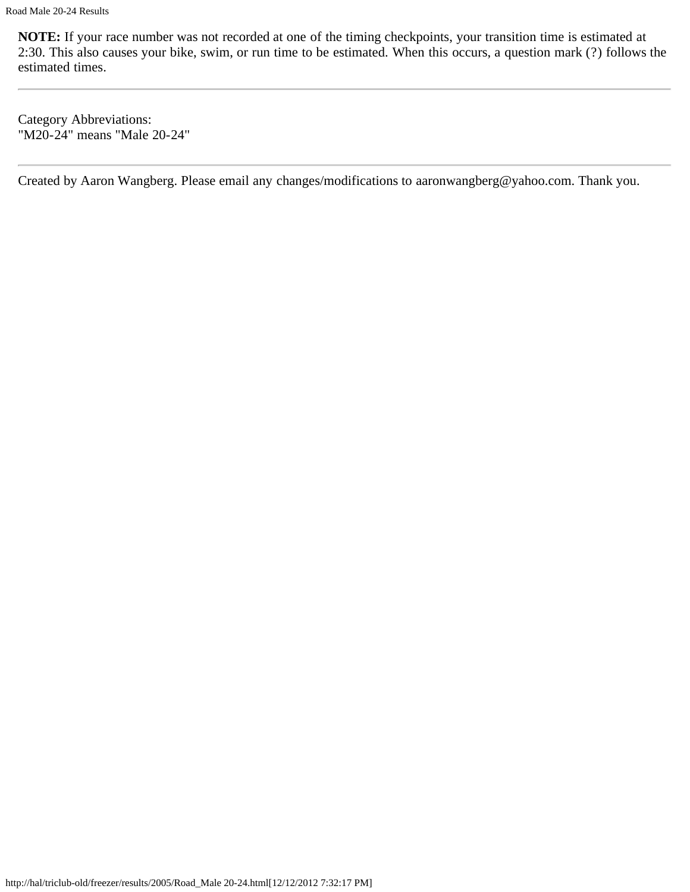Category Abbreviations: "M20-24" means "Male 20-24"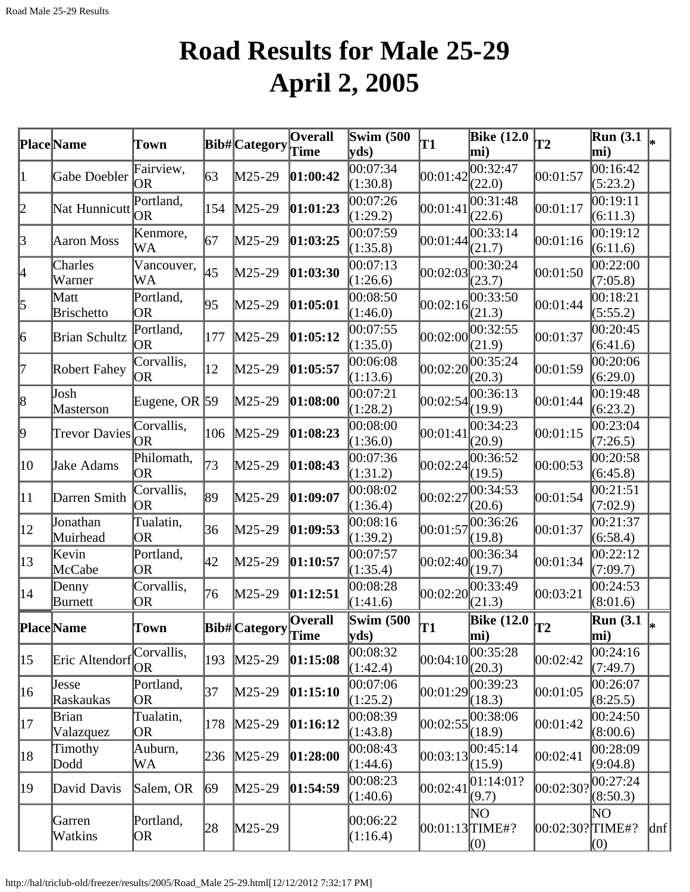# **Road Results for Male 25-29 April 2, 2005**

|              | Place Name                | Town                    |     | Bib#Category         | Overall  | Swim $(500)$<br>yds      | T1                  | <b>Bike (12.0</b><br>mi) | <b>T2</b>       | <b>Run</b> (3.1)<br>mi) |     |
|--------------|---------------------------|-------------------------|-----|----------------------|----------|--------------------------|---------------------|--------------------------|-----------------|-------------------------|-----|
| $\vert$ 1    | Gabe Doebler              | Fairview,<br>OR         | 63  | M25-29               | 01:00:42 | 00:07:34<br>(1:30.8)     | 00:01:42            | 00:32:47<br>(22.0)       | 00:01:57        | 00:16:42<br>(5:23.2)    |     |
| 2            | Nat Hunnicutt             | Portland,<br><b>OR</b>  | 154 | M25-29               | 01:01:23 | 00:07:26<br>(1:29.2)     | 00:01:41            | 00:31:48<br>(22.6)       | 00:01:17        | 00:19:11<br>(6:11.3)    |     |
| 3            | Aaron Moss                | Kenmore,<br>WA          | 67  | M25-29               | 01:03:25 | 00:07:59<br>(1:35.8)     | 00:01:44            | 00:33:14<br>(21.7)       | 00:01:16        | 00:19:12<br>(6:11.6)    |     |
| 4            | Charles<br>Warner         | Vancouver,<br>WA        | 45  | M25-29               | 01:03:30 | 00:07:13<br>(1:26.6)     | 00:02:03            | 00:30:24<br>(23.7)       | 00:01:50        | 00:22:00<br>(7:05.8)    |     |
| 5            | Matt<br><b>Brischetto</b> | Portland,<br>OR         | 95  | M25-29               | 01:05:01 | 00:08:50<br>(1:46.0)     | 00:02:16            | 00:33:50<br>(21.3)       | 00:01:44        | 00:18:21<br>(5:55.2)    |     |
| 6            | <b>Brian Schultz</b>      | Portland,<br>OR         | 177 | M25-29               | 01:05:12 | 00:07:55<br>(1:35.0)     | 00:02:00            | 00:32:55<br>(21.9)       | 00:01:37        | 00:20:45<br>(6:41.6)    |     |
| 17           | Robert Fahey              | Corvallis,<br>OR        | 12  | M25-29               | 01:05:57 | 00:06:08<br>(1:13.6)     | 00:02:20            | 00:35:24<br>(20.3)       | 00:01:59        | 00:20:06<br>(6:29.0)    |     |
| 8            | Josh<br>Masterson         | Eugene, OR 59           |     | M25-29               | 01:08:00 | 00:07:21<br>(1:28.2)     | 00:02:54            | 00:36:13<br>(19.9)       | 00:01:44        | 00:19:48<br>(6:23.2)    |     |
| 9            | <b>Trevor Davies</b>      | Corvallis,<br><b>OR</b> | 106 | M25-29               | 01:08:23 | 00:08:00<br>(1:36.0)     | 00:01:41            | 00:34:23<br>(20.9)       | 00:01:15        | 00:23:04<br>(7:26.5)    |     |
| 10           | Jake Adams                | Philomath,<br>OR        | 73  | M25-29               | 01:08:43 | 00:07:36<br>(1:31.2)     | 00:02:24            | 00:36:52<br>(19.5)       | 00:00:53        | 00:20:58<br>(6:45.8)    |     |
| 11           | Darren Smith              | Corvallis,<br><b>OR</b> | 89  | M25-29               | 01:09:07 | 00:08:02<br>(1:36.4)     | 00:02:27            | 00:34:53<br>(20.6)       | 00:01:54        | 00:21:51<br>(7:02.9)    |     |
| $ 12\rangle$ | Jonathan<br>Muirhead      | Tualatin,<br><b>OR</b>  | 36  | M25-29               | 01:09:53 | 00:08:16<br>(1:39.2)     | 00:01:57            | 00:36:26<br>(19.8)       | 00:01:37        | 00:21:37<br>(6:58.4)    |     |
| $ 13\rangle$ | Kevin<br>McCabe           | Portland,<br><b>OR</b>  | 42  | M25-29               | 01:10:57 | 00:07:57<br>(1:35.4)     | 00:02:40            | 00:36:34<br>(19.7)       | 00:01:34        | 00:22:12<br>(7:09.7)    |     |
| 14           | Denny<br>Burnett          | Corvallis,<br><b>OR</b> | 76  | M25-29               | 01:12:51 | 00:08:28<br>(1:41.6)     | 00:02:20            | 00:33:49<br>(21.3)       | 00:03:21        | 00:24:53<br>(8:01.6)    |     |
|              | <b>PlaceName</b>          | Town                    |     | Bib#Category Overall |          | <b>Swim (500)</b><br>yds | lT1                 | <b>Bike (12.0</b><br>mi) | $ \mathbf{T2} $ | <b>Run</b> (3.1)<br>mi) | l∗  |
| $ 15\rangle$ | Eric Altendorf            | Corvallis,<br>OR        | 193 | $M25-29$             | 01:15:08 | 00:08:32<br>(1:42.4)     | 00:04:10            | 00:35:28<br>(20.3)       | 00:02:42        | 00:24:16<br>(7:49.7)    |     |
| 16           | Jesse<br>Raskaukas        | Portland,<br>OR         | 37  | $M25-29$             | 01:15:10 | 00:07:06<br>(1:25.2)     | 00:01:29            | 00:39:23<br>(18.3)       | 00:01:05        | 00:26:07<br>(8:25.5)    |     |
| $ 17\rangle$ | Brian<br>Valazquez        | Tualatin,<br>OR         | 178 | $M25-29$             | 01:16:12 | 00:08:39<br>(1:43.8)     | 00:02:55            | 00:38:06<br>(18.9)       | 00:01:42        | 00:24:50<br>(8:00.6)    |     |
| 18           | Timothy<br>Dodd           | Auburn,<br>WA           | 236 | $M25-29$             | 01:28:00 | 00:08:43<br>(1:44.6)     | 00:03:13            | 00:45:14<br>(15.9)       | 00:02:41        | 00:28:09<br>(9:04.8)    |     |
| 19           | David Davis               | Salem, OR               | 69  | M25-29               | 01:54:59 | 00:08:23<br>(1:40.6)     | 00:02:41            | 01:14:01?<br>(9.7)       | 00:02:30?       | 00:27:24<br>(8:50.3)    |     |
|              | Garren<br>Watkins         | Portland,<br>OR         | 28  | M25-29               |          | 00:06:22<br>(1:16.4)     | $[00:01:13]$ TIME#? | NO<br>(0)                | 00:02:30?TIME#? | ΝO<br>(0)               | dnf |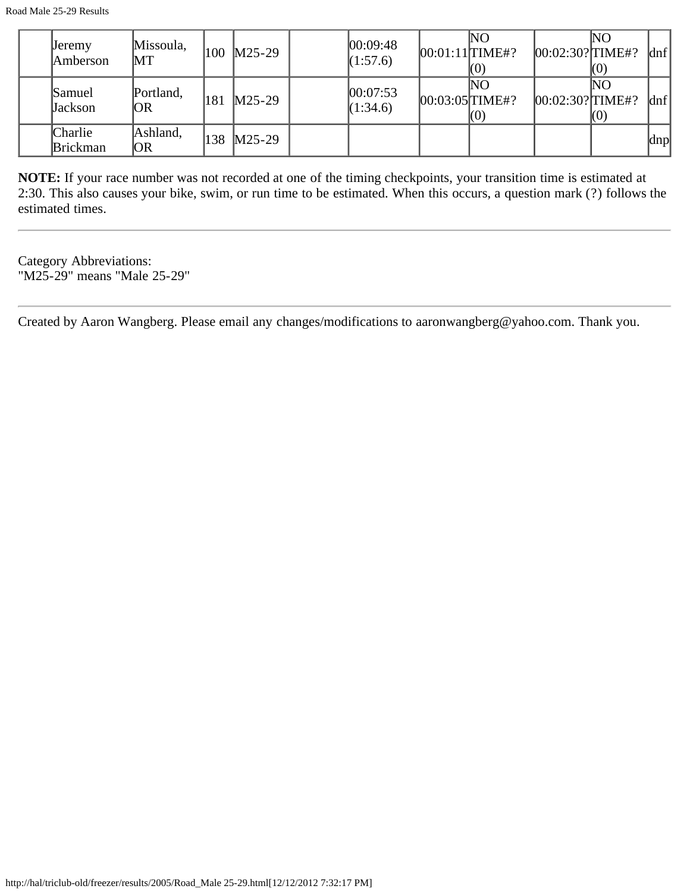| <b>Jeremy</b><br>Amberson  | Missoula,<br>MT | 100 | $M25-29$ | 00:09:48<br>(1:57.6)  | $[00:01:11]$ TIME#? | lΝO<br>KO) | $[00:02:30?$ TIME#? | lΝO<br>KO) | dnf |
|----------------------------|-----------------|-----|----------|-----------------------|---------------------|------------|---------------------|------------|-----|
| Samuel<br>Jackson          | Portland,<br>OR | 181 | $M25-29$ | 00:07:53 <br>(1:34.6) | $[00:03:05]$ TIME#? | NΟ<br>KO)  | $[00:02:30?$ TIME#? | NO<br>KO)  | dnf |
| Charlie<br><b>Brickman</b> | Ashland,<br>OR  | 138 | $M25-29$ |                       |                     |            |                     |            | dnp |

**NOTE:** If your race number was not recorded at one of the timing checkpoints, your transition time is estimated at 2:30. This also causes your bike, swim, or run time to be estimated. When this occurs, a question mark (?) follows the estimated times.

Category Abbreviations: "M25-29" means "Male 25-29"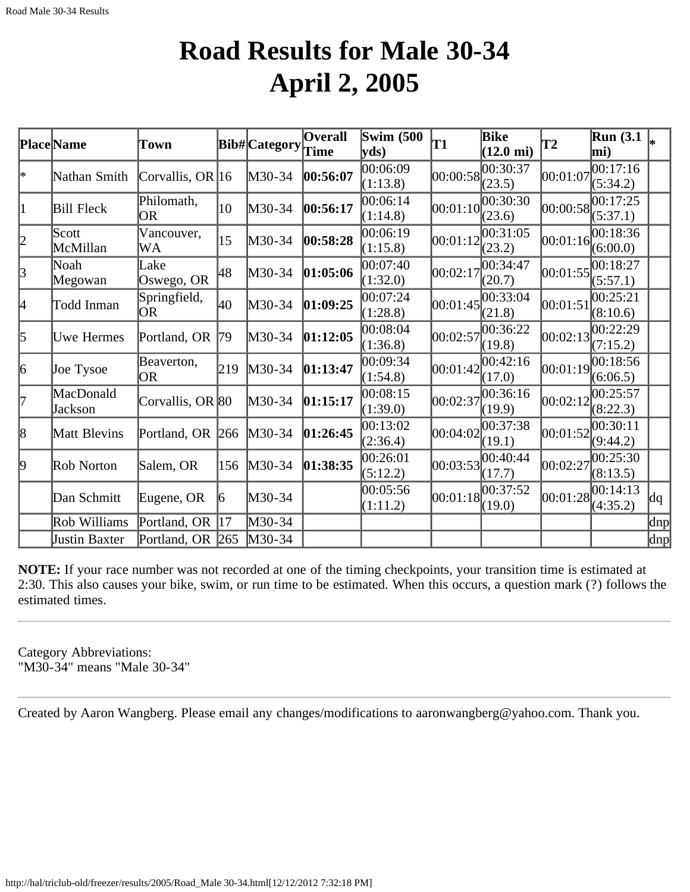#### **Road Results for Male 30-34 April 2, 2005**

|           | Place Name           | Town                    |                 | <b>Bib#</b> Category | Overall<br><b>Time</b> | <b>Swim (500)</b><br>$ {\bf v} {\bf ds})$ | T1       | Bike<br>$(12.0 \text{ mi})$          | T2       | <b>Run</b> (3.1)<br>mi) |     |
|-----------|----------------------|-------------------------|-----------------|----------------------|------------------------|-------------------------------------------|----------|--------------------------------------|----------|-------------------------|-----|
| ∣∗        | Nathan Smith         | Corvallis, OR $ 16 $    |                 | M30-34               | 00:56:07               | 00:06:09<br>(1:13.8)                      |          | 00:00:58 <br>(23.5)                  | 00:01:07 | 00:17:16<br>(5:34.2)    |     |
| 1         | <b>Bill Fleck</b>    | Philomath,<br><b>OR</b> | $ 10\rangle$    | M30-34               | 00:56:17               | 00:06:14<br>(1:14.8)                      |          | 00:01:10 <br>(23.6)                  | 00:00:58 | 00:17:25<br>(5:37.1)    |     |
| 2         | Scott<br>McMillan    | Vancouver,<br>WA        | $\overline{15}$ | M30-34               | 00:58:28               | 00:06:19<br>(1:15.8)                      | 00:01:12 | 00:31:05<br>(23.2)                   | 00:01:16 | 00:18:36<br>(6:00.0)    |     |
| $\beta$   | Noah<br>Megowan      | Lake<br>Oswego, OR      | 48              | M30-34               | 01:05:06               | 00:07:40<br>(1:32.0)                      | 00:02:17 | 00:34:47<br>(20.7)                   | 00:01:55 | 00:18:27<br>(5:57.1)    |     |
| 4         | Todd Inman           | Springfield,<br>OR.     | 40              | M30-34               | 01:09:25               | 00:07:24<br>(1:28.8)                      |          | 00:01:45 <br>(21.8)                  | 00:01:51 | 00:25:21<br>(8:10.6)    |     |
| $\vert$ 5 | Uwe Hermes           | Portland, OR            | 79              | M30-34               | 01:12:05               | 00:08:04<br>(1:36.8)                      |          | 00:02:57 <br>(19.8)                  | 00:02:13 | 00:22:29<br>(7:15.2)    |     |
| 6         | Joe Tysoe            | Beaverton,<br>OR        | 219             | M30-34               | 01:13:47               | 00:09:34<br>(1:54.8)                      |          | $ 00:01:42 ^{00:42:16}$<br>(17.0)    | 00:01:19 | 00:18:56<br>(6:06.5)    |     |
| 17        | MacDonald<br>Jackson | Corvallis, OR 80        |                 | M30-34               | 01:15:17               | 00:08:15<br>(1:39.0)                      |          | $ 00:02:37 ^{00:36:16}$<br>(19.9)    | 00:02:12 | 00:25:57<br>(8:22.3)    |     |
| 8         | Matt Blevins         | Portland, OR            | 266             | M30-34               | 01:26:45               | 00:13:02<br>(2:36.4)                      | 00:04:02 | 00:37:38<br>(19.1)                   | 00:01:52 | 00:30:11<br>(9:44.2)    |     |
| 9         | Rob Norton           | Salem, OR               | 156             | M30-34               | 01:38:35               | 00:26:01<br>(5:12.2)                      |          | $ 00:03:53 ^{00:40:44}_{}$<br>(17.7) | 00:02:27 | 00:25:30<br>(8:13.5)    |     |
|           | Dan Schmitt          | Eugene, OR              | 16              | M30-34               |                        | 00:05:56 <br>(1:11.2)                     |          | $ 00:01:18 ^{00:37:52}$<br>(19.0)    | 00:01:28 | 00:14:13<br>(4:35.2)    | dq  |
|           | Rob Williams         | Portland, OR            | 17              | M30-34               |                        |                                           |          |                                      |          |                         | dnp |
|           | Justin Baxter        | Portland, OR 265        |                 | $M30-34$             |                        |                                           |          |                                      |          |                         | dnp |

**NOTE:** If your race number was not recorded at one of the timing checkpoints, your transition time is estimated at 2:30. This also causes your bike, swim, or run time to be estimated. When this occurs, a question mark (?) follows the estimated times.

Category Abbreviations: "M30-34" means "Male 30-34"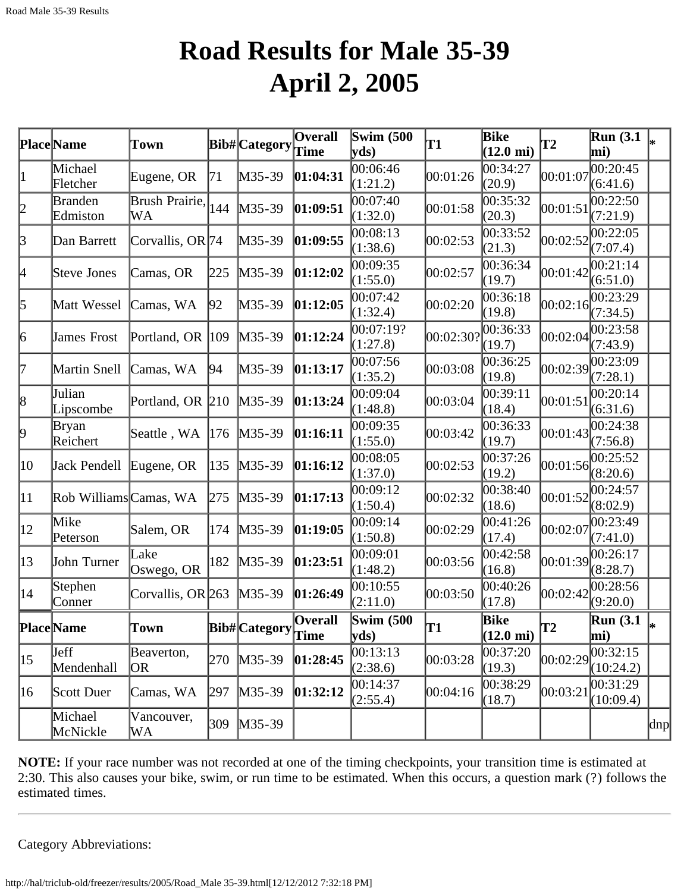### **Road Results for Male 35-39 April 2, 2005**

|              | Place Name                 | Town                 |     | Bib#Category  | <b>Overall</b><br>Time | <b>Swim (500)</b><br>$ {\bf v} {\bf ds})$ | T1        | <b>Bike</b><br>$(12.0 \text{ mi})$ | $\mathbf{T2}$ | <b>Run</b> (3.1)<br>mi) |     |
|--------------|----------------------------|----------------------|-----|---------------|------------------------|-------------------------------------------|-----------|------------------------------------|---------------|-------------------------|-----|
| $\vert$ 1    | Michael<br>Fletcher        | Eugene, OR           | 71  | M35-39        | 01:04:31               | 00:06:46<br>(1:21.2)                      | 00:01:26  | 00:34:27<br>(20.9)                 | 00:01:07      | 00:20:45<br>(6:41.6)    |     |
| 2            | <b>Branden</b><br>Edmiston | Brush Prairie,<br>WА | 144 | $M35-39$      | 01:09:51               | 00:07:40<br>(1:32.0)                      | 00:01:58  | 00:35:32<br>(20.3)                 | 00:01:51      | 0.22:50<br>(7:21.9)     |     |
| $\beta$      | Dan Barrett                | Corvallis, OR 74     |     | $M35-39$      | 01:09:55               | 00:08:13<br>(1:38.6)                      | 00:02:53  | 00:33:52<br>(21.3)                 | 00:02:52      | 00:22:05<br>(7:07.4)    |     |
| 4            | Steve Jones                | Camas, OR            | 225 | $M35-39$      | 01:12:02               | 00:09:35<br>(1:55.0)                      | 00:02:57  | 00:36:34<br>(19.7)                 | 00:01:42      | 0.21:14<br>(6:51.0)     |     |
| 5            | Matt Wessel                | Camas, WA            | 92  | $M35-39$      | 01:12:05               | 00:07:42<br>(1:32.4)                      | 00:02:20  | 00:36:18<br>(19.8)                 | 00:02:16      | 00:23:29<br>(7:34.5)    |     |
| 6            | <b>James Frost</b>         | Portland, OR 109     |     | $M35-39$      | 01:12:24               | 00:07:19?<br>(1:27.8)                     | 00:02:30? | 00:36:33<br>(19.7)                 | 00:02:04      | 00:23:58<br>(7:43.9)    |     |
| 17           | Martin Snell               | Camas, WA            | 94  | $M35-39$      | 01:13:17               | 00:07:56<br>(1:35.2)                      | 00:03:08  | 00:36:25<br>(19.8)                 | 00:02:39      | 00:23:09<br>(7:28.1)    |     |
| 8            | Julian<br>Lipscombe        | Portland, OR 210     |     | $M35-39$      | 01:13:24               | 00:09:04<br>(1:48.8)                      | 00:03:04  | 00:39:11<br>(18.4)                 | 00:01:51      | 00:20:14<br>(6:31.6)    |     |
| þ.           | Bryan<br>Reichert          | Seattle, WA          | 176 | $M35-39$      | 01:16:11               | 00:09:35<br>(1:55.0)                      | 00:03:42  | 00:36:33<br>(19.7)                 | 00:01:43      | 00:24:38<br>(7:56.8)    |     |
| $ 10\rangle$ | Jack Pendell               | Eugene, OR           | 135 | $M35-39$      | 01:16:12               | 00:08:05<br>(1:37.0)                      | 00:02:53  | 00:37:26<br>(19.2)                 | 00:01:56      | 00:25:52<br>(8:20.6)    |     |
| $ 11\rangle$ | Rob Williams Camas, WA     |                      | 275 | $M35-39$      | 01:17:13               | 00:09:12<br>(1:50.4)                      | 00:02:32  | 00:38:40<br>(18.6)                 | 00:01:52      | 00:24:57<br>(8:02.9)    |     |
| $ 12\rangle$ | Mike<br>Peterson           | Salem, OR            | 174 | $M35-39$      | 01:19:05               | 00:09:14<br>(1:50.8)                      | 00:02:29  | 00:41:26<br>(17.4)                 | 00:02:07      | 00:23:49<br>(7:41.0)    |     |
| $ 13\rangle$ | John Turner                | Lake<br>Oswego, OR   | 182 | $M35-39$      | 01:23:51               | 00:09:01<br>(1:48.2)                      | 00:03:56  | 00:42:58<br>(16.8)                 | 00:01:39      | 00:26:17<br>(8:28.7)    |     |
| 14           | Stephen<br>Conner          | Corvallis, OR 263    |     | $M35-39$      | 01:26:49               | 00:10:55<br>(2:11.0)                      | 00:03:50  | 00:40:26<br>(17.8)                 | 00:02:42      | 00:28:56<br>(9:20.0)    |     |
|              | <b>Place</b> Name          | Town                 |     | Bib# Category | <b>Overall</b><br>Time | Swim $(500)$<br>$ {\rm yds} $             | T1        | Bike<br>$(12.0 \text{ mi})$        | T2            | Run(3.1)<br>$\bf{mi}$   | ∗   |
| 15           | Jeff<br>Mendenhall         | Beaverton,<br> OR    | 270 | $M35-39$      | 01:28:45               | 00:13:13<br>(2:38.6)                      | 00:03:28  | 00:37:20<br>(19.3)                 | 00:02:29      | 00:32:15<br>(10:24.2)   |     |
| 16           | Scott Duer                 | Camas, WA            | 297 | $M35-39$      | 01:32:12               | 00:14:37<br>(2:55.4)                      | 00:04:16  | 00:38:29<br>(18.7)                 | 00:03:21      | 00:31:29<br>(10:09.4)   |     |
|              | Michael<br>McNickle        | Vancouver,<br>WA     | 309 | $M35-39$      |                        |                                           |           |                                    |               |                         | dnp |

**NOTE:** If your race number was not recorded at one of the timing checkpoints, your transition time is estimated at 2:30. This also causes your bike, swim, or run time to be estimated. When this occurs, a question mark (?) follows the estimated times.

Category Abbreviations: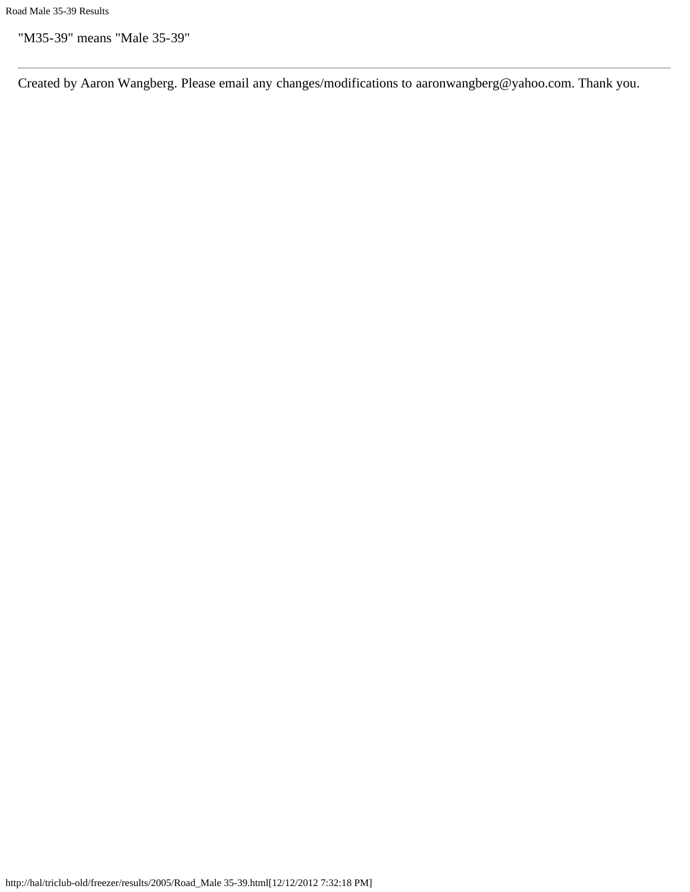"M35-39" means "Male 35-39"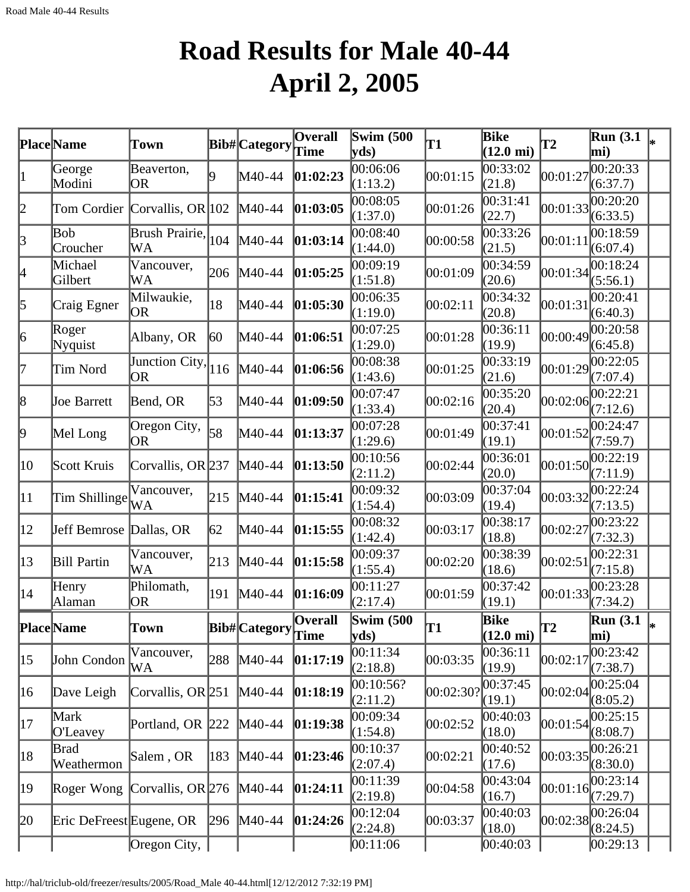# **Road Results for Male 40-44 April 2, 2005**

|              | Place Name               | Town                          |     | <b>Bib#</b> Category | Overall<br>Time         | <b>Swim (500</b><br>$\mathbf{v}\mathbf{ds}$ | T1        | Bike<br>$(12.0 \text{ mi})$ | <b>T2</b> | <b>Run</b> (3.1)<br>mi) |  |
|--------------|--------------------------|-------------------------------|-----|----------------------|-------------------------|---------------------------------------------|-----------|-----------------------------|-----------|-------------------------|--|
| $\vert$ 1    | George<br>Modini         | Beaverton,<br>OR              | Q   | M40-44               | 01:02:23                | 00:06:06<br>(1:13.2)                        | 00:01:15  | 00:33:02<br>(21.8)          | 00:01:27  | 00:20:33<br>(6:37.7)    |  |
| 2            |                          | Tom Cordier Corvallis, OR 102 |     | M40-44               | 01:03:05                | 00:08:05<br>(1:37.0)                        | 00:01:26  | 00:31:41<br>(22.7)          | 00:01:33  | 00:20:20<br>(6:33.5)    |  |
| 3            | Bob<br>Croucher          | Brush Prairie, 104<br>WA      |     | M40-44               | 01:03:14                | 00:08:40<br>(1:44.0)                        | 00:00:58  | 00:33:26<br>(21.5)          | 00:01:11  | 00:18:59<br>(6:07.4)    |  |
| 4            | Michael<br>Gilbert       | Vancouver,<br>WA              | 206 | M40-44               | 01:05:25                | 00:09:19<br>(1:51.8)                        | 00:01:09  | 00:34:59<br>(20.6)          | 00:01:34  | 0.18:24<br>(5:56.1)     |  |
| 5            | Craig Egner              | Milwaukie,<br>OR.             | 18  | M40-44               | 01:05:30                | 00:06:35<br>(1:19.0)                        | 00:02:11  | 00:34:32<br>(20.8)          | 00:01:31  | 00:20:41<br>(6:40.3)    |  |
| 6            | Roger<br>Nyquist         | Albany, OR                    | 60  | M40-44               | 01:06:51                | 00:07:25<br>(1:29.0)                        | 00:01:28  | 00:36:11<br>(19.9)          | 00:00:49  | 00:20:58<br>(6:45.8)    |  |
| 17           | Tim Nord                 | Junction City,<br><b>OR</b>   | 116 | M40-44               | 01:06:56                | 00:08:38<br>(1:43.6)                        | 00:01:25  | 00:33:19<br>(21.6)          | 00:01:29  | 00:22:05<br>(7:07.4)    |  |
| 8            | <b>Joe Barrett</b>       | Bend, OR                      | 53  | M40-44               | 01:09:50                | 00:07:47<br>(1:33.4)                        | 00:02:16  | 00:35:20<br>(20.4)          | 00:02:06  | 00:22:21<br>(7:12.6)    |  |
| þ.           | Mel Long                 | Oregon City,<br><b>OR</b>     | 58  | M40-44               | 01:13:37                | 00:07:28<br>(1:29.6)                        | 00:01:49  | 00:37:41<br>(19.1)          | 00:01:52  | 00:24:47<br>(7:59.7)    |  |
| 10           | Scott Kruis              | Corvallis, OR 237             |     | $M40-44$             | 01:13:50                | 00:10:56<br>(2:11.2)                        | 00:02:44  | 00:36:01<br>(20.0)          | 00:01:50  | 00:22:19<br>(7:11.9)    |  |
| $ 11\rangle$ | Tim Shillinge WA         | Vancouver,                    | 215 | $M40-44$             | 01:15:41                | 00:09:32<br>(1:54.4)                        | 00:03:09  | 00:37:04<br>(19.4)          | 00:03:32  | 00:22:24<br>(7:13.5)    |  |
| $ 12\rangle$ | Jeff Bemrose Dallas, OR  |                               | 62  | M40-44               | 01:15:55                | 00:08:32<br>(1:42.4)                        | 00:03:17  | 00:38:17<br>(18.8)          | 00:02:27  | 00:23:22<br>(7:32.3)    |  |
| $ 13\rangle$ | <b>Bill Partin</b>       | Vancouver,<br>WА              | 213 | M40-44               | 01:15:58                | 00:09:37<br>(1:55.4)                        | 00:02:20  | 00:38:39<br>(18.6)          | 00:02:51  | 00:22:31<br>(7:15.8)    |  |
| $ 14\rangle$ | Henry<br>Alaman          | Philomath,<br>OR.             | 191 | M40-44               | 01:16:09                | 00:11:27<br>(2:17.4)                        | 00:01:59  | 00:37:42<br>(19.1)          | 00:01:33  | 00:23:28<br>(7:34.2)    |  |
|              | <b>Place</b> Name        | Town                          |     | Bib#Category         | <b>Overall</b><br>∣Time | <b>Swim (500)</b><br>yds                    | lT1       | Bike<br>$(12.0 \text{ mi})$ | T2        | <b>Run</b> (3.1)<br>mi) |  |
| $ 15\rangle$ | John Condon              | Vancouver,<br>WA              | 288 | $M40-44$             | 01:17:19                | 00:11:34<br>(2:18.8)                        | 00:03:35  | 00:36:11<br>(19.9)          | 00:02:17  | 00:23:42<br>(7:38.7)    |  |
| 16           | Dave Leigh               | Corvallis, OR $251$           |     | M40-44               | 01:18:19                | 00:10:56?<br>(2:11.2)                       | 00:02:30? | 00:37:45<br>(19.1)          | 00:02:04  | 00:25:04<br>(8:05.2)    |  |
| 17           | Mark<br>O'Leavey         | Portland, OR 222              |     | M40-44               | 01:19:38                | 00:09:34<br>(1:54.8)                        | 00:02:52  | 00:40:03<br>(18.0)          | 00:01:54  | 00:25:15<br>(8:08.7)    |  |
| 18           | Brad<br>Weathermon       | Salem, OR                     | 183 | $M40-44$             | 01:23:46                | 00:10:37<br>(2:07.4)                        | 00:02:21  | 00:40:52<br>(17.6)          | 00:03:35  | 00:26:21<br>(8:30.0)    |  |
| 19           | Roger Wong               | Corvallis, OR $276$           |     | $M40-44$             | 01:24:11                | 00:11:39<br>(2:19.8)                        | 00:04:58  | 00:43:04<br>(16.7)          | 00:01:16  | 00:23:14<br>(7:29.7)    |  |
| 20           | Eric DeFreest Eugene, OR |                               | 296 | $M40-44$             | 01:24:26                | 00:12:04<br>(2:24.8)                        | 00:03:37  | 00:40:03<br>(18.0)          | 00:02:38  | 00:26:04<br>(8:24.5)    |  |
|              |                          | Oregon City,                  |     |                      |                         | 00:11:06                                    |           | 00:40:03                    |           | 00:29:13                |  |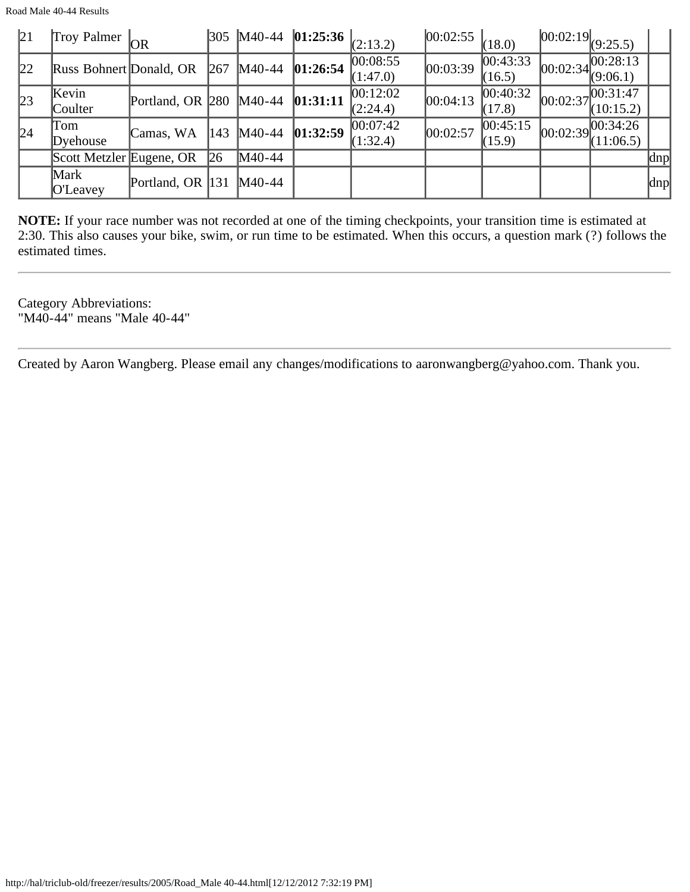Road Male 40-44 Results

| 21 | Troy Palmer <sub>OR</sub> |                         |             |          | $\vert$ 305  M40-44   <b>01:25:36</b>   <sub>(2:13.2)</sub> |                                | 00:02:55 | (18.0)             | $[00:02:19]_{(9:25.5)}$                            |               |
|----|---------------------------|-------------------------|-------------|----------|-------------------------------------------------------------|--------------------------------|----------|--------------------|----------------------------------------------------|---------------|
| 22 | Russ Bohnert Donald, OR   |                         | 267         | M40-44   | 01:26:54                                                    | 00:08:55<br>(1:47.0)           | 00:03:39 | 00:43:33<br>(16.5) | $\log 100:02:34\sqrt{00:28:13}$<br>(9:06.1)        |               |
| 23 | Kevin<br>Coulter          | Portland, OR 280 M40-44 |             |          | [01:31:11]                                                  | 00:12:02 <br>(2:24.4)          | 00:04:13 | 00:40:32<br>(17.8) | $\approx 00:02:37 \mid 00:31:47 \mid$<br>(10:15.2) |               |
| 24 | Tom<br>Dyehouse           | Camas, WA               | 143         | M40-44   | 01:32:59                                                    | $ 00:07:42\rangle$<br>(1:32.4) | 00:02:57 | 00:45:15<br>(15.9) | $\log 100:02:39$ $\sqrt{00:34:26}$<br>(11:06.5)    |               |
|    | Scott Metzler Eugene, OR  |                         | $\sqrt{26}$ | M40-44   |                                                             |                                |          |                    |                                                    | $ {\rm dnp} $ |
|    | Mark<br><b>O'Leavey</b>   | Portland, OR 131        |             | $M40-44$ |                                                             |                                |          |                    |                                                    | dnp           |

**NOTE:** If your race number was not recorded at one of the timing checkpoints, your transition time is estimated at 2:30. This also causes your bike, swim, or run time to be estimated. When this occurs, a question mark (?) follows the estimated times.

Category Abbreviations: "M40-44" means "Male 40-44"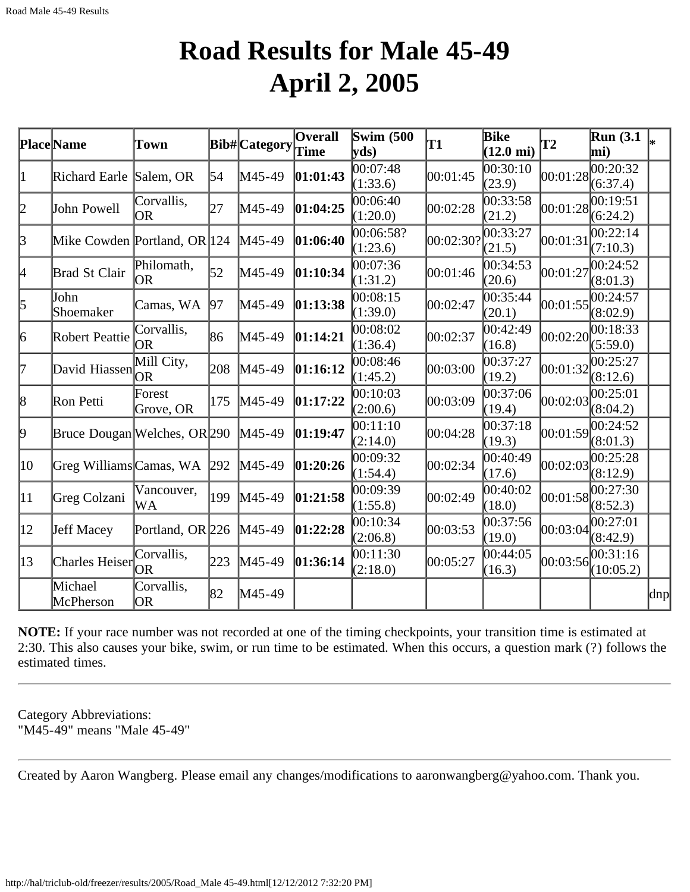#### **Road Results for Male 45-49 April 2, 2005**

|              | <b>Place</b> Name            | Town                    |     | <b>Bib#</b> Category | Overall<br>Time | <b>Swim</b> (500<br>$ {\bf v} {\bf d} s)$ | T1        | Bike<br>$(12.0 \text{ mi})$ | T2       | <b>Run</b> (3.1)<br>mi) |     |
|--------------|------------------------------|-------------------------|-----|----------------------|-----------------|-------------------------------------------|-----------|-----------------------------|----------|-------------------------|-----|
| 1            | Richard Earle                | Salem, OR               | 54  | M45-49               | [01:01:43]      | 00:07:48<br>(1:33.6)                      | 00:01:45  | 00:30:10<br>(23.9)          | 00:01:28 | 00:20:32<br>(6:37.4)    |     |
| 2            | John Powell                  | Corvallis,<br>OR.       | 27  | $M45-49$             | 01:04:25        | 00:06:40<br>(1:20.0)                      | 00:02:28  | 00:33:58<br>(21.2)          | 00:01:28 | 00:19:51<br>(6:24.2)    |     |
| $\beta$      | Mike Cowden Portland, OR 124 |                         |     | $M45-49$             | 01:06:40        | 00:06:58?<br>(1:23.6)                     | 00:02:30? | 00:33:27<br>(21.5)          | 00:01:31 | 00:22:14<br>(7:10.3)    |     |
| 4            | Brad St Clair                | Philomath,<br>OR.       | 52  | M45-49               | 01:10:34        | 00:07:36<br>(1:31.2)                      | 00:01:46  | 00:34:53<br>(20.6)          | 00:01:27 | 00:24:52<br>(8:01.3)    |     |
| $\vert$ 5    | John<br>Shoemaker            | Camas, WA               | 97  | $M45-49$             | [01:13:38]      | 00:08:15<br>(1:39.0)                      | 00:02:47  | 00:35:44<br>(20.1)          | 00:01:55 | 00:24:57<br>(8:02.9)    |     |
| 6            | Robert Peattie               | Corvallis,<br>OR.       | 86  | $M45-49$             | 01:14:21        | 00:08:02<br>(1:36.4)                      | 00:02:37  | 00:42:49<br>(16.8)          | 00:02:20 | 00:18:33<br>(5:59.0)    |     |
| 17           | David Hiassen                | Mill City,<br><b>OR</b> | 208 | $M45-49$             | 01:16:12        | 00:08:46<br>(1:45.2)                      | 00:03:00  | 00:37:27<br>(19.2)          | 00:01:32 | 00:25:27<br>(8:12.6)    |     |
| 18           | Ron Petti                    | Forest<br>Grove, OR     | 175 | $M45-49$             | 01:17:22        | 00:10:03<br>(2:00.6)                      | 00:03:09  | 00:37:06<br>(19.4)          | 00:02:03 | 00:25:01<br>(8:04.2)    |     |
| þ,           | Bruce Dougan Welches, OR 290 |                         |     | $M45-49$             | 01:19:47        | 00:11:10<br>(2:14.0)                      | 00:04:28  | 00:37:18<br>(19.3)          | 00:01:59 | 00:24:52<br>(8:01.3)    |     |
| 10           | Greg Williams Camas, WA 292  |                         |     | $M45-49$             | 01:20:26        | 00:09:32<br>(1:54.4)                      | 00:02:34  | 00:40:49<br>(17.6)          | 00:02:03 | 00:25:28<br>(8:12.9)    |     |
| $ 11\rangle$ | Greg Colzani                 | Vancouver,<br>WA        | 199 | $M45-49$             | 01:21:58        | 00:09:39<br>(1:55.8)                      | 00:02:49  | 00:40:02<br>(18.0)          | 00:01:58 | 00:27:30<br>(8:52.3)    |     |
| $ 12\rangle$ | <b>Jeff Macey</b>            | Portland, OR 226        |     | $M45-49$             | 01:22:28        | 00:10:34<br>(2:06.8)                      | 00:03:53  | 00:37:56<br>(19.0)          | 00:03:04 | 00:27:01<br>(8:42.9)    |     |
| $\vert$ 13   | Charles Heiser               | Corvallis,<br>OR        | 223 | M45-49               | 01:36:14        | 00:11:30<br>(2:18.0)                      | 00:05:27  | 00:44:05<br>(16.3)          | 00:03:56 | 00:31:16<br>(10:05.2)   |     |
|              | Michael<br>McPherson         | Corvallis,<br> OR       | 82  | M45-49               |                 |                                           |           |                             |          |                         | dnp |

**NOTE:** If your race number was not recorded at one of the timing checkpoints, your transition time is estimated at 2:30. This also causes your bike, swim, or run time to be estimated. When this occurs, a question mark (?) follows the estimated times.

Category Abbreviations: "M45-49" means "Male 45-49"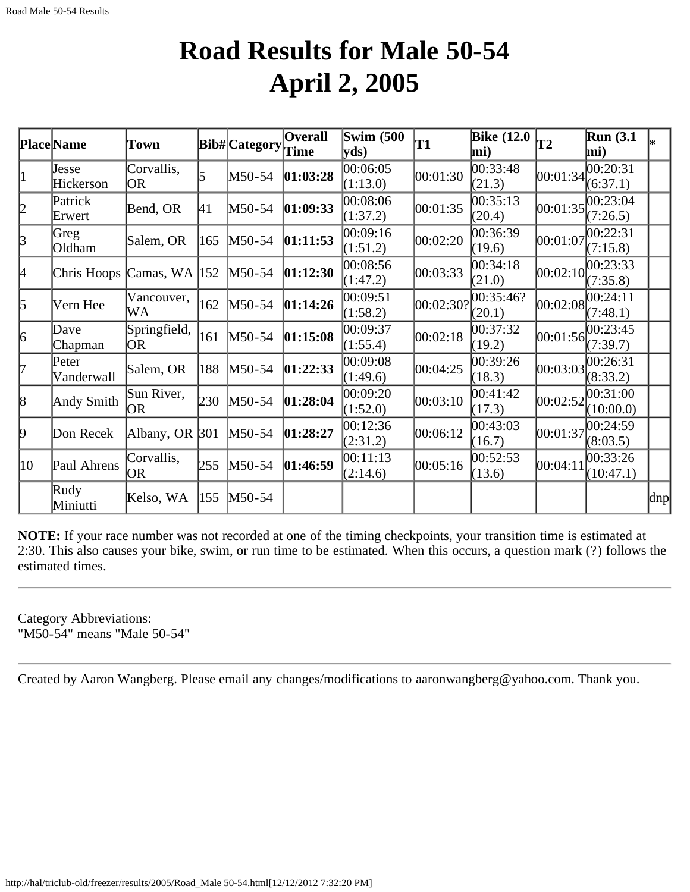#### **Road Results for Male 50-54 April 2, 2005**

|           | <b>Place</b> Name | Town              |     | Bib# Category | <b>Overall</b> | <b>Swim (500)</b> | T <sub>1</sub> | <b>Bike (12.0</b> | T2         | <b>Run</b> (3.1) |     |
|-----------|-------------------|-------------------|-----|---------------|----------------|-------------------|----------------|-------------------|------------|------------------|-----|
|           |                   |                   |     |               | Time           | yds)              |                | mi)               |            | mi)              |     |
| $\vert$ 1 | Jesse             | Corvallis,        | 5   | $M50-54$      | [01:03:28]     | 00:06:05          | 00:01:30       | 00:33:48          | 00:01:34   | 00:20:31         |     |
|           | Hickerson         | OR                |     |               |                | (1:13.0)          |                | (21.3)            |            | (6:37.1)         |     |
| 2         | Patrick           | Bend, OR          | 41  | $M50-54$      | [01:09:33]     | 00:08:06          | 00:01:35       | 00:35:13          | 00:01:35   | 00:23:04         |     |
|           | Erwert            |                   |     |               |                | (1:37.2)          |                | (20.4)            |            | (7:26.5)         |     |
| 3         | Greg              | Salem, OR         | 165 | $M50-54$      | [01:11:53]     | 00:09:16          | 00:02:20       | 00:36:39          | 00:01:07   | 00:22:31         |     |
|           | Oldham            |                   |     |               |                | (1:51.2)          |                | (19.6)            |            | (7:15.8)         |     |
| 4         | Chris Hoops       | Camas, WA $ 152 $ |     | $M50-54$      | [01:12:30]     | 00:08:56          | 00:03:33       | 00:34:18          | 00:02:10   | 00:23:33         |     |
|           |                   |                   |     |               |                | (1:47.2)          |                | (21.0)            |            | (7:35.8)         |     |
| 5         | Vern Hee          | Vancouver,        | 162 | $M50-54$      | 01:14:26       | 00:09:51          | 00:02:30?      | 00:35:46?         | 00:02:08   | 00:24:11         |     |
|           |                   | WA                |     |               |                | (1:58.2)          |                | (20.1)            |            | (7:48.1)         |     |
| 6         | Dave              | Springfield,      | 161 | $M50-54$      | 01:15:08       | 00:09:37          | 00:02:18       | 00:37:32          | [00:01:56] | 00:23:45         |     |
|           | Chapman           | OR.               |     |               |                | (1:55.4)          |                | (19.2)            |            | (7:39.7)         |     |
| l7        | Peter             | Salem, OR         | 188 | $M50-54$      | [01:22:33]     | 00:09:08          | 00:04:25       | 00:39:26          | 00:03:03   | 00:26:31         |     |
|           | Vanderwall        |                   |     |               |                | (1:49.6)          |                | (18.3)            |            | (8:33.2)         |     |
| 8         | Andy Smith        | Sun River,        | 230 | $M50-54$      | [01:28:04]     | 00:09:20          | 00:03:10       | 00:41:42          | 00:02:52   | 00:31:00         |     |
|           |                   | OR.               |     |               |                | (1:52.0)          |                | (17.3)            |            | (10:00.0)        |     |
| þ.        |                   |                   |     |               |                | 00:12:36          |                | 00:43:03          | 00:01:37   | 00:24:59         |     |
|           | Don Recek         | Albany, OR 301    |     | $M50-54$      | 01:28:27       | (2:31.2)          | 00:06:12       | (16.7)            |            | (8:03.5)         |     |
|           |                   | Corvallis,        |     |               |                | 00:11:13          |                | 00:52:53          |            | 00:33:26         |     |
| 10        | Paul Ahrens       | OR                | 255 | $M50-54$      | 01:46:59       | (2:14.6)          | 00:05:16       | (13.6)            | 00:04:11   | (10:47.1)        |     |
|           | Rudy              | Kelso, WA         | 155 | $M50-54$      |                |                   |                |                   |            |                  | dnp |
|           | Miniutti          |                   |     |               |                |                   |                |                   |            |                  |     |

**NOTE:** If your race number was not recorded at one of the timing checkpoints, your transition time is estimated at 2:30. This also causes your bike, swim, or run time to be estimated. When this occurs, a question mark (?) follows the estimated times.

Category Abbreviations: "M50-54" means "Male 50-54"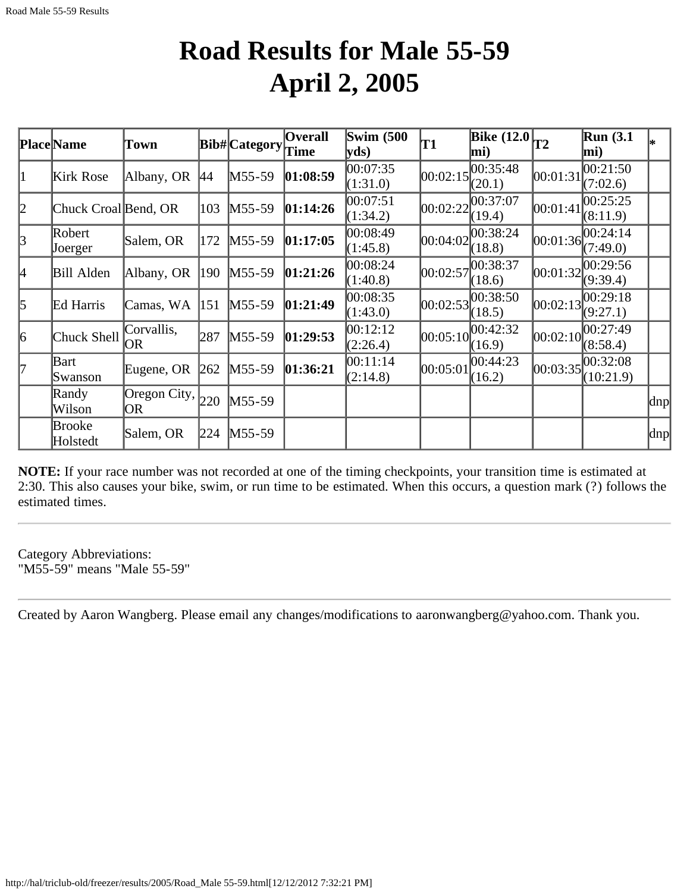### **Road Results for Male 55-59 April 2, 2005**

|                 | <b>Place Name</b>         | Town                |     | Bib# Category | <b>Overall</b><br>Time | <b>Swim (500)</b><br>yds) | T1         | Bike $(12.0)$ <sub>T2</sub><br>mi) |            | <b>Run</b> (3.1)<br>mi)              |      |
|-----------------|---------------------------|---------------------|-----|---------------|------------------------|---------------------------|------------|------------------------------------|------------|--------------------------------------|------|
| 1               | Kirk Rose                 | Albany, OR          | 44  | $M55-59$      | 01:08:59               | 00:07:35<br>(1:31.0)      |            | 00:02:15 <br>(20.1)                | 00:01:31   | 00:21:50<br>(7:02.6)                 |      |
| 2               | Chuck Croal Bend, OR      |                     | 103 | $M55-59$      | 01:14:26               | 00:07:51<br>(1:34.2)      | 00:02:22   | 00:37:07<br>(19.4)                 | 00:01:41   | 00:25:25<br>(8:11.9)                 |      |
| $\vert 3 \vert$ | Robert<br>Joerger         | Salem, OR           | 172 | $M55-59$      | 01:17:05               | 00:08:49<br>(1:45.8)      | 00:04:02   | 00:38:24 <br>(18.8)                | [00:01:36] | 00:24:14<br>(7:49.0)                 |      |
| 4               | Bill Alden                | Albany, OR          | 190 | $M55-59$      | 01:21:26               | 00:08:24<br>(1:40.8)      | 00:02:57   | 00:38:37<br>(18.6)                 |            | $[00:01:32]^{00:29:56}$<br>(9:39.4)  |      |
| 5               | Ed Harris                 | Camas, WA           | 151 | $M55-59$      | 01:21:49               | 00:08:35<br>(1:43.0)      | 00:02:53   | 00:38:50<br>(18.5)                 | 00:02:13   | 00:29:18<br>(9:27.1)                 |      |
| 6               | Chuck Shell               | Corvallis,<br>OR    | 287 | $M55-59$      | 01:29:53               | 00:12:12<br>(2:26.4)      | [00:05:10] | 00:42:32<br>(16.9)                 | 00:02:10   | 00:27:49<br>(8:58.4)                 |      |
| l7              | Bart<br>Swanson           | Eugene, OR          | 262 | $M55-59$      | 01:36:21               | 00:11:14<br>(2:14.8)      | 00:05:01   | $ 00:44:23\rangle$<br>(16.2)       |            | $ 00:03:35 ^{00:32:08}$<br>(10:21.9) |      |
|                 | Randy<br>Wilson           | Oregon City,<br> OR | 220 | $M55-59$      |                        |                           |            |                                    |            |                                      | ∣dnp |
|                 | <b>Brooke</b><br>Holstedt | Salem, OR           | 224 | $M55-59$      |                        |                           |            |                                    |            |                                      | dnp  |

**NOTE:** If your race number was not recorded at one of the timing checkpoints, your transition time is estimated at 2:30. This also causes your bike, swim, or run time to be estimated. When this occurs, a question mark (?) follows the estimated times.

Category Abbreviations: "M55-59" means "Male 55-59"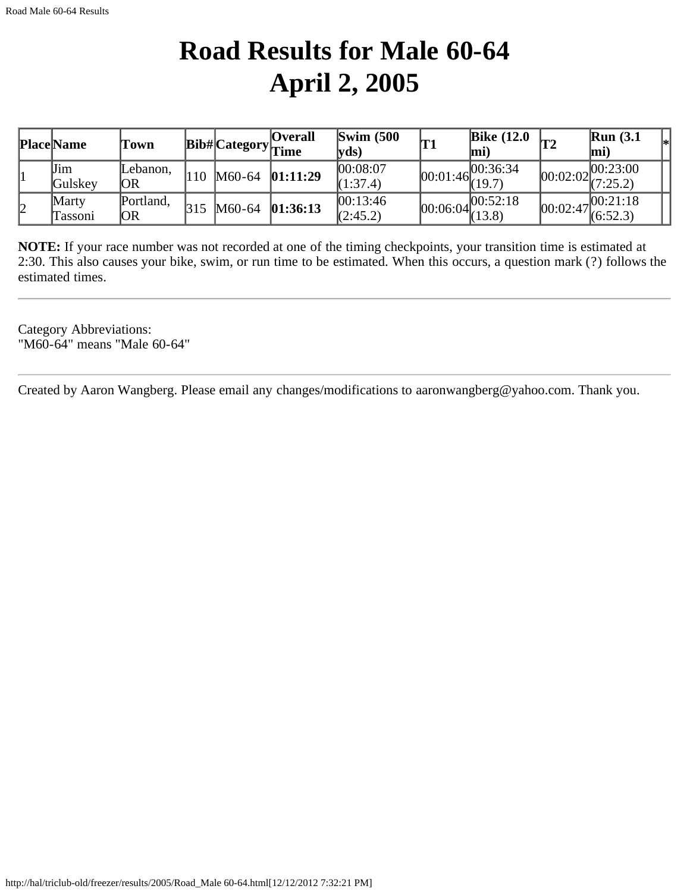# **Road Results for Male 60-64 April 2, 2005**

|    | <b>Place Name</b> | l'own           |      |          | <b>Overall</b><br>$\vert$ Bib# $\vert$ Category $\vert$ Time | $\text{Swim}\ (500$<br> vds) | Bike $(12.0)$<br>lmi)                     | Run(3.1)<br>l*l<br>$ mi\rangle$                               |
|----|-------------------|-----------------|------|----------|--------------------------------------------------------------|------------------------------|-------------------------------------------|---------------------------------------------------------------|
|    | Jim<br>Gulskey    | Lebanon.<br>ЮR  | 110- | M60-64   | 01:11:29                                                     | 00:08:07<br>(1:37.4)         | $[00:01:46]^{00:36:34}_{(19.7)}$          | 00:23:00<br>$100:02:02$ (7:25.2)                              |
| 12 | Marty<br>Tassoni  | Portland,<br>ЮR | 315  | $M60-64$ | 01:36:13                                                     | 00:13:46<br>(2:45.2)         | $\overline{)00:06:04} 00:52:18$<br>(13.8) | $\sqrt{00:}02:47\begin{bmatrix}00:21:18\\6:52.3\end{bmatrix}$ |

**NOTE:** If your race number was not recorded at one of the timing checkpoints, your transition time is estimated at 2:30. This also causes your bike, swim, or run time to be estimated. When this occurs, a question mark (?) follows the estimated times.

Category Abbreviations: "M60-64" means "Male 60-64"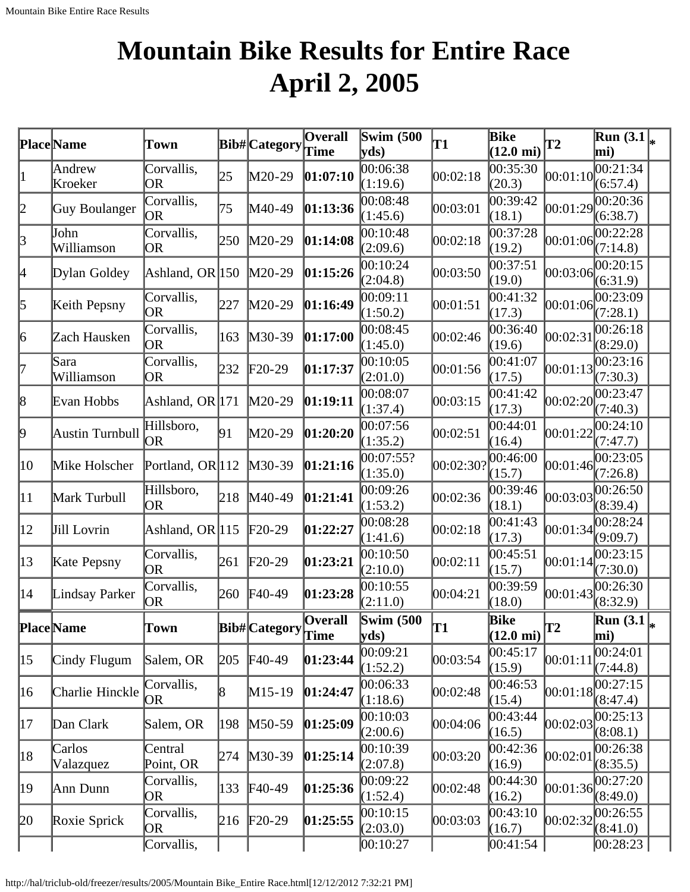# **Mountain Bike Results for Entire Race April 2, 2005**

|              | Place Name          | Town                    |     | Bib#Category    | <b>Overall</b>                | <b>Swim (500)</b><br>$\mathbf{v}\mathbf{ds}$ | T1        | <b>Bike</b><br>$(12.0 \text{ mi})$ | T2       | $\overline{\text{Run}}(3.1)_{*}$<br>mi) |  |
|--------------|---------------------|-------------------------|-----|-----------------|-------------------------------|----------------------------------------------|-----------|------------------------------------|----------|-----------------------------------------|--|
| $\vert$ 1    | Andrew<br>Kroeker   | Corvallis,<br>OR        | 25  | $M20-29$        | [01:07:10]                    | 00:06:38<br>(1:19.6)                         | 00:02:18  | 00:35:30<br>(20.3)                 | 00:01:10 | $\overline{00:2}1:34$<br>(6:57.4)       |  |
| 2            | Guy Boulanger       | Corvallis,<br>OR        | 75  | M40-49          | [01:13:36]                    | 00:08:48<br>(1:45.6)                         | 00:03:01  | 00:39:42<br>(18.1)                 | 00:01:29 | 0.20:36<br>(6:38.7)                     |  |
| $\beta$      | John<br>Williamson  | Corvallis,<br>OR        | 250 | $M20-29$        | 01:14:08                      | 00:10:48<br>(2:09.6)                         | 00:02:18  | 00:37:28<br>(19.2)                 | 00:01:06 | 00:22:28<br>(7:14.8)                    |  |
| 4            | Dylan Goldey        | Ashland, OR 150         |     | $M20-29$        | 01:15:26                      | 00:10:24<br>(2:04.8)                         | 00:03:50  | 0.37:51<br>(19.0)                  | 00:03:06 | 00:20:15<br>(6:31.9)                    |  |
| 5            | Keith Pepsny        | Corvallis,<br>0R        | 227 | $M20-29$        | 01:16:49                      | 00:09:11<br>(1:50.2)                         | 00:01:51  | 00:41:32<br>(17.3)                 | 00:01:06 | 00:23:09<br>(7:28.1)                    |  |
| 6            | Zach Hausken        | Corvallis,<br>OR        | 163 | $M30-39$        | [01:17:00]                    | 00:08:45<br>(1:45.0)                         | 00:02:46  | 00:36:40<br>(19.6)                 | 00:02:31 | 00:26:18<br>(8:29.0)                    |  |
| 17           | Sara<br>Williamson  | Corvallis,<br>OR        | 232 | $F20-29$        | 01:17:37                      | 00:10:05<br>(2:01.0)                         | 00:01:56  | 00:41:07<br>(17.5)                 | 00:01:13 | 00:23:16<br>(7:30.3)                    |  |
| 8            | Evan Hobbs          | Ashland, OR 171         |     | $M20-29$        | 01:19:11                      | 00:08:07<br>(1:37.4)                         | 00:03:15  | 00:41:42<br>(17.3)                 | 00:02:20 | 00:23:47<br>(7:40.3)                    |  |
| þ,           | Austin Turnbull     | Hillsboro,<br><b>OR</b> | 91  | M20-29          | 01:20:20                      | 00:07:56<br>(1:35.2)                         | 00:02:51  | 00:44:01<br>(16.4)                 | 00:01:22 | 00:24:10<br>(7:47.7)                    |  |
| 10           | Mike Holscher       | Portland, OR 112        |     | $M30-39$        | [01:21:16]                    | 00:07:55?<br>(1:35.0)                        | 00:02:30? | 00:46:00<br>(15.7)                 | 00:01:46 | 00:23:05<br>(7:26.8)                    |  |
| $ 11\rangle$ | Mark Turbull        | Hillsboro,<br><b>OR</b> | 218 | $M40-49$        | 01:21:41                      | 00:09:26<br>(1:53.2)                         | 00:02:36  | 00:39:46<br>(18.1)                 | 00:03:03 | 00:26:50<br>(8:39.4)                    |  |
| $ 12\rangle$ | Jill Lovrin         | Ashland, OR 115         |     | $F20-29$        | 01:22:27                      | 00:08:28<br>(1:41.6)                         | 00:02:18  | 00:41:43<br>(17.3)                 | 00:01:34 | 00:28:24<br>(9:09.7)                    |  |
| $ 13\rangle$ | Kate Pepsny         | Corvallis,<br>OR        | 261 | $\text{F20-29}$ | [01:23:21]                    | 00:10:50<br>(2:10.0)                         | 00:02:11  | 00:45:51<br>(15.7)                 | 00:01:14 | 00:23:15<br>(7:30.0)                    |  |
| 14           | Lindsay Parker      | Corvallis,<br>OR        | 260 | $F40-49$        | [01:23:28]                    | 00:10:55<br>(2:11.0)                         | 00:04:21  | 00:39:59<br>(18.0)                 | 00:01:43 | 00:26:30<br>(8:32.9)                    |  |
|              | <b>Place</b> Name   | Town                    |     | Bib# Category   | <b>Overall</b><br><b>Time</b> | <b>Swim (500)</b><br>yds)                    | T1        | Bike<br>$(12.0 \text{ mi})$        | T2       | $\overline{\text{Run}}(3.1)$<br>mi)     |  |
| $ 15\rangle$ | Cindy Flugum        | Salem, OR               | 205 | $F40-49$        | 01:23:44                      | 00:09:21<br>(1:52.2)                         | 00:03:54  | 00:45:17<br>(15.9)                 | 00:01:11 | 00:24:01<br>(7:44.8)                    |  |
| 16           | Charlie Hinckle     | Corvallis,<br>OR        | 18  | $M15-19$        | 01:24:47                      | 00:06:33<br>(1:18.6)                         | 00:02:48  | 00:46:53<br>(15.4)                 | 00:01:18 | 00:27:15<br>(8:47.4)                    |  |
| 17           | Dan Clark           | Salem, OR               | 198 | M50-59          | [01:25:09]                    | 00:10:03<br>(2:00.6)                         | 00:04:06  | 00:43:44<br>(16.5)                 | 00:02:03 | 00:25:13<br>(8:08.1)                    |  |
| 18           | Carlos<br>Valazquez | Central<br>Point, OR    | 274 | M30-39          | [01:25:14]                    | 00:10:39<br>(2:07.8)                         | 00:03:20  | 00:42:36<br>(16.9)                 | 00:02:01 | 00:26:38<br>(8:35.5)                    |  |
| 19           | Ann Dunn            | Corvallis,<br>OR        | 133 | $F40-49$        | 01:25:36                      | 00:09:22<br>(1:52.4)                         | 00:02:48  | 00:44:30<br>(16.2)                 | 00:01:36 | 00:27:20<br>(8:49.0)                    |  |
| 20           | Roxie Sprick        | Corvallis,<br>OR        | 216 | $F20-29$        | 01:25:55                      | 00:10:15<br>(2:03.0)                         | 00:03:03  | 00:43:10<br>(16.7)                 | 00:02:32 | 00:26:55<br>(8:41.0)                    |  |
|              |                     | Corvallis,              |     |                 |                               | 00:10:27                                     |           | 00:41:54                           |          | 00:28:23                                |  |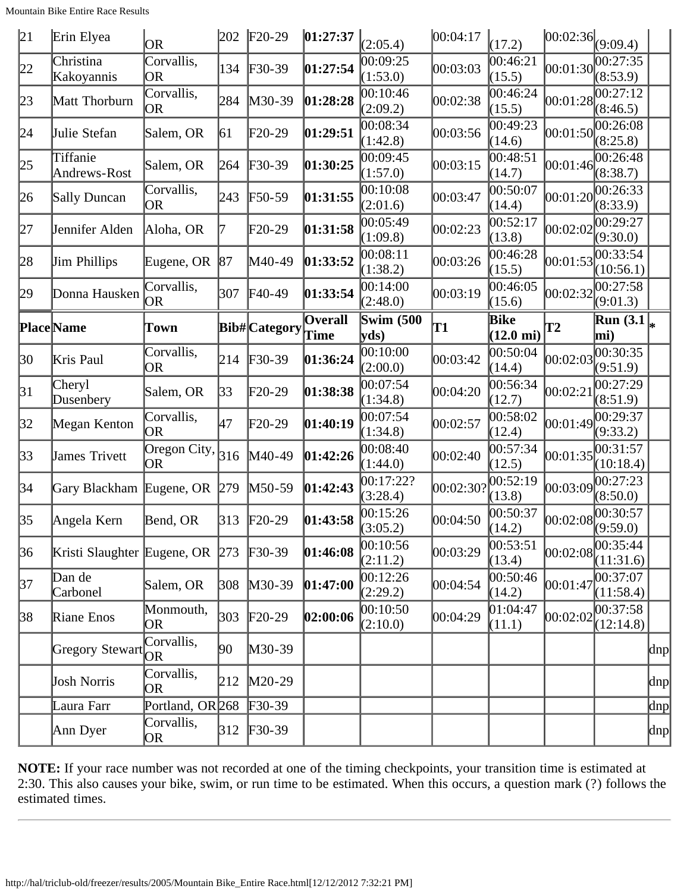Mountain Bike Entire Race Results

| 21           | Erin Elyea                   | <b>OR</b>                                         | 202        | $F20-29$             | 01:27:37               | (2:05.4)                 | 00:04:17 | (17.2)                      | $ 00:02:36 _{(9:09.4)}$ |                                              |          |
|--------------|------------------------------|---------------------------------------------------|------------|----------------------|------------------------|--------------------------|----------|-----------------------------|-------------------------|----------------------------------------------|----------|
| 22           | Christina<br>Kakoyannis      | Corvallis,<br><b>OR</b>                           | 134        | $F30-39$             | 01:27:54               | 00:09:25<br>(1:53.0)     | 00:03:03 | 00:46:21<br>(15.5)          | 00:01:30                | 00:27:35<br>(8:53.9)                         |          |
| 23           | Matt Thorburn                | Corvallis,<br><b>OR</b>                           | 284        | $M30-39$             | 01:28:28               | 0.10:46<br>(2:09.2)      | 00:02:38 | 00:46:24<br>(15.5)          | 00:01:28                | 00:27:12<br>(8:46.5)                         |          |
| 24           | Julie Stefan                 | Salem, OR                                         | 61         | $F20-29$             | 01:29:51               | 00:08:34<br>(1:42.8)     | 00:03:56 | 00:49:23<br>(14.6)          | 00:01:50                | 00:26:08<br>(8:25.8)                         |          |
| 25           | Tiffanie<br>Andrews-Rost     | Salem, OR                                         | 264        | $F30-39$             | 01:30:25               | 00:09:45<br>(1:57.0)     | 00:03:15 | 00:48:51<br>(14.7)          | 00:01:46                | 00:26:48<br>(8:38.7)                         |          |
| 26           | Sally Duncan                 | Corvallis,<br>OR                                  | 243        | $F50-59$             | 01:31:55               | 00:10:08<br>(2:01.6)     | 00:03:47 | 00:50:07<br>(14.4)          | 00:01:20                | 00:26:33<br>(8:33.9)                         |          |
| 27           | Jennifer Alden               | Aloha, OR                                         | 7          | F20-29               | 01:31:58               | 00:05:49<br>(1:09.8)     | 00:02:23 | 00:52:17<br>(13.8)          | 00:02:02                | 00:29:27<br>(9:30.0)                         |          |
| 28           | <b>Jim Phillips</b>          | Eugene, OR                                        | 87         | M40-49               | 01:33:52               | 00:08:11<br>(1:38.2)     | 00:03:26 | 00:46:28<br>(15.5)          | 00:01:53                | 00:33:54<br>(10:56.1)                        |          |
| 29           | Donna Hausken                | Corvallis,<br>OR                                  | 307        | $F40-49$             | 01:33:54               | 00:14:00<br>(2:48.0)     | 00:03:19 | 00:46:05<br>(15.6)          | 00:02:32                | 00:27:58<br>(9:01.3)                         |          |
|              | <b>Place</b> Name            | Town                                              |            | <b>Bib#</b> Category | <b>Overall</b><br>Time | <b>Swim (500</b><br>yds) | T1       | Bike<br>$(12.0 \text{ mi})$ | T2                      | $\mathbf{Run}\left(3.1\right _{\ast}$<br>mi) |          |
| 30           | Kris Paul                    | Corvallis,<br>OR                                  | 214        | $F30-39$             | 01:36:24               | 00:10:00<br>(2:00.0)     | 00:03:42 | 00:50:04<br>(14.4)          | 00:02:03                | 00:30:35<br>(9:51.9)                         |          |
| 31           | Cheryl<br>Dusenbery          | Salem, OR                                         | 33         | F20-29               | 01:38:38               | 00:07:54<br>(1:34.8)     | 00:04:20 | 00:56:34<br>(12.7)          | 00:02:21                | 00:27:29<br>(8:51.9)                         |          |
| 32           | Megan Kenton                 | Corvallis,<br>OR                                  | 47         | $F20-29$             | 01:40:19               | 00:07:54<br>(1:34.8)     | 00:02:57 | 00:58:02<br>(12.4)          | 00:01:49                | 00:29:37<br>(9:33.2)                         |          |
| $ 33\rangle$ | James Trivett                | $\overline{\text{Oregon}}$ City, $\big 316$<br>OR |            | M40-49               | 01:42:26               | 00:08:40<br>(1:44.0)     | 00:02:40 | 00:57:34<br>(12.5)          | 00:01:35                | 00:31:57<br>(10:18.4)                        |          |
| 34           | Gary Blackham Eugene, OR 279 |                                                   |            | $M50-59$             | 01:42:43               | 00:17:22?<br>(3:28.4)    | 00:02:30 | 00:52:19<br>(13.8)          | 00:03:09                | 00:27:23<br>(8:50.0)                         |          |
| 35           | Angela Kern                  | Bend, OR                                          | $\beta$ 13 | $F20-29$             | 01:43:58               | 00:15:26<br>(3:05.2)     | 00:04:50 | 00:50:37<br>(14.2)          |                         | 00:30:57                                     |          |
| 36           | Kristi Slaughter Eugene, OR  |                                                   | 273        | $F30-39$             | 01:46:08               | 00:10:56<br>(2:11.2)     | 00:03:29 | 00:53:51<br>(13.4)          | [00:02:08]              | 00:35:44<br>(11:31.6)                        |          |
| 37           | Dan de<br>Carbonel           | Salem, OR                                         | 308        | $M30-39$             | [01:47:00]             | 00:12:26<br>(2:29.2)     | 00:04:54 | 00:50:46<br>(14.2)          | 00:01:47                | 00:37:07<br>(11:58.4)                        |          |
| 38           | Riane Enos                   | Monmouth,<br>OR                                   | 303        | $F20-29$             | 02:00:06               | 00:10:50<br>(2:10.0)     | 00:04:29 | [01:04:47]<br>(11.1)        | 00:02:02                | 00:37:58 <br>(12:14.8)                       |          |
|              | <b>Gregory Stewart</b>       | Corvallis,<br><b>OR</b>                           | 90         | $M30-39$             |                        |                          |          |                             |                         |                                              | $\alpha$ |
|              | Josh Norris                  | Corvallis,<br>OR                                  | 212        | $M20-29$             |                        |                          |          |                             |                         |                                              | dnp      |
|              | Laura Farr                   | Portland, OR <sub>268</sub>                       |            | $F30-39$             |                        |                          |          |                             |                         |                                              | $\ln p$  |
|              | Ann Dyer                     | Corvallis,<br>OR                                  |            | 312 F30-39           |                        |                          |          |                             |                         |                                              | dnp      |

**NOTE:** If your race number was not recorded at one of the timing checkpoints, your transition time is estimated at 2:30. This also causes your bike, swim, or run time to be estimated. When this occurs, a question mark (?) follows the estimated times.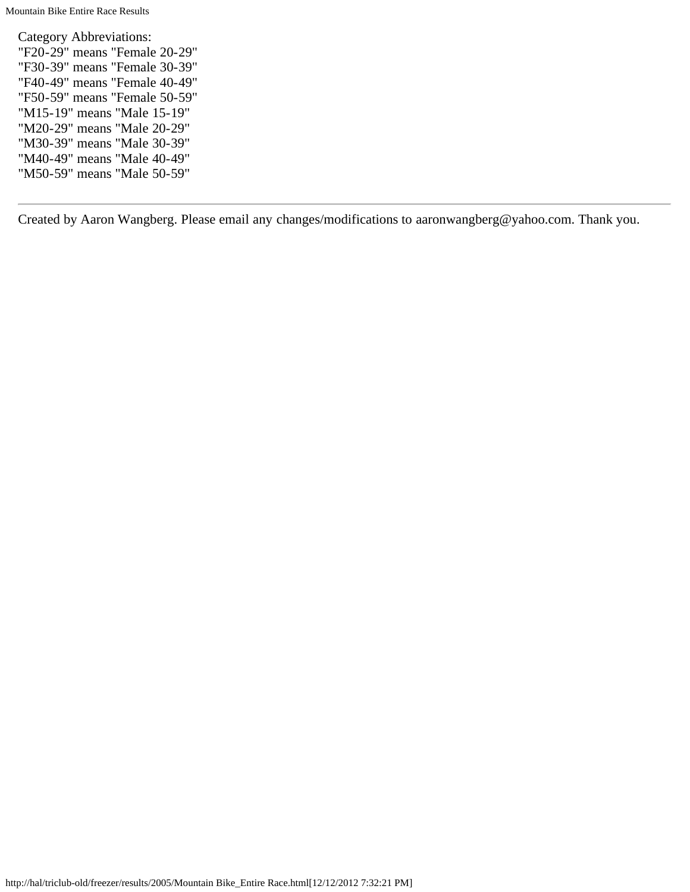Category Abbreviations: "F20-29" means "Female 20-29" "F30-39" means "Female 30-39" "F40-49" means "Female 40-49" "F50-59" means "Female 50-59" "M15-19" means "Male 15-19" "M20-29" means "Male 20-29" "M30-39" means "Male 30-39" "M40-49" means "Male 40-49" "M50-59" means "Male 50-59"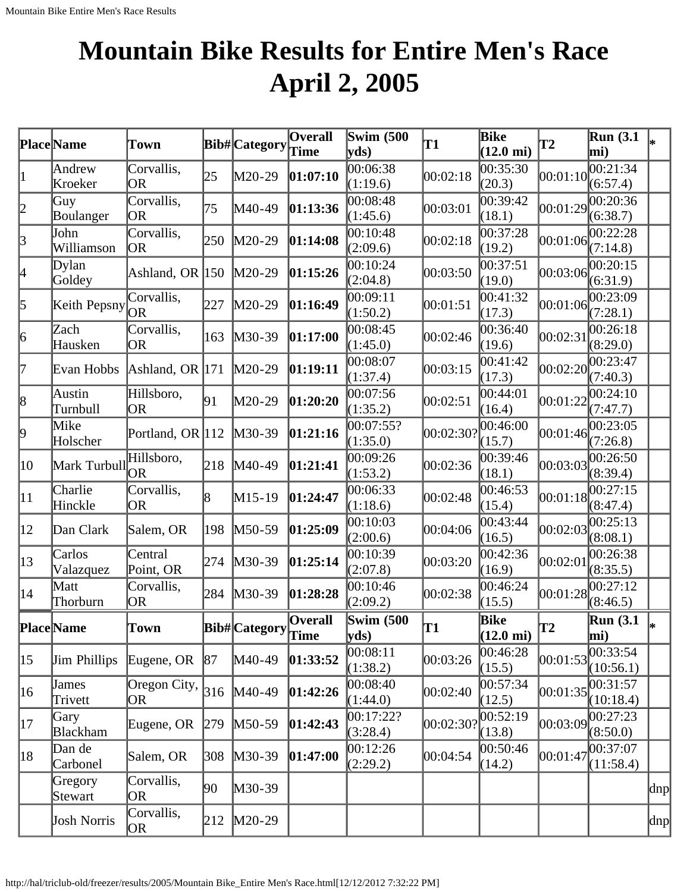# **Mountain Bike Results for Entire Men's Race April 2, 2005**

|              | Place Name          | Town                       |     | Bib#Category Time | <b>Overall</b>         | <b>Swim (500</b><br>yds             | T1                 | <b>Bike</b><br>$(12.0 \text{ mi})$ | T <sub>2</sub> | <b>Run</b> (3.1)<br>mi) | l*  |
|--------------|---------------------|----------------------------|-----|-------------------|------------------------|-------------------------------------|--------------------|------------------------------------|----------------|-------------------------|-----|
| 1            | Andrew<br>Kroeker   | Corvallis,<br><b>OR</b>    | 25  | $M20-29$          | [01:07:10]             | 00:06:38<br>(1:19.6)                | 00:02:18           | 00:35:30<br>(20.3)                 | 00:01:10       | 00:21:34<br>(6:57.4)    |     |
| 2            | Guy<br>Boulanger    | Corvallis,<br><b>OR</b>    | 75  | M40-49            | [01:13:36]             | 00:08:48<br>(1:45.6)                | 00:03:01           | 00:39:42<br>(18.1)                 | 00:01:29       | 00:20:36<br>(6:38.7)    |     |
| 3            | John<br>Williamson  | Corvallis,<br>OR           | 250 | $M20-29$          | 01:14:08               | 00:10:48<br>(2:09.6)                | 00:02:18           | 00:37:28<br>(19.2)                 | 00:01:06       | 00:22:28<br>(7:14.8)    |     |
| 4            | Dylan<br>Goldey     | Ashland, OR $ 150 $        |     | $M20-29$          | 01:15:26               | 00:10:24<br>(2:04.8)                | 00:03:50           | 00:37:51<br>(19.0)                 | 00:03:06       | 00:20:15<br>(6:31.9)    |     |
| 5            | Keith Pepsny        | Corvallis,<br>OR           | 227 | $M20-29$          | 01:16:49               | 00:09:11<br>(1:50.2)                | 00:01:51           | 00:41:32<br>(17.3)                 | 00:01:06       | 00:23:09<br>(7:28.1)    |     |
| 6            | Zach<br>Hausken     | Corvallis,<br><b>OR</b>    | 163 | $M30-39$          | 01:17:00               | 00:08:45<br>(1:45.0)                | 00:02:46           | 00:36:40<br>(19.6)                 | 00:02:31       | 00:26:18<br>(8:29.0)    |     |
| 17           | Evan Hobbs          | Ashland, OR $ 171 $        |     | $M20-29$          | 01:19:11               | 00:08:07<br>(1:37.4)                | 00:03:15           | 00:41:42<br>(17.3)                 | 00:02:20       | 00:23:47<br>(7:40.3)    |     |
| 8            | Austin<br>Turnbull  | Hillsboro,<br>OR           | 91  | M20-29            | 01:20:20               | 00:07:56<br>(1:35.2)                | 00:02:51           | 00:44:01<br>(16.4)                 | 00:01:22       | 00:24:10<br>(7:47.7)    |     |
| 9            | Mike<br>Holscher    | Portland, OR 112           |     | $M30-39$          | [01:21:16]             | 00:07:55?<br>(1:35.0)               | 00:02:30?          | 00:46:00 <br>(15.7)                | 00:01:46       | 00:23:05<br>(7:26.8)    |     |
| 10           | Mark Turbull        | Hillsboro,<br><b>OR</b>    | 218 | M40-49            | [01:21:41]             | 00:09:26<br>(1:53.2)                | 00:02:36           | 00:39:46<br>(18.1)                 | 00:03:03       | 00:26:50<br>(8:39.4)    |     |
| 11           | Charlie<br>Hinckle  | Corvallis,<br>OR           | 8   | M15-19            | 01:24:47               | 00:06:33<br>(1:18.6)                | 00:02:48           | 00:46:53<br>(15.4)                 | 00:01:18       | 00:27:15<br>(8:47.4)    |     |
| $ 12\rangle$ | Dan Clark           | Salem, OR                  | 198 | $M50-59$          | 01:25:09               | 00:10:03<br>(2:00.6)                | 00:04:06           | 00:43:44<br>(16.5)                 | 00:02:03       | 00:25:13<br>(8:08.1)    |     |
| $ 13\rangle$ | Carlos<br>Valazquez | Central<br>Point, OR       | 274 | $M30-39$          | 01:25:14               | 00:10:39<br>(2:07.8)                | 00:03:20           | 00:42:36<br>(16.9)                 | 00:02:01       | 00:26:38<br>(8:35.5)    |     |
| 14           | Matt<br>Thorburn    | Corvallis,<br>OR           | 284 | $M30-39$          | 01:28:28               | 00:10:46<br>(2:09.2)                | 00:02:38           | 00:46:24<br>(15.5)                 | 00:01:28       | 00:27:12<br>(8:46.5)    |     |
|              | <b>Place</b> Name   | Town                       |     | Bib#Category      | <b>Overall</b><br>Time | <b>Swim (500)</b><br>$ {\bf y}$ ds) | lT1                | Bike<br>$(12.0 \text{ mi})$        | T2             | Run $(3.1)$<br>mi)      | l∗  |
| $ 15\rangle$ | <b>Jim Phillips</b> | Eugene, OR                 | 87  | M40-49            | 01:33:52               | 00:08:11<br>(1:38.2)                | 00:03:26           | 00:46:28<br>(15.5)                 | 00:01:53       | 00:33:54<br>(10:56.1)   |     |
| 16           | James<br>Trivett    | Oregon City, $ 316 $<br>OR |     | M40-49            | 01:42:26               | 00:08:40<br>(1:44.0)                | 00:02:40           | 00:57:34<br>(12.5)                 | 00:01:35       | 00:31:57<br>(10:18.4)   |     |
| 17           | Gary<br>Blackham    | Eugene, OR                 | 279 | $M50-59$          | 01:42:43               | 00:17:22?<br>(3:28.4)               | $ 00:02:30\rangle$ | 00:52:19<br>(13.8)                 | 00:03:09       | 00:27:23<br>(8:50.0)    |     |
| 18           | Dan de<br>Carbonel  | Salem, OR                  | 308 | M30-39            | 01:47:00               | 00:12:26<br>(2:29.2)                | 00:04:54           | 00:50:46<br>(14.2)                 | 00:01:47       | 00:37:07<br>(11:58.4)   |     |
|              | Gregory<br>Stewart  | Corvallis,<br>OR           | 90  | $M30-39$          |                        |                                     |                    |                                    |                |                         | dnp |
|              | Josh Norris         | Corvallis,<br>OR           | 212 | $M20-29$          |                        |                                     |                    |                                    |                |                         | dnp |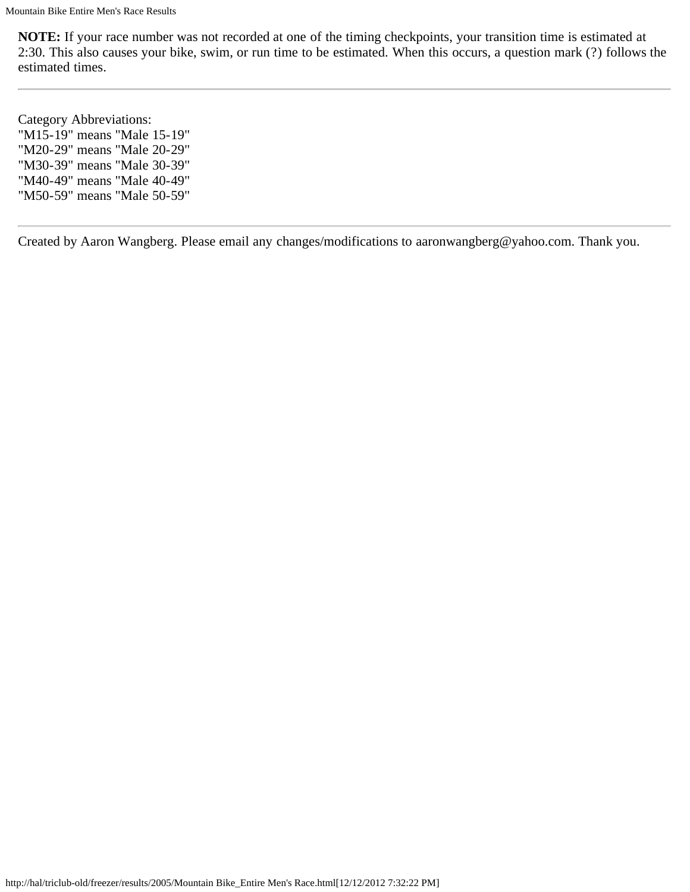**NOTE:** If your race number was not recorded at one of the timing checkpoints, your transition time is estimated at 2:30. This also causes your bike, swim, or run time to be estimated. When this occurs, a question mark (?) follows the estimated times.

Category Abbreviations: "M15-19" means "Male 15-19" "M20-29" means "Male 20-29" "M30-39" means "Male 30-39" "M40-49" means "Male 40-49" "M50-59" means "Male 50-59"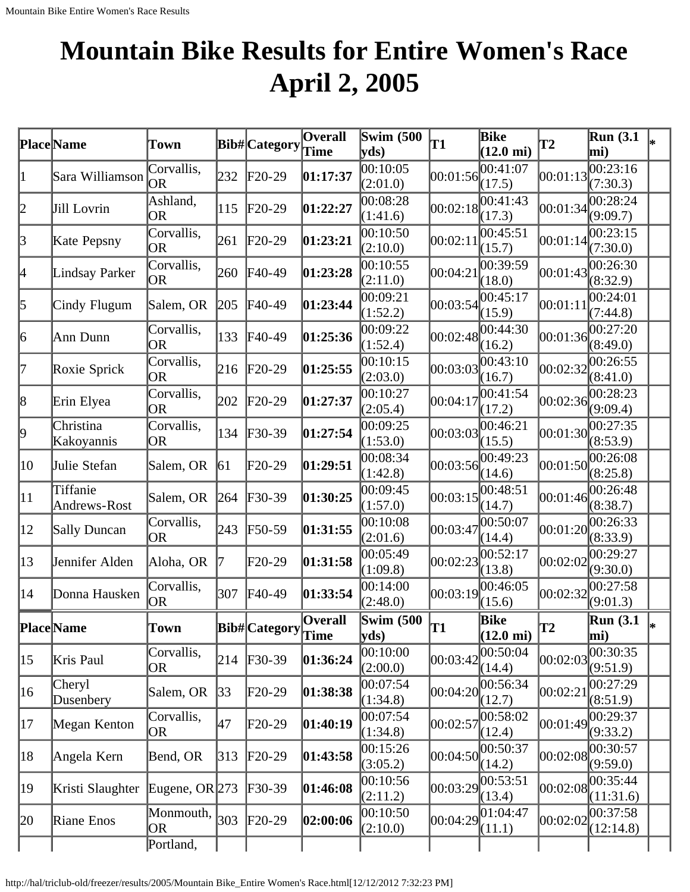# **Mountain Bike Results for Entire Women's Race April 2, 2005**

|              | Place Name               | Town                    |     | <b>Bib#</b> Category | Overall<br>Time        | <b>Swim (500</b><br>yds)  | <b>T1</b>         | Bike<br>$(12.0 \text{ mi})$ | T2       | <b>Run</b> (3.1)<br>mi) |    |
|--------------|--------------------------|-------------------------|-----|----------------------|------------------------|---------------------------|-------------------|-----------------------------|----------|-------------------------|----|
| 1            | Sara Williamson          | Corvallis,<br> OR       | 232 | $F20-29$             | 01:17:37               | 00:10:05<br>(2:01.0)      | 00:01:56          | 00:41:07<br>(17.5)          | 00:01:13 | 00:23:16<br>(7:30.3)    |    |
| 2            | Jill Lovrin              | Ashland,<br><b>OR</b>   | 115 | $F20-29$             | 01:22:27               | 00:08:28<br>(1:41.6)      |                   | 00:02:18 <br>(17.3)         | 00:01:34 | 0.28:24<br>(9:09.7)     |    |
| $\beta$      | Kate Pepsny              | Corvallis,<br><b>OR</b> | 261 | $F20-29$             | 01:23:21               | 00:10:50<br>(2:10.0)      | 00:02:1           | 00:45:51<br>(15.7)          | 00:01:14 | 00:23:15<br>(7:30.0)    |    |
| 4            | Lindsay Parker           | Corvallis,<br>OR        | 260 | $F40-49$             | 01:23:28               | 00:10:55<br>(2:11.0)      | 00:04:2           | 00:39:59<br>(18.0)          | 00:01:43 | 00:26:30<br>(8:32.9)    |    |
| 5            | Cindy Flugum             | Salem, OR               | 205 | $F40-49$             | 01:23:44               | 00:09:21<br>(1:52.2)      |                   | 00:03:54 <br>(15.9)         | 00:01:11 | 00:24:01<br>(7:44.8)    |    |
| 6            | Ann Dunn                 | Corvallis,<br><b>OR</b> | 133 | F40-49               | 01:25:36               | 00:09:22<br>(1:52.4)      |                   | 00:02:48 <br>(16.2)         | 00:01:36 | 00:27:20<br>(8:49.0)    |    |
| 17           | Roxie Sprick             | Corvallis,<br><b>OR</b> | 216 | $F20-29$             | 01:25:55               | 00:10:15<br>(2:03.0)      | 00:03:03          | 00:43:10<br>(16.7)          | 00:02:32 | 00:26:55<br>(8:41.0)    |    |
| 8            | Erin Elyea               | Corvallis,<br><b>OR</b> | 202 | $F20-29$             | 01:27:37               | 00:10:27<br>(2:05.4)      | 00:04:17          | 00:41:54<br>(17.2)          | 00:02:36 | 00:28:23<br>(9:09.4)    |    |
| 9            | Christina<br>Kakoyannis  | Corvallis,<br>OR        | 134 | $\textsf{F}30-39$    | 01:27:54               | 00:09:25<br>(1:53.0)      | 00:03:03          | 00:46:21<br>(15.5)          | 00:01:30 | 00:27:35<br>(8:53.9)    |    |
| 10           | Julie Stefan             | Salem, OR               | 61  | $F20-29$             | 01:29:51               | 00:08:34<br>(1:42.8)      | 00:03:56          | 00:49:23<br>(14.6)          | 00:01:50 | 00:26:08<br>(8:25.8)    |    |
| $ 11\rangle$ | Tiffanie<br>Andrews-Rost | Salem, OR               | 264 | $F30-39$             | 01:30:25               | 00:09:45<br>(1:57.0)      | 00:03:15          | 00:48:51<br>(14.7)          | 00:01:46 | 00:26:48<br>(8:38.7)    |    |
| $ 12\rangle$ | Sally Duncan             | Corvallis,<br>OR        | 243 | $F50-59$             | 01:31:55               | 00:10:08<br>(2:01.6)      | 00:03:47          | 00:50:07<br>(14.4)          | 00:01:20 | 00:26:33<br>(8:33.9)    |    |
| $ 13\rangle$ | Jennifer Alden           | Aloha, OR               |     | F20-29               | 01:31:58               | 00:05:49<br>(1:09.8)      | 00:02:23          | 00:52:17<br>(13.8)          | 00:02:02 | 00:29:27<br>(9:30.0)    |    |
| 14           | Donna Hausken            | Corvallis,<br>OR        | 307 | $F40-49$             | 01:33:54               | 00:14:00<br>(2:48.0)      |                   | 00:03:19 <br>(15.6)         | 00:02:32 | 00:27:58<br>(9:01.3)    |    |
|              | <b>Place</b> Name        | Town                    |     | Bib# Category        | <b>Overall</b><br>Time | <b>Swim (500)</b><br>vds) | T1                | Bike<br>$(12.0 \text{ mi})$ | lT2      | <b>Run</b> (3.1<br>mi)  | l* |
| $ 15\rangle$ | Kris Paul                | Corvallis,<br>OR        | 214 | $F30-39$             | 01:36:24               | 00:10:00<br>(2:00.0)      | 00:03:42          | 00:50:04<br>(14.4)          | 00:02:03 | 00:30:35<br>(9:51.9)    |    |
| $ 16\rangle$ | Cheryl<br>Dusenbery      | Salem, OR               | 33  | $F20-29$             | 01:38:38               | 00:07:54<br>(1:34.8)      |                   | 00:04:20 <br>(12.7)         | 00:02:21 | 00:27:29<br>(8:51.9)    |    |
| 17           | Megan Kenton             | Corvallis,<br>OR        | 47  | $F20-29$             | 01:40:19               | 00:07:54<br>(1:34.8)      | 00:02:57          | 00:58:02<br>(12.4)          | 00:01:49 | 00:29:37<br>(9:33.2)    |    |
| 18           | Angela Kern              | Bend, OR                | 313 | $F20-29$             | 01:43:58               | 00:15:26<br>(3:05.2)      |                   | 00:04:50 <br>(14.2)         | 00:02:08 | 00:30:57<br>(9:59.0)    |    |
| 19           | Kristi Slaughter         | Eugene, OR $273$        |     | $\textsf{F}30-39$    | 01:46:08               | 00:10:56<br>(2:11.2)      | 00:03:29 00:53:51 | (13.4)                      | 00:02:08 | 00:35:44<br>(11:31.6)   |    |
| 20           | Riane Enos               | Monmouth,<br>OR.        | 303 | $F20-29$             | 02:00:06               | 00:10:50<br>(2:10.0)      | 00:04:29          | [01:04:47]<br>(11.1)        | 00:02:02 | 00:37:58<br>(12:14.8)   |    |
|              |                          | Portland,               |     |                      |                        |                           |                   |                             |          |                         |    |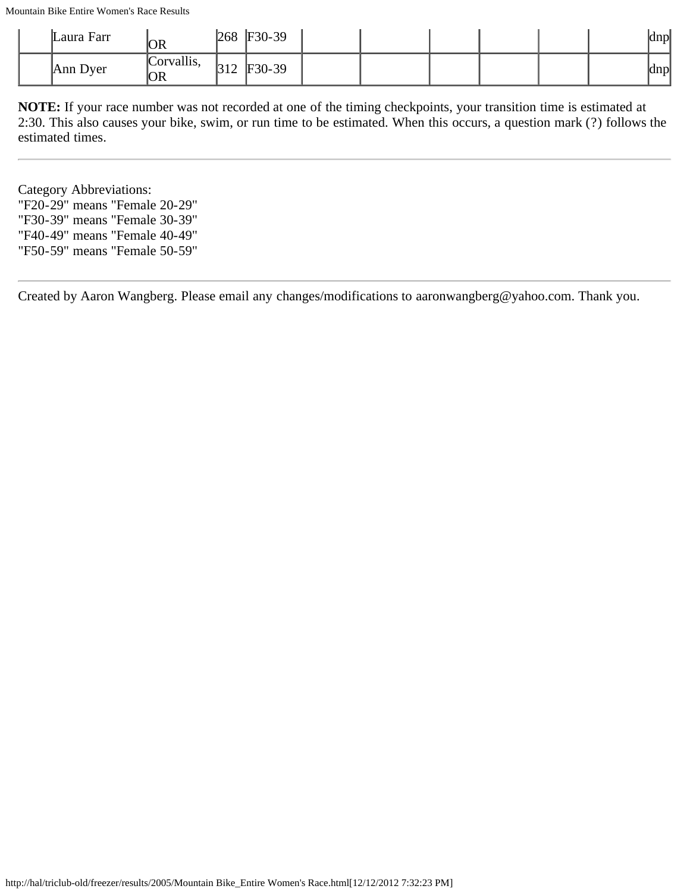Mountain Bike Entire Women's Race Results

| Laura Farr | OR                      | 268                    | $F30-39$ |  |  |  | dnp              |
|------------|-------------------------|------------------------|----------|--|--|--|------------------|
| Ann Dyer   | Corvallis,<br><b>OR</b> | $\sqrt{210}$<br>13 I Z | F30-39   |  |  |  | <sub>I</sub> dnp |

**NOTE:** If your race number was not recorded at one of the timing checkpoints, your transition time is estimated at 2:30. This also causes your bike, swim, or run time to be estimated. When this occurs, a question mark (?) follows the estimated times.

Category Abbreviations: "F20-29" means "Female 20-29" "F30-39" means "Female 30-39" "F40-49" means "Female 40-49" "F50-59" means "Female 50-59"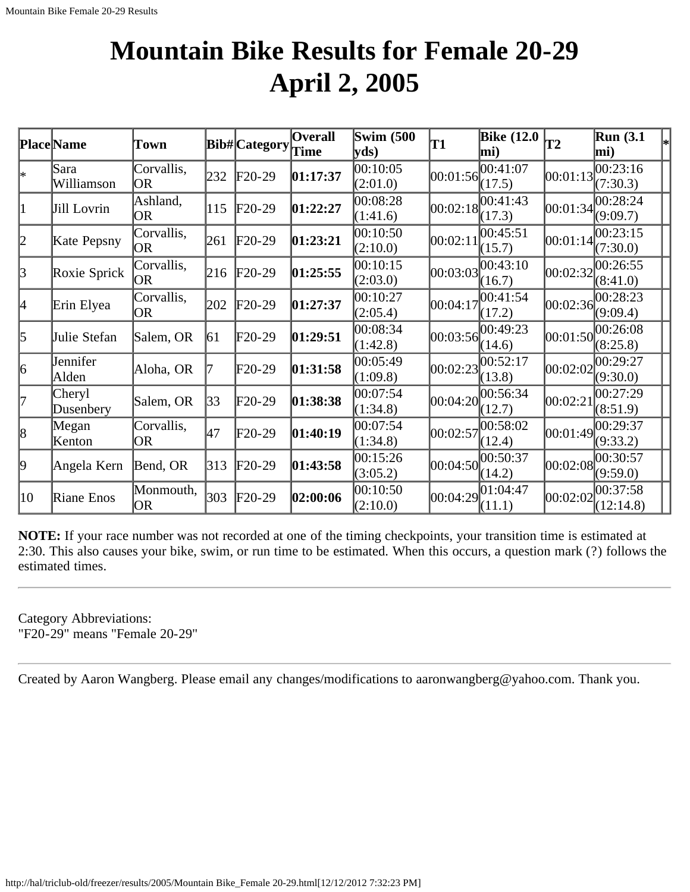# **Mountain Bike Results for Female 20-29 April 2, 2005**

|                 | <b>Place</b> Name   | Town                  |     | Bib# Category | <b>Overall</b><br>Time | <b>Swim (500)</b><br>yds) | T1                | <b>Bike (12.0</b><br>mi) | T2         | <b>Run</b> (3.1<br>mi)                   |
|-----------------|---------------------|-----------------------|-----|---------------|------------------------|---------------------------|-------------------|--------------------------|------------|------------------------------------------|
| I∗              | Sara<br>Williamson  | Corvallis,<br>OR      | 232 | $F20-29$      | 01:17:37               | 00:10:05<br>(2:01.0)      | [00:01:56]        | 00:41:07<br>(17.5)       | 00:01:13   | 00:23:16<br>(7:30.3)                     |
| $\vert 1 \vert$ | Jill Lovrin         | Ashland,<br><b>OR</b> | 115 | $F20-29$      | 01:22:27               | 00:08:28<br>(1:41.6)      |                   | 00:02:18 <br>(17.3)      | 00:01:34   | 00:28:24<br>(9:09.7)                     |
| 2               | Kate Pepsny         | Corvallis,<br>OR      | 261 | $F20-29$      | 01:23:21               | 00:10:50<br>(2:10.0)      | $ 00:02:1\rangle$ | 00:45:51<br>(15.7)       | 00:01:14   | 00:23:15<br>(7:30.0)                     |
| 3               | Roxie Sprick        | Corvallis,<br> OR     | 216 | $F20-29$      | 01:25:55               | 00:10:15<br>(2:03.0)      | 00:03:03          | 00:43:10<br>(16.7)       | 00:02:32   | 00:26:55<br>(8:41.0)                     |
| 4               | Erin Elyea          | Corvallis,<br>OR      | 202 | $F20-29$      | 01:27:37               | 00:10:27<br>(2:05.4)      | 00:04:17          | 00:41:54<br>(17.2)       | [00:02:36] | 00:28:23<br>(9:09.4)                     |
| $\vert$ 5       | Julie Stefan        | Salem, OR             | 61  | F20-29        | 01:29:51               | 00:08:34<br>(1:42.8)      | 00:03:56          | 00:49:23<br>(14.6)       | [00:01:50] | 00:26:08<br>(8:25.8)                     |
| 6               | Jennifer<br>Alden   | Aloha, OR             |     | F20-29        | 01:31:58               | 00:05:49<br>(1:09.8)      |                   | 00:02:23 <br>(13.8)      |            | $[00:02:02]^{00:29:27}_{00}$<br>(9:30.0) |
| 17              | Cheryl<br>Dusenbery | Salem, OR             | 33  | F20-29        | 01:38:38               | 00:07:54 <br>(1:34.8)     |                   | 00:04:20 <br>(12.7)      | 00:02:21   | 00:27:29<br>(8:51.9)                     |
| $\vert 8 \vert$ | Megan<br>Kenton     | Corvallis,<br>OR      | 47  | $F20-29$      | 01:40:19               | 00:07:54<br>(1:34.8)      | 00:02:57          | 00:58:02<br>(12.4)       |            | 00:01:49 <br>(9:33.2)                    |
| 9               | Angela Kern         | Bend, OR              | 313 | $F20-29$      | 01:43:58               | 00:15:26<br>(3:05.2)      | 00:04:50          | 00:50:37<br>(14.2)       | 00:02:08   | 00:30:57<br>(9:59.0)                     |
| 10              | Riane Enos          | Monmouth,<br>OR       | 303 | $F20-29$      | 02:00:06               | 00:10:50<br>(2:10.0)      |                   | 00:04:29 <br>(11.1)      | 00:02:02   | 00:37:58<br>(12:14.8)                    |

**NOTE:** If your race number was not recorded at one of the timing checkpoints, your transition time is estimated at 2:30. This also causes your bike, swim, or run time to be estimated. When this occurs, a question mark (?) follows the estimated times.

Category Abbreviations: "F20-29" means "Female 20-29"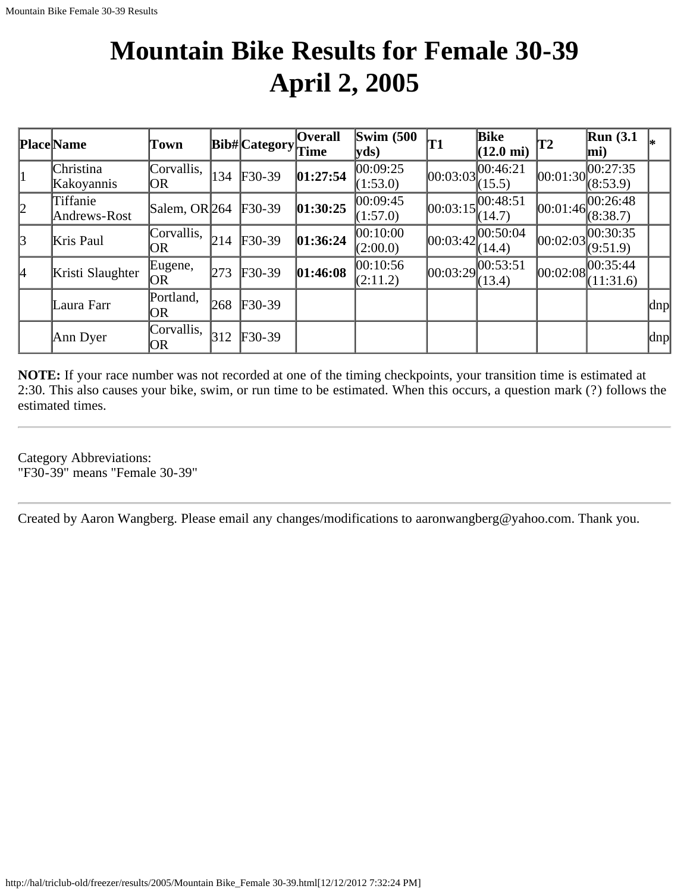# **Mountain Bike Results for Female 30-39 April 2, 2005**

|               | <b>Place</b> Name        | Town                     |               | $ {\bf Bib\#} $ Category $ {\bf \widetilde{Time}} $ | <b>Overall</b> | <b>Swim (500)</b><br> yds) | <b>T1</b>  | Bike<br>$(12.0 \text{ mi})$ | T2         | $\mathbb{R}$ un (3.1<br>mi)                                  |     |
|---------------|--------------------------|--------------------------|---------------|-----------------------------------------------------|----------------|----------------------------|------------|-----------------------------|------------|--------------------------------------------------------------|-----|
| $\vert$ 1     | Christina<br>Kakoyannis  | Corvallis,<br> OR        | 134           | $F30-39$                                            | 01:27:54       | 00:09:25<br>(1:53.0)       | [00:03:03] | 00:46:21<br>(15.5)          |            | $[00:01:30]_{\odot}^{00:27:35}$<br>(8:53.9)                  |     |
| 2             | Tiffanie<br>Andrews-Rost | Salem, OR <sub>264</sub> |               | $F30-39$                                            | 01:30:25       | 00:09:45<br>(1:57.0)       | [00:03:15] | 00:48:51<br>(14.7)          | [00:01:46] | 100:26:48<br>(8:38.7)                                        |     |
| $\mathcal{B}$ | Kris Paul                | Corvallis,<br>OR         | 214           | $F30-39$                                            | 01:36:24       | 00:10:00<br>(2:00.0)       | 00:03:42   | 00:50:04 <br>(14.4)         | 00:02:03   | 00:30:35<br>(9:51.9)                                         |     |
| l4            | Kristi Slaughter         | Eugene,<br>OR            | 273           | $F30-39$                                            | 01:46:08       | 00:10:56<br>(2:11.2)       | 00:03:29   | [00:53:51]<br>(13.4)        |            | $[00:02:08]$ $\overline{00:35:44}$<br>$\left(11:31.6\right)$ |     |
|               | Laura Farr               | Portland,<br>OR          | 268           | $F30-39$                                            |                |                            |            |                             |            |                                                              | dnp |
|               | Ann Dyer                 | Corvallis,<br>OR         | $ 312\rangle$ | $F30-39$                                            |                |                            |            |                             |            |                                                              | dnp |

**NOTE:** If your race number was not recorded at one of the timing checkpoints, your transition time is estimated at 2:30. This also causes your bike, swim, or run time to be estimated. When this occurs, a question mark (?) follows the estimated times.

Category Abbreviations: "F30-39" means "Female 30-39"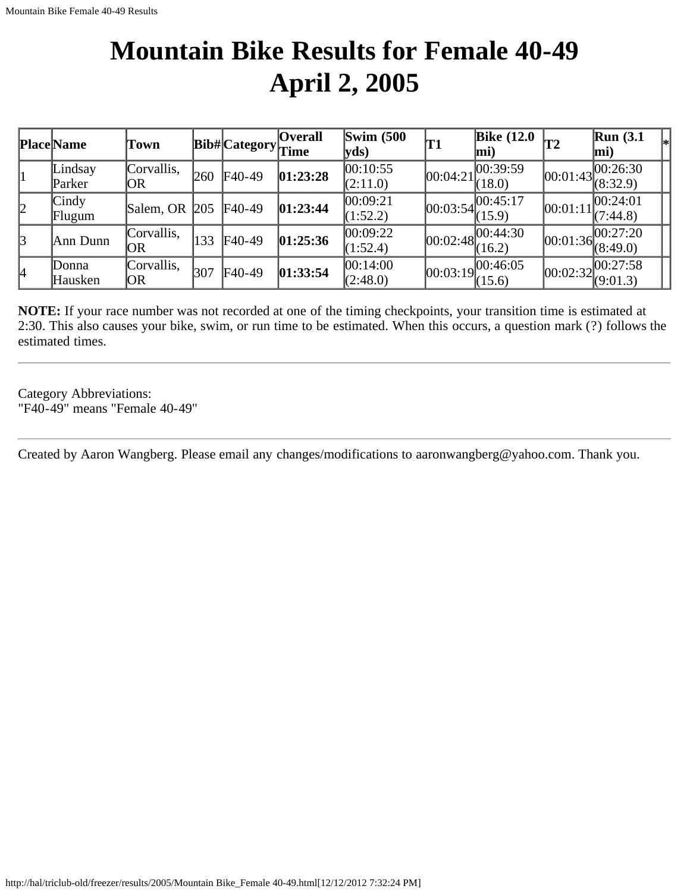## **Mountain Bike Results for Female 40-49 April 2, 2005**

|    | <b>Place</b> Name       | Town              |              | Bib# Category | <b>Overall</b><br>Time | <b>Swim (500</b><br>$ {\bf v} {\bf d} s\rangle$ | T1         | <b>Bike (12.0</b><br>mi) | 'T2        | Run(3.1)<br> ∗¦<br>$\vert$ mi)                       |
|----|-------------------------|-------------------|--------------|---------------|------------------------|-------------------------------------------------|------------|--------------------------|------------|------------------------------------------------------|
|    | Lindsay<br>Parker       | Corvallis,<br>OR  | 260          | $F40-49$      | 01:23:28               | 00:10:55<br>(2:11.0)                            | 00:04:21   | 00:39:59<br>(18.0)       | [00:01:43] | 00:26:30<br>(8:32.9)                                 |
| 2  | $\vert$ Cindy<br>Flugum | Salem, OR         | $\sqrt{205}$ | $F40-49$      | 01:23:44               | 00:09:21<br>1:52.2                              | [00:03:54] | [00:45:17]<br>(15.9)     | 00:01:11   | 00:24:01<br>(7:44.8)                                 |
| 3  | Ann Dunn                | Corvallis,<br> OR | 133          | $F40-49$      | 01:25:36               | 00:09:22 <br>(1:52.4)                           | 00:02:48   | [00:44:30]<br>(16.2)     |            | 00:01:36 <br>(8:49.0)                                |
| l4 | Donna<br>Hausken        | Corvallis,<br> OR | 307          | $F40-49$      | 01:33:54               | 00:14:00<br>(2:48.0)                            | 00:03:19   | 00:46:05<br>(15.6)       |            | $[00:02:32]^{00:27:58}_{\odot}$<br>$\sqrt{(9:01.3)}$ |

**NOTE:** If your race number was not recorded at one of the timing checkpoints, your transition time is estimated at 2:30. This also causes your bike, swim, or run time to be estimated. When this occurs, a question mark (?) follows the estimated times.

Category Abbreviations: "F40-49" means "Female 40-49"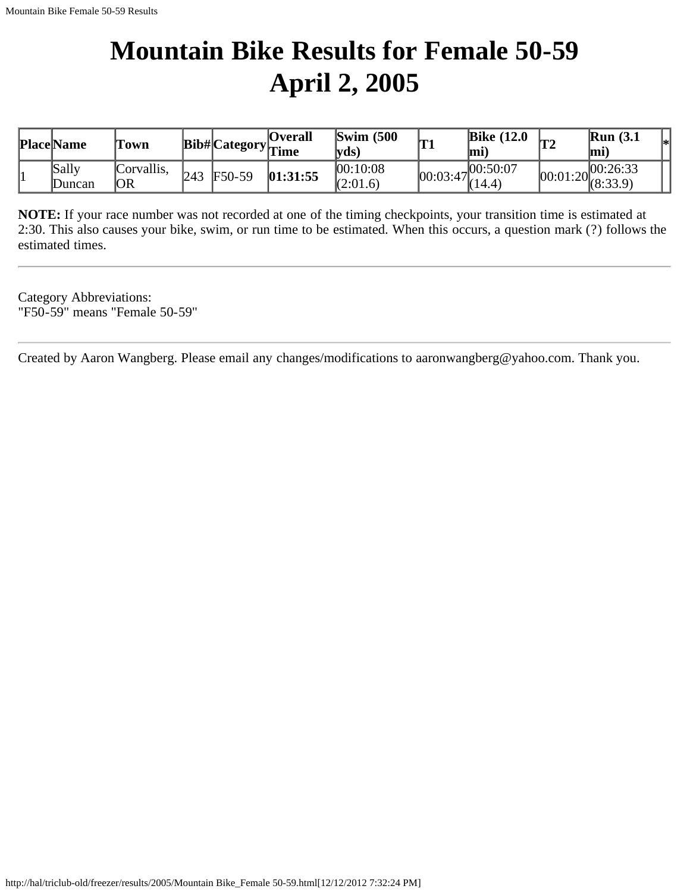# **Mountain Bike Results for Female 50-59 April 2, 2005**

| <b>Place Name</b> | Town             |     |          | <b>Overall</b><br>$\cdots$ Bib# Category $\frac{1}{\pi}$ Eine | $\mathbf{Swim}\;$ (500<br>$\forall ds$ | 'T1      | <b>Bike (12.0</b><br>$ \mathbf{m} $ | <b>T2</b> | Run(3.1)<br>$ \mathbf{m} $                   | l*l |
|-------------------|------------------|-----|----------|---------------------------------------------------------------|----------------------------------------|----------|-------------------------------------|-----------|----------------------------------------------|-----|
| Sally<br>Duncan   | Corvallis,<br>OR | 243 | $F50-59$ | 01:31:55                                                      | 00:10:08<br>(2:01.6)                   | 00:03:47 | 1700:50:07<br>(14.4)                |           | $ 00:01:20 ^{00:26:33}_{0.22:0}$<br>(8:33.9) |     |

**NOTE:** If your race number was not recorded at one of the timing checkpoints, your transition time is estimated at 2:30. This also causes your bike, swim, or run time to be estimated. When this occurs, a question mark (?) follows the estimated times.

Category Abbreviations: "F50-59" means "Female 50-59"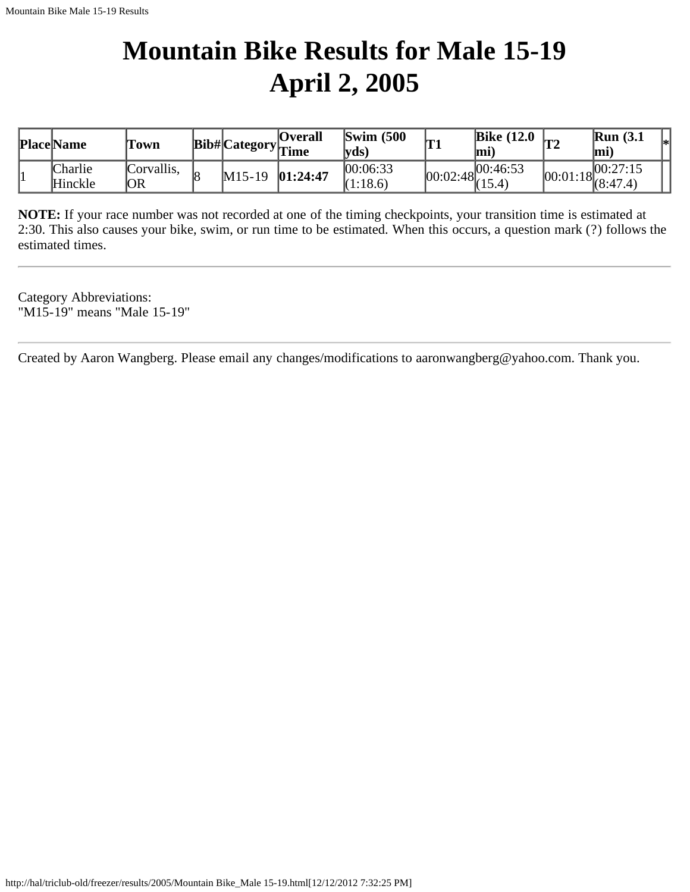# **Mountain Bike Results for Male 15-19 April 2, 2005**

| <b>Place Name</b>  | Town              |                   | <b>Overall</b><br>$\cdots$ Bib# Category $\Gamma$ Eine | $\text{Swim}$ (500<br>$\forall ds$ | lm 1 | Bike $(12.0)$<br>lmi)              | $\mathbb{R}$ un (3.1<br>l*l<br>lmi |
|--------------------|-------------------|-------------------|--------------------------------------------------------|------------------------------------|------|------------------------------------|------------------------------------|
| Charlie<br>Hinckle | Corvallis.<br>'OR | $M15-19$ 01:24:47 |                                                        | 00:06:33<br>(1:18.6)               |      | 100:46:53<br>$ 00:02:48 _{(15.4)}$ | 100:27:15<br>$100:01:18$ (8:47.4)  |

**NOTE:** If your race number was not recorded at one of the timing checkpoints, your transition time is estimated at 2:30. This also causes your bike, swim, or run time to be estimated. When this occurs, a question mark (?) follows the estimated times.

Category Abbreviations: "M15-19" means "Male 15-19"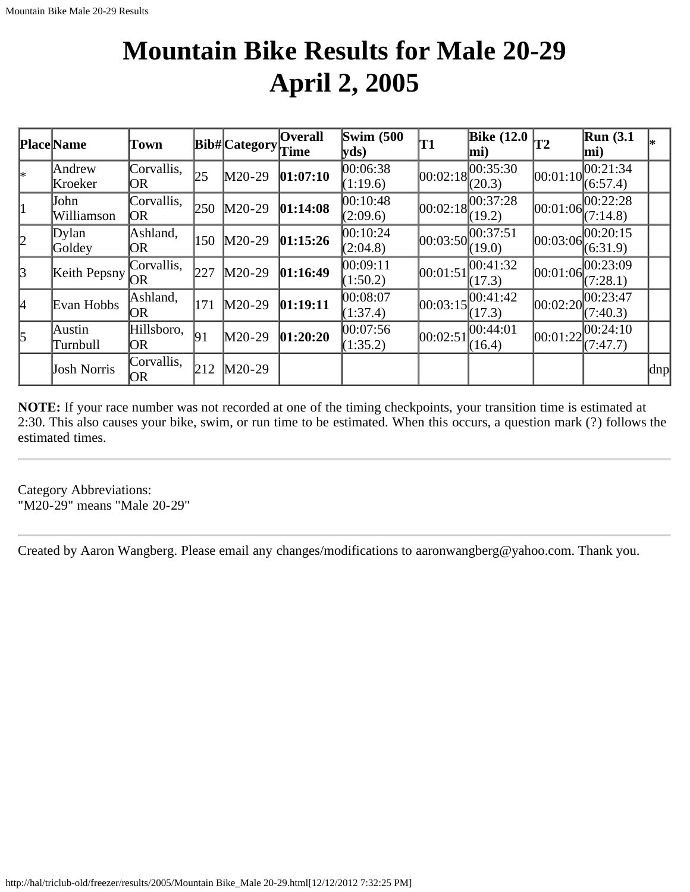# **Mountain Bike Results for Male 20-29 April 2, 2005**

|               | Place Name         | Town                     |     | Bib#Category | <b>Overall</b><br>Time | Swim $(500)$<br> vds) | T1         | <b>Bike</b> (12.0<br>mi) | <b>T2</b>  | Run(3.1)<br>$ \text{mi}\rangle$ |     |
|---------------|--------------------|--------------------------|-----|--------------|------------------------|-----------------------|------------|--------------------------|------------|---------------------------------|-----|
| *             | Andrew<br>Kroeker  | Corvallis,<br>OR         | 25  | $M20-29$     | 01:07:10               | 00:06:38<br>(1:19.6)  | [00:02:18] | 00:35:30 <br>(20.3)      | [00:01:10] | 00:21:34<br>(6:57.4)            |     |
| $\vert$ 1     | John<br>Williamson | Corvallis,<br><b>JOR</b> | 250 | $M20-29$     | 01:14:08               | 00:10:48<br>(2:09.6)  | [00:02:18] | 00:37:28<br>(19.2)       | [00:01:06] | 00:22:28<br>(7:14.8)            |     |
| 2             | Dylan<br>Goldey    | Ashland,<br>OR           | 150 | $M20-29$     | 01:15:26               | 00:10:24<br>(2:04.8)  | [00:03:50] | 00:37:51<br>(19.0)       | [00:03:06] | 100:20:15<br>(6:31.9)           |     |
| $\mathcal{B}$ | Keith Pepsny       | Corvallis,<br><b>OR</b>  | 227 | $M20-29$     | 01:16:49               | 00:09:11<br>(1:50.2)  | 00:01:51   | 00:41:32<br>(17.3)       | [00:01:06] | 00:23:09<br>(7:28.1)            |     |
| 14            | Evan Hobbs         | Ashland,<br>OR.          | 171 | $M20-29$     | 01:19:11               | 00:08:07<br>(1:37.4)  | [00:03:15] | 00:41:42 <br>(17.3)      | 00:02:20   | [00:23:47]<br>(7:40.3)          |     |
| $\vert$ 5     | Austin<br>Turnbull | Hillsboro,<br>OR.        | 191 | $M20-29$     | 01:20:20               | 00:07:56<br>(1:35.2)  | 00:02:51   | 00:44:01<br>(16.4)       | 00:01:22   | 00:24:10<br>(7:47.7)            |     |
|               | Josh Norris        | Corvallis,<br>OR.        | 212 | $M20-29$     |                        |                       |            |                          |            |                                 | dnp |

**NOTE:** If your race number was not recorded at one of the timing checkpoints, your transition time is estimated at 2:30. This also causes your bike, swim, or run time to be estimated. When this occurs, a question mark (?) follows the estimated times.

Category Abbreviations: "M20-29" means "Male 20-29"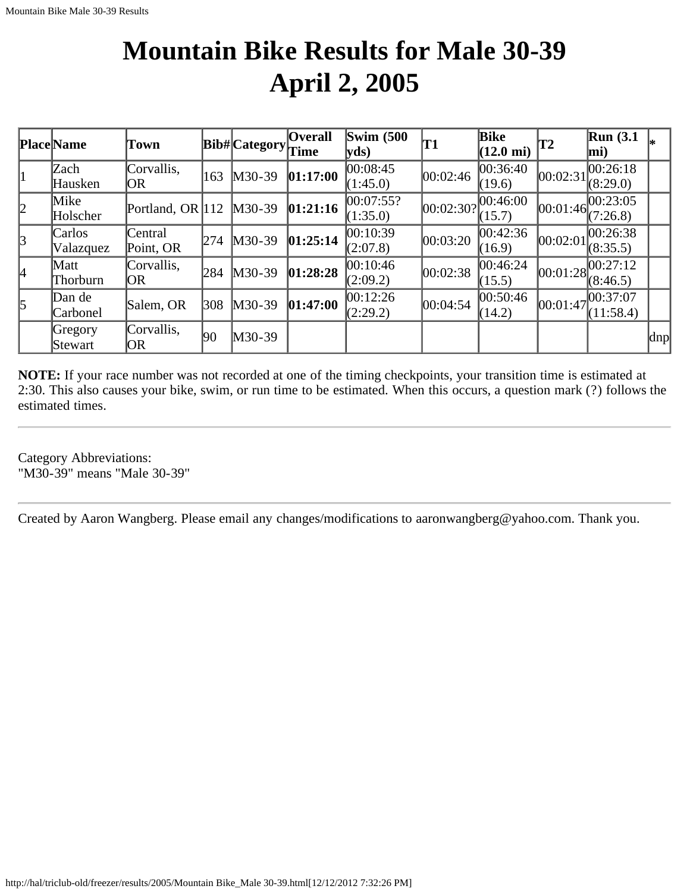# **Mountain Bike Results for Male 30-39 April 2, 2005**

|           | <b>Place</b> Name   | Town                 |              | $ {\rm Bib\#} $ Category $ {\rm Time} $ | <b>Overall</b> | Swim $(500)$<br>yds   | 'T1      | Bike<br>$(12.0 \text{ mi})$  | T2       | Run(3.1)<br>$\vert$ mi) |     |
|-----------|---------------------|----------------------|--------------|-----------------------------------------|----------------|-----------------------|----------|------------------------------|----------|-------------------------|-----|
| 11        | Zach<br>Hausken     | Corvallis,<br>OR     | 163          | M30-39                                  | 01:17:00       | 00:08:45<br>(1:45.0)  | 00:02:46 | 00:36:40<br>(19.6)           | 00:02:31 | 00:26:18<br>(8:29.0)    |     |
| 2         | Mike<br>Holscher    | Portland, OR $ 112 $ |              | $M30-39$                                | 01:21:16       | 00:07:55?<br>(1:35.0) |          | 00:02:30? 00:46:00<br>(15.7) | 00:01:46 | 00:23:05<br>(7:26.8)    |     |
| 3         | Carlos<br>Valazquez | Central<br>Point, OR | 274          | $M30-39$                                | 01:25:14       | 00:10:39<br>(2:07.8)  | 00:03:20 | 00:42:36 <br>(16.9)          | 00:02:01 | 00:26:38<br>(8:35.5)    |     |
| 4         | Matt<br>Thorburn    | Corvallis,<br> OR    | 284          | $M30-39$                                | 01:28:28       | 00:10:46<br>(2:09.2)  | 00:02:38 | 00:46:24<br>(15.5)           |          | 00:01:28 <br>(8:46.5)   |     |
| $\vert$ 5 | Dan de<br>Carbonel  | Salem, OR            | 308          | $M30-39$                                | 01:47:00       | 00:12:26<br>(2:29.2)  | 00:04:54 | 00:50:46 <br>(14.2)          | 00:01:47 | 00:37:07<br>(11:58.4)   |     |
|           | Gregory<br>Stewart  | Corvallis,<br> OR    | $ 90\rangle$ | $M30-39$                                |                |                       |          |                              |          |                         | dnp |

**NOTE:** If your race number was not recorded at one of the timing checkpoints, your transition time is estimated at 2:30. This also causes your bike, swim, or run time to be estimated. When this occurs, a question mark (?) follows the estimated times.

Category Abbreviations: "M30-39" means "Male 30-39"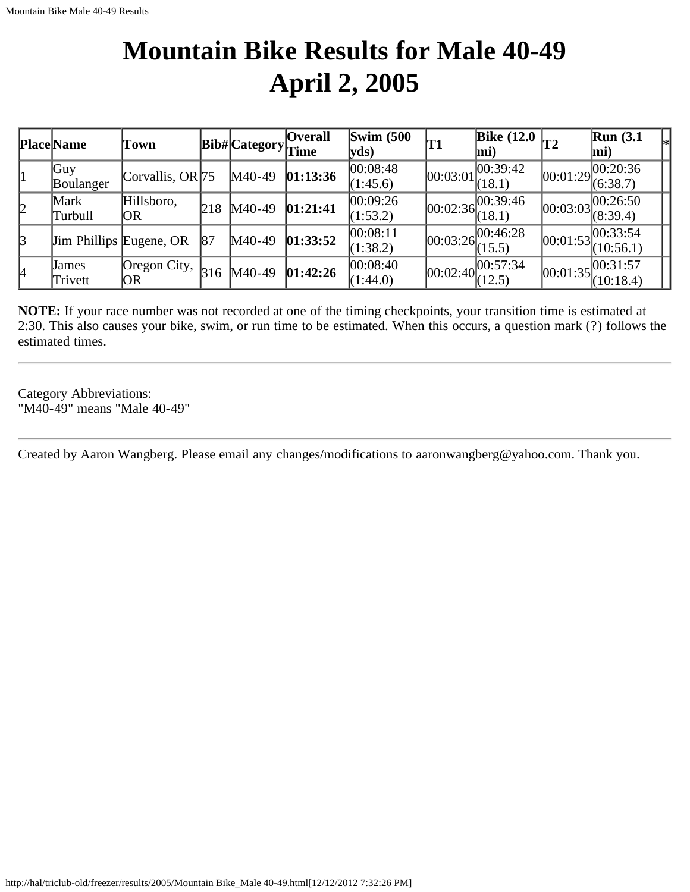# **Mountain Bike Results for Male 40-49 April 2, 2005**

|               | <b>Place Name</b>       | Town                           |     | Bib#Category | <b>Overall</b><br>Time | $\mathbf{Swim}\;$ (500<br>$ yds\rangle$ | 'T1        | Bike $(12.0)$ <sub>T2</sub><br>$\vert$ mi) |            | Run(3.1)<br>$\left\vert _{*}\right\vert$<br>$ \text{mi}\rangle$ |
|---------------|-------------------------|--------------------------------|-----|--------------|------------------------|-----------------------------------------|------------|--------------------------------------------|------------|-----------------------------------------------------------------|
|               | Guy<br>Boulanger        | Corvallis, OR $ 75 $           |     | $M40-49$     | 01:13:36               | 00:08:48<br>(1:45.6)                    | 00:03:01   | 00:39:42<br>(18.1)                         | 00:01:29   | 00:20:36<br>(6:38.7)                                            |
| 2             | Mark<br>Turbull         | Hillsboro,<br> OR              | 218 | $M40-49$     | 01:21:41               | 00:09:26<br>(1:53.2)                    |            | [00:02:36]<br>(18.1)                       | 00:03:03   | 00:26:50<br>(8:39.4)                                            |
| $\mathcal{B}$ |                         | <b>Jim Phillips Eugene, OR</b> | 187 | $M40-49$     | 01:33:52               | 00:08:11<br>(1:38.2)                    | [00:03:26] | 00:46:28<br>(15.5)                         | [00:01:53] | 00:33:54<br>(10:56.1)                                           |
| 14            | <b>James</b><br>Trivett | Oregon City,<br>OR             | 316 | $M40-49$     | 01:42:26               | 00:08:40<br>(1:44.0)                    | [00:02:40] | [00:57:34]<br>(12.5)                       |            | 00:01:35 <br>(10:18.4)                                          |

**NOTE:** If your race number was not recorded at one of the timing checkpoints, your transition time is estimated at 2:30. This also causes your bike, swim, or run time to be estimated. When this occurs, a question mark (?) follows the estimated times.

Category Abbreviations: "M40-49" means "Male 40-49"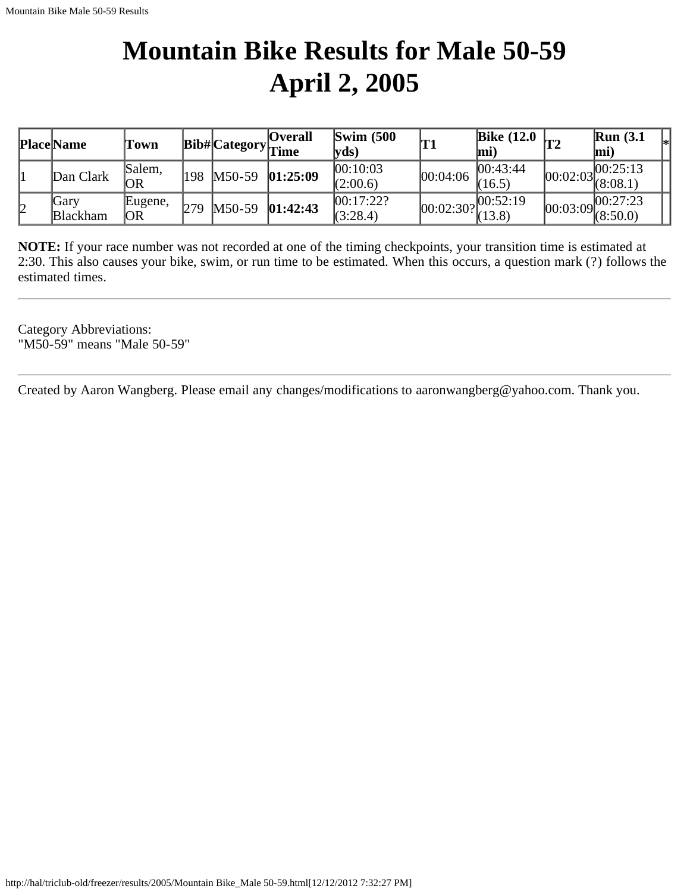# **Mountain Bike Results for Male 50-59 April 2, 2005**

|    | <b>Place Name</b>       | l'own          |      |          | <b>Overall</b><br>$\text{Bib#} \text{Category} $ Time | $\text{Swim}\; (500$<br>$ {\bf v}$ ds) | 'T1       | <b>Bike (12.0</b><br> mi | T2 | $\mathbb{R}$ un (3.1<br> m <sub>i</sub> |  |
|----|-------------------------|----------------|------|----------|-------------------------------------------------------|----------------------------------------|-----------|--------------------------|----|-----------------------------------------|--|
|    | Dan Clark               | Salem.<br> OR  | '198 | $M50-59$ | 01:25:09                                              | 00:10:03<br>(2:00.6)                   | 00:04:06  | 00:43:44 <br>(16.5)      |    | [00:25:13]<br>$ 00:02:03 $ (8:08.1)     |  |
| 12 | Gary<br><b>Blackham</b> | Eugene,<br> OR | 279  | $M50-59$ | 01:42:43                                              | 00:17:22?<br>(3:28.4)                  | 00:02:30? | 00:52:19<br>(13.8)       |    | 00:27:23<br>$100:03:09$ $(8:50.0)$      |  |

**NOTE:** If your race number was not recorded at one of the timing checkpoints, your transition time is estimated at 2:30. This also causes your bike, swim, or run time to be estimated. When this occurs, a question mark (?) follows the estimated times.

Category Abbreviations: "M50-59" means "Male 50-59"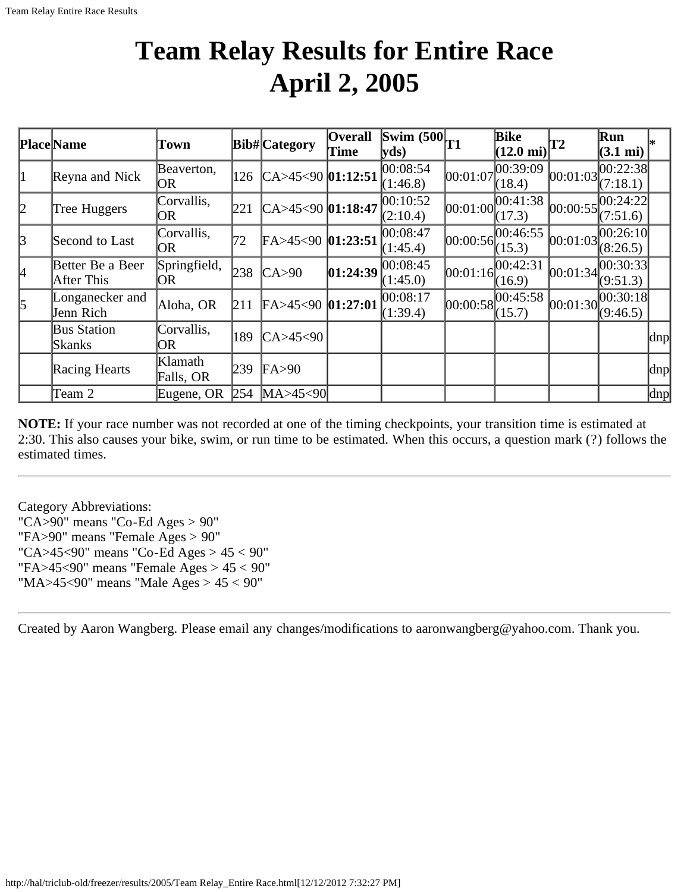### **Team Relay Results for Entire Race April 2, 2005**

|           | Place Name                     | Town                 |     | <b>Bib#</b> Category    | <b>Overall</b><br>Time | $ \overline{\text{Swim }(500 _{T1}}\rangle$<br>$ yds\rangle$ |            | Bike<br>$(12.0 \text{ mi})$ | $\mathbf{T}2$ | Run<br>$(3.1 \text{ mi})$ |                     |
|-----------|--------------------------------|----------------------|-----|-------------------------|------------------------|--------------------------------------------------------------|------------|-----------------------------|---------------|---------------------------|---------------------|
| 11        | Reyna and Nick                 | Beaverton,<br>IOR.   | 126 | $CA > 45 < 90$ 01:12:51 |                        | 00:08:54<br>(1:46.8)                                         | 00:01:07   | 00:39:09<br>(18.4)          | [00:01:03]    | [00:22:38]<br>(7:18.1)    |                     |
| 2         | Tree Huggers                   | Corvallis,<br>OR     | 221 | CA>45<90 01:18:47       |                        | 00:10:52<br>(2:10.4)                                         | [00:01:00] | 00:41:38<br>(17.3)          | 00:00:55      | 00:24:22 <br>(7:51.6)     |                     |
| $\beta$   | Second to Last                 | Corvallis,<br> OR    | 72  | $FA > 45 < 90$ 01:23:51 |                        | 00:08:47<br>(1:45.4)                                         | [00:00:56] | 00:46:55 <br>(15.3)         | 00:01:03      | 00:26:10 <br>(8:26.5)     |                     |
| 4         | Better Be a Beer<br>After This | Springfield,<br>IOR. | 238 | CA > 90                 | 01:24:39               | 00:08:45<br>(1:45.0)                                         | [00:01:16] | 00:42:31<br>(16.9)          | 00:01:34      | 00:30:33 <br>(9:51.3)     |                     |
| $\vert$ 5 | Longanecker and<br>Jenn Rich   | Aloha, OR            | 211 | $FA > 45 < 90$ 01:27:01 |                        | 00:08:17<br>(1:39.4)                                         | 00:00:58   | 00:45:58<br>(15.7)          | [00:01:30]    | 00:30:18 <br>(9:46.5)     |                     |
|           | <b>Bus Station</b><br>Skanks   | Corvallis,<br>OR     | 189 | CA>45<90                |                        |                                                              |            |                             |               |                           | $\vert$ dnp $\vert$ |
|           | Racing Hearts                  | Klamath<br>Falls, OR | 239 | FA > 90                 |                        |                                                              |            |                             |               |                           | dnp                 |
|           | Team 2                         | Eugene, OR           | 254 | MA > 45 < 90            |                        |                                                              |            |                             |               |                           | $\vert$ dnp $\vert$ |

**NOTE:** If your race number was not recorded at one of the timing checkpoints, your transition time is estimated at 2:30. This also causes your bike, swim, or run time to be estimated. When this occurs, a question mark (?) follows the estimated times.

Category Abbreviations: "CA>90" means "Co-Ed Ages >  $90$ " "FA>90" means "Female Ages > 90" "CA>45<90" means "Co-Ed Ages > 45 < 90" "FA>45<90" means "Female Ages > 45 < 90" "MA>45<90" means "Male Ages > 45 < 90"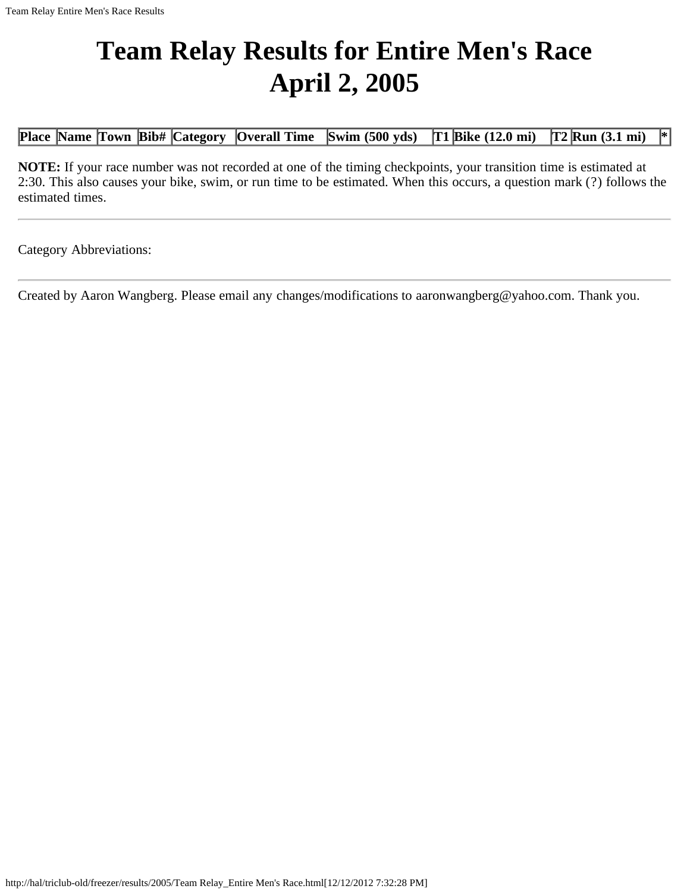# **Team Relay Results for Entire Men's Race April 2, 2005**

**Place Name Town Bib# Category Overall Time Swim (500 yds) T1 Bike (12.0 mi) T2 Run (3.1 mi) \***

**NOTE:** If your race number was not recorded at one of the timing checkpoints, your transition time is estimated at 2:30. This also causes your bike, swim, or run time to be estimated. When this occurs, a question mark (?) follows the estimated times.

Category Abbreviations: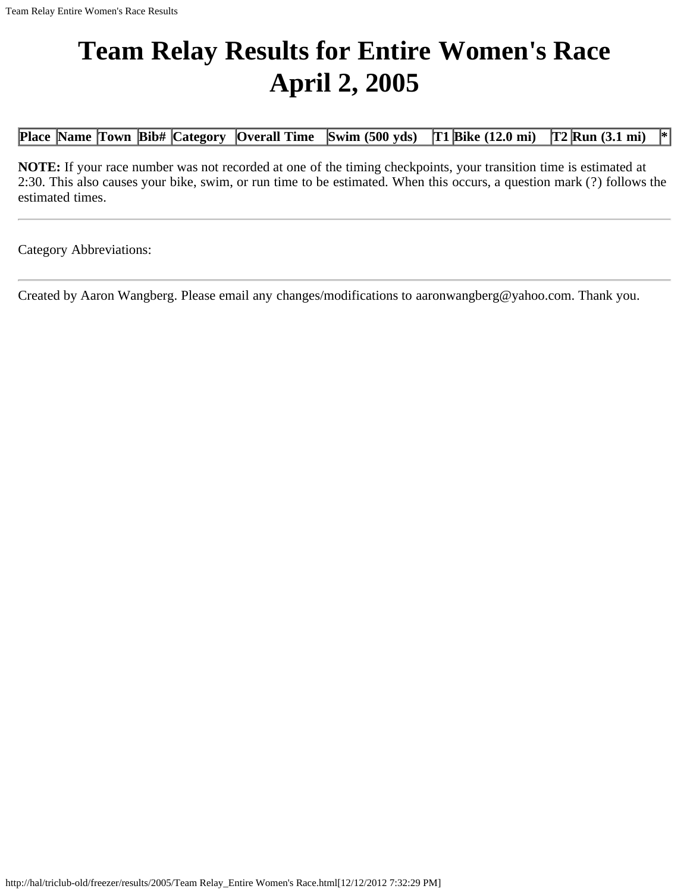# **Team Relay Results for Entire Women's Race April 2, 2005**

**Place Name Town Bib# Category Overall Time Swim (500 yds) T1 Bike (12.0 mi) T2 Run (3.1 mi) \***

**NOTE:** If your race number was not recorded at one of the timing checkpoints, your transition time is estimated at 2:30. This also causes your bike, swim, or run time to be estimated. When this occurs, a question mark (?) follows the estimated times.

Category Abbreviations: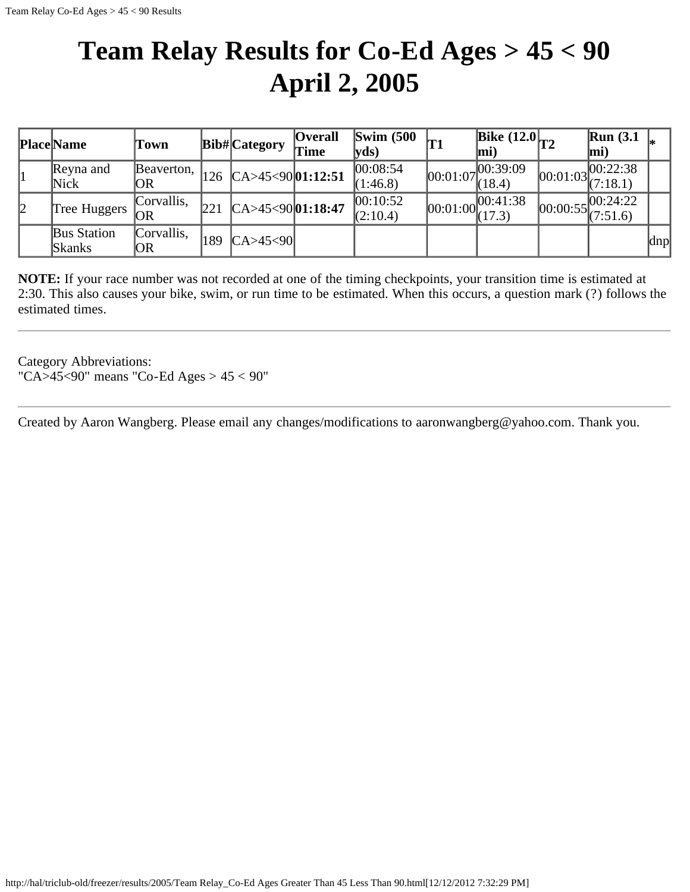### **Team Relay Results for Co-Ed Ages > 45 < 90 April 2, 2005**

|   | <b>Place Name</b>  | Town       |     | Bib#Category                            | <b>Overall</b><br>Time | <b>Swim (500)</b><br> yds) |                                                           | Bike $(12.0)$ <sub>T2</sub><br>mi) |          | $\mathbb{R}$ un (3.1<br>mi) |     |
|---|--------------------|------------|-----|-----------------------------------------|------------------------|----------------------------|-----------------------------------------------------------|------------------------------------|----------|-----------------------------|-----|
|   | Reyna and          | Beaverton, |     | 126 $\text{CA} > 45 < 90 \mid 01:12:51$ |                        | 00:08:54                   | 00:01:07                                                  | , 00:39:09                         | 00:01:03 | 00:22:38                    |     |
|   | Nick               | OR         |     |                                         |                        | (1:46.8)                   |                                                           | (18.4)                             |          | (7:18.1)                    |     |
|   | Tree Huggers       | Corvallis, | 221 | $CA > 45 < 9001$ :18:47                 |                        | 00:10:52                   |                                                           | [00:41:38]                         | 00:00:55 | 00:24:22                    |     |
| 2 |                    | OR         |     |                                         | (2:10.4)               |                            | $[00:01:00\begin{matrix} 0 & 0 \\ 0 & 17.3 \end{matrix}]$ |                                    | (7:51.6) |                             |     |
|   | <b>Bus Station</b> | Corvallis. | 189 | CA>45<90                                |                        |                            |                                                           |                                    |          |                             |     |
|   | Skanks             | OR         |     |                                         |                        |                            |                                                           |                                    |          |                             | dnp |

**NOTE:** If your race number was not recorded at one of the timing checkpoints, your transition time is estimated at 2:30. This also causes your bike, swim, or run time to be estimated. When this occurs, a question mark (?) follows the estimated times.

Category Abbreviations: "CA>45<90" means "Co-Ed Ages > 45 < 90"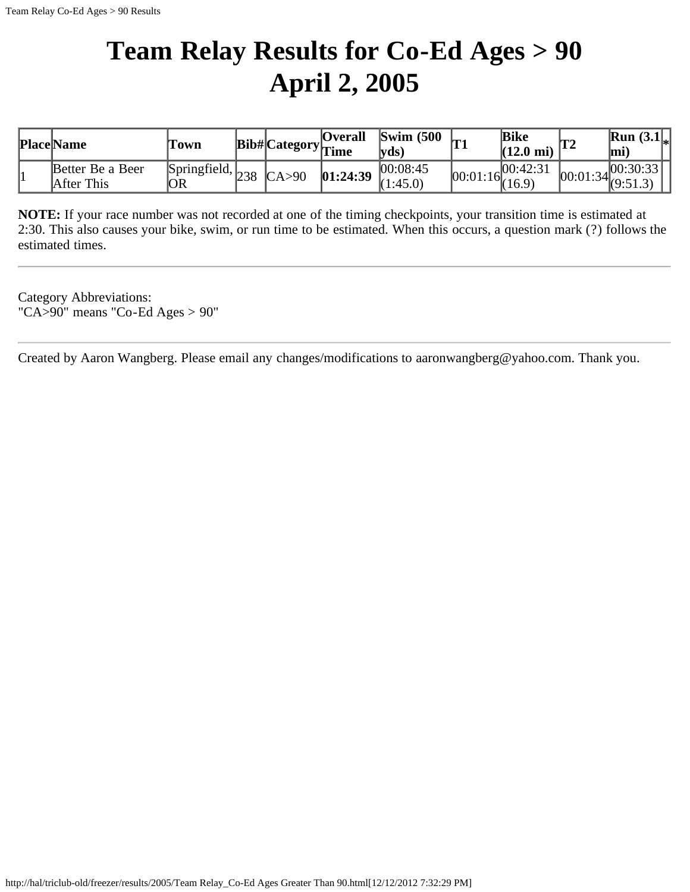# **Team Relay Results for Co-Ed Ages > 90 April 2, 2005**

| <b>Place Name</b>              | Fown                                           |  | <b>Overall</b><br>$\cdots$ Bib# Category $\frac{1}{\text{Time}}$ | $\mathbf{Swim}\;$ (500 | Iт | <b>Bike</b><br>$(12.0 \text{ mi})$ | IT 1 | <b>Run</b> $(3.1)_{*}$<br>lmi                                                      |
|--------------------------------|------------------------------------------------|--|------------------------------------------------------------------|------------------------|----|------------------------------------|------|------------------------------------------------------------------------------------|
| Better Be a Beer<br>After This | Springfield, $_{238}$ $_{\text{CA}>90}$<br>'OR |  | 01:24:39                                                         | 00:08:45<br>1:45.0     |    | 100:42:31<br>$100:01:16$ (16.9)    |      | 00:30:33 <br>$\begin{bmatrix} 0.2 & 0.2 & 1 \\ 0 & 0.2 & 1 \end{bmatrix}$ (9:51.3) |

**NOTE:** If your race number was not recorded at one of the timing checkpoints, your transition time is estimated at 2:30. This also causes your bike, swim, or run time to be estimated. When this occurs, a question mark (?) follows the estimated times.

Category Abbreviations: "CA>90" means "Co-Ed Ages > 90"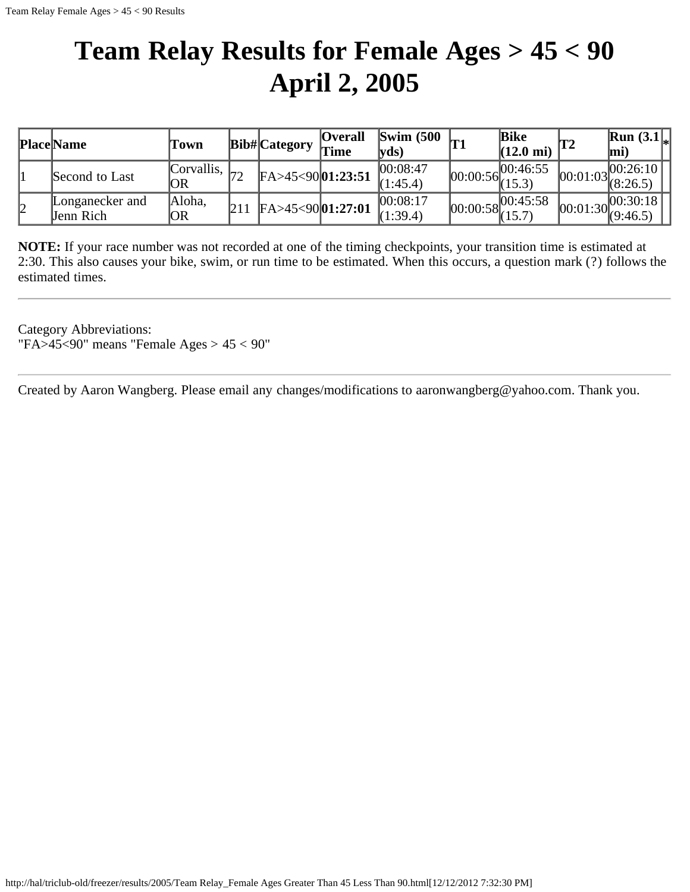### **Team Relay Results for Female Ages > 45 < 90 April 2, 2005**

|    | <b>Place Name</b>            | Town                                  | Bib# Category           | <b>Overall</b><br>Time | $\text{Swim}\ (500$<br>$\mathbf{V}\mathbf{d}\mathbf{s}$ |            | <b>Bike</b><br>$(12.0 \text{ mi})$ |            | <b>Run</b> $(3.1)$<br>lmi                    |
|----|------------------------------|---------------------------------------|-------------------------|------------------------|---------------------------------------------------------|------------|------------------------------------|------------|----------------------------------------------|
|    | Second to Last               | <b>Corvallis</b> , $\vert_{72}$<br>OR | $FA > 45 < 9001$ :23:51 |                        | 00:08:47<br>(1:45.4)                                    | [00:00:56] | 100:46:55<br>(15.3)                | [00:01:03] | .100:26:10  <br>(8:26.5)                     |
| 12 | Longanecker and<br>Jenn Rich | Aloha,<br> OR                         | $FA > 45 < 9001$ :27:01 |                        | 00:08:17<br>(1:39.4)                                    | 00:00:58   | 00:45:58                           |            | .100:30:18<br>$\sim$ $ 00:01:30 $ $(9:46.5)$ |

**NOTE:** If your race number was not recorded at one of the timing checkpoints, your transition time is estimated at 2:30. This also causes your bike, swim, or run time to be estimated. When this occurs, a question mark (?) follows the estimated times.

Category Abbreviations: "FA>45<90" means "Female Ages > 45 < 90"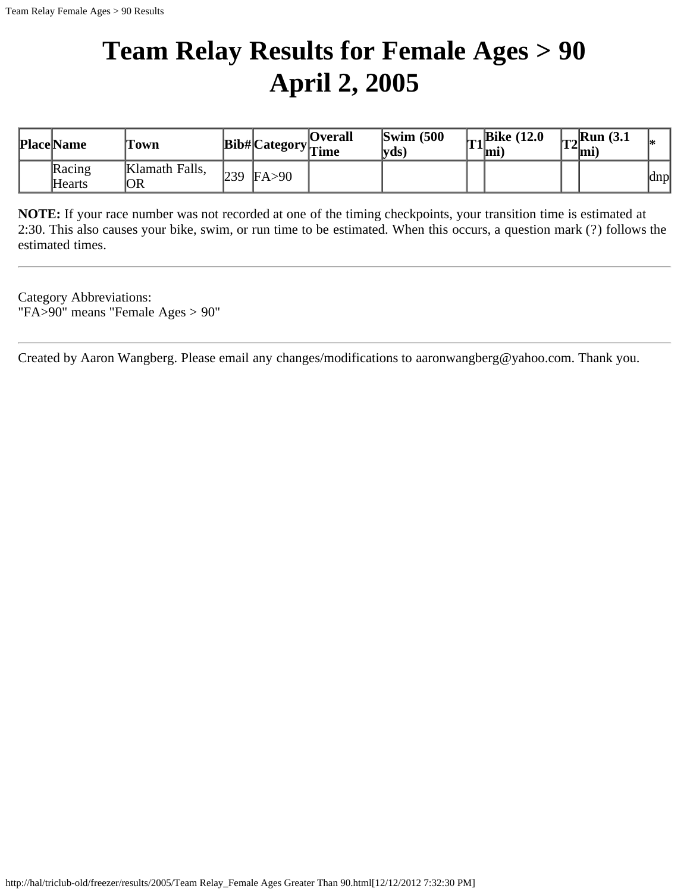# **Team Relay Results for Female Ages > 90 April 2, 2005**

| <b>Place Name</b> | Town                 |     |         | <b>Overall</b><br>$ {\bf Bib\#} $ Category $ _{\hbox{Time}}$ | $\text{Swim}$ (500<br>$\mathbf{V}\mathbf{d}\mathbf{s}$ | 11 | $\vert_{\text{m}_2}$ Bike (12.0)<br>`mi | $\vert_{\text{ra}}$ Run (3.1)<br>$ 14$ mi |     |
|-------------------|----------------------|-----|---------|--------------------------------------------------------------|--------------------------------------------------------|----|-----------------------------------------|-------------------------------------------|-----|
| Racing<br>Hearts  | Klamath Falls,<br>OR | 239 | FA > 90 |                                                              |                                                        |    |                                         |                                           | dnp |

**NOTE:** If your race number was not recorded at one of the timing checkpoints, your transition time is estimated at 2:30. This also causes your bike, swim, or run time to be estimated. When this occurs, a question mark (?) follows the estimated times.

Category Abbreviations: "FA>90" means "Female Ages > 90"